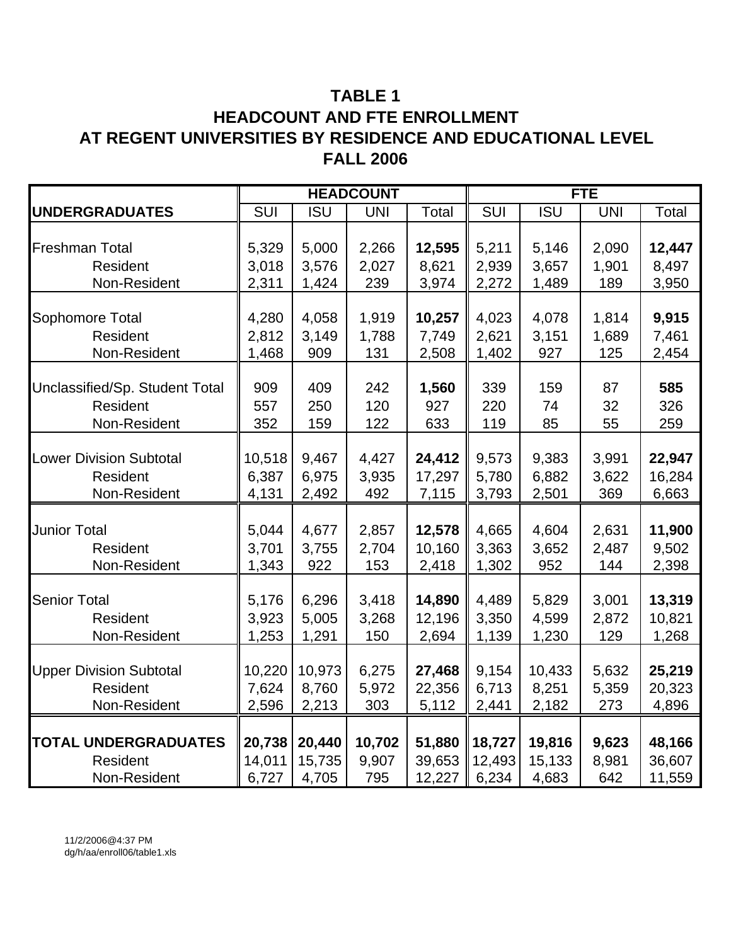# **TABLE 1 HEADCOUNT AND FTE ENROLLMENT AT REGENT UNIVERSITIES BY RESIDENCE AND EDUCATIONAL LEVEL FALL 2006**

|                                |        |            | <b>HEADCOUNT</b> |        | <b>FTE</b> |            |            |        |  |
|--------------------------------|--------|------------|------------------|--------|------------|------------|------------|--------|--|
| <b>UNDERGRADUATES</b>          | SUI    | <b>ISU</b> | <b>UNI</b>       | Total  | SUI        | <b>ISU</b> | <b>UNI</b> | Total  |  |
|                                |        |            |                  |        |            |            |            |        |  |
| Freshman Total                 | 5,329  | 5,000      | 2,266            | 12,595 | 5,211      | 5,146      | 2,090      | 12,447 |  |
| Resident                       | 3,018  | 3,576      | 2,027            | 8,621  | 2,939      | 3,657      | 1,901      | 8,497  |  |
| Non-Resident                   | 2,311  | 1,424      | 239              | 3,974  | 2,272      | 1,489      | 189        | 3,950  |  |
|                                |        |            |                  |        |            |            |            |        |  |
| Sophomore Total                | 4,280  | 4,058      | 1,919            | 10,257 | 4,023      | 4,078      | 1,814      | 9,915  |  |
| Resident                       | 2,812  | 3,149      | 1,788            | 7,749  | 2,621      | 3,151      | 1,689      | 7,461  |  |
| Non-Resident                   | 1,468  | 909        | 131              | 2,508  | 1,402      | 927        | 125        | 2,454  |  |
|                                |        |            |                  |        |            |            |            |        |  |
| Unclassified/Sp. Student Total | 909    | 409        | 242              | 1,560  | 339        | 159        | 87         | 585    |  |
| Resident                       | 557    | 250        | 120              | 927    | 220        | 74         | 32         | 326    |  |
| Non-Resident                   | 352    | 159        | 122              | 633    | 119        | 85         | 55         | 259    |  |
|                                |        |            |                  |        |            |            |            |        |  |
| <b>Lower Division Subtotal</b> | 10,518 | 9,467      | 4,427            | 24,412 | 9,573      | 9,383      | 3,991      | 22,947 |  |
| Resident                       | 6,387  | 6,975      | 3,935            | 17,297 | 5,780      | 6,882      | 3,622      | 16,284 |  |
| Non-Resident                   | 4,131  | 2,492      | 492              | 7,115  | 3,793      | 2,501      | 369        | 6,663  |  |
|                                |        |            |                  |        |            |            |            |        |  |
| <b>Junior Total</b>            | 5,044  | 4,677      | 2,857            | 12,578 | 4,665      | 4,604      | 2,631      | 11,900 |  |
| Resident                       | 3,701  | 3,755      | 2,704            | 10,160 | 3,363      | 3,652      | 2,487      | 9,502  |  |
| Non-Resident                   | 1,343  | 922        | 153              | 2,418  | 1,302      | 952        | 144        | 2,398  |  |
|                                |        |            |                  |        |            |            |            |        |  |
| <b>Senior Total</b>            | 5,176  | 6,296      | 3,418            | 14,890 | 4,489      | 5,829      | 3,001      | 13,319 |  |
| Resident                       | 3,923  | 5,005      | 3,268            | 12,196 | 3,350      | 4,599      | 2,872      | 10,821 |  |
| Non-Resident                   | 1,253  | 1,291      | 150              | 2,694  | 1,139      | 1,230      | 129        | 1,268  |  |
|                                |        |            |                  |        |            |            |            |        |  |
| <b>Upper Division Subtotal</b> | 10,220 | 10,973     | 6,275            | 27,468 | 9,154      | 10,433     | 5,632      | 25,219 |  |
| Resident                       | 7,624  | 8,760      | 5,972            | 22,356 | 6,713      | 8,251      | 5,359      | 20,323 |  |
| Non-Resident                   | 2,596  | 2,213      | 303              | 5,112  | 2,441      | 2,182      | 273        | 4,896  |  |
|                                |        |            |                  |        |            |            |            |        |  |
| <b>TOTAL UNDERGRADUATES</b>    | 20,738 | 20,440     | 10,702           | 51,880 | 18,727     | 19,816     | 9,623      | 48,166 |  |
| Resident                       | 14,011 | 15,735     | 9,907            | 39,653 | 12,493     | 15,133     | 8,981      | 36,607 |  |
| Non-Resident                   | 6,727  | 4,705      | 795              | 12,227 | 6,234      | 4,683      | 642        | 11,559 |  |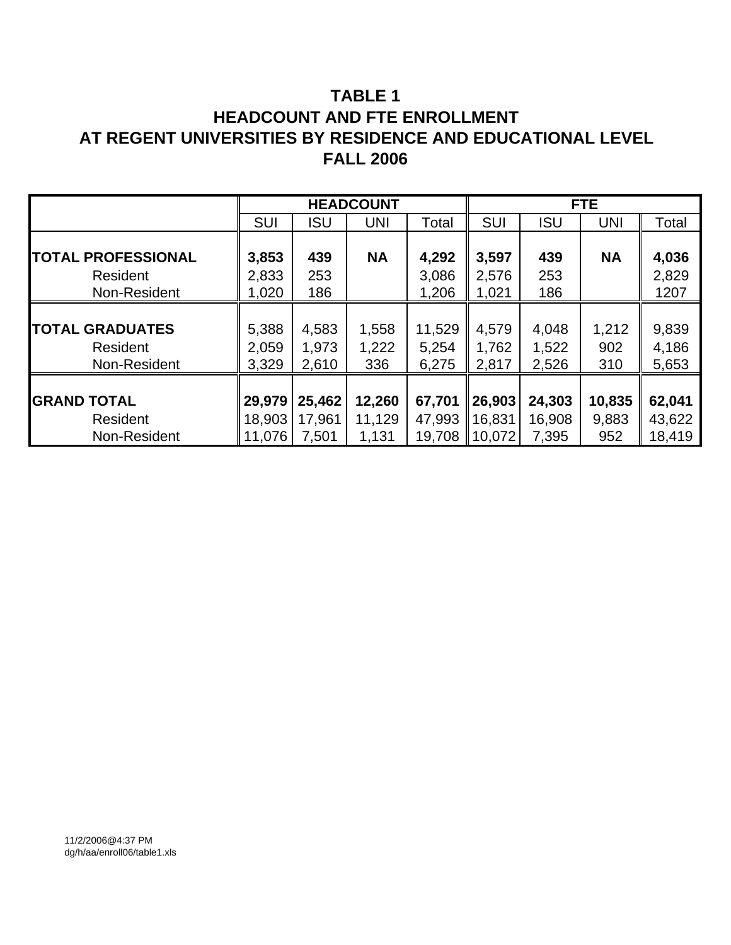# **TABLE 1 HEADCOUNT AND FTE ENROLLMENT AT REGENT UNIVERSITIES BY RESIDENCE AND EDUCATIONAL LEVEL FALL 2006**

|                           |            |            | <b>HEADCOUNT</b> |        |                    |            | FTE.       |        |
|---------------------------|------------|------------|------------------|--------|--------------------|------------|------------|--------|
|                           | <b>SUI</b> | <b>ISU</b> | <b>UNI</b>       | Total  | SUI                | <b>ISU</b> | <b>UNI</b> | Total  |
|                           |            |            |                  |        |                    |            |            |        |
| <b>TOTAL PROFESSIONAL</b> | 3,853      | 439        | <b>NA</b>        | 4,292  | 3,597              | 439        | <b>NA</b>  | 4,036  |
| Resident                  | 2,833      | 253        |                  | 3,086  | 2,576              | 253        |            | 2,829  |
| Non-Resident              | 1,020      | 186        |                  | 1,206  | 1,021              | 186        |            | 1207   |
|                           |            |            |                  |        |                    |            |            |        |
| <b>TOTAL GRADUATES</b>    | 5,388      | 4,583      | 1,558            | 11,529 | 4,579              | 4,048      | 1,212      | 9,839  |
| Resident                  | 2,059      | 1,973      | 1,222            | 5,254  | 1,762              | 1,522      | 902        | 4,186  |
| Non-Resident              | 3,329      | 2,610      | 336              | 6,275  | 2,817              | 2,526      | 310        | 5,653  |
|                           |            |            |                  |        |                    |            |            |        |
| <b>GRAND TOTAL</b>        | 29,979     | 25,462     | 12,260           | 67,701 | 26,903             | 24,303     | 10,835     | 62,041 |
| Resident                  | 18,903     | 17,961     | 11,129           | 47,993 | 16,831             | 16,908     | 9,883      | 43,622 |
| Non-Resident              | 11,076     | 7,501      | 1,131            | 19,708 | $\parallel$ 10,072 | 7,395      | 952        | 18,419 |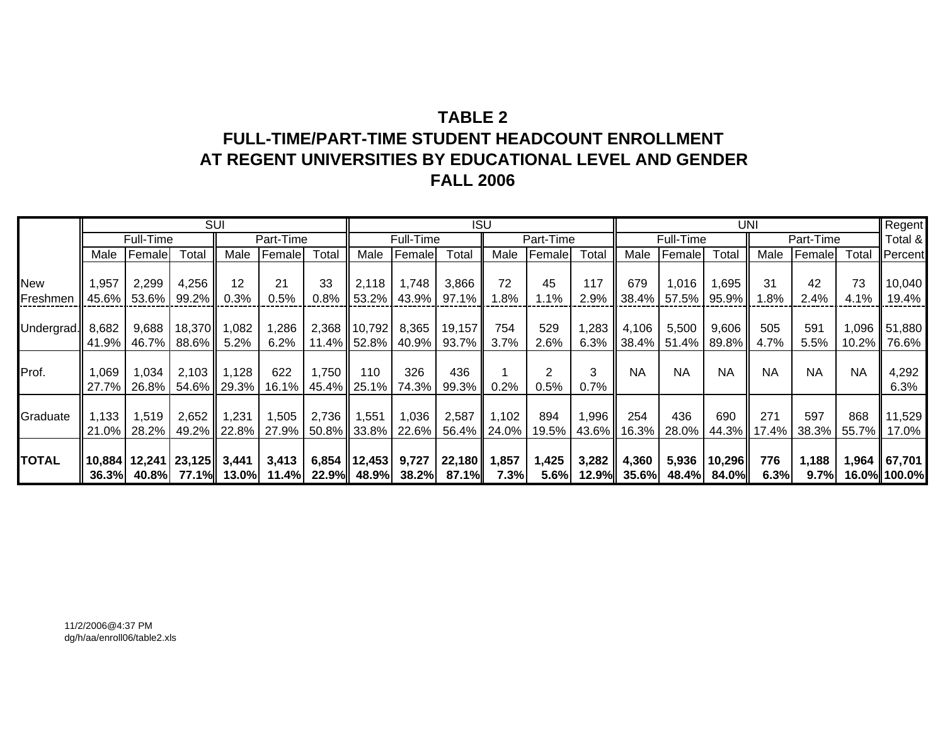# **TABLE 2FULL-TIME/PART-TIME STUDENT HEADCOUNT ENROLLMENTAT REGENT UNIVERSITIES BY EDUCATIONAL LEVEL AND GENDER FALL 2006**

|              |       |           |                          | <b>SUI</b>  |           |             |                   |           | <b>ISU</b>                                            |             |           |       |                     |             | <b>UNI</b>                                                             |           |           |           | Regent       |
|--------------|-------|-----------|--------------------------|-------------|-----------|-------------|-------------------|-----------|-------------------------------------------------------|-------------|-----------|-------|---------------------|-------------|------------------------------------------------------------------------|-----------|-----------|-----------|--------------|
|              |       | Full-Time |                          |             | Part-Time |             |                   | Full-Time |                                                       |             | Part-Time |       |                     | Full-Time   |                                                                        |           | Part-Time |           | Total &      |
|              | Male  | Female    | Total                    | Male        | Female    | Total       | Male              | Female    | Total                                                 | Male        | Female    | Total | Male                | Female      | Total                                                                  | Male      | Female    | Total     | Percent      |
|              |       |           |                          |             |           |             |                   |           |                                                       |             |           |       |                     |             |                                                                        |           |           |           |              |
| New          | 1,957 | 2,299     | 4,256                    | 12          | 21        | 33          | 2,118             | 1,748     | 3,866                                                 | 72          | 45        | 117   | 679                 | 1,016       | 1,695                                                                  | 31        | 42        | 73        | 10,040       |
| Freshmen     | 45.6% | 53.6%     | 99.2%                    | 0.3%        | 0.5%      | 0.8%        | 53.2%             | 43.9%     | 97.1%                                                 | 1.8%        | 1.1%      | 2.9%  |                     | 38.4% 57.5% | $95.9\%$                                                               | 1.8%      | 2.4%      | 4.1%      | 19.4%        |
|              |       |           |                          |             |           |             |                   |           |                                                       |             |           |       |                     |             |                                                                        |           |           |           |              |
| Undergrad.   | 8,682 | 9,688     | 18,370                   | 1,082       | 1,286     |             | 2,368 10,792      | 8,365     | 19,157                                                | 754         | 529       | 1,283 | 4,106               | 5,500       | 9,606                                                                  | 505       | 591       | 1,096 ∥   | 51,880       |
|              | 41.9% | 46.7%     | 88.6% I                  | 5.2%        | 6.2%      |             | 11.4% 52.8%       | 40.9%     | 93.7%                                                 | 3.7%        | 2.6%      |       |                     |             | 6.3% $\parallel$ 38.4% $\parallel$ 51.4% $\parallel$ 89.8% $\parallel$ | 4.7%      | 5.5%      | $10.2\%$  | 76.6%        |
|              |       |           |                          |             |           |             |                   |           |                                                       |             |           |       |                     |             |                                                                        |           |           |           |              |
| Prof.        | 1,069 | 1,034     | 2,103                    | 1,128       | 622       | 1,750       | 110               | 326       | 436                                                   |             |           | 3     | <b>NA</b>           | <b>NA</b>   | <b>NA</b>                                                              | <b>NA</b> | <b>NA</b> | <b>NA</b> | 4,292        |
|              | 27.7% | $26.8\%$  |                          | 54.6% 29.3% |           |             | 16.1% 45.4% 25.1% | 74.3%     | 99.3%                                                 | 0.2%        | 0.5%      | 0.7%  |                     |             |                                                                        |           |           |           | 6.3%         |
|              |       |           |                          |             |           |             |                   |           |                                                       |             |           |       |                     |             |                                                                        |           |           |           |              |
| Graduate     | 1,133 | 1,519     | 2,652                    | 1,231       | 1,505     | 2,736       | 1,551             | 1,036     | 2,587                                                 | 1,102       | 894       | 1,996 | 254                 | 436         | 690                                                                    | 271       | 597       | 868       | 11,529       |
|              | 21.0% | 28.2%     | 49.2% $\blacksquare$     | $22.8\%$    | 27.9%     | 50.8% 33.8% |                   | 22.6%     |                                                       | 56.4% 24.0% | 19.5%     |       | 43.6% 16.3%         | 28.0%       | $44.3\%$                                                               | 17.4%     | 38.3%     | 55.7% I   | 17.0%        |
|              |       |           |                          |             |           |             |                   |           |                                                       |             |           |       |                     |             |                                                                        |           |           |           |              |
| <b>TOTAL</b> |       |           | 10,884   12,241   23,125 | 3,441       | 3,413     |             | $6,854$   12,453  | 9,727     | 22,180                                                | 1,857       | 1,425     | 3,282 | 4,360               | 5,936       | 10,296                                                                 | 776       | 1,188     |           | 1,964 67,701 |
|              |       |           |                          |             |           |             |                   |           | 36.3% 40.8% 77.1% 13.0% 11.4% 22.9% 48.9% 38.2% 87.1% | 7.3%        |           |       | $5.6\%$ 12.9% 35.6% |             | 48.4% 84.0%                                                            | 6.3%      | 9.7%      |           | 16.0% 100.0% |

11/2/2006@4:37 PMdg/h/aa/enroll06/table2.xls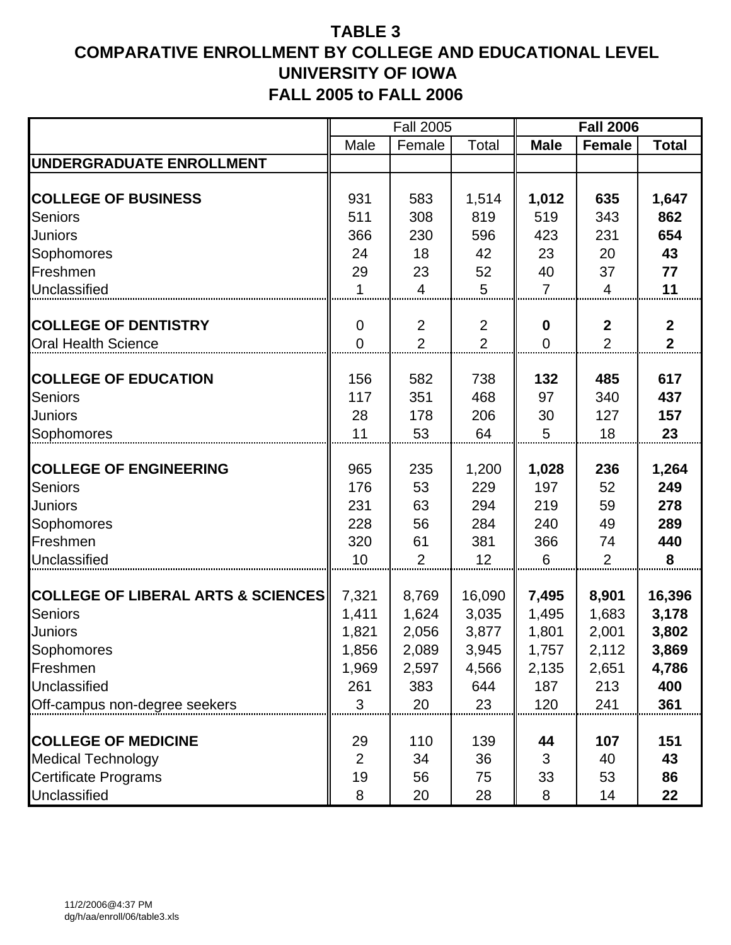# **TABLE 3 COMPARATIVE ENROLLMENT BY COLLEGE AND EDUCATIONAL LEVEL UNIVERSITY OF IOWA FALL 2005 to FALL 2006**

|                                               |                | <b>Fall 2005</b> |                |                  | <b>Fall 2006</b> |                         |
|-----------------------------------------------|----------------|------------------|----------------|------------------|------------------|-------------------------|
|                                               | Male           | Female           | Total          | <b>Male</b>      | <b>Female</b>    | <b>Total</b>            |
| UNDERGRADUATE ENROLLMENT                      |                |                  |                |                  |                  |                         |
|                                               |                |                  |                |                  |                  |                         |
| <b>COLLEGE OF BUSINESS</b>                    | 931            | 583              | 1,514          | 1,012            | 635              | 1,647                   |
| <b>Seniors</b>                                | 511            | 308              | 819            | 519              | 343              | 862                     |
| <b>Juniors</b>                                | 366            | 230              | 596            | 423              | 231              | 654                     |
| Sophomores                                    | 24             | 18               | 42             | 23               | 20               | 43                      |
| Freshmen                                      | 29             | 23               | 52             | 40               | 37               | 77                      |
| Unclassified                                  | 1              | $\overline{4}$   | 5              | $\overline{7}$   | 4                | 11                      |
|                                               |                |                  |                |                  |                  |                         |
| <b>COLLEGE OF DENTISTRY</b>                   | $\overline{0}$ | $\overline{2}$   | $\overline{2}$ | $\boldsymbol{0}$ | $\boldsymbol{2}$ | $\boldsymbol{2}$        |
| <b>Oral Health Science</b>                    | $\overline{0}$ | $\overline{2}$   | $\overline{2}$ | $\overline{0}$   | $\overline{2}$   | $\overline{\mathbf{2}}$ |
|                                               |                |                  |                |                  |                  |                         |
| <b>COLLEGE OF EDUCATION</b>                   | 156            | 582              | 738            | 132              | 485              | 617                     |
| <b>Seniors</b>                                | 117            | 351              | 468            | 97               | 340              | 437                     |
| Juniors                                       | 28             | 178              | 206            | 30               | 127              | 157                     |
| Sophomores                                    | 11             | 53               | 64             | 5                | 18               | 23                      |
| <b>COLLEGE OF ENGINEERING</b>                 | 965            | 235              | 1,200          | 1,028            | 236              | 1,264                   |
| <b>Seniors</b>                                | 176            | 53               | 229            | 197              | 52               | 249                     |
| <b>Juniors</b>                                | 231            | 63               | 294            | 219              | 59               | 278                     |
| Sophomores                                    | 228            | 56               | 284            | 240              | 49               | 289                     |
| Freshmen                                      | 320            | 61               | 381            | 366              | 74               | 440                     |
| Unclassified                                  | 10             | 2                | 12             | 6                | $\overline{2}$   | 8                       |
|                                               |                |                  |                |                  |                  |                         |
| <b>COLLEGE OF LIBERAL ARTS &amp; SCIENCES</b> | 7,321          | 8,769            | 16,090         | 7,495            | 8,901            | 16,396                  |
| <b>Seniors</b>                                | 1,411          | 1,624            | 3,035          | 1,495            | 1,683            | 3,178                   |
| <b>Juniors</b>                                | 1,821          | 2,056            | 3,877          | 1,801            | 2,001            | 3,802                   |
| Sophomores                                    | 1,856          | 2,089            | 3,945          | 1,757            | 2,112            | 3,869                   |
| Freshmen                                      | 1,969          | 2,597            | 4,566          | 2,135            | 2,651            | 4,786                   |
| Unclassified                                  | 261            | 383              | 644            | 187              | 213              | 400                     |
| Off-campus non-degree seekers                 | 3              | 20               | 23             | 120              | 241              | 361                     |
|                                               |                |                  |                |                  |                  |                         |
| <b>COLLEGE OF MEDICINE</b>                    | 29             | 110              | 139            | 44               | 107              | 151                     |
| <b>Medical Technology</b>                     | $\overline{2}$ | 34               | 36             | 3                | 40               | 43                      |
| <b>Certificate Programs</b>                   | 19             | 56               | 75             | 33               | 53               | 86                      |
| Unclassified                                  | 8              | 20               | 28             | 8                | 14               | 22                      |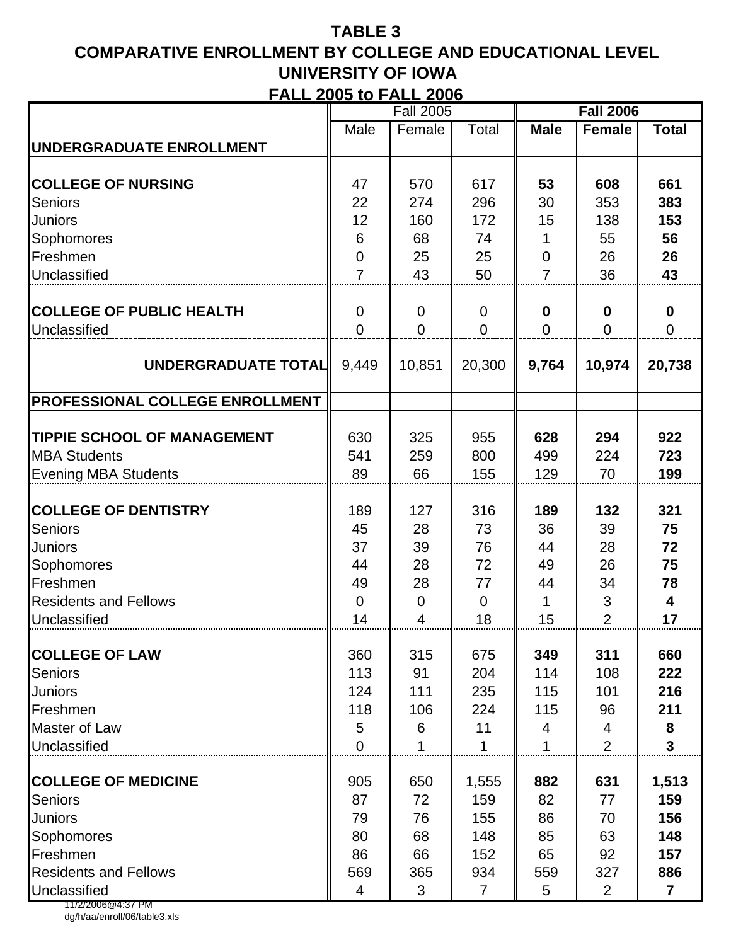# **TABLE 3 COMPARATIVE ENROLLMENT BY COLLEGE AND EDUCATIONAL LEVEL UNIVERSITY OF IOWA FALL 2005 to FALL 2006**

|                                    |                | <b>Fall 2005</b> |                |                | <b>Fall 2006</b>          |                         |
|------------------------------------|----------------|------------------|----------------|----------------|---------------------------|-------------------------|
|                                    | Male           | Female           | Total          | <b>Male</b>    | Female                    | <b>Total</b>            |
| <b>UNDERGRADUATE ENROLLMENT</b>    |                |                  |                |                |                           |                         |
|                                    |                |                  |                |                |                           |                         |
| <b>COLLEGE OF NURSING</b>          | 47             | 570              | 617            | 53             | 608                       | 661                     |
| <b>Seniors</b>                     | 22             | 274              | 296            | 30             | 353                       | 383                     |
| <b>Juniors</b>                     | 12             | 160              | 172            | 15             | 138                       | 153                     |
| Sophomores                         | 6              | 68               | 74             | 1              | 55                        | 56                      |
| Freshmen                           | $\overline{0}$ | 25               | 25             | $\overline{0}$ | 26                        | 26                      |
| Unclassified                       | $\overline{7}$ | 43               | 50             | $\overline{7}$ | 36                        | 43                      |
|                                    |                |                  |                |                |                           |                         |
| <b>COLLEGE OF PUBLIC HEALTH</b>    | $\overline{0}$ | $\overline{0}$   | $\mathbf 0$    | $\bf{0}$       | 0                         | $\mathbf 0$             |
| Unclassified                       | $\overline{0}$ | $\overline{0}$   | $\Omega$       | $\overline{0}$ | 0                         | $\mathbf 0$             |
|                                    |                |                  |                |                |                           |                         |
| UNDERGRADUATE TOTAL                | 9,449          | 10,851           | 20,300         | 9,764          | 10,974                    | 20,738                  |
|                                    |                |                  |                |                |                           |                         |
| PROFESSIONAL COLLEGE ENROLLMENT    |                |                  |                |                |                           |                         |
|                                    |                |                  |                |                |                           |                         |
| <b>TIPPIE SCHOOL OF MANAGEMENT</b> | 630            | 325              | 955            | 628            | 294                       | 922                     |
| <b>MBA Students</b>                | 541            | 259              | 800            | 499            | 224                       | 723                     |
| <b>Evening MBA Students</b>        | 89             | 66               | 155            | 129            | 70                        | 199                     |
|                                    |                |                  |                |                |                           |                         |
| <b>COLLEGE OF DENTISTRY</b>        | 189            | 127              | 316            | 189            | 132                       | 321                     |
| <b>Seniors</b>                     | 45             | 28               | 73             | 36             | 39                        | 75                      |
| <b>Juniors</b>                     | 37             | 39               | 76             | 44             | 28                        | 72                      |
| Sophomores                         | 44             | 28               | 72             | 49             | 26                        | 75                      |
| Freshmen                           | 49             | 28               | 77             | 44             | 34                        | 78                      |
| <b>Residents and Fellows</b>       | $\overline{0}$ | $\mathbf 0$      | $\mathbf 0$    | 1              | $\ensuremath{\mathsf{3}}$ | $\overline{\mathbf{4}}$ |
| Unclassified                       | 14             | 4                | 18             | 15             | $\overline{2}$            | 17                      |
| <b>COLLEGE OF LAW</b>              | 360            | 315              | 675            | 349            | 311                       | 660                     |
| <b>Seniors</b>                     | 113            | 91               | 204            | 114            | 108                       | 222                     |
| <b>Juniors</b>                     | 124            | 111              | 235            | 115            | 101                       | 216                     |
| Freshmen                           | 118            | 106              | 224            | 115            | 96                        | 211                     |
| Master of Law                      | 5              | 6                | 11             | 4              | 4                         | 8                       |
| Unclassified                       | $\overline{0}$ |                  |                |                | $\overline{2}$            | $\overline{3}$          |
|                                    |                |                  |                |                |                           |                         |
| <b>COLLEGE OF MEDICINE</b>         | 905            | 650              | 1,555          | 882            | 631                       | 1,513                   |
| <b>Seniors</b>                     | 87             | 72               | 159            | 82             | 77                        | 159                     |
| <b>Juniors</b>                     | 79             | 76               | 155            | 86             | 70                        | 156                     |
| Sophomores                         | 80             | 68               | 148            | 85             | 63                        | 148                     |
| Freshmen                           | 86             | 66               | 152            | 65             | 92                        | 157                     |
| <b>Residents and Fellows</b>       | 569            | 365              | 934            | 559            | 327                       | 886                     |
| Unclassified                       | 4              | 3                | $\overline{7}$ | 5              | $\overline{2}$            | $\overline{7}$          |
| 11/2/2006@4:37 PM                  |                |                  |                |                |                           |                         |

dg/h/aa/enroll/06/table3.xls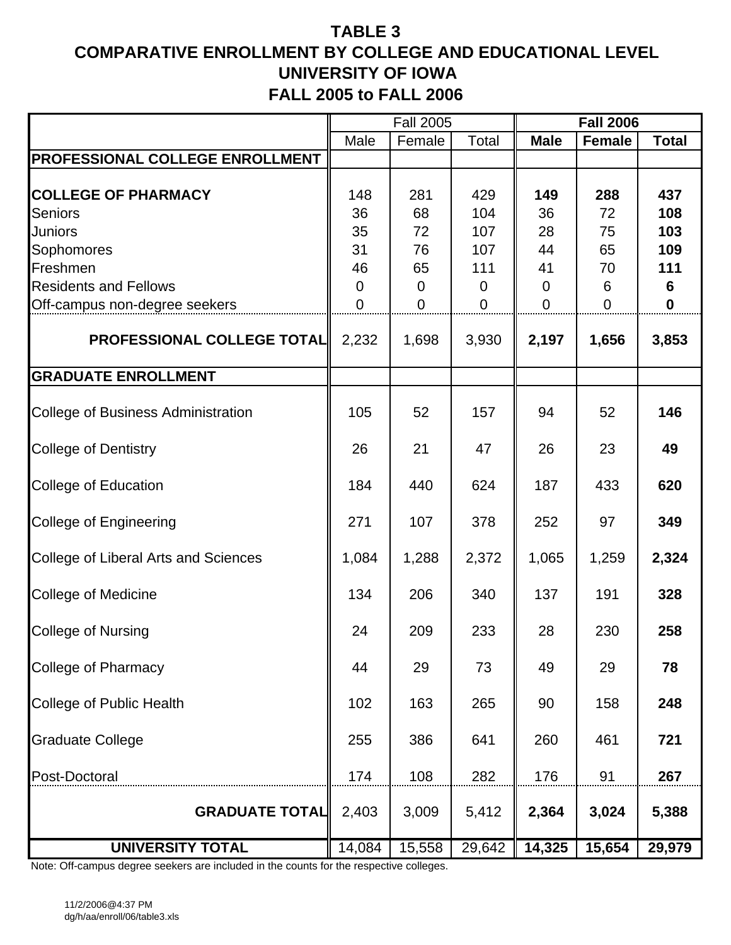# **TABLE 3 COMPARATIVE ENROLLMENT BY COLLEGE AND EDUCATIONAL LEVEL UNIVERSITY OF IOWA FALL 2005 to FALL 2006**

|                                           |        | <b>Fall 2005</b> |        |             | <b>Fall 2006</b> |              |
|-------------------------------------------|--------|------------------|--------|-------------|------------------|--------------|
|                                           | Male   | Female           | Total  | <b>Male</b> | <b>Female</b>    | <b>Total</b> |
| PROFESSIONAL COLLEGE ENROLLMENT           |        |                  |        |             |                  |              |
|                                           |        |                  |        |             |                  |              |
| <b>COLLEGE OF PHARMACY</b>                | 148    | 281              | 429    | 149         | 288              | 437          |
| <b>Seniors</b>                            | 36     | 68               | 104    | 36          | 72               | 108          |
| <b>Juniors</b>                            | 35     | 72               | 107    | 28          | 75               | 103          |
| Sophomores                                | 31     | 76               | 107    | 44          | 65               | 109          |
| Freshmen                                  | 46     | 65               | 111    | 41          | 70               | 111          |
| <b>Residents and Fellows</b>              | 0      | 0                | 0      | $\mathbf 0$ | 6                | 6            |
| Off-campus non-degree seekers             | 0      | 0                | 0      | $\mathbf 0$ | 0                | 0            |
| <b>PROFESSIONAL COLLEGE TOTAL</b>         | 2,232  | 1,698            | 3,930  | 2,197       | 1,656            | 3,853        |
| <b>GRADUATE ENROLLMENT</b>                |        |                  |        |             |                  |              |
| <b>College of Business Administration</b> | 105    | 52               | 157    | 94          | 52               | 146          |
| <b>College of Dentistry</b>               | 26     | 21               | 47     | 26          | 23               | 49           |
| <b>College of Education</b>               | 184    | 440              | 624    | 187         | 433              | 620          |
| <b>College of Engineering</b>             | 271    | 107              | 378    | 252         | 97               | 349          |
| College of Liberal Arts and Sciences      | 1,084  | 1,288            | 2,372  | 1,065       | 1,259            | 2,324        |
| <b>College of Medicine</b>                | 134    | 206              | 340    | 137         | 191              | 328          |
| <b>College of Nursing</b>                 | 24     | 209              | 233    | 28          | 230              | 258          |
| College of Pharmacy                       | 44     | 29               | 73     | 49          | 29               | 78           |
| College of Public Health                  | 102    | 163              | 265    | 90          | 158              | 248          |
| <b>Graduate College</b>                   | 255    | 386              | 641    | 260         | 461              | 721          |
| Post-Doctoral                             | 174    | 108              | 282    | 176         | 91               | 267          |
| <b>GRADUATE TOTAL</b>                     | 2,403  | 3,009            | 5,412  | 2,364       | 3,024            | 5,388        |
| <b>UNIVERSITY TOTAL</b>                   | 14,084 | 15,558           | 29,642 | 14,325      | 15,654           | 29,979       |

Note: Off-campus degree seekers are included in the counts for the respective colleges.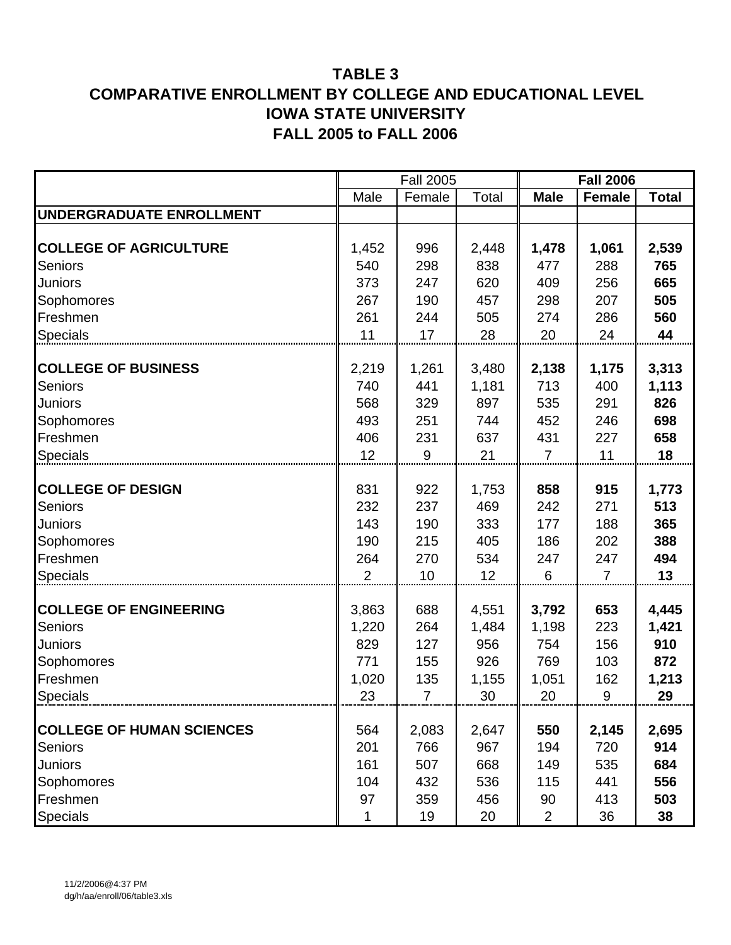## **TABLE 3 COMPARATIVE ENROLLMENT BY COLLEGE AND EDUCATIONAL LEVEL IOWA STATE UNIVERSITY FALL 2005 to FALL 2006**

|                                  |       | <b>Fall 2005</b> |       |                | <b>Fall 2006</b> |              |
|----------------------------------|-------|------------------|-------|----------------|------------------|--------------|
|                                  | Male  | Female           | Total | <b>Male</b>    | <b>Female</b>    | <b>Total</b> |
| <b>UNDERGRADUATE ENROLLMENT</b>  |       |                  |       |                |                  |              |
|                                  |       |                  |       |                |                  |              |
| <b>COLLEGE OF AGRICULTURE</b>    | 1,452 | 996              | 2,448 | 1,478          | 1,061            | 2,539        |
| Seniors                          | 540   | 298              | 838   | 477            | 288              | 765          |
| Juniors                          | 373   | 247              | 620   | 409            | 256              | 665          |
| Sophomores                       | 267   | 190              | 457   | 298            | 207              | 505          |
| Freshmen                         | 261   | 244              | 505   | 274            | 286              | 560          |
| <b>Specials</b>                  | 11    | 17               | 28    | 20             | 24               | 44           |
|                                  |       |                  |       |                |                  |              |
| <b>COLLEGE OF BUSINESS</b>       | 2,219 | 1,261            | 3,480 | 2,138          | 1,175            | 3,313        |
| <b>Seniors</b>                   | 740   | 441              | 1,181 | 713            | 400              | 1,113        |
| Juniors                          | 568   | 329              | 897   | 535            | 291              | 826          |
| Sophomores                       | 493   | 251              | 744   | 452            | 246              | 698          |
| Freshmen                         | 406   | 231              | 637   | 431            | 227              | 658          |
| <b>Specials</b>                  | 12    | 9                | 21    | $\overline{7}$ | 11               | 18           |
|                                  |       |                  |       |                |                  |              |
| <b>COLLEGE OF DESIGN</b>         | 831   | 922              | 1,753 | 858            | 915              | 1,773        |
| <b>Seniors</b>                   | 232   | 237              | 469   | 242            | 271              | 513          |
| Juniors                          | 143   | 190              | 333   | 177            | 188              | 365          |
| Sophomores                       | 190   | 215              | 405   | 186            | 202              | 388          |
| Freshmen                         | 264   | 270              | 534   | 247            | 247              | 494          |
| <b>Specials</b>                  | 2     | 10               | 12    | 6              | $\overline{7}$   | 13           |
| <b>COLLEGE OF ENGINEERING</b>    |       |                  |       |                |                  |              |
|                                  | 3,863 | 688              | 4,551 | 3,792          | 653              | 4,445        |
| Seniors                          | 1,220 | 264              | 1,484 | 1,198          | 223              | 1,421        |
| Juniors                          | 829   | 127              | 956   | 754            | 156              | 910          |
| Sophomores                       | 771   | 155              | 926   | 769            | 103              | 872          |
| Freshmen                         | 1,020 | 135              | 1,155 | 1,051          | 162              | 1,213        |
| <b>Specials</b>                  | 23    | 7                | 30    | 20             | 9                | 29           |
| <b>COLLEGE OF HUMAN SCIENCES</b> | 564   | 2,083            | 2,647 | 550            | 2,145            | 2,695        |
| <b>Seniors</b>                   | 201   | 766              | 967   | 194            | 720              | 914          |
| Juniors                          | 161   | 507              | 668   | 149            | 535              | 684          |
| Sophomores                       | 104   | 432              | 536   | 115            | 441              | 556          |
| Freshmen                         | 97    | 359              | 456   | 90             | 413              | 503          |
| Specials                         | 1     | 19               | 20    | $\overline{2}$ | 36               | 38           |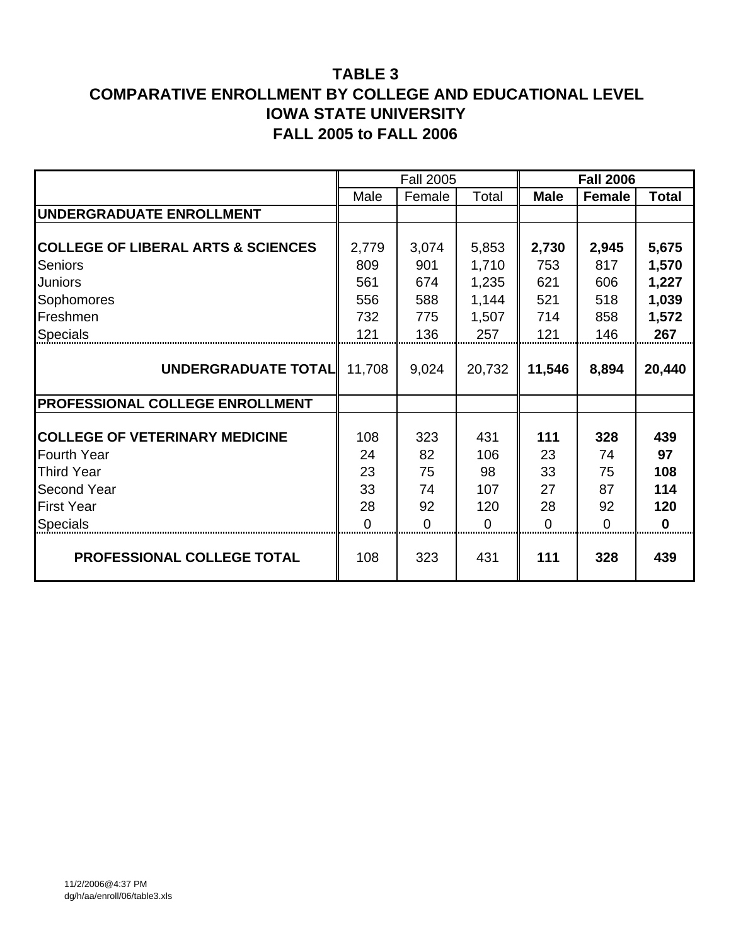## **TABLE 3 COMPARATIVE ENROLLMENT BY COLLEGE AND EDUCATIONAL LEVEL IOWA STATE UNIVERSITY FALL 2005 to FALL 2006**

|                                               |          | <b>Fall 2005</b> |          |             | <b>Fall 2006</b> |              |
|-----------------------------------------------|----------|------------------|----------|-------------|------------------|--------------|
|                                               | Male     | Female           | Total    | <b>Male</b> | Female           | <b>Total</b> |
| UNDERGRADUATE ENROLLMENT                      |          |                  |          |             |                  |              |
|                                               |          |                  |          |             |                  |              |
| <b>COLLEGE OF LIBERAL ARTS &amp; SCIENCES</b> | 2,779    | 3,074            | 5,853    | 2,730       | 2,945            | 5,675        |
| <b>Seniors</b>                                | 809      | 901              | 1,710    | 753         | 817              | 1,570        |
| <b>Juniors</b>                                | 561      | 674              | 1,235    | 621         | 606              | 1,227        |
| Sophomores                                    | 556      | 588              | 1,144    | 521         | 518              | 1,039        |
| Freshmen                                      | 732      | 775              | 1,507    | 714         | 858              | 1,572        |
| <b>Specials</b>                               | 121      | 136              | 257      | 121         | 146              | 267          |
|                                               |          |                  |          |             |                  |              |
| <b>UNDERGRADUATE TOTAL</b>                    | 11,708   | 9,024            | 20,732   | 11,546      | 8,894            | 20,440       |
|                                               |          |                  |          |             |                  |              |
| PROFESSIONAL COLLEGE ENROLLMENT               |          |                  |          |             |                  |              |
|                                               |          |                  |          |             |                  |              |
| <b>COLLEGE OF VETERINARY MEDICINE</b>         | 108      | 323              | 431      | 111         | 328              | 439          |
| <b>Fourth Year</b>                            | 24       | 82               | 106      | 23          | 74               | 97           |
| <b>Third Year</b>                             | 23       | 75               | 98       | 33          | 75               | 108          |
| <b>Second Year</b>                            | 33       | 74               | 107      | 27          | 87               | 114          |
| <b>First Year</b>                             | 28       | 92               | 120      | 28          | 92               | 120          |
| <b>Specials</b>                               | $\Omega$ | $\Omega$         | $\Omega$ | 0           | 0                | $\bf{0}$     |
| PROFESSIONAL COLLEGE TOTAL                    | 108      | 323              | 431      | 111         | 328              | 439          |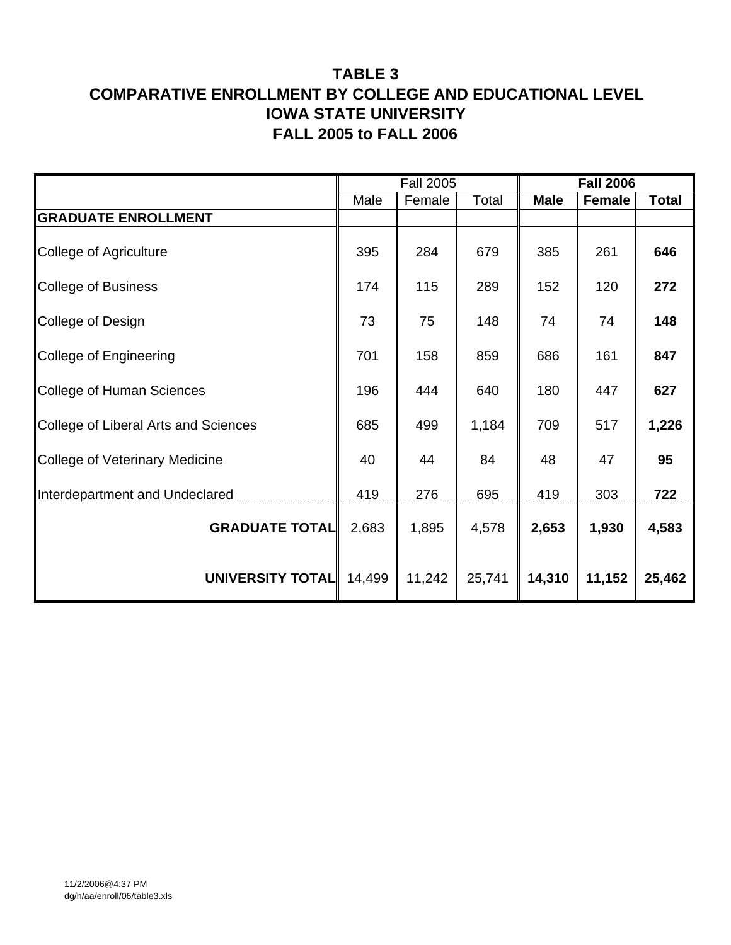## **TABLE 3 COMPARATIVE ENROLLMENT BY COLLEGE AND EDUCATIONAL LEVEL IOWA STATE UNIVERSITY FALL 2005 to FALL 2006**

|                                       |        | <b>Fall 2005</b> |        |             | <b>Fall 2006</b> |              |
|---------------------------------------|--------|------------------|--------|-------------|------------------|--------------|
|                                       | Male   | Female           | Total  | <b>Male</b> | <b>Female</b>    | <b>Total</b> |
| <b>GRADUATE ENROLLMENT</b>            |        |                  |        |             |                  |              |
| <b>College of Agriculture</b>         | 395    | 284              | 679    | 385         | 261              | 646          |
| <b>College of Business</b>            | 174    | 115              | 289    | 152         | 120              | 272          |
| College of Design                     | 73     | 75               | 148    | 74          | 74               | 148          |
| College of Engineering                | 701    | 158              | 859    | 686         | 161              | 847          |
| <b>College of Human Sciences</b>      | 196    | 444              | 640    | 180         | 447              | 627          |
| College of Liberal Arts and Sciences  | 685    | 499              | 1,184  | 709         | 517              | 1,226        |
| <b>College of Veterinary Medicine</b> | 40     | 44               | 84     | 48          | 47               | 95           |
| Interdepartment and Undeclared        | 419    | 276              | 695    | 419         | 303              | 722          |
| <b>GRADUATE TOTAL</b>                 | 2,683  | 1,895            | 4,578  | 2,653       | 1,930            | 4,583        |
| UNIVERSITY TOTAL                      | 14,499 | 11,242           | 25,741 | 14,310      | 11,152           | 25,462       |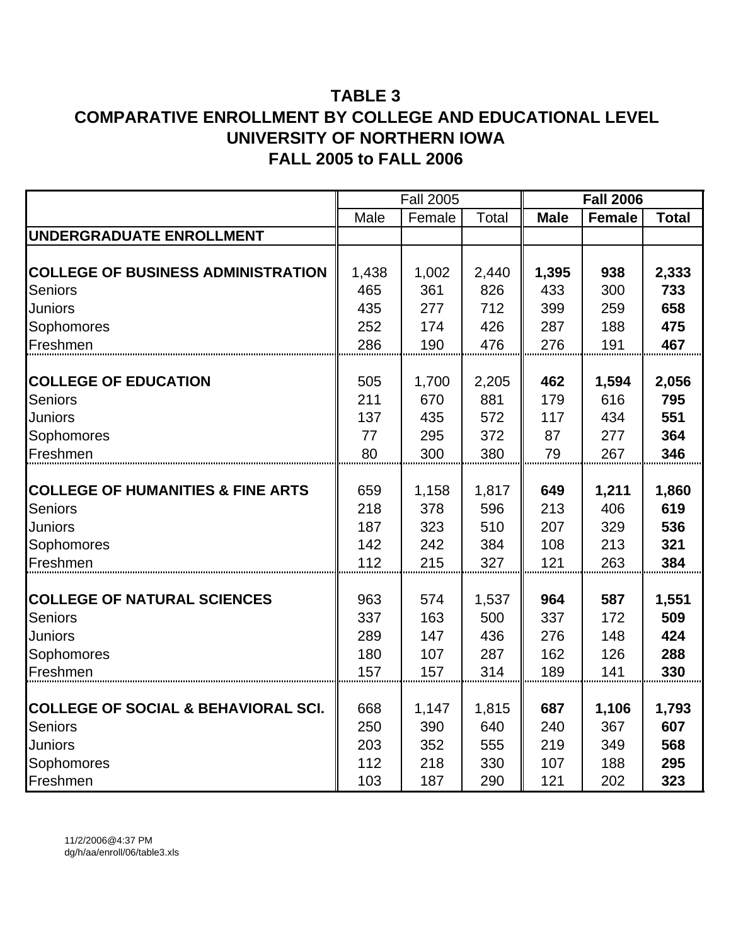# **TABLE 3 COMPARATIVE ENROLLMENT BY COLLEGE AND EDUCATIONAL LEVEL UNIVERSITY OF NORTHERN IOWA FALL 2005 to FALL 2006**

|                                                |       | <b>Fall 2005</b> |       |             | <b>Fall 2006</b> |              |
|------------------------------------------------|-------|------------------|-------|-------------|------------------|--------------|
|                                                | Male  | Female           | Total | <b>Male</b> | <b>Female</b>    | <b>Total</b> |
| UNDERGRADUATE ENROLLMENT                       |       |                  |       |             |                  |              |
|                                                |       |                  |       |             |                  |              |
| <b>COLLEGE OF BUSINESS ADMINISTRATION</b>      | 1,438 | 1,002            | 2,440 | 1,395       | 938              | 2,333        |
| Seniors                                        | 465   | 361              | 826   | 433         | 300              | 733          |
| Juniors                                        | 435   | 277              | 712   | 399         | 259              | 658          |
| Sophomores                                     | 252   | 174              | 426   | 287         | 188              | 475          |
| Freshmen                                       | 286   | 190              | 476   | 276         | 191              | 467          |
|                                                |       |                  |       |             |                  |              |
| <b>COLLEGE OF EDUCATION</b>                    | 505   | 1,700            | 2,205 | 462         | 1,594            | 2,056        |
| <b>Seniors</b>                                 | 211   | 670              | 881   | 179         | 616              | 795          |
| Juniors                                        | 137   | 435              | 572   | 117         | 434              | 551          |
| Sophomores                                     | 77    | 295              | 372   | 87          | 277              | 364          |
| Freshmen                                       | 80    | 300              | 380   | 79          | 267              | 346          |
|                                                |       |                  |       |             |                  |              |
| <b>COLLEGE OF HUMANITIES &amp; FINE ARTS</b>   | 659   | 1,158            | 1,817 | 649         | 1,211            | 1,860        |
| <b>Seniors</b>                                 | 218   | 378              | 596   | 213         | 406              | 619          |
| Juniors                                        | 187   | 323              | 510   | 207         | 329              | 536          |
| Sophomores                                     | 142   | 242              | 384   | 108         | 213              | 321          |
| Freshmen                                       | 112   | 215              | 327   | 121         | 263              | 384          |
|                                                |       |                  |       |             |                  |              |
| <b>COLLEGE OF NATURAL SCIENCES</b>             | 963   | 574              | 1,537 | 964         | 587              | 1,551        |
| <b>Seniors</b>                                 | 337   | 163              | 500   | 337         | 172              | 509          |
| Juniors                                        | 289   | 147              | 436   | 276         | 148              | 424          |
| Sophomores                                     | 180   | 107              | 287   | 162         | 126              | 288          |
| Freshmen                                       | 157   | 157              | 314   | 189         | 141              | 330          |
|                                                |       |                  |       |             |                  |              |
| <b>COLLEGE OF SOCIAL &amp; BEHAVIORAL SCI.</b> | 668   | 1,147            | 1,815 | 687         | 1,106            | 1,793        |
| <b>Seniors</b>                                 | 250   | 390              | 640   | 240         | 367              | 607          |
| Juniors                                        | 203   | 352              | 555   | 219         | 349              | 568          |
| Sophomores                                     | 112   | 218              | 330   | 107         | 188              | 295          |
| Freshmen                                       | 103   | 187              | 290   | 121         | 202              | 323          |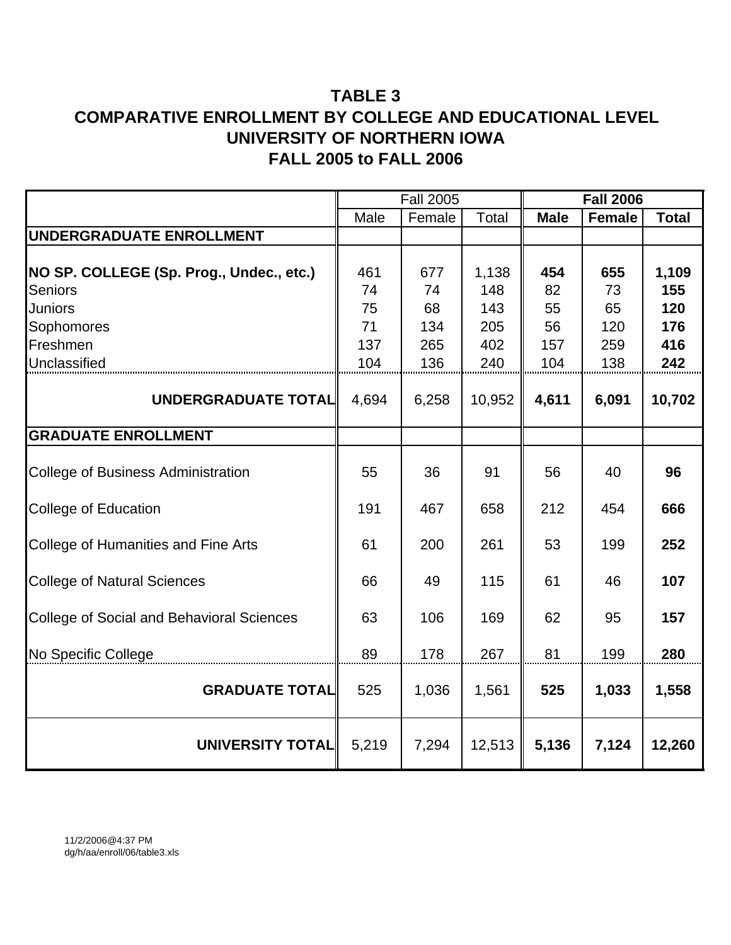# **TABLE 3 COMPARATIVE ENROLLMENT BY COLLEGE AND EDUCATIONAL LEVEL UNIVERSITY OF NORTHERN IOWA FALL 2005 to FALL 2006**

|                                                  |       | <b>Fall 2005</b> |              |             | <b>Fall 2006</b> |              |
|--------------------------------------------------|-------|------------------|--------------|-------------|------------------|--------------|
|                                                  | Male  | Female           | <b>Total</b> | <b>Male</b> | <b>Female</b>    | <b>Total</b> |
| UNDERGRADUATE ENROLLMENT                         |       |                  |              |             |                  |              |
| NO SP. COLLEGE (Sp. Prog., Undec., etc.)         | 461   | 677              | 1,138        | 454         | 655              | 1,109        |
| <b>Seniors</b>                                   | 74    | 74               | 148          | 82          | 73               | 155          |
| <b>Juniors</b>                                   | 75    | 68               | 143          | 55          | 65               | 120          |
| Sophomores                                       | 71    | 134              | 205          | 56          | 120              | 176          |
| Freshmen                                         | 137   | 265              | 402          | 157         | 259              | 416          |
| Unclassified                                     | 104   | 136              | 240          | 104         | 138              | 242          |
| UNDERGRADUATE TOTAL                              | 4,694 | 6,258            | 10,952       | 4,611       | 6,091            | 10,702       |
| <b>GRADUATE ENROLLMENT</b>                       |       |                  |              |             |                  |              |
| <b>College of Business Administration</b>        | 55    | 36               | 91           | 56          | 40               | 96           |
| <b>College of Education</b>                      | 191   | 467              | 658          | 212         | 454              | 666          |
| <b>College of Humanities and Fine Arts</b>       | 61    | 200              | 261          | 53          | 199              | 252          |
| <b>College of Natural Sciences</b>               | 66    | 49               | 115          | 61          | 46               | 107          |
| <b>College of Social and Behavioral Sciences</b> | 63    | 106              | 169          | 62          | 95               | 157          |
| No Specific College                              | 89    | 178              | 267          | 81          | 199              | 280          |
| <b>GRADUATE TOTAL</b>                            | 525   | 1,036            | 1,561        | 525         | 1,033            | 1,558        |
| <b>UNIVERSITY TOTAL</b>                          | 5,219 | 7,294            | 12,513       | 5,136       | 7,124            | 12,260       |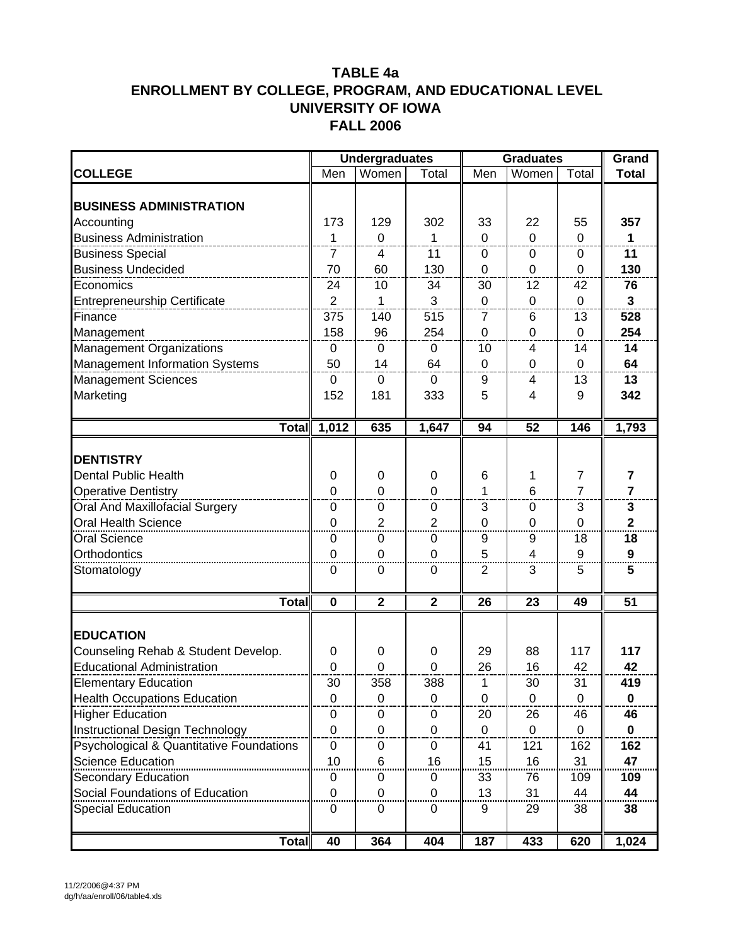|                                          |                  | <b>Undergraduates</b> |              |                | <b>Graduates</b> |                |                       |
|------------------------------------------|------------------|-----------------------|--------------|----------------|------------------|----------------|-----------------------|
| <b>COLLEGE</b>                           | Men              | Women                 | Total        | Men            | Women            | Total          | Grand<br><b>Total</b> |
|                                          |                  |                       |              |                |                  |                |                       |
| <b>BUSINESS ADMINISTRATION</b>           |                  |                       |              |                |                  |                |                       |
| Accounting                               | 173              | 129                   | 302          | 33             | 22               | 55             | 357                   |
| <b>Business Administration</b>           | 1                | $\overline{0}$        | 1            | $\Omega$       | $\Omega$         | $\Omega$       | 1                     |
| <b>Business Special</b>                  | $\overline{7}$   | $\overline{4}$        | 11           | $\mathbf 0$    | 0                | 0              | 11                    |
| <b>Business Undecided</b>                | 70               | 60                    | 130          | 0              | 0                | 0              | 130                   |
| Economics                                | 24               | 10                    | 34           | 30             | 12               | 42             | 76                    |
| <b>Entrepreneurship Certificate</b>      | $\overline{2}$   | 1                     | 3            | $\mathbf 0$    | $\mathbf 0$      | $\Omega$       | $\overline{3}$        |
| Finance                                  | 375              | 140                   | 515          | $\overline{7}$ | 6                | 13             | 528                   |
| Management                               | 158              | 96                    | 254          | $\mathbf 0$    | 0                | $\mathbf 0$    | 254                   |
| <b>Management Organizations</b>          | 0                | 0                     | 0            | 10             | 4                | 14             | 14                    |
| Management Information Systems           | 50               | 14                    | 64           | $\mathbf 0$    | $\mathbf 0$      | 0              | 64                    |
| <b>Management Sciences</b>               | $\pmb{0}$        | $\mathbf 0$           | $\mathbf 0$  | 9              | 4                | 13             | 13                    |
| Marketing                                | 152              | 181                   | 333          | 5              | 4                | 9              | 342                   |
| Total                                    | 1,012            | 635                   | 1,647        | 94             | 52               | 146            | 1,793                 |
|                                          |                  |                       |              |                |                  |                |                       |
| <b>DENTISTRY</b>                         |                  |                       |              |                |                  |                |                       |
| <b>Dental Public Health</b>              | $\boldsymbol{0}$ | $\mathbf 0$           | $\mathbf 0$  | 6              | 1                | 7              | 7                     |
| <b>Operative Dentistry</b>               | $\overline{0}$   | $\overline{0}$        | 0            | 1              | 6                | $\overline{7}$ | $\overline{7}$        |
| <b>Oral And Maxillofacial Surgery</b>    | 0                | 0                     | $\mathbf 0$  | 3              | 0                | 3              | 3                     |
| Oral Health Science                      | $\mathbf 0$      | $\overline{2}$        | 2            | $\mathbf 0$    | $\mathbf 0$      | $\overline{0}$ | $\overline{2}$        |
| <b>Oral Science</b>                      | $\mathbf 0$      | 0                     | $\mathbf 0$  | 9              | 9                | 18             | 18                    |
| Orthodontics                             | $\overline{0}$   | 0                     | $\mathbf 0$  | 5              | 4                | 9              | $\boldsymbol{9}$      |
| Stomatology                              | 0                | 0                     | 0            | 2              | 3                | 5              | 5                     |
| <b>Total</b>                             | $\mathbf 0$      | $\mathbf{2}$          | $\mathbf{2}$ | 26             | 23               | 49             | $\overline{51}$       |
|                                          |                  |                       |              |                |                  |                |                       |
| <b>EDUCATION</b>                         |                  |                       |              |                |                  |                |                       |
| Counseling Rehab & Student Develop.      | 0                | 0                     | 0            | 29             | 88               | 117            | 117                   |
| <b>Educational Administration</b>        | 0                | 0                     | 0            | 26             | 16               | 42             | 42                    |
| <b>Elementary Education</b>              | 30               | 358                   | 388          | 1              | 30               | 31             | 419                   |
| <b>Health Occupations Education</b>      | $\mathbf 0$      | 0                     | 0            | 0              | 0                | 0              | 0                     |
| <b>Higher Education</b>                  | 0                | 0                     | 0            | 20             | 26               | 46             | 46                    |
| Instructional Design Technology          | $\mathbf 0$      | 0                     | 0            | 0              | $\mathbf 0$      | 0              | $\mathbf 0$           |
| Psychological & Quantitative Foundations | $\mathbf 0$      | 0                     | $\pmb{0}$    | 41             | 121              | 162            | 162                   |
| <b>Science Education</b>                 | 10               | 6                     | 16           | 15             | 16               | 31             | 47                    |
| <b>Secondary Education</b>               | 0                | 0                     | 0            | 33             | 76               | 109            | 109                   |
| Social Foundations of Education          | 0                | 0                     | 0            | 13             | 31               | 44             | 44                    |
| <b>Special Education</b>                 | 0                | 0                     | 0            | 9              | 29               | 38             | 38                    |
| <b>Total</b>                             | 40               | 364                   | 404          | 187            | 433              | 620            | 1,024                 |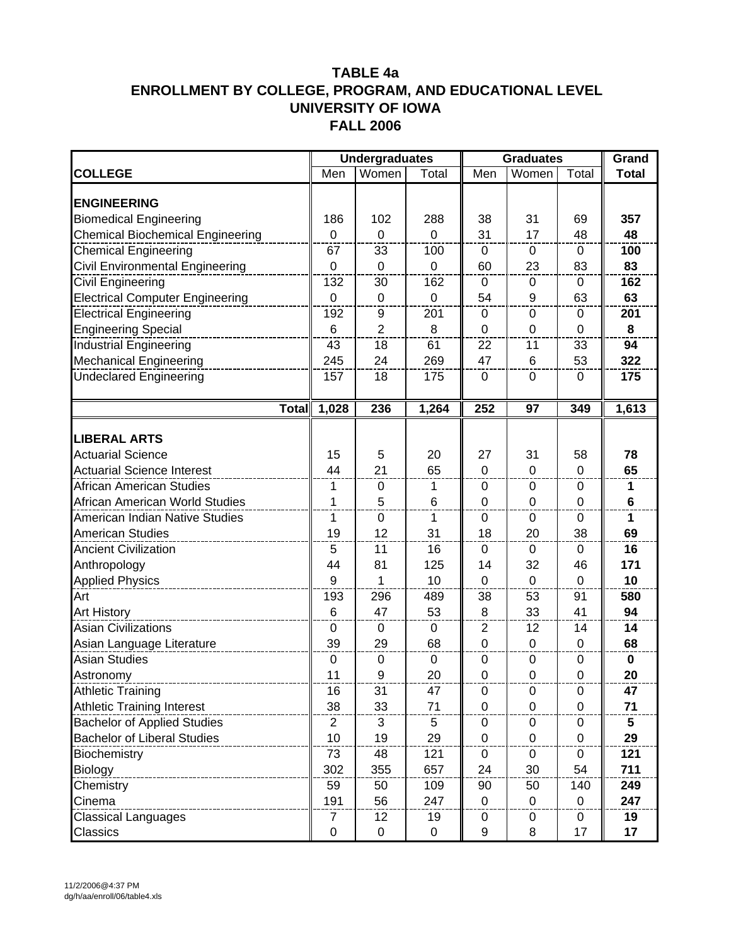|                                         |                | <b>Undergraduates</b> |             |                | <b>Graduates</b> |                | Grand        |
|-----------------------------------------|----------------|-----------------------|-------------|----------------|------------------|----------------|--------------|
| <b>COLLEGE</b>                          | Men            | Women                 | Total       | Men            | Women            | Total          | <b>Total</b> |
| <b>ENGINEERING</b>                      |                |                       |             |                |                  |                |              |
| <b>Biomedical Engineering</b>           | 186            | 102                   | 288         | 38             | 31               | 69             | 357          |
| <b>Chemical Biochemical Engineering</b> | $\mathbf 0$    | $\mathbf 0$           | $\mathbf 0$ | 31             | 17               | 48             | 48           |
| <b>Chemical Engineering</b>             | 67             | 33                    | 100         | 0              | 0                | 0              | 100          |
| Civil Environmental Engineering         | $\mathbf 0$    | $\mathbf 0$           | $\mathbf 0$ | 60             | 23               | 83             | 83           |
| Civil Engineering                       | 132            | 30                    | 162         | $\mathbf 0$    | $\boldsymbol{0}$ | $\mathbf 0$    | 162          |
| <b>Electrical Computer Engineering</b>  | $\pmb{0}$      | $\mathbf 0$           | $\mathbf 0$ | 54             | 9                | 63             | 63           |
| <b>Electrical Engineering</b>           | 192            | 9                     | 201         | 0              | 0                | 0              | 201          |
| <b>Engineering Special</b>              | 6              | $\overline{2}$        | 8           | $\mathbf 0$    | $\mathbf 0$      | 0              | 8            |
| <b>Industrial Engineering</b>           | 43             | 18                    | 61          | 22             | 11               | 33             | 94           |
| <b>Mechanical Engineering</b>           | 245            | 24                    | 269         | 47             | 6                | 53             | 322          |
| <b>Undeclared Engineering</b>           | 157            | 18                    | 175         | $\mathbf 0$    | $\mathbf 0$      | $\mathbf 0$    | 175          |
|                                         |                |                       |             |                |                  |                |              |
| <b>Total</b>                            | 1,028          | 236                   | 1,264       | 252            | 97               | 349            | 1,613        |
|                                         |                |                       |             |                |                  |                |              |
| <b>LIBERAL ARTS</b>                     |                |                       |             |                |                  |                |              |
| <b>Actuarial Science</b>                | 15             | 5                     | 20          | 27             | 31               | 58             | 78           |
| <b>Actuarial Science Interest</b>       | 44             | 21                    | 65          | $\mathbf 0$    | $\mathbf 0$      | $\mathbf 0$    | 65           |
| <b>African American Studies</b>         | 1              | 0                     | 1           | 0              | 0                | 0              | 1.           |
| African American World Studies          | 1              | 5                     | 6           | $\mathbf 0$    | $\mathbf 0$      | $\mathbf 0$    | $\bf 6$      |
| American Indian Native Studies          | 1              | $\mathbf 0$           | 1           | 0              | $\mathbf 0$      | 0              | 1            |
| <b>American Studies</b>                 | 19             | 12                    | 31          | 18             | 20               | 38             | 69           |
| <b>Ancient Civilization</b>             | 5              | 11                    | 16          | 0              | 0                | 0              | 16           |
| Anthropology                            | 44             | 81                    | 125         | 14             | 32               | 46             | 171          |
| <b>Applied Physics</b>                  | 9              | 1                     | 10          | $\mathbf 0$    | $\mathbf 0$      | $\mathbf 0$    | 10           |
| Art                                     | 193            | 296                   | 489         | 38             | 53               | 91             | 580          |
| <b>Art History</b>                      | $\,6$          | 47                    | 53          | 8              | 33               | 41             | 94           |
| <b>Asian Civilizations</b>              | $\mathbf 0$    | $\mathbf 0$           | $\mathbf 0$ | $\overline{2}$ | 12               | 14             | 14           |
| Asian Language Literature               | 39             | 29                    | 68          | $\mathbf 0$    | $\boldsymbol{0}$ | 0              | 68           |
| <b>Asian Studies</b>                    | 0              | $\mathbf 0$           | 0           | 0              | 0                | 0              | $\mathbf 0$  |
| Astronomy                               | 11             | 9                     | 20          | $\mathbf 0$    | $\mathbf 0$      | $\overline{0}$ | 20           |
| <b>Athletic Training</b>                | 16             | 31                    | 47          | $\pmb{0}$      | $\mathbf 0$      | $\mathbf 0$    | 47           |
| <b>Athletic Training Interest</b>       | 38             | 33                    | 71          | 0              | 0                | 0              | 71           |
| <b>Bachelor of Applied Studies</b>      | $\overline{2}$ | 3                     | 5           | 0              | 0                | 0              | 5            |
| <b>Bachelor of Liberal Studies</b>      | 10             | 19                    | 29          | $\mathbf 0$    | 0                | 0              | 29           |
| Biochemistry                            | 73             | 48                    | 121         | 0              | 0                | 0              | 121          |
| <b>Biology</b>                          | 302            | 355                   | 657         | 24             | 30               | 54             | 711          |
| Chemistry                               | 59             | 50                    | 109         | 90             | 50               | 140            | 249          |
| Cinema                                  | 191            | 56                    | 247         | $\mathbf 0$    | $\mathbf 0$      | 0              | 247          |
| <b>Classical Languages</b>              | 7              | 12                    | 19          | 0              | 0                | $\mathbf 0$    | 19           |
| Classics                                | $\pmb{0}$      | $\pmb{0}$             | $\pmb{0}$   | 9              | 8                | 17             | 17           |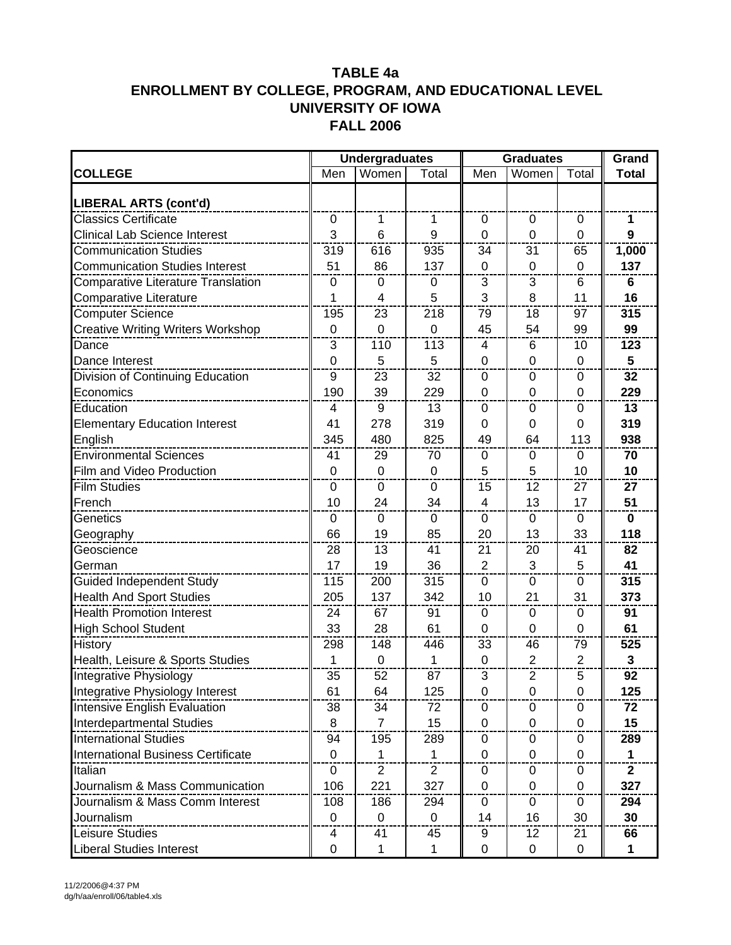|                                           |                | <b>Undergraduates</b>   |                  |                           | <b>Graduates</b> | Grand          |                  |
|-------------------------------------------|----------------|-------------------------|------------------|---------------------------|------------------|----------------|------------------|
| <b>COLLEGE</b>                            | Men            | Women                   | Total            | Men                       | Women            | Total          | <b>Total</b>     |
| LIBERAL ARTS (cont'd)                     |                |                         |                  |                           |                  |                |                  |
| <b>Classics Certificate</b>               | $\mathbf 0$    | 1                       | 1                | 0                         | 0                | 0              | 1                |
| <b>Clinical Lab Science Interest</b>      | 3              | 6                       | $\boldsymbol{9}$ | 0                         | 0                | 0              | $\boldsymbol{9}$ |
| <b>Communication Studies</b>              | 319            | 616                     | 935              | 34                        | 31               | 65             | 1,000            |
| <b>Communication Studies Interest</b>     | 51             | 86                      | 137              | $\mathbf 0$               | $\mathbf 0$      | $\overline{0}$ | 137              |
| <b>Comparative Literature Translation</b> | $\mathbf 0$    | 0                       | $\pmb{0}$        | $\ensuremath{\mathsf{3}}$ | 3                | 6              | 6                |
| <b>Comparative Literature</b>             | 1              | $\overline{\mathbf{4}}$ | 5                | 3                         | 8                | 11             | 16               |
| <b>Computer Science</b>                   | 195            | 23                      | 218              | 79                        | 18               | 97             | 315              |
| <b>Creative Writing Writers Workshop</b>  | $\mathbf 0$    | 0                       | $\mathbf 0$      | 45                        | 54               | 99             | 99               |
| Dance                                     | 3              | 110                     | 113              | 4                         | 6                | 10             | 123              |
| Dance Interest                            | $\overline{0}$ | 5                       | 5                | 0                         | 0                | $\overline{0}$ | 5                |
| Division of Continuing Education          | 9              | 23                      | 32               | 0                         | $\mathbf 0$      | 0              | 32               |
| Economics                                 | 190            | 39                      | 229              | $\mathbf 0$               | 0                | 0              | 229              |
| Education                                 | 4              | 9                       | 13               | 0                         | 0                | 0              | 13               |
| <b>Elementary Education Interest</b>      | 41             | 278                     | 319              | 0                         | 0                | 0              | 319              |
| English                                   | 345            | 480                     | 825              | 49                        | 64               | 113            | 938              |
| <b>Environmental Sciences</b>             | 41             | 29                      | 70               | 0                         | 0                | 0              | 70               |
| Film and Video Production                 | $\pmb{0}$      | 0                       | $\mathbf 0$      | 5                         | 5                | 10             | 10               |
| <b>Film Studies</b>                       | 0              | 0                       | 0                | 15                        | 12               | 27             | 27               |
| French                                    | 10             | 24                      | 34               | 4                         | 13               | 17             | 51               |
| Genetics                                  | $\pmb{0}$      | 0                       | $\boldsymbol{0}$ | $\pmb{0}$                 | $\boldsymbol{0}$ | $\mathbf 0$    | $\mathbf 0$      |
| Geography                                 | 66             | 19                      | 85               | 20                        | 13               | 33             | 118              |
| Geoscience                                | 28             | 13                      | 41               | 21                        | 20               | 41             | 82               |
| German                                    | 17             | 19                      | 36               | $\overline{2}$            | 3                | 5              | 41               |
| <b>Guided Independent Study</b>           | 115            | 200                     | 315              | 0                         | 0                | 0              | 315              |
| <b>Health And Sport Studies</b>           | 205            | 137                     | 342              | 10                        | 21               | 31             | 373              |
| <b>Health Promotion Interest</b>          | 24             | 67                      | 91               | $\mathbf 0$               | $\mathbf 0$      | 0              | 91               |
| <b>High School Student</b>                | 33             | 28                      | 61               | 0                         | 0                | 0              | 61               |
| History                                   | 298            | 148                     | 446              | 33                        | 46               | 79             | 525              |
| Health, Leisure & Sports Studies          | 1              | 0                       | 1                | $\mathbf 0$               | $\overline{2}$   | $\overline{2}$ | $\mathbf{3}$     |
| Integrative Physiology                    | 35             | 52                      | 87               | $\mathbf{3}$              | $\overline{2}$   | 5              | 92               |
| Integrative Physiology Interest           | 61             | 64                      | 125              | $\pmb{0}$                 | $\pmb{0}$        | $\pmb{0}$      | 125              |
| Intensive English Evaluation              | 38             | 34                      | 72               | 0                         | 0                | 0              | 72               |
| Interdepartmental Studies                 | 8              | $\overline{7}$          | 15               | 0                         | $\mathbf 0$      | 0              | 15               |
| <b>International Studies</b>              | 94             | 195                     | 289              | 0                         | 0                | 0              | 289              |
| <b>International Business Certificate</b> | $\mathbf 0$    | 1                       | 1                | $\mathbf 0$               | 0                | $\Omega$       | $\mathbf{1}$     |
| Italian                                   | 0              | $\overline{2}$          | $\overline{2}$   | 0                         | $\mathbf 0$      | 0              | $\mathbf{2}$     |
| Journalism & Mass Communication           | 106            | 221                     | 327              | 0                         | $\mathbf 0$      | 0              | 327              |
| Journalism & Mass Comm Interest           | 108            | 186                     | 294              | 0                         | $\mathbf 0$      | 0              | 294              |
| Journalism                                | $\mathbf 0$    | $\mathbf 0$             | $\mathbf 0$      | 14                        | 16               | 30             | 30               |
| Leisure Studies                           | 4              | 41                      | 45               | 9                         | 12               | 21             | 66               |
| <b>Liberal Studies Interest</b>           | $\mathbf 0$    | 1                       | 1                | 0                         | 0                | 0              | 1                |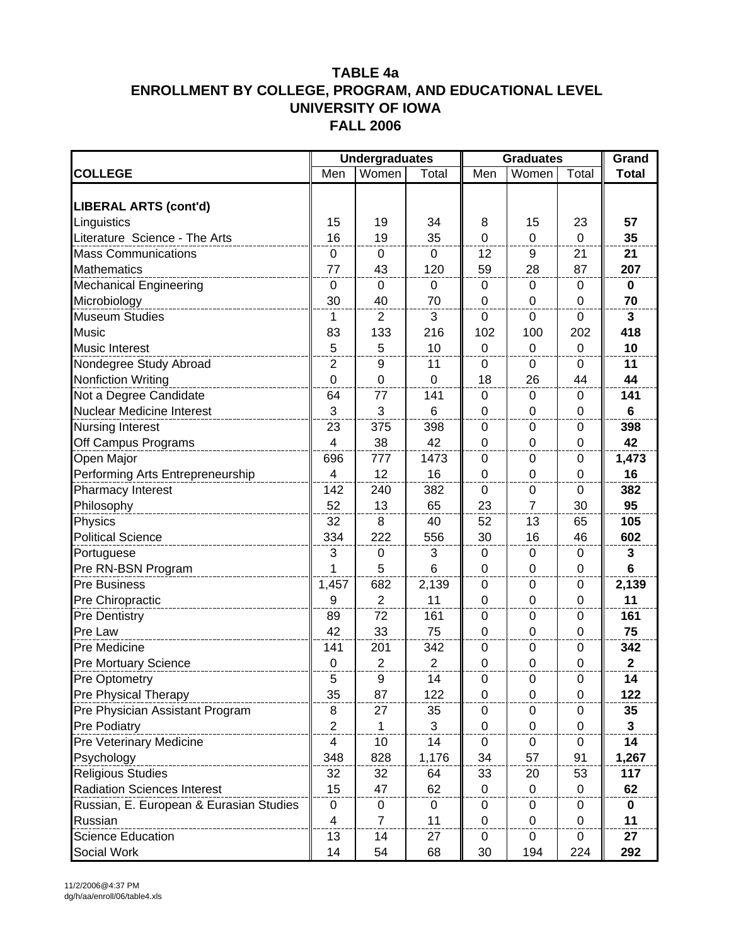|                                         |                         | <b>Undergraduates</b> |             |                  | <b>Graduates</b> |                  | Grand        |
|-----------------------------------------|-------------------------|-----------------------|-------------|------------------|------------------|------------------|--------------|
| <b>COLLEGE</b>                          | Men                     | Women                 | Total       | Men              | Women            | Total            | <b>Total</b> |
|                                         |                         |                       |             |                  |                  |                  |              |
| <b>LIBERAL ARTS (cont'd)</b>            |                         |                       |             |                  |                  |                  |              |
| Linguistics                             | 15                      | 19                    | 34          | 8                | 15               | 23               | 57           |
| Literature Science - The Arts           | 16                      | 19                    | 35          | $\mathbf 0$      | $\mathbf 0$      | $\mathbf 0$      | 35           |
| <b>Mass Communications</b>              | $\pmb{0}$               | $\pmb{0}$             | $\mathbf 0$ | 12               | 9                | 21               | 21           |
| <b>Mathematics</b>                      | 77                      | 43                    | 120         | 59               | 28               | 87               | 207          |
| <b>Mechanical Engineering</b>           | 0                       | $\mathbf{0}$          | $\mathbf 0$ | 0                | 0                | 0                | $\bf{0}$     |
| Microbiology                            | 30                      | 40                    | 70          | $\mathbf 0$      | $\mathbf 0$      | $\mathbf 0$      | 70           |
| <b>Museum Studies</b>                   | 1                       | $\overline{2}$        | 3           | $\mathbf 0$      | $\mathbf 0$      | $\mathbf 0$      | $\mathbf{3}$ |
| Music                                   | 83                      | 133                   | 216         | 102              | 100              | 202              | 418          |
| <b>Music Interest</b>                   | 5                       | 5                     | 10          | 0                | 0                | $\mathbf 0$      | 10           |
| Nondegree Study Abroad                  | $\overline{2}$          | 9                     | 11          | 0                | 0                | 0                | 11           |
| <b>Nonfiction Writing</b>               | $\boldsymbol{0}$        | $\mathsf 0$           | 0           | 18               | 26               | 44               | 44           |
| Not a Degree Candidate                  | 64                      | 77                    | 141         | $\pmb{0}$        | $\mathbf 0$      | $\mathbf 0$      | 141          |
| <b>Nuclear Medicine Interest</b>        | 3                       | 3                     | 6           | 0                | 0                | 0                | 6            |
| Nursing Interest                        | 23                      | 375                   | 398         | $\mathbf 0$      | $\mathbf 0$      | $\mathbf 0$      | 398          |
| Off Campus Programs                     | 4                       | 38                    | 42          | 0                | 0                | 0                | 42           |
| Open Major                              | 696                     | 777                   | 1473        | 0                | 0                | 0                | 1,473        |
| Performing Arts Entrepreneurship        | 4                       | 12                    | 16          | 0                | $\mathbf 0$      | 0                | 16           |
| Pharmacy Interest                       | 142                     | 240                   | 382         | $\mathbf 0$      | $\boldsymbol{0}$ | $\mathbf 0$      | 382          |
| Philosophy                              | 52                      | 13                    | 65          | 23               | $\overline{7}$   | 30               | 95           |
| Physics                                 | 32                      | 8                     | 40          | 52               | 13               | 65               | 105          |
| <b>Political Science</b>                | 334                     | 222                   | 556         | 30               | 16               | 46               | 602          |
| Portuguese                              | 3                       | $\mathsf 0$           | 3           | $\pmb{0}$        | $\boldsymbol{0}$ | $\boldsymbol{0}$ | $\mathbf{3}$ |
| Pre RN-BSN Program                      | 1                       | 5                     | 6           | 0                | $\overline{0}$   | 0                | 6            |
| <b>Pre Business</b>                     | 1,457                   | 682                   | 2,139       | $\boldsymbol{0}$ | $\mathbf 0$      | $\mathbf 0$      | 2,139        |
| Pre Chiropractic                        | 9                       | $\boldsymbol{2}$      | 11          | 0                | 0                | 0                | 11           |
| <b>Pre Dentistry</b>                    | 89                      | 72                    | 161         | 0                | 0                | 0                | 161          |
| Pre Law                                 | 42                      | 33                    | 75          | 0                | $\mathbf 0$      | 0                | 75           |
| Pre Medicine                            | 141                     | 201                   | 342         | $\mathbf 0$      | $\mathbf 0$      | $\mathbf 0$      | 342          |
| Pre Mortuary Science                    | $\pmb{0}$               | $\boldsymbol{2}$      | 2           | 0                | 0                | 0                | $\mathbf{2}$ |
| <b>Pre Optometry</b>                    | $\overline{5}$          | 9                     | 14          | 0                | 0                | 0                | 14           |
| Pre Physical Therapy                    | 35                      | 87                    | 122         | 0                | $\mathbf 0$      | 0                | 122          |
| Pre Physician Assistant Program         | 8                       | 27                    | 35          | 0                | 0                | 0                | 35           |
| Pre Podiatry                            | $\overline{2}$          | $\mathbf{1}$          | 3           | $\Omega$         | 0                | 0                | $\mathbf{3}$ |
| Pre Veterinary Medicine                 | 4                       | 10 <sub>1</sub>       | 14          | 0                | 0                | 0                | 14           |
| Psychology                              | 348                     | 828                   | 1,176       | 34               | 57               | 91               | 1,267        |
| <b>Religious Studies</b>                | 32                      | 32                    | 64          | 33               | 20               | 53               | 117          |
| <b>Radiation Sciences Interest</b>      | 15                      | 47                    | 62          | 0                | 0                | 0                | 62           |
| Russian, E. European & Eurasian Studies | 0                       | $\pmb{0}$             | $\pmb{0}$   | 0                | $\pmb{0}$        | 0                | $\bf{0}$     |
| Russian                                 | $\overline{\mathbf{4}}$ | $\overline{7}$        | 11          | 0                | 0                | 0                | 11           |
| Science Education                       | 13                      | 14                    | 27          | 0                | 0                | 0                | 27           |
| Social Work                             | 14                      | 54                    | 68          | 30               | 194              | 224              | 292          |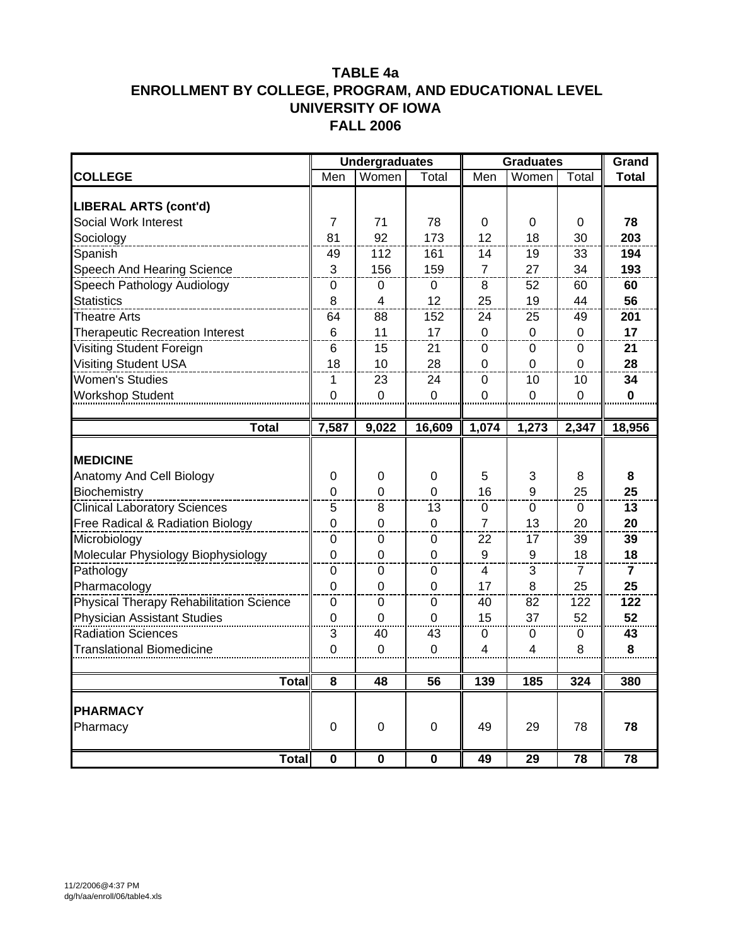|                                                      |                  | <b>Undergraduates</b> |                | <b>Graduates</b> |                |          | Grand          |
|------------------------------------------------------|------------------|-----------------------|----------------|------------------|----------------|----------|----------------|
| <b>COLLEGE</b>                                       | Men              | Women                 | Total          | Men              | Women          | Total    | <b>Total</b>   |
|                                                      |                  |                       |                |                  |                |          |                |
| <b>LIBERAL ARTS (cont'd)</b><br>Social Work Interest | 7                | 71                    | 78             | 0                | 0              | 0        | 78             |
| Sociology                                            | 81               | 92                    | 173            | 12               | 18             | 30       | 203            |
| Spanish                                              | 49               | 112                   | 161            | 14               | 19             | 33       | 194            |
| Speech And Hearing Science                           | $\mathbf{3}$     | 156                   | 159            | 7                | 27             | 34       | 193            |
| Speech Pathology Audiology                           | 0                | 0                     | 0              | 8                | 52             | 60       | 60             |
| <b>Statistics</b>                                    | 8                | 4                     | 12             | 25               | 19             | 44       | 56             |
| <b>Theatre Arts</b>                                  | 64               | 88                    | 152            | 24               | 25             | 49       | 201            |
| <b>Therapeutic Recreation Interest</b>               | $6\phantom{1}6$  | 11                    | 17             | 0                | 0              | 0        | 17             |
| Visiting Student Foreign                             | 6                | 15                    | 21             | $\Omega$         | $\Omega$       | 0        | 21             |
| <b>Visiting Student USA</b>                          | 18               | 10                    | 28             | 0                | $\overline{0}$ | 0        | 28             |
| <b>Women's Studies</b>                               | 1                | 23                    | 24             | 0                | 10             | 10       | 34             |
| Workshop Student                                     | $\overline{0}$   | $\overline{0}$        | $\Omega$       | $\Omega$         | 0              | $\Omega$ | $\mathbf 0$    |
|                                                      |                  |                       |                |                  |                |          |                |
| <b>Total</b>                                         | 7,587            | 9,022                 | 16,609         | 1,074            | 1,273          | 2,347    | 18,956         |
|                                                      |                  |                       |                |                  |                |          |                |
| <b>IMEDICINE</b>                                     |                  |                       |                |                  |                |          |                |
| Anatomy And Cell Biology                             | 0                | 0                     | 0              | 5                | 3              | 8        | 8              |
| Biochemistry                                         | $\boldsymbol{0}$ | 0                     | 0              | 16               | 9              | 25       | 25             |
| <b>Clinical Laboratory Sciences</b>                  | 5                | 8                     | 13             | 0                | 0              | 0        | 13             |
| <b>Free Radical &amp; Radiation Biology</b>          | 0                | 0                     | 0              | 7                | 13             | 20       | 20             |
| Microbiology                                         | 0                | 0                     | 0              | 22               | 17             | 39       | 39             |
| Molecular Physiology Biophysiology                   | $\mathbf 0$      | $\Omega$              | 0              | 9                | 9              | 18       | 18             |
| Pathology                                            | $\mathbf 0$      | $\mathbf 0$           | 0              | 4                | 3              | 7        | $\overline{7}$ |
| Pharmacology                                         | $\overline{0}$   | 0                     | 0              | 17               | 8              | 25       | 25             |
| Physical Therapy Rehabilitation Science              | 0                | 0                     | 0              | 40               | 82             | 122      | 122            |
| <b>Physician Assistant Studies</b>                   | $\mathbf 0$      | $\overline{0}$        | $\overline{0}$ | 15               | 37             | 52       | 52             |
| <b>Radiation Sciences</b>                            | 3                | 40                    | 43             | 0                | 0              | 0        | 43             |
| <b>Translational Biomedicine</b>                     | 0                | $\Omega$              | 0              | 4                | 4              | 8        | 8              |
| Total                                                |                  |                       |                | 139              |                |          | 380            |
|                                                      | 8                | 48                    | 56             |                  | 185            | 324      |                |
| <b>PHARMACY</b>                                      |                  |                       |                |                  |                |          |                |
| Pharmacy                                             | 0                | 0                     | 0              | 49               | 29             | 78       | 78             |
|                                                      |                  |                       |                |                  |                |          |                |
| <b>Total</b>                                         | 0                | 0                     | $\bf{0}$       | 49               | 29             | 78       | 78             |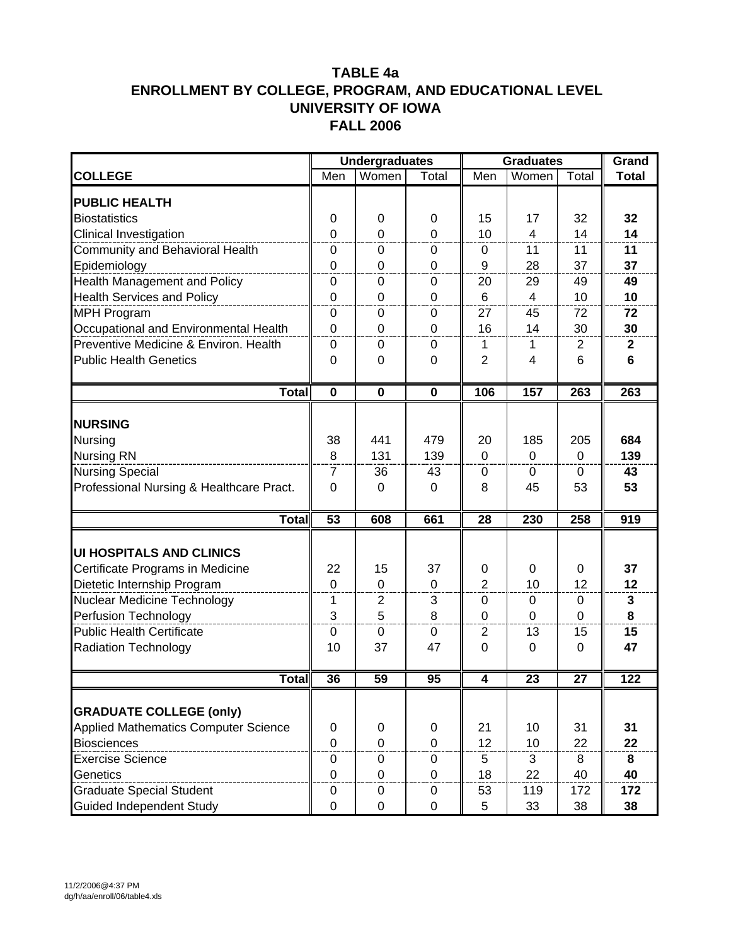|                                                               |                  | <b>Undergraduates</b> |             |                | <b>Graduates</b>      |                  | Grand        |
|---------------------------------------------------------------|------------------|-----------------------|-------------|----------------|-----------------------|------------------|--------------|
| <b>COLLEGE</b>                                                | Men              | Women                 | Total       | Men            | Women                 | Total            | <b>Total</b> |
| <b>PUBLIC HEALTH</b>                                          |                  |                       |             |                |                       |                  |              |
| <b>Biostatistics</b>                                          | 0                | 0                     | 0           | 15             | 17                    | 32               | 32           |
| Clinical Investigation                                        | $\overline{0}$   | $\mathbf 0$           | $\Omega$    | 10             | $\overline{4}$        | 14               | 14           |
| Community and Behavioral Health                               | $\boldsymbol{0}$ | 0                     | 0           | 0              | 11                    | 11               | 11           |
| Epidemiology                                                  | $\mathbf 0$      | 0                     | 0           | 9              | 28                    | 37               | 37           |
| -----------------------------<br>Health Management and Policy | 0                | 0                     | $\mathbf 0$ | 20             | 29                    | 49               | 49           |
| <b>Health Services and Policy</b>                             | $\mathbf 0$      | $\mathbf 0$           | 0           | 6              | $\overline{4}$        | 10               | 10           |
| <b>MPH Program</b>                                            | $\mathbf 0$      | $\mathbf 0$           | 0           | 27             | 45                    | 72               | 72           |
| Occupational and Environmental Health                         | 0                | 0                     | 0           | 16             | 14                    | 30               | 30           |
| Preventive Medicine & Environ. Health                         | $\boldsymbol{0}$ | 0                     | 0           | 1              | 1                     | 2                | $\mathbf{2}$ |
| <b>Public Health Genetics</b>                                 | 0                | $\Omega$              | 0           | $\overline{2}$ | 4                     | 6                | 6            |
|                                                               |                  |                       |             |                |                       |                  |              |
| <b>Total</b>                                                  | $\mathbf 0$      | $\mathbf 0$           | $\mathbf 0$ | 106            | 157                   | $\overline{263}$ | 263          |
| <b>NURSING</b>                                                |                  |                       |             |                |                       |                  |              |
|                                                               | 38               | 441                   | 479         | 20             |                       | 205              | 684          |
| Nursing<br><b>Nursing RN</b>                                  | 8                | 131                   | 139         | $\Omega$       | 185<br>$\overline{0}$ | $\Omega$         | 139          |
| <b>Nursing Special</b>                                        | $\overline{7}$   | 36                    | 43          | $\mathbf 0$    | 0                     | 0                | 43           |
| Professional Nursing & Healthcare Pract.                      | 0                | 0                     | 0           | 8              | 45                    | 53               | 53           |
|                                                               |                  |                       |             |                |                       |                  |              |
| <b>Total</b>                                                  | 53               | 608                   | 661         | 28             | 230                   | 258              | 919          |
|                                                               |                  |                       |             |                |                       |                  |              |
| <b>UI HOSPITALS AND CLINICS</b>                               |                  |                       |             |                |                       |                  |              |
| Certificate Programs in Medicine                              | 22               | 15                    | 37          | 0              | 0                     | 0                | 37           |
| Dietetic Internship Program                                   | $\mathbf 0$      | $\mathbf 0$           | $\mathbf 0$ | $\overline{2}$ | 10                    | 12               | 12           |
| Nuclear Medicine Technology                                   | $\mathbf 1$      | $\boldsymbol{2}$      | 3           | $\pmb{0}$      | $\boldsymbol{0}$      | $\boldsymbol{0}$ | $\mathbf{3}$ |
| Perfusion Technology                                          | 3                | 5                     | 8           | $\mathbf 0$    | $\mathbf 0$           | $\mathbf 0$      | 8            |
| <b>Public Health Certificate</b>                              | $\mathbf 0$      | 0                     | 0           | 2              | 13                    | 15               | 15           |
| <b>Radiation Technology</b>                                   | 10               | 37                    | 47          | 0              | 0                     | 0                | 47           |
| <b>Total</b>                                                  | 36               | 59                    | 95          | 4              | 23                    | 27               | 122          |
|                                                               |                  |                       |             |                |                       |                  |              |
| <b>GRADUATE COLLEGE (only)</b>                                |                  |                       |             |                |                       |                  |              |
| <b>Applied Mathematics Computer Science</b>                   | 0                | 0                     | 0           | 21             | 10                    | 31               | 31           |
| <b>Biosciences</b>                                            | $\overline{0}$   | $\mathbf 0$           | $\Omega$    | 12             | 10                    | 22               | 22           |
| <b>Exercise Science</b>                                       | $\mathbf 0$      | 0                     | 0           | 5              | 3                     | 8                | 8            |
| Genetics                                                      | $\boldsymbol{0}$ | $\mathbf 0$           | 0           | 18             | 22                    | 40               | 40           |
| <b>Graduate Special Student</b>                               | 0                | 0                     | 0           | 53             | 119                   | 172              | 172          |
| <b>Guided Independent Study</b>                               | $\mathbf 0$      | $\mathbf 0$           | $\mathbf 0$ | 5              | 33                    | 38               | 38           |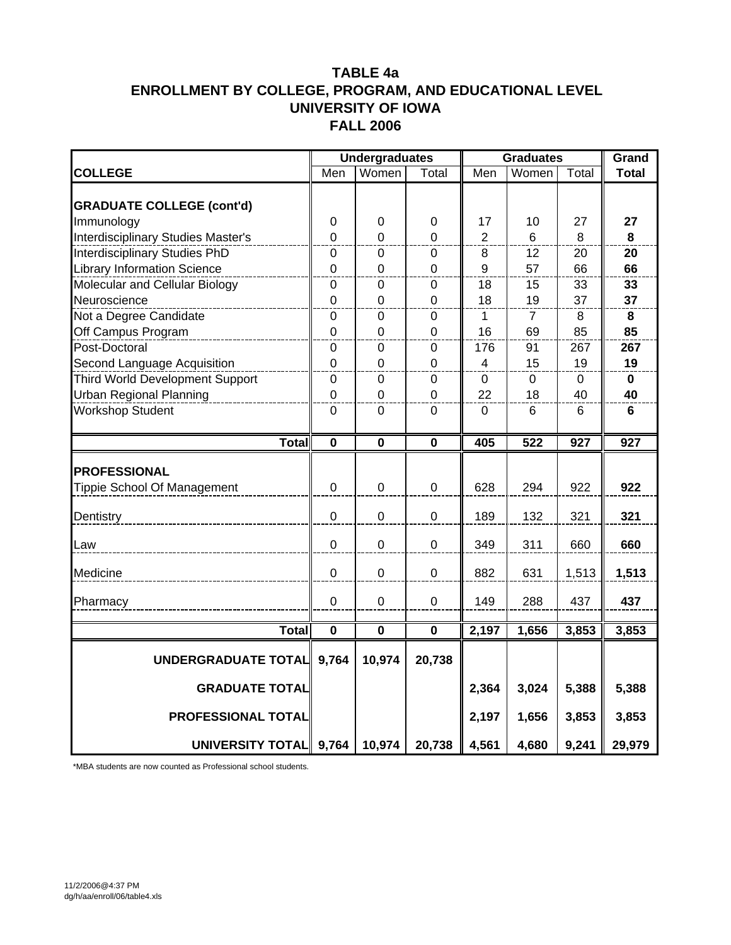|                                    |                         | <b>Undergraduates</b>   |                         | <b>Graduates</b> |                |          | Grand        |
|------------------------------------|-------------------------|-------------------------|-------------------------|------------------|----------------|----------|--------------|
| <b>COLLEGE</b>                     | Men                     | Women                   | Total                   | Men              | Women          | Total    | <b>Total</b> |
|                                    |                         |                         |                         |                  |                |          |              |
| <b>GRADUATE COLLEGE (cont'd)</b>   |                         |                         |                         |                  |                |          |              |
| Immunology                         | $\boldsymbol{0}$        | $\pmb{0}$               | 0                       | 17               | 10             | 27       | 27           |
| Interdisciplinary Studies Master's | $\mathbf 0$             | $\mathbf 0$             | 0                       | $\overline{2}$   | 6              | 8        | 8            |
| Interdisciplinary Studies PhD      | $\boldsymbol{0}$        | $\mathbf 0$             | 0                       | 8                | 12             | 20       | 20           |
| <b>Library Information Science</b> | $\mathbf 0$             | $\mathbf 0$             | 0                       | 9                | 57             | 66       | 66           |
| Molecular and Cellular Biology     | $\boldsymbol{0}$        | $\mathbf 0$             | $\pmb{0}$               | 18               | 15             | 33       | 33           |
| Neuroscience                       | $\overline{0}$          | $\overline{0}$          | $\mathbf 0$             | 18               | 19             | 37       | 37           |
| Not a Degree Candidate             | $\mathbf 0$             | $\mathbf 0$             | $\pmb{0}$               | 1                | $\overline{7}$ | 8        | 8            |
| Off Campus Program                 | $\overline{0}$          | $\overline{0}$          | $\overline{0}$          | 16               | 69             | 85       | 85           |
| Post-Doctoral                      | $\boldsymbol{0}$        | $\pmb{0}$               | $\pmb{0}$               | 176              | 91             | 267      | 267          |
| Second Language Acquisition        | $\boldsymbol{0}$        | $\mathbf 0$             | $\boldsymbol{0}$        | 4                | 15             | 19       | 19           |
| Third World Development Support    | $\boldsymbol{0}$        | $\pmb{0}$               | $\boldsymbol{0}$        | $\mathbf 0$      | $\mathbf 0$    | $\Omega$ | $\mathbf 0$  |
| <b>Urban Regional Planning</b>     | $\mathbf 0$             | $\mathbf 0$             | $\pmb{0}$               | 22               | 18             | 40       | 40           |
| <b>Workshop Student</b>            | $\mathbf 0$             | $\mathbf 0$             | $\pmb{0}$               | $\mathbf 0$      | 6              | 6        | 6            |
|                                    |                         |                         |                         |                  |                |          |              |
| <b>Total</b>                       | $\mathbf 0$             | $\mathbf 0$             | $\pmb{0}$               | 405              | 522            | 927      | 927          |
|                                    |                         |                         |                         |                  |                |          |              |
| <b>PROFESSIONAL</b>                |                         |                         |                         |                  |                |          |              |
| Tippie School Of Management        | $\overline{0}$          | $\boldsymbol{0}$        | $\pmb{0}$               | 628              | 294            | 922      | 922          |
| Dentistry                          | $\mathbf 0$             | $\mathbf 0$             | $\mathbf 0$             | 189              | 132            | 321      | 321          |
|                                    |                         |                         |                         |                  |                |          |              |
| Law                                | $\overline{0}$          | $\overline{0}$          | $\overline{0}$          | 349              | 311            | 660      | 660          |
|                                    |                         |                         |                         |                  |                |          |              |
| Medicine                           | $\mathbf 0$             | $\mathbf 0$             | $\pmb{0}$               | 882              | 631            | 1,513    | 1,513        |
|                                    | $\mathbf 0$             | $\mathbf 0$             | $\mathbf 0$             | 149              | 288            | 437      | 437          |
| Pharmacy                           |                         |                         |                         |                  |                |          |              |
| <b>Total</b>                       | $\overline{\mathbf{0}}$ | $\overline{\mathbf{0}}$ | $\overline{\mathbf{0}}$ | 2,197            | 1,656          | 3,853    | 3,853        |
|                                    |                         |                         |                         |                  |                |          |              |
| <b>UNDERGRADUATE TOTAL</b>         | 9,764                   | 10,974                  | 20,738                  |                  |                |          |              |
| <b>GRADUATE TOTAL</b>              |                         |                         |                         | 2,364            | 3,024          | 5,388    | 5,388        |
|                                    |                         |                         |                         |                  |                |          |              |
| PROFESSIONAL TOTAL                 |                         |                         |                         | 2,197            | 1,656          | 3,853    | 3,853        |
| UNIVERSITY TOTAL 9,764             |                         | 10,974                  | 20,738                  | 4,561            | 4,680          | 9,241    | 29,979       |

\*MBA students are now counted as Professional school students.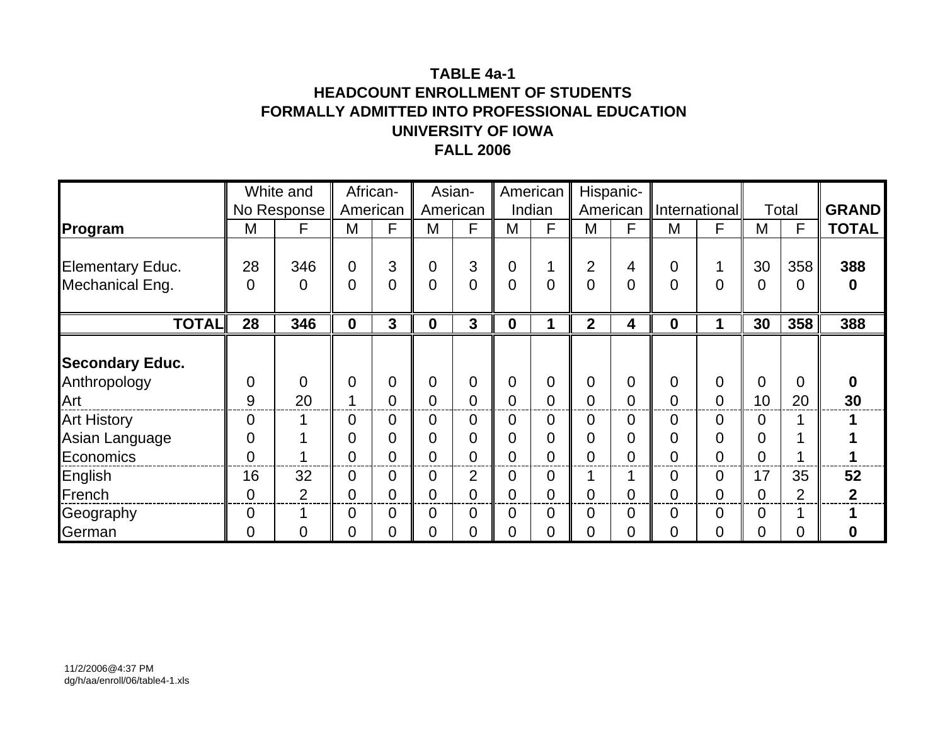### **TABLE 4a-1HEADCOUNT ENROLLMENT OF STUDENTSFORMALLY ADMITTED INTO PROFESSIONAL EDUCATION UNIVERSITY OF IOWAFALL 2006**

|                                                   |                     | White and            |                                                 | African-              |                     | Asian-              |                  | American                                        |                     | Hispanic-                                          |             |                      |             |                      |                      |
|---------------------------------------------------|---------------------|----------------------|-------------------------------------------------|-----------------------|---------------------|---------------------|------------------|-------------------------------------------------|---------------------|----------------------------------------------------|-------------|----------------------|-------------|----------------------|----------------------|
|                                                   |                     | No Response          |                                                 | American              |                     | American            |                  | Indian                                          |                     | American                                           |             | <b>International</b> |             | Total                | <b>GRAND</b>         |
| Program                                           | M                   | F                    | M                                               | F                     | M                   | F                   | М                | F                                               | M                   | F                                                  | M           | F                    | M           | F                    | <b>TOTAL</b>         |
| <b>Elementary Educ.</b><br>Mechanical Eng.        | 28<br>0             | 346<br>0             | $\overline{0}$<br>$\overline{0}$                | 3<br>$\overline{0}$   | $\overline{0}$<br>0 | 3<br>$\overline{0}$ | 0<br>0           | 1<br>$\overline{0}$                             | $\overline{2}$<br>0 | 4<br>$\overline{0}$                                | 0<br>0      | 0                    | 30<br>0     | 358<br>0             | 388<br>$\bf{0}$      |
| <b>TOTAL</b>                                      | 28                  | 346                  | $\boldsymbol{0}$                                | 3                     | $\mathbf 0$         | 3                   | $\boldsymbol{0}$ |                                                 | $\overline{2}$      | 4                                                  | $\mathbf 0$ | 1                    | 30          | 358                  | 388                  |
| <b>Secondary Educ.</b><br>Anthropology<br>Art     | 0<br>9              | 0<br>20              | $\mathbf 0$<br>1                                | 0<br>0                | $\overline{0}$<br>0 | 0<br>$\overline{0}$ | 0<br>0           | $\mathbf 0$<br>$\overline{0}$                   | $\mathbf 0$<br>0    | $\overline{0}$<br>$\overline{0}$                   | 0<br>0      | 0<br>$\overline{0}$  | 0<br>10     | 0<br>20              | 0<br>30              |
| <b>Art History</b><br>Asian Language<br>Economics | 0<br>0<br>0         |                      | $\overline{0}$<br>$\mathbf 0$<br>$\overline{0}$ | $\mathbf 0$<br>0<br>0 | 0<br>0<br>0         | 0<br>0<br>0         | 0<br>0<br>0      | $\mathbf 0$<br>$\overline{0}$<br>$\overline{0}$ | 0<br>0<br>0         | $\overline{0}$<br>$\overline{0}$<br>$\overline{0}$ | 0<br>0<br>0 | 0<br>0<br>0          | 0<br>0<br>0 |                      |                      |
| English<br>French                                 | 16<br>0             | 32<br>$\overline{2}$ | $\overline{0}$<br>$\overline{0}$                | 0<br>0                | 0<br>0              | $\overline{2}$<br>0 | 0<br>0           | $\overline{0}$<br>$\overline{0}$                | ◢<br>0              | $\overline{0}$                                     | 0<br>0      | 0<br>$\overline{0}$  | 17<br>0     | 35<br>$\overline{2}$ | 52<br>$\overline{2}$ |
| Geography<br>German                               | $\overline{0}$<br>0 | 1<br>0               | $\overline{0}$<br>$\overline{0}$                | $\overline{0}$<br>0   | $\overline{0}$<br>0 | 0<br>0              | 0<br>0           | $\overline{0}$<br>0                             | 0<br>0              | $\overline{0}$<br>0                                | 0<br>0      | 0<br>0               | 0<br>0      | Ω                    | 0                    |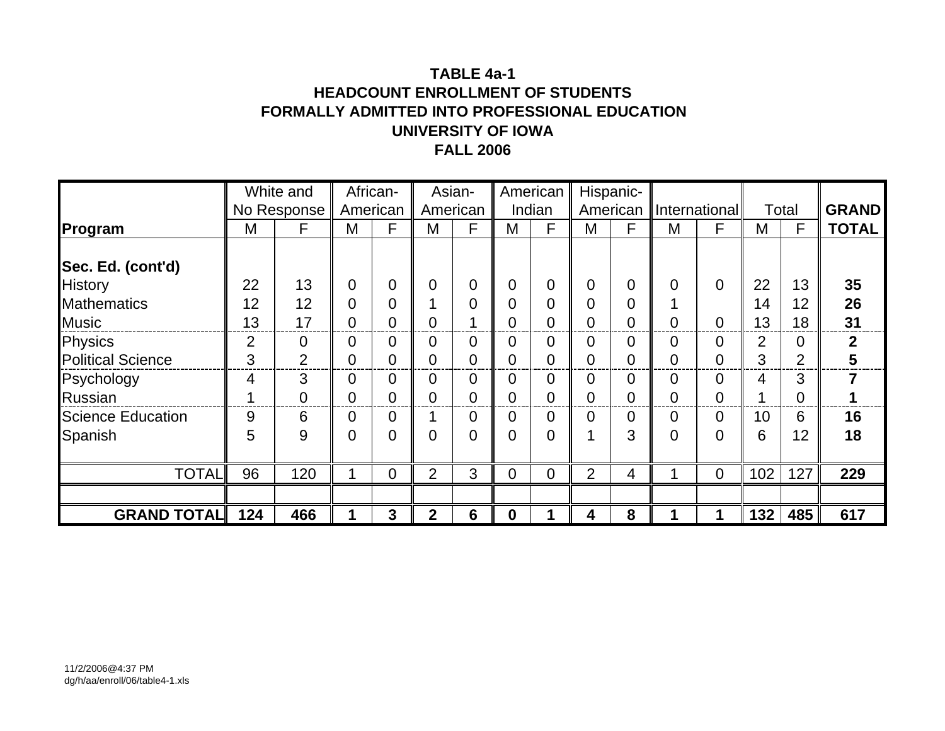### **TABLE 4a-1HEADCOUNT ENROLLMENT OF STUDENTSFORMALLY ADMITTED INTO PROFESSIONAL EDUCATION UNIVERSITY OF IOWAFALL 2006**

|                          |     | White and      |                | African- |                | Asian-         |                  | American       |                | Hispanic-      |          |                      |     |                |              |
|--------------------------|-----|----------------|----------------|----------|----------------|----------------|------------------|----------------|----------------|----------------|----------|----------------------|-----|----------------|--------------|
|                          |     | No Response    | American       |          |                | American       |                  | Indian         |                | American       |          | <b>International</b> |     | Total          | <b>GRAND</b> |
| Program                  | M   | F              | M              | F        | M              | F              | M                | F              | M              | F              | M        | F                    | M   | F              | <b>TOTAL</b> |
|                          |     |                |                |          |                |                |                  |                |                |                |          |                      |     |                |              |
| Sec. Ed. (cont'd)        |     |                |                |          |                |                |                  |                |                |                |          |                      |     |                |              |
| <b>History</b>           | 22  | 13             | $\overline{0}$ | 0        | $\Omega$       | 0              | 0                | $\mathbf 0$    | 0              | $\overline{0}$ | $\Omega$ | $\overline{0}$       | 22  | 13             | 35           |
| <b>Mathematics</b>       | 12  | 12             | $\overline{0}$ | 0        |                | $\overline{0}$ | 0                | $\overline{0}$ | $\overline{0}$ | $\Omega$       |          |                      | 14  | 12             | 26           |
| <b>Music</b>             | 13  | 17             | $\overline{0}$ | 0        | 0              |                | 0                | $\overline{0}$ | 0              | 0              | 0        | 0                    | 13  | 18             | 31           |
| Physics                  | 2   | 0              | 0              | 0        | 0              | 0              | 0                | $\overline{0}$ | 0              | $\overline{0}$ | 0        | 0                    | 2   | 0              | $\mathbf{2}$ |
| <b>Political Science</b> | 3   | $\overline{2}$ | $\overline{0}$ | 0        | 0              | 0              | 0                | $\overline{0}$ | 0              | 0              | 0        | 0                    | 3   | $\overline{2}$ | 5            |
| Psychology               | 4   | 3              | $\overline{0}$ | 0        | 0              | 0              | 0                | $\overline{0}$ | 0              | 0              | 0        | 0                    | 4   | 3              |              |
| Russian                  |     | 0              | $\overline{0}$ | 0        | 0              | 0              | 0                | $\overline{0}$ | 0              | $\overline{0}$ | 0        | 0                    |     | 0              |              |
| <b>Science Education</b> | 9   | 6              | $\overline{0}$ | 0        |                | 0              | 0                | 0              | 0              | 0              | 0        | 0                    | 10  | 6              | 16           |
| Spanish                  | 5   | 9              | $\overline{0}$ | 0        | 0              | 0              | 0                | $\overline{0}$ | ◢              | 3              | 0        | 0                    | 6   | 12             | 18           |
|                          |     |                |                |          |                |                |                  |                |                |                |          |                      |     |                |              |
| <b>TOTAL</b>             | 96  | 120            | 1              | 0        | $\overline{2}$ | 3              | $\overline{0}$   | $\overline{0}$ | $\overline{2}$ | 4              |          | $\mathbf 0$          | 102 | 127            | 229          |
|                          |     |                |                |          |                |                |                  |                |                |                |          |                      |     |                |              |
| <b>GRAND TOTAL</b>       | 124 | 466            |                | 3        | $\mathbf{2}$   | 6              | $\boldsymbol{0}$ |                | 4              | 8              |          |                      | 132 | 485            | 617          |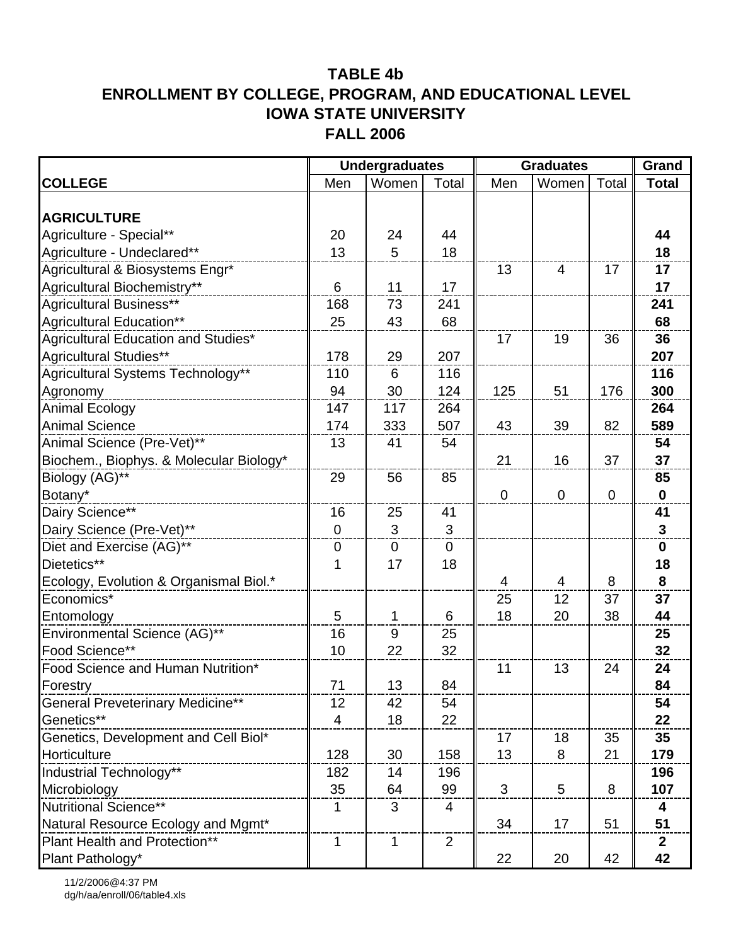|                                         |                | <b>Undergraduates</b> |                | <b>Graduates</b> |                |             | Grand        |
|-----------------------------------------|----------------|-----------------------|----------------|------------------|----------------|-------------|--------------|
| <b>COLLEGE</b>                          | Men            | Women                 | Total          | Men              | Women          | Total       | <b>Total</b> |
|                                         |                |                       |                |                  |                |             |              |
| <b>AGRICULTURE</b>                      |                |                       |                |                  |                |             |              |
| Agriculture - Special**                 | 20             | 24                    | 44             |                  |                |             | 44           |
| Agriculture - Undeclared**              | 13             | 5                     | 18             |                  |                |             | 18           |
| Agricultural & Biosystems Engr*         |                |                       |                | 13               | $\overline{4}$ | 17          | 17           |
| Agricultural Biochemistry**             | 6              | 11                    | 17             |                  |                |             | 17           |
| <b>Agricultural Business**</b>          | 168            | 73                    | 241            |                  |                |             | 241          |
| Agricultural Education**                | 25             | 43                    | 68             |                  |                |             | 68           |
| Agricultural Education and Studies*     |                |                       |                | 17               | 19             | 36          | 36           |
| Agricultural Studies**                  | 178            | 29                    | 207            |                  |                |             | 207          |
| Agricultural Systems Technology**       | 110            | 6                     | 116            |                  |                |             | 116          |
| Agronomy                                | 94             | 30                    | 124            | 125              | 51             | 176         | 300          |
| <b>Animal Ecology</b>                   | 147            | 117                   | 264            |                  |                |             | 264          |
| <b>Animal Science</b>                   | 174            | 333                   | 507            | 43               | 39             | 82          | 589          |
| Animal Science (Pre-Vet)**              | 13             | 41                    | 54             |                  |                |             | 54           |
| Biochem., Biophys. & Molecular Biology* |                |                       |                | 21               | 16             | 37          | 37           |
| Biology (AG)**                          | 29             | 56                    | 85             |                  |                |             | 85           |
| Botany*                                 |                |                       |                | $\mathbf 0$      | $\mathbf 0$    | $\mathbf 0$ | $\mathbf 0$  |
| Dairy Science**                         | 16             | 25                    | 41             |                  |                |             | 41           |
| Dairy Science (Pre-Vet)**               | $\mathbf 0$    | 3                     | 3              |                  |                |             | $\mathbf{3}$ |
| Diet and Exercise (AG)**                | $\pmb{0}$      | $\mathbf 0$           | $\mathbf 0$    |                  |                |             | $\mathbf 0$  |
| Dietetics**                             | 1              | 17                    | 18             |                  |                |             | 18           |
| Ecology, Evolution & Organismal Biol.*  |                |                       |                | 4                | 4              | 8           | 8            |
| Economics*                              |                |                       |                | 25               | 12             | 37          | 37           |
| Entomology                              | 5              | 1                     | 6              | 18               | 20             | 38          | 44           |
| Environmental Science (AG)**            | 16             | 9                     | 25             |                  |                |             | 25           |
| Food Science**                          | 10             | 22                    | 32             |                  |                |             | 32           |
| Food Science and Human Nutrition*       |                |                       |                | 11               | 13             | 24          | 24           |
| Forestry                                | 71             | 13                    | 84             |                  |                |             | 84           |
| <b>General Preveterinary Medicine**</b> | 12             | 42                    | 54             |                  |                |             | 54           |
| Genetics**                              | $\overline{4}$ | 18                    | 22             |                  |                |             | 22           |
| Genetics, Development and Cell Biol*    |                |                       |                | 17               | 18             | 35          | 35           |
| Horticulture                            | 128            | 30                    | 158            | 13               | 8              | 21          | 179          |
| Industrial Technology**                 | 182            | 14                    | 196            |                  |                |             | 196          |
| Microbiology                            | 35             | 64                    | 99             | 3                | 5              | 8           | 107          |
| Nutritional Science**                   | 1              | 3                     | 4              |                  |                |             | 4            |
| Natural Resource Ecology and Mgmt*      |                |                       |                | 34               | 17             | 51          | 51           |
| Plant Health and Protection**           | $\mathbf 1$    | $\mathbf 1$           | $\overline{2}$ |                  |                |             | $\mathbf{2}$ |
| Plant Pathology*                        |                |                       |                | 22               | 20             | 42          | 42           |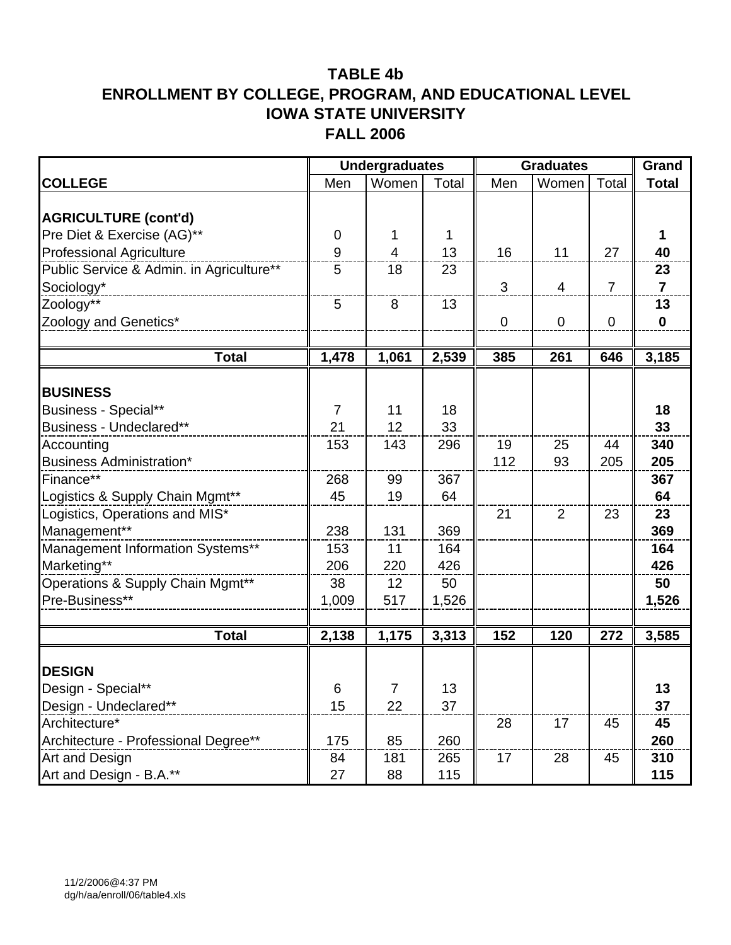|                                          |             | <b>Undergraduates</b> |       | <b>Graduates</b> |                |                | Grand          |
|------------------------------------------|-------------|-----------------------|-------|------------------|----------------|----------------|----------------|
| <b>COLLEGE</b>                           | Men         | Women                 | Total | Men              | Women          | Total          | <b>Total</b>   |
|                                          |             |                       |       |                  |                |                |                |
| <b>AGRICULTURE (cont'd)</b>              |             |                       |       |                  |                |                |                |
| Pre Diet & Exercise (AG)**               | $\mathbf 0$ | 1                     | 1     |                  |                |                | 1              |
| <b>Professional Agriculture</b>          | 9           | $\overline{4}$        | 13    | 16               | 11             | 27             | 40             |
| Public Service & Admin. in Agriculture** | 5           | 18                    | 23    |                  |                |                | 23             |
| Sociology*                               |             |                       |       | 3                | $\overline{4}$ | $\overline{7}$ | $\overline{7}$ |
| Zoology**                                | 5           | 8                     | 13    |                  |                |                | 13             |
| Zoology and Genetics*                    |             |                       |       | $\mathbf 0$      | $\mathbf 0$    | $\mathbf 0$    | $\mathbf 0$    |
|                                          |             |                       |       |                  |                |                |                |
| <b>Total</b>                             | 1,478       | 1,061                 | 2,539 | 385              | 261            | 646            | 3,185          |
| <b>BUSINESS</b>                          |             |                       |       |                  |                |                |                |
| <b>Business - Special**</b>              | 7           | 11                    | 18    |                  |                |                | 18             |
| Business - Undeclared**                  | 21          | 12                    | 33    |                  |                |                | 33             |
| Accounting                               | 153         | 143                   | 296   | 19               | 25             | 44             | 340            |
| <b>Business Administration*</b>          |             |                       |       | 112              | 93             | 205            | 205            |
| Finance**                                | 268         | 99                    | 367   |                  |                |                | 367            |
| Logistics & Supply Chain Mgmt**          | 45          | 19                    | 64    |                  |                |                | 64             |
| Logistics, Operations and MIS*           |             |                       |       | 21               | 2              | 23             | 23             |
| Management**                             | 238         | 131                   | 369   |                  |                |                | 369            |
| Management Information Systems**         | 153         | 11                    | 164   |                  |                |                | 164            |
| Marketing**                              | 206         | 220                   | 426   |                  |                |                | 426            |
| Operations & Supply Chain Mgmt**         | 38          | 12                    | 50    |                  |                |                | 50             |
| Pre-Business**                           | 1,009       | 517                   | 1,526 |                  |                |                | 1,526          |
|                                          |             |                       |       |                  |                |                |                |
| <b>Total</b>                             | 2,138       | 1,175                 | 3,313 | 152              | 120            | 272            | 3,585          |
|                                          |             |                       |       |                  |                |                |                |
| <b>DESIGN</b>                            |             |                       |       |                  |                |                |                |
| Design - Special**                       | 6           | $\overline{7}$        | 13    |                  |                |                | 13             |
| Design - Undeclared**                    | 15          | 22                    | 37    |                  |                |                | 37             |
| Architecture*                            |             |                       |       | 28               | 17             | 45             | 45             |
| Architecture - Professional Degree**     | 175         | 85                    | 260   |                  |                |                | 260            |
| Art and Design                           | 84          | 181                   | 265   | 17               | 28             | 45             | 310            |
| Art and Design - B.A.**                  | 27          | 88                    | 115   |                  |                |                | 115            |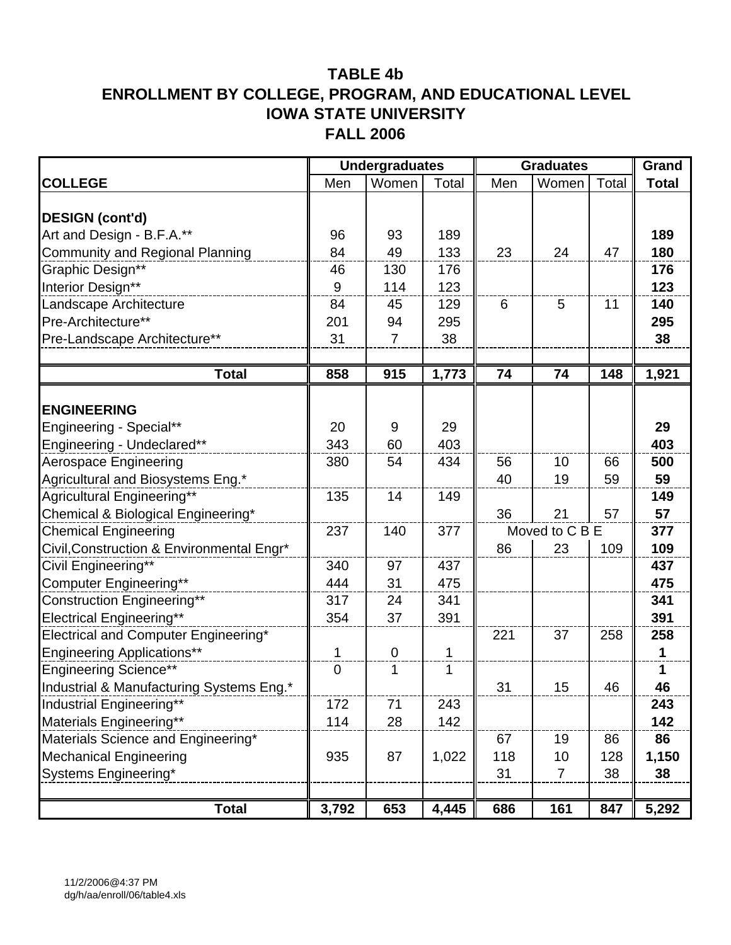|                                           |                  | <b>Undergraduates</b> |       | <b>Graduates</b> |                |       | Grand        |
|-------------------------------------------|------------------|-----------------------|-------|------------------|----------------|-------|--------------|
| <b>COLLEGE</b>                            | Men              | Women                 | Total | Men              | Women          | Total | <b>Total</b> |
|                                           |                  |                       |       |                  |                |       |              |
| <b>DESIGN (cont'd)</b>                    |                  |                       |       |                  |                |       |              |
| Art and Design - B.F.A.**                 | 96               | 93                    | 189   |                  |                |       | 189          |
| <b>Community and Regional Planning</b>    | 84               | 49                    | 133   | 23               | 24             | 47    | 180          |
| Graphic Design**                          | 46               | 130                   | 176   |                  |                |       | 176          |
| Interior Design**                         | 9                | 114                   | 123   |                  |                |       | 123          |
| Landscape Architecture                    | 84               | 45                    | 129   | 6                | 5              | 11    | 140          |
| Pre-Architecture**                        | 201              | 94                    | 295   |                  |                |       | 295          |
| Pre-Landscape Architecture**              | 31               | $\overline{7}$        | 38    |                  |                |       | 38           |
|                                           |                  |                       |       |                  |                |       |              |
| <b>Total</b>                              | 858              | 915                   | 1,773 | 74               | 74             | 148   | 1,921        |
|                                           |                  |                       |       |                  |                |       |              |
| <b>ENGINEERING</b>                        |                  |                       |       |                  |                |       |              |
| Engineering - Special**                   | 20               | 9                     | 29    |                  |                |       | 29           |
| Engineering - Undeclared**                | 343              | 60                    | 403   |                  |                |       | 403          |
| Aerospace Engineering                     | 380              | 54                    | 434   | 56               | 10             | 66    | 500          |
| Agricultural and Biosystems Eng.*         |                  |                       |       | 40               | 19             | 59    | 59           |
| Agricultural Engineering**                | 135              | 14                    | 149   |                  |                |       | 149          |
| Chemical & Biological Engineering*        |                  |                       |       | 36               | 21             | 57    | 57           |
| <b>Chemical Engineering</b>               | 237              | 140                   | 377   |                  | Moved to C B E |       | 377          |
| Civil, Construction & Environmental Engr* |                  |                       |       | 86               | 23             | 109   | 109          |
| Civil Engineering**                       | 340              | 97                    | 437   |                  |                |       | 437          |
| Computer Engineering**                    | 444              | 31                    | 475   |                  |                |       | 475          |
| <b>Construction Engineering**</b>         | 317              | 24                    | 341   |                  |                |       | 341          |
| <b>Electrical Engineering**</b>           | 354              | 37                    | 391   |                  |                |       | 391          |
| Electrical and Computer Engineering*      |                  |                       |       | 221              | 37             | 258   | 258          |
| <b>Engineering Applications**</b>         | 1                | $\mathbf 0$           | 1     |                  |                |       | $\mathbf 1$  |
| <b>Engineering Science**</b>              | $\boldsymbol{0}$ | 1                     | 1     |                  |                |       | 1            |
| Industrial & Manufacturing Systems Eng.*  |                  |                       |       | 31               | 15             | 46    | 46           |
| Industrial Engineering**                  | 172              | 71                    | 243   |                  |                |       | 243          |
| Materials Engineering**                   | 114              | 28                    | 142   |                  |                |       | 142          |
| Materials Science and Engineering*        |                  |                       |       | 67               | 19             | 86    | 86           |
| <b>Mechanical Engineering</b>             | 935              | 87                    | 1,022 | 118              | 10             | 128   | 1,150        |
| Systems Engineering*                      |                  |                       |       | 31               | $\overline{7}$ | 38    | 38           |
|                                           |                  |                       |       |                  |                |       |              |
| <b>Total</b>                              | 3,792            | 653                   | 4,445 | 686              | 161            | 847   | 5,292        |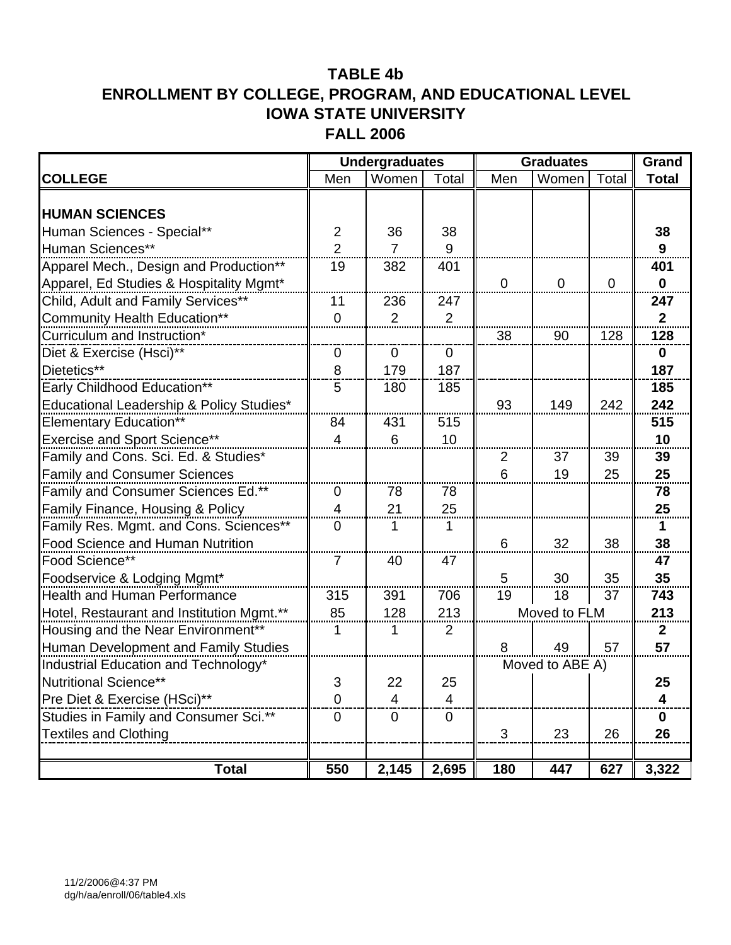|                                           |                  | <b>Undergraduates</b> |                |                | <b>Graduates</b> |                | Grand        |
|-------------------------------------------|------------------|-----------------------|----------------|----------------|------------------|----------------|--------------|
| <b>COLLEGE</b>                            | Men              | Women                 | Total          | Men            | Women            | Total          | <b>Total</b> |
|                                           |                  |                       |                |                |                  |                |              |
| <b>HUMAN SCIENCES</b>                     |                  |                       |                |                |                  |                |              |
| Human Sciences - Special**                | $\overline{2}$   | 36                    | 38             |                |                  |                | 38           |
| Human Sciences**                          | $\overline{2}$   | $\overline{7}$        | 9              |                |                  |                | 9            |
| Apparel Mech., Design and Production**    | 19               | 382                   | 401            |                |                  |                | 401          |
| Apparel, Ed Studies & Hospitality Mgmt*   |                  |                       |                | $\overline{0}$ | $\mathbf{0}$     | $\overline{0}$ | $\mathbf 0$  |
| Child, Adult and Family Services**        | 11               | 236                   | 247            |                |                  |                | 247          |
| <b>Community Health Education**</b>       | $\mathbf 0$      | 2                     | 2              |                |                  |                | $\mathbf 2$  |
| Curriculum and Instruction*               |                  |                       |                | 38             | 90               | 128            | 128          |
| Diet & Exercise (Hsci)**                  | 0                | $\mathbf 0$           | $\overline{0}$ |                |                  |                | $\mathbf 0$  |
| Dietetics**                               | 8                | 179                   | 187            |                |                  |                | 187          |
| Early Childhood Education**               | 5                | 180                   | 185            |                |                  |                | 185          |
| Educational Leadership & Policy Studies*  |                  |                       |                | 93             | 149              | 242            | 242          |
| <b>Elementary Education**</b>             | 84               | 431                   | 515            |                |                  |                | 515          |
| <b>Exercise and Sport Science**</b>       | $\overline{4}$   | 6                     | 10             |                |                  |                | 10           |
| Family and Cons. Sci. Ed. & Studies*      |                  |                       |                | $\overline{2}$ | 37               | 39             | 39           |
| <b>Family and Consumer Sciences</b>       |                  |                       |                | 6              | 19               | 25             | 25           |
| Family and Consumer Sciences Ed.**        | $\mathbf 0$      | 78                    | 78             |                |                  |                | 78           |
| Family Finance, Housing & Policy          | 4                | 21                    | 25             |                |                  |                | 25           |
| Family Res. Mgmt. and Cons. Sciences**    | 0                | 1                     |                |                |                  |                | 1            |
| <b>Food Science and Human Nutrition</b>   |                  |                       |                | 6              | 32               | 38             | 38           |
| Food Science**                            | $\overline{7}$   | 40                    | 47             |                |                  |                | 47           |
| Foodservice & Lodging Mgmt*               |                  |                       |                | 5              | 30               | 35             | 35           |
| <b>Health and Human Performance</b>       | 315              | 391                   | 706            | 19             | 18               | 37             | 743          |
| Hotel, Restaurant and Institution Mgmt.** | 85               | 128                   | 213            |                | Moved to FLM     |                | 213          |
| Housing and the Near Environment**        | 1                | 1                     | 2              |                |                  |                | $\mathbf{2}$ |
| Human Development and Family Studies      |                  |                       |                | 8              | 49               | 57             | 57           |
| Industrial Education and Technology*      |                  |                       |                |                | Moved to ABE A)  |                |              |
| Nutritional Science**                     | 3                | 22                    | 25             |                |                  |                | 25           |
| Pre Diet & Exercise (HSci)**              | 0                | 4                     | 4              |                |                  |                | 4            |
| Studies in Family and Consumer Sci.**     | $\boldsymbol{0}$ | $\mathbf 0$           | $\mathbf 0$    |                |                  |                | 0            |
| <b>Textiles and Clothing</b>              |                  |                       |                | 3              | 23               | 26             | 26           |
|                                           |                  |                       |                |                |                  |                |              |
| <b>Total</b>                              | 550              | 2,145                 | 2,695          | 180            | 447              | 627            | 3,322        |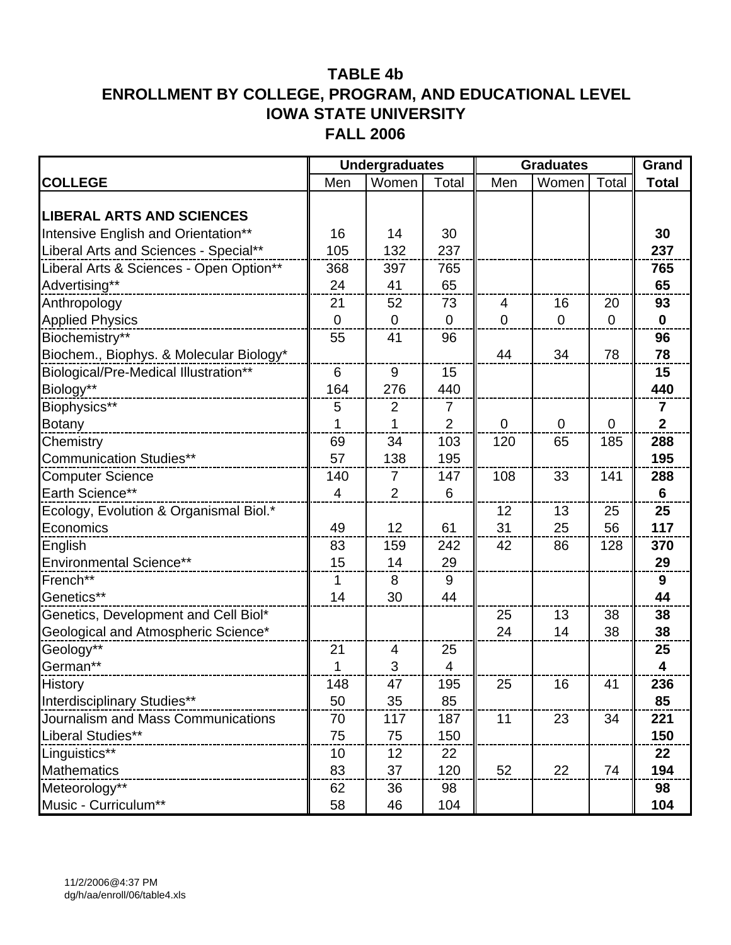|                                         | <b>Undergraduates</b> |                |                |                | <b>Graduates</b> |             |                |
|-----------------------------------------|-----------------------|----------------|----------------|----------------|------------------|-------------|----------------|
| <b>COLLEGE</b>                          | Men                   | Women          | Total          | Men            | Women            | Total       | <b>Total</b>   |
|                                         |                       |                |                |                |                  |             |                |
| <b>LIBERAL ARTS AND SCIENCES</b>        |                       |                |                |                |                  |             |                |
| Intensive English and Orientation**     | 16                    | 14             | 30             |                |                  |             | 30             |
| Liberal Arts and Sciences - Special**   | 105                   | 132            | 237            |                |                  |             | 237            |
| Liberal Arts & Sciences - Open Option** | 368                   | 397            | 765            |                |                  |             | 765            |
| Advertising**                           | 24                    | 41             | 65             |                |                  |             | 65             |
| Anthropology                            | 21                    | 52             | 73             | $\overline{4}$ | 16               | 20          | 93             |
| <b>Applied Physics</b>                  | $\mathbf 0$           | $\mathbf 0$    | $\overline{0}$ | $\mathbf 0$    | $\mathbf 0$      | $\mathbf 0$ | $\mathbf 0$    |
| Biochemistry**                          | 55                    | 41             | 96             |                |                  |             | 96             |
| Biochem., Biophys. & Molecular Biology* |                       |                |                | 44             | 34               | 78          | 78             |
| Biological/Pre-Medical Illustration**   | 6                     | 9              | 15             |                |                  |             | 15             |
| Biology**                               | 164                   | 276            | 440            |                |                  |             | 440            |
| Biophysics**                            | 5                     | 2              | 7              |                |                  |             | 7              |
| <b>Botany</b>                           | 1                     | 1              | $\overline{2}$ | $\Omega$       | $\Omega$         | $\mathbf 0$ | $\overline{2}$ |
| Chemistry                               | 69                    | 34             | 103            | 120            | 65               | 185         | 288            |
| <b>Communication Studies**</b>          | 57                    | 138            | 195            |                |                  |             | 195            |
| <b>Computer Science</b>                 | 140                   | 7              | 147            | 108            | 33               | 141         | 288            |
| Earth Science**                         | 4                     | $\overline{2}$ | 6              |                |                  |             | $6\phantom{1}$ |
| Ecology, Evolution & Organismal Biol.*  |                       |                |                | 12             | 13               | 25          | 25             |
| Economics                               | 49                    | 12             | 61             | 31             | 25               | 56          | 117            |
| English                                 | 83                    | 159            | 242            | 42             | 86               | 128         | 370            |
| <b>Environmental Science**</b>          | 15                    | 14             | 29             |                |                  |             | 29             |
| French**                                | 1                     | 8              | 9              |                |                  |             | 9              |
| Genetics**                              | 14                    | 30             | 44             |                |                  |             | 44             |
| Genetics, Development and Cell Biol*    |                       |                |                | 25             | 13               | 38          | 38             |
| Geological and Atmospheric Science*     |                       |                |                | 24             | 14               | 38          | 38             |
| Geology**                               | 21                    | 4              | 25             |                |                  |             | 25             |
| German**                                | 1                     | 3              | 4              |                |                  |             | 4              |
| History                                 | 148                   | 47             | 195            | 25             | 16               | 41          | 236            |
| Interdisciplinary Studies**             | 50                    | 35             | 85             |                |                  |             | 85             |
| Journalism and Mass Communications      | 70                    | 117            | 187            | 11             | 23               | 34          | 221            |
| Liberal Studies**                       | 75                    | 75             | 150            |                |                  |             | 150            |
| Linguistics**                           | 10                    | 12             | 22             |                |                  |             | 22             |
| Mathematics                             | 83                    | 37             | 120            | 52             | 22               | 74          | 194            |
| Meteorology**                           | 62                    | 36             | 98             |                |                  |             | 98             |
| Music - Curriculum**                    | 58                    | 46             | 104            |                |                  |             | 104            |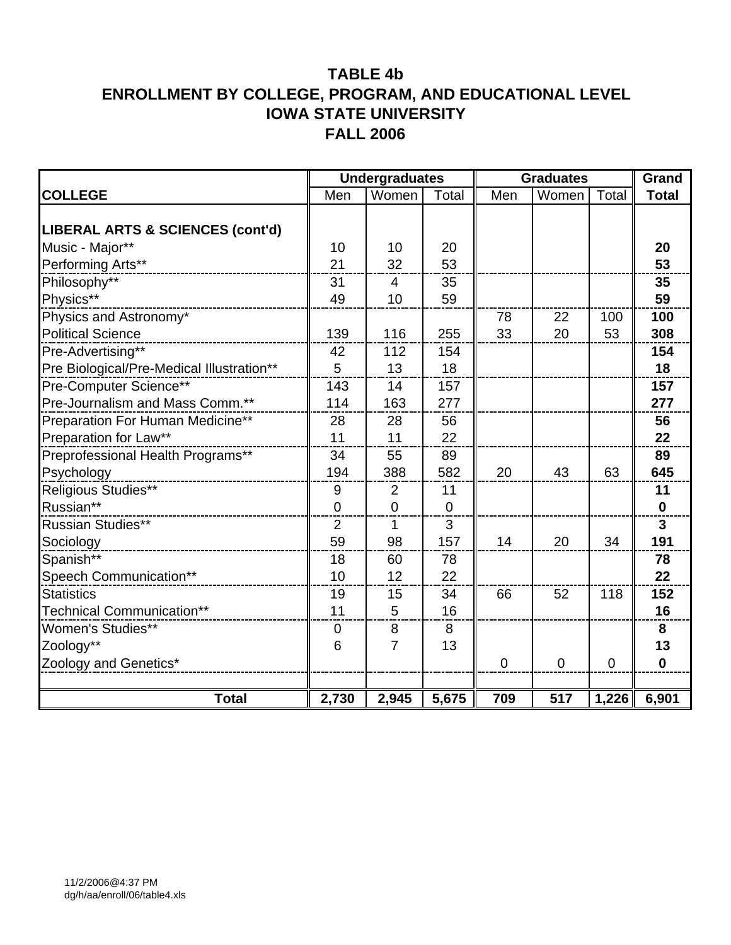|                                           |                  | <b>Undergraduates</b> |             | <b>Graduates</b> | Grand       |                |                |
|-------------------------------------------|------------------|-----------------------|-------------|------------------|-------------|----------------|----------------|
| <b>COLLEGE</b>                            | Men              | Women                 | Total       | Men              | Women       | Total          | <b>Total</b>   |
|                                           |                  |                       |             |                  |             |                |                |
| LIBERAL ARTS & SCIENCES (cont'd)          |                  |                       |             |                  |             |                |                |
| Music - Major**                           | 10               | 10                    | 20          |                  |             |                | 20             |
| Performing Arts**                         | 21               | 32                    | 53          |                  |             |                | 53             |
| Philosophy**                              | 31               | $\overline{4}$        | 35          |                  |             |                | 35             |
| Physics**                                 | 49               | 10                    | 59          |                  |             |                | 59             |
| Physics and Astronomy*                    |                  |                       |             | 78               | 22          | 100            | 100            |
| <b>Political Science</b>                  | 139              | 116                   | 255         | 33               | 20          | 53             | 308            |
| Pre-Advertising**                         | 42               | 112                   | 154         |                  |             |                | 154            |
| Pre Biological/Pre-Medical Illustration** | 5                | 13                    | 18          |                  |             |                | 18             |
| Pre-Computer Science**                    | 143              | 14                    | 157         |                  |             |                | 157            |
| Pre-Journalism and Mass Comm.**           | 114              | 163                   | 277         |                  |             |                | 277            |
| Preparation For Human Medicine**          | 28               | 28                    | 56          |                  |             |                | 56             |
| Preparation for Law**                     | 11               | 11                    | 22          |                  |             |                | 22             |
| Preprofessional Health Programs**         | 34               | 55                    | 89          |                  |             |                | 89             |
| Psychology                                | 194              | 388                   | 582         | 20               | 43          | 63             | 645            |
| Religious Studies**                       | 9                | $\overline{2}$        | 11          |                  |             |                | 11             |
| Russian**                                 | $\mathbf 0$      | $\overline{0}$        | $\mathbf 0$ |                  |             |                | $\mathbf 0$    |
| <b>Russian Studies**</b>                  | $\overline{2}$   | 1                     | 3           |                  |             |                | $\overline{3}$ |
| Sociology                                 | 59               | 98                    | 157         | 14               | 20          | 34             | 191            |
| Spanish**                                 | 18               | 60                    | 78          |                  |             |                | 78             |
| Speech Communication**                    | 10               | 12                    | 22          |                  |             |                | 22             |
| <b>Statistics</b>                         | 19               | 15                    | 34          | 66               | 52          | 118            | 152            |
| Technical Communication**                 | 11               | 5                     | 16          |                  |             |                | 16             |
| <b>Women's Studies**</b>                  | $\boldsymbol{0}$ | 8                     | 8           |                  |             |                | 8              |
| Zoology**                                 | $6\phantom{1}6$  | $\overline{7}$        | 13          |                  |             |                | 13             |
| Zoology and Genetics*                     |                  |                       |             | $\mathbf 0$      | $\mathbf 0$ | $\overline{0}$ | $\mathbf 0$    |
|                                           |                  |                       |             |                  |             |                |                |
| <b>Total</b>                              | 2,730            | 2,945                 | 5,675       | 709              | 517         | 1,226          | 6,901          |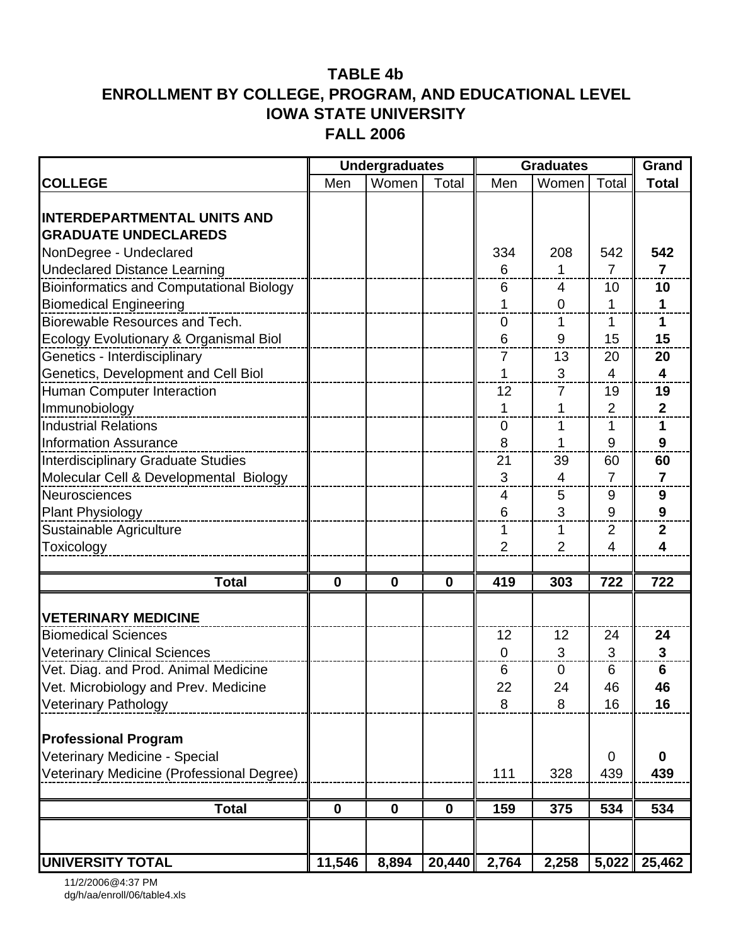|                                                 |              | <b>Undergraduates</b> |              |             | <b>Graduates</b> |                | Grand                   |
|-------------------------------------------------|--------------|-----------------------|--------------|-------------|------------------|----------------|-------------------------|
| <b>COLLEGE</b>                                  | Men          | Women                 | Total        | Men         | Women            | Total          | <b>Total</b>            |
|                                                 |              |                       |              |             |                  |                |                         |
| <b>INTERDEPARTMENTAL UNITS AND</b>              |              |                       |              |             |                  |                |                         |
| <b>GRADUATE UNDECLAREDS</b>                     |              |                       |              |             |                  |                |                         |
| NonDegree - Undeclared                          |              |                       |              | 334         | 208              | 542            | 542                     |
| <b>Undeclared Distance Learning</b>             |              |                       |              | 6           | 1                | 7              | $\overline{7}$          |
| <b>Bioinformatics and Computational Biology</b> |              |                       |              | 6           | 4                | 10             | 10                      |
| <b>Biomedical Engineering</b>                   |              |                       |              | 1           | 0                | 1              | 1                       |
| Biorewable Resources and Tech.                  |              |                       |              | 0           | 1                | 1              | 1                       |
| Ecology Evolutionary & Organismal Biol          |              |                       |              | 6           | 9                | 15             | 15                      |
| Genetics - Interdisciplinary                    |              |                       |              | 7           | 13               | 20             | 20                      |
| Genetics, Development and Cell Biol             |              |                       |              | 1           | 3                | $\overline{4}$ | $\overline{\mathbf{4}}$ |
| Human Computer Interaction                      |              |                       |              | 12          | 7                | 19             | 19                      |
| Immunobiology                                   |              |                       |              | 1           | 1                | $\overline{2}$ | $\overline{2}$          |
| <b>Industrial Relations</b>                     |              |                       |              | 0           | 1                | 1              | 1                       |
| <b>Information Assurance</b>                    |              |                       |              | 8           | 1                | 9              | 9                       |
| <b>Interdisciplinary Graduate Studies</b>       |              |                       |              | 21          | 39               | 60             | 60                      |
| Molecular Cell & Developmental Biology          |              |                       |              | 3           | 4                | $\overline{7}$ | $\overline{7}$          |
| Neurosciences                                   |              |                       |              | 4           | 5                | 9              | 9                       |
| <b>Plant Physiology</b>                         |              |                       |              | 6           | 3                | 9              | $\boldsymbol{9}$        |
| Sustainable Agriculture                         |              |                       |              | 1           | $\mathbf{1}$     | $\overline{2}$ | $\mathbf 2$             |
| Toxicology                                      |              |                       |              | 2           | $\overline{2}$   | 4              | 4                       |
|                                                 |              |                       |              |             |                  |                |                         |
| <b>Total</b>                                    | $\bf{0}$     | $\mathbf 0$           | $\mathbf 0$  | 419         | 303              | 722            | 722                     |
|                                                 |              |                       |              |             |                  |                |                         |
| <b>VETERINARY MEDICINE</b>                      |              |                       |              |             |                  |                |                         |
| <b>Biomedical Sciences</b>                      |              |                       |              | 12          | 12               | 24             | 24                      |
| <b>Veterinary Clinical Sciences</b>             |              |                       |              | $\mathbf 0$ | 3                | 3              | $\overline{\mathbf{3}}$ |
| Vet. Diag. and Prod. Animal Medicine            |              |                       |              | 6           | $\mathbf 0$      | 6              | $6\phantom{1}6$         |
| Vet. Microbiology and Prev. Medicine            |              |                       |              | 22          | 24               | 46             | 46                      |
| <b>Veterinary Pathology</b>                     |              |                       |              | 8           | 8                | 16             | 16                      |
| <b>Professional Program</b>                     |              |                       |              |             |                  |                |                         |
| Veterinary Medicine - Special                   |              |                       |              |             |                  | 0              | $\mathbf 0$             |
| Veterinary Medicine (Professional Degree)       |              |                       |              | 111         | 328              | 439            | 439                     |
|                                                 |              |                       |              |             |                  |                |                         |
| <b>Total</b>                                    | $\mathbf{0}$ | $\mathbf 0$           | $\mathbf{0}$ | 159         | 375              | 534            | 534                     |
|                                                 |              |                       |              |             |                  |                |                         |
| <b>UNIVERSITY TOTAL</b>                         | 11,546       | 8,894                 | 20,440       | 2,764       | 2,258            | 5,022          | 25,462                  |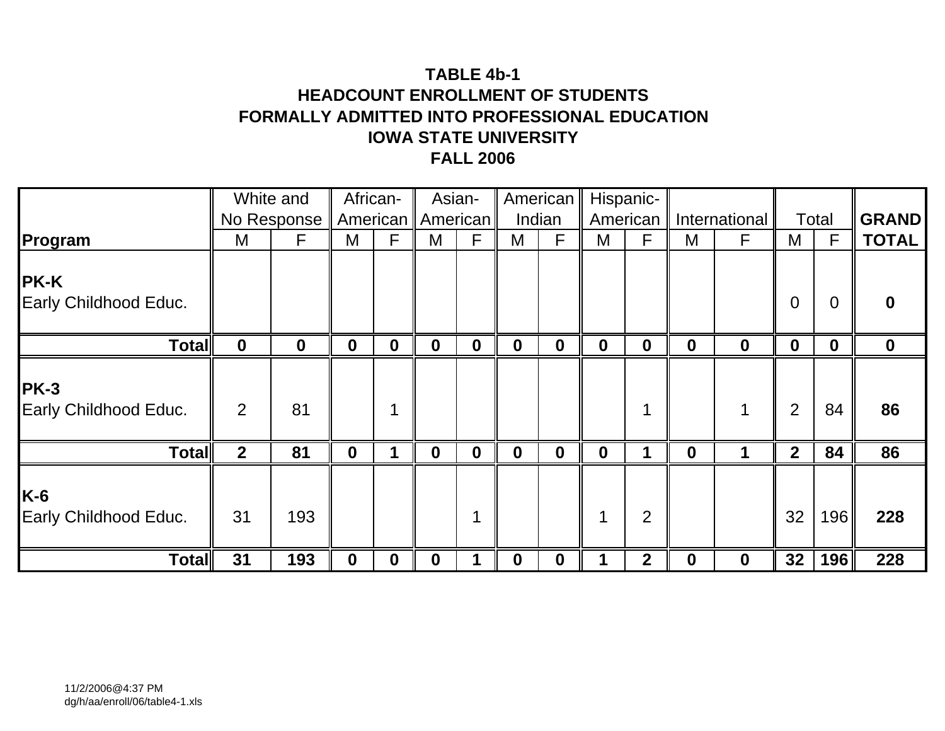# **TABLE 4b-1HEADCOUNT ENROLLMENT OF STUDENTSFORMALLY ADMITTED INTO PROFESSIONAL EDUCATION IOWA STATE UNIVERSITYFALL 2006**

|                                      |              | White and        | African-         |                  | Asian-              |                  |             | American         |                  | Hispanic-      |             |               |                |                  |              |
|--------------------------------------|--------------|------------------|------------------|------------------|---------------------|------------------|-------------|------------------|------------------|----------------|-------------|---------------|----------------|------------------|--------------|
|                                      |              | No Response      |                  |                  | American   American |                  | Indian      |                  |                  | American       |             | International |                | Total            | <b>GRAND</b> |
| Program                              | M            | F                | M                | F                | M                   | F                | M           | $\mathsf{F}$     | M                | F              | M           | F             | M              | F                | <b>TOTAL</b> |
| <b>PK-K</b><br>Early Childhood Educ. |              |                  |                  |                  |                     |                  |             |                  |                  |                |             |               | $\overline{0}$ | 0                |              |
| <b>Total</b>                         | $\mathbf 0$  | $\boldsymbol{0}$ | $\boldsymbol{0}$ | $\boldsymbol{0}$ | $\boldsymbol{0}$    | $\boldsymbol{0}$ | $\mathbf 0$ | $\boldsymbol{0}$ | $\boldsymbol{0}$ | $\mathbf 0$    | $\mathbf 0$ | $\mathbf 0$   | $\mathbf 0$    | $\boldsymbol{0}$ | $\mathbf 0$  |
| $PK-3$<br>Early Childhood Educ.      | 2            | 81               |                  |                  |                     |                  |             |                  |                  |                |             |               | $\overline{2}$ | 84               | 86           |
| <b>Total</b>                         | $\mathbf{2}$ | 81               | $\mathbf 0$      |                  | $\mathbf 0$         | $\mathbf 0$      | $\mathbf 0$ | $\mathbf 0$      | 0                |                | $\mathbf 0$ | $\mathbf 1$   | 2 <sup>1</sup> | 84               | 86           |
| $K-6$<br>Early Childhood Educ.       | 31           | 193              |                  |                  |                     |                  |             |                  |                  | $\overline{2}$ |             |               | 32             | 196              | 228          |
| <b>Total</b>                         | 31           | 193              | 0                | $\bf{0}$         | $\bf{0}$            |                  | 0           | $\bf{0}$         |                  | $\mathbf{2}$   | $\bf{0}$    | $\bf{0}$      | 32             | 196              | 228          |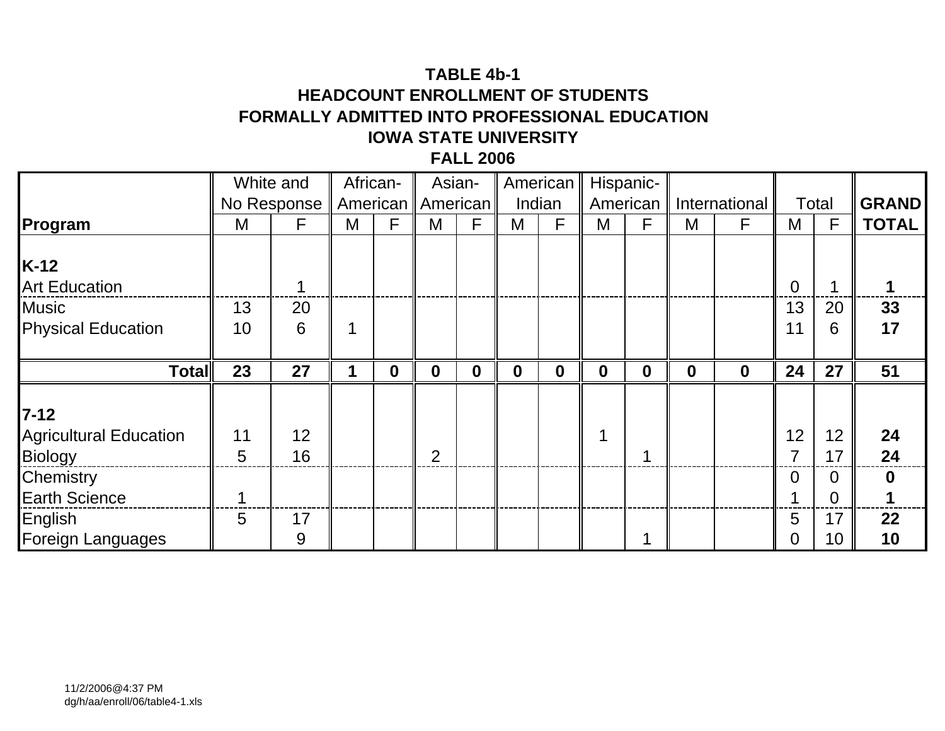# **TABLE 4b-1HEADCOUNT ENROLLMENT OF STUDENTSFORMALLY ADMITTED INTO PROFESSIONAL EDUCATION IOWA STATE UNIVERSITYFALL 2006**

|                               | White and |             |   | African-         | Asian-              |                  |             | American    |                  | Hispanic-   |             |               |          |       |              |
|-------------------------------|-----------|-------------|---|------------------|---------------------|------------------|-------------|-------------|------------------|-------------|-------------|---------------|----------|-------|--------------|
|                               |           | No Response |   |                  | American   American |                  | Indian      |             |                  | American    |             | International |          | Total | <b>GRAND</b> |
| Program                       | M         | F           | M | F                | M                   | $\mathsf{F}$     | M           | F           | M                | F           | M           | F             | M        | F     | <b>TOTAL</b> |
|                               |           |             |   |                  |                     |                  |             |             |                  |             |             |               |          |       |              |
| $K-12$                        |           |             |   |                  |                     |                  |             |             |                  |             |             |               |          |       |              |
| <b>Art Education</b>          |           |             |   |                  |                     |                  |             |             |                  |             |             |               | $\Omega$ |       |              |
| <b>Music</b>                  | 13        | 20          |   |                  |                     |                  |             |             |                  |             |             |               | 13       | 20    | 33           |
| <b>Physical Education</b>     | 10        | 6           |   |                  |                     |                  |             |             |                  |             |             |               | 11       | 6     | 17           |
|                               |           |             |   |                  |                     |                  |             |             |                  |             |             |               |          |       |              |
| <b>Total</b>                  | 23        | 27          |   | $\boldsymbol{0}$ | $\mathbf 0$         | $\boldsymbol{0}$ | $\mathbf 0$ | $\mathbf 0$ | $\boldsymbol{0}$ | $\mathbf 0$ | $\mathbf 0$ | $\mathbf 0$   | 24       | 27    | 51           |
|                               |           |             |   |                  |                     |                  |             |             |                  |             |             |               |          |       |              |
| $7 - 12$                      |           |             |   |                  |                     |                  |             |             |                  |             |             |               |          |       |              |
| <b>Agricultural Education</b> | 11        | 12          |   |                  |                     |                  |             |             |                  |             |             |               | 12       | 12    | 24           |
| <b>Biology</b>                | 5         | 16          |   |                  | $\overline{2}$      |                  |             |             |                  |             |             |               |          | 17    | 24           |
| Chemistry                     |           |             |   |                  |                     |                  |             |             |                  |             |             |               | 0        | 0     | $\bf{0}$     |
| <b>Earth Science</b>          |           |             |   |                  |                     |                  |             |             |                  |             |             |               |          | 0     |              |
| English                       | 5         | 17          |   |                  |                     |                  |             |             |                  |             |             |               | 5        | 17    | 22           |
| <b>Foreign Languages</b>      |           | 9           |   |                  |                     |                  |             |             |                  |             |             |               | 0        | 10    | 10           |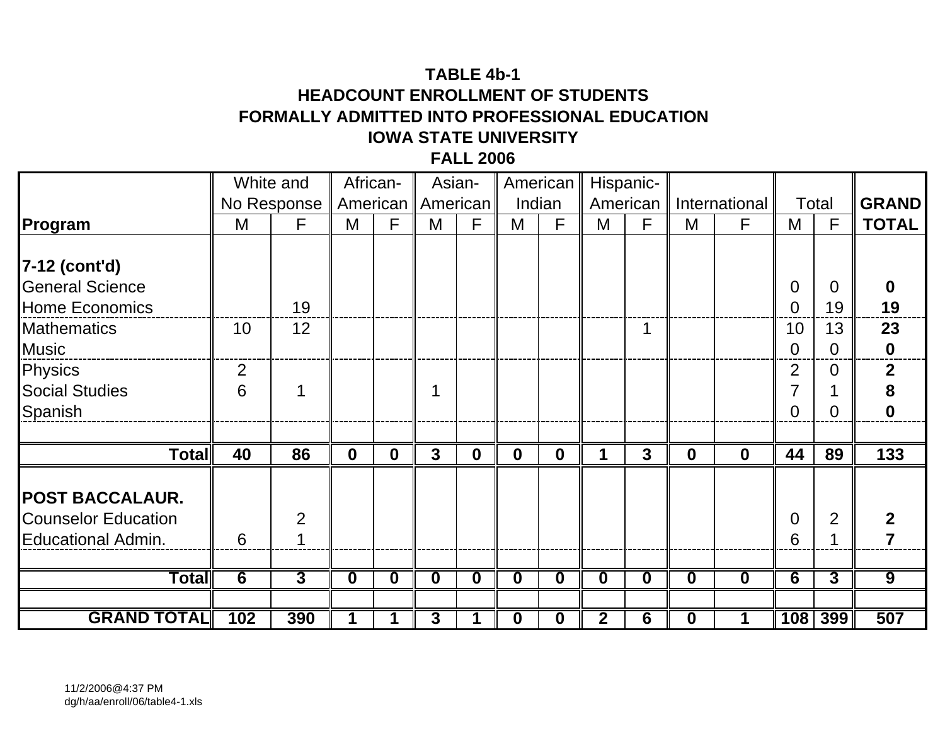# **TABLE 4b-1HEADCOUNT ENROLLMENT OF STUDENTSFORMALLY ADMITTED INTO PROFESSIONAL EDUCATION IOWA STATE UNIVERSITYFALL 2006**

|                            |     | White and      |              | African-    |                         | Asian-   |             | American    |                         | Hispanic-           |             |               |                |                |                  |
|----------------------------|-----|----------------|--------------|-------------|-------------------------|----------|-------------|-------------|-------------------------|---------------------|-------------|---------------|----------------|----------------|------------------|
|                            |     | No Response    | American     |             |                         | American |             | Indian      |                         | American            |             | International |                | Total          | <b>GRAND</b>     |
| Program                    | M   | F              | M            | F           | M                       | F        | M           | F           | M                       | F                   | M           | F             | M              | $\mathsf{F}$   | <b>TOTAL</b>     |
|                            |     |                |              |             |                         |          |             |             |                         |                     |             |               |                |                |                  |
| 7-12 (cont'd)              |     |                |              |             |                         |          |             |             |                         |                     |             |               |                |                |                  |
| <b>General Science</b>     |     |                |              |             |                         |          |             |             |                         |                     |             |               | 0              | $\Omega$       |                  |
| <b>Home Economics</b>      |     | 19             |              |             |                         |          |             |             |                         |                     |             |               | $\Omega$       | 19             | 19               |
| <b>Mathematics</b>         | 10  | 12             |              |             |                         |          |             |             |                         |                     |             |               | 10             | 13             | 23               |
| <b>Music</b>               |     |                |              |             |                         |          |             |             |                         |                     |             |               | $\overline{0}$ | $\Omega$       | $\boldsymbol{0}$ |
| <b>Physics</b>             | 2   |                |              |             |                         |          |             |             |                         |                     |             |               | $\overline{2}$ | $\Omega$       | $\overline{2}$   |
| <b>Social Studies</b>      | 6   |                |              |             |                         |          |             |             |                         |                     |             |               | 7              |                | 8                |
| Spanish                    |     |                |              |             |                         |          |             |             |                         |                     |             |               | 0              | 0              | $\bf{0}$         |
|                            |     |                |              |             |                         |          |             |             |                         |                     |             |               |                |                |                  |
| <b>Total</b>               | 40  | 86             | $\mathbf{0}$ | $\mathbf 0$ | $\mathbf{3}$            | $\bf{0}$ | $\mathbf 0$ | $\mathbf 0$ | 1                       | $\mathbf{3}$        | $\mathbf 0$ | $\mathbf 0$   | 44             | 89             | 133              |
|                            |     |                |              |             |                         |          |             |             |                         |                     |             |               |                |                |                  |
| <b>POST BACCALAUR.</b>     |     |                |              |             |                         |          |             |             |                         |                     |             |               |                |                |                  |
| <b>Counselor Education</b> |     | $\mathfrak{D}$ |              |             |                         |          |             |             |                         |                     |             |               | $\overline{0}$ | $\overline{2}$ |                  |
| <b>Educational Admin.</b>  | 6   |                |              |             |                         |          |             |             |                         |                     |             |               | 6              |                |                  |
|                            |     |                |              |             |                         |          |             |             |                         |                     |             |               |                |                |                  |
| $\overline{\text{Total}}$  | 6   | 3              | $\mathbf 0$  | $\bf{0}$    | $\overline{\mathbf{0}}$ | $\bf{0}$ | $\mathbf 0$ | $\bf{0}$    | $\overline{\mathbf{0}}$ | $\bf{0}$            | $\mathbf 0$ | $\bf{0}$      | 6              | $\overline{3}$ | $\overline{9}$   |
|                            |     |                |              |             |                         |          |             |             |                         |                     |             |               |                |                |                  |
| <b>GRAND TOTAL</b>         | 102 | 390            |              |             | 3                       |          | O           | 0           | $\overline{\mathbf{2}}$ | $\overline{\bf{6}}$ | $\mathbf 0$ |               |                | 108 399        | 507              |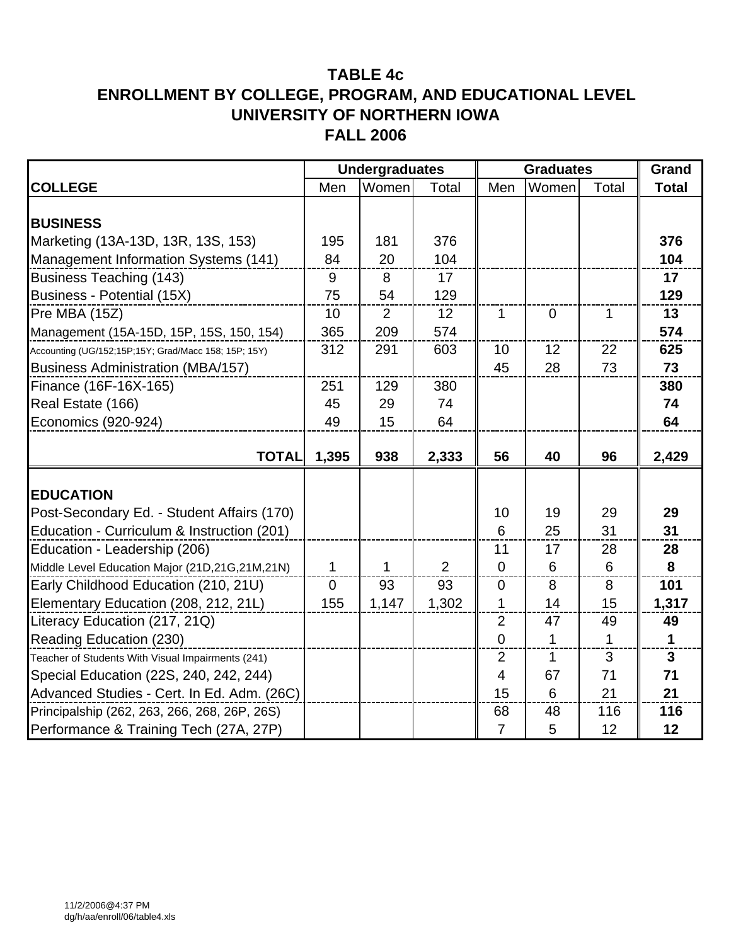|                                                      |                | <b>Undergraduates</b> |       | <b>Graduates</b> | Grand          |             |                |
|------------------------------------------------------|----------------|-----------------------|-------|------------------|----------------|-------------|----------------|
| <b>COLLEGE</b>                                       | Men            | Women                 | Total | Men              | Women          | Total       | <b>Total</b>   |
|                                                      |                |                       |       |                  |                |             |                |
| <b>BUSINESS</b>                                      |                |                       |       |                  |                |             |                |
| Marketing (13A-13D, 13R, 13S, 153)                   | 195            | 181                   | 376   |                  |                |             | 376            |
| Management Information Systems (141)                 | 84             | 20                    | 104   |                  |                |             | 104            |
| <b>Business Teaching (143)</b>                       | 9              | 8                     | 17    |                  |                |             | 17             |
| Business - Potential (15X)                           | 75             | 54                    | 129   |                  |                |             | 129            |
| Pre MBA (15Z)                                        | 10             | $\overline{2}$        | 12    | $\mathbf{1}$     | $\overline{0}$ | 1           | 13             |
| Management (15A-15D, 15P, 15S, 150, 154)             | 365            | 209                   | 574   |                  |                |             | 574            |
| Accounting (UG/152;15P;15Y; Grad/Macc 158; 15P; 15Y) | 312            | 291                   | 603   | 10               | 12             | 22          | 625            |
| <b>Business Administration (MBA/157)</b>             |                |                       |       | 45               | 28             | 73          | 73             |
| Finance (16F-16X-165)                                | 251            | 129                   | 380   |                  |                |             | 380            |
| Real Estate (166)                                    | 45             | 29                    | 74    |                  |                |             | 74             |
| Economics (920-924)                                  | 49             | 15                    | 64    |                  |                |             | 64             |
|                                                      |                |                       |       |                  |                |             |                |
| <b>TOTAL</b>                                         | 1,395          | 938                   | 2,333 | 56               | 40             | 96          | 2,429          |
|                                                      |                |                       |       |                  |                |             |                |
| <b>EDUCATION</b>                                     |                |                       |       |                  |                |             |                |
| Post-Secondary Ed. - Student Affairs (170)           |                |                       |       | 10               | 19             | 29          | 29             |
| Education - Curriculum & Instruction (201)           |                |                       |       | 6                | 25             | 31          | 31             |
| Education - Leadership (206)                         |                |                       |       | 11               | 17             | 28          | 28             |
| Middle Level Education Major (21D,21G,21M,21N)       | 1              | 1                     | 2     | $\overline{0}$   | 6              | 6           | 8              |
| Early Childhood Education (210, 21U)                 | $\overline{0}$ | 93                    | 93    | $\overline{0}$   | 8              | 8           | 101            |
| Elementary Education (208, 212, 21L)                 | 155            | 1,147                 | 1,302 | $\mathbf 1$      | 14             | 15          | 1,317          |
| Literacy Education (217, 21Q)                        |                |                       |       | 2                | 47             | 49          | 49             |
| Reading Education (230)                              |                |                       |       | $\Omega$         | $\mathbf{1}$   | $\mathbf 1$ | $\mathbf{1}$   |
| Teacher of Students With Visual Impairments (241)    |                |                       |       | $\overline{2}$   | $\mathbf{1}$   | 3           | $\overline{3}$ |
| Special Education (22S, 240, 242, 244)               |                |                       |       | 4                | 67             | 71          | 71             |
| Advanced Studies - Cert. In Ed. Adm. (26C)           |                |                       |       | 15               | 6              | 21          | 21             |
| Principalship (262, 263, 266, 268, 26P, 26S)         |                |                       |       | 68               | 48             | 116         | 116            |
| Performance & Training Tech (27A, 27P)               |                |                       |       | $\overline{7}$   | 5              | 12          | 12             |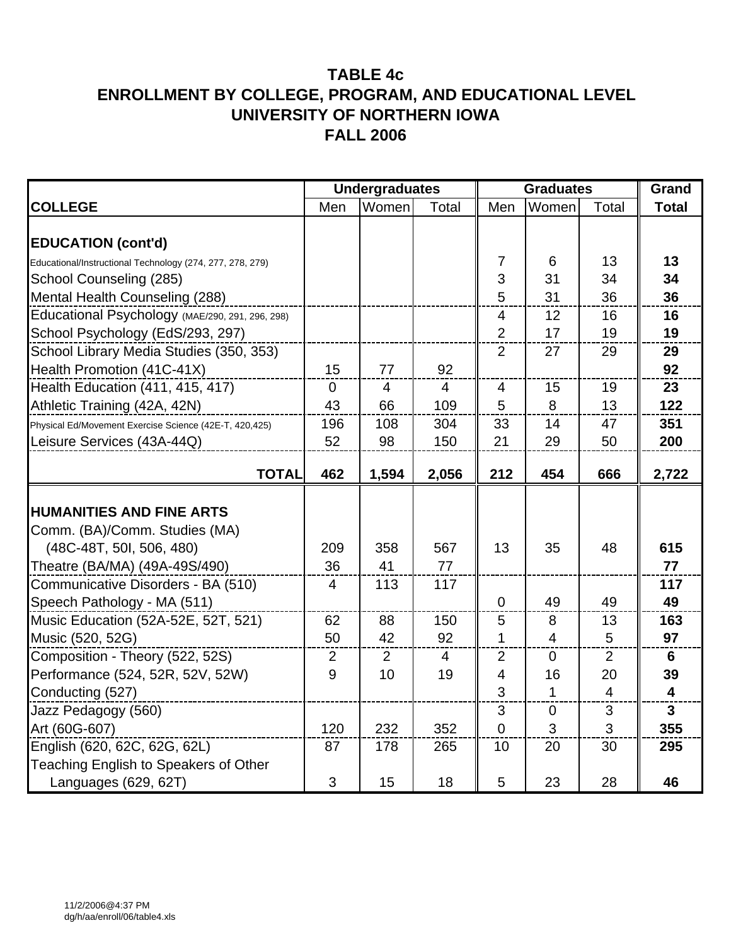|                                                           |                | <b>Undergraduates</b> |                | <b>Graduates</b>         | Grand          |                |                         |
|-----------------------------------------------------------|----------------|-----------------------|----------------|--------------------------|----------------|----------------|-------------------------|
| <b>COLLEGE</b>                                            | Men            | Women                 | Total          | Men                      | Women          | Total          | <b>Total</b>            |
| <b>EDUCATION (cont'd)</b>                                 |                |                       |                |                          |                |                |                         |
| Educational/Instructional Technology (274, 277, 278, 279) |                |                       |                | $\overline{7}$           | 6              | 13             | 13                      |
| School Counseling (285)                                   |                |                       |                | 3                        | 31             | 34             | 34                      |
| Mental Health Counseling (288)                            |                |                       |                | 5                        | 31             | 36             | 36                      |
| Educational Psychology (MAE/290, 291, 296, 298)           |                |                       |                | $\overline{4}$           | 12             | 16             | 16                      |
| School Psychology (EdS/293, 297)                          |                |                       |                | $\overline{2}$           | 17             | 19             | 19                      |
| School Library Media Studies (350, 353)                   |                |                       |                | $\overline{2}$           | 27             | 29             | 29                      |
| Health Promotion (41C-41X)                                | 15             | 77                    | 92             |                          |                |                | 92                      |
| Health Education (411, 415, 417)                          | $\Omega$       | 4                     | $\overline{4}$ | 4                        | 15             | 19             | 23                      |
| Athletic Training (42A, 42N)                              | 43             | 66                    | 109            | 5                        | 8              | 13             | 122                     |
| Physical Ed/Movement Exercise Science (42E-T, 420,425)    | 196            | 108                   | 304            | 33                       | 14             | 47             | 351                     |
| Leisure Services (43A-44Q)                                | 52             | 98                    | 150            | 21                       | 29             | 50             | 200                     |
|                                                           |                |                       |                |                          |                |                |                         |
| <b>TOTAL</b>                                              | 462            | 1,594                 | 2,056          | 212                      | 454            | 666            | 2,722                   |
| <b>HUMANITIES AND FINE ARTS</b>                           |                |                       |                |                          |                |                |                         |
| Comm. (BA)/Comm. Studies (MA)                             |                |                       |                |                          |                |                |                         |
| (48C-48T, 50I, 506, 480)                                  | 209            | 358                   | 567            | 13                       | 35             | 48             | 615                     |
| Theatre (BA/MA) (49A-49S/490)                             | 36             | 41                    | 77             |                          |                |                | 77                      |
| Communicative Disorders - BA (510)                        | 4              | 113                   | 117            |                          |                |                | 117                     |
| Speech Pathology - MA (511)                               |                |                       |                | 0                        | 49             | 49             | 49                      |
| Music Education (52A-52E, 52T, 521)                       | 62             | 88                    | 150            | 5                        | 8              | 13             | 163                     |
| Music (520, 52G)                                          | 50             | 42                    | 92             | $\mathbf 1$              | $\overline{4}$ | 5              | 97                      |
| Composition - Theory (522, 52S)                           | $\overline{2}$ | 2                     | $\overline{4}$ | $\overline{2}$           | $\mathbf 0$    | $\overline{2}$ | 6                       |
| Performance (524, 52R, 52V, 52W)                          | 9              | 10                    | 19             | $\overline{\mathcal{A}}$ | 16             | 20             | 39                      |
| Conducting (527)                                          |                |                       |                | 3                        | 1              | 4              | $\overline{\mathbf{4}}$ |
| Jazz Pedagogy (560)                                       |                |                       |                | 3                        | $\overline{0}$ | 3              | 3 <sup>1</sup>          |
| Art (60G-607)                                             | 120            | 232                   | 352            | 0                        | 3              | 3              | 355                     |
| English (620, 62C, 62G, 62L)                              | 87             | 178                   | 265            | 10                       | 20             | 30             | 295                     |
| Teaching English to Speakers of Other                     |                |                       |                |                          |                |                |                         |
| Languages (629, 62T)                                      | 3              | 15                    | 18             | 5                        | 23             | 28             | 46                      |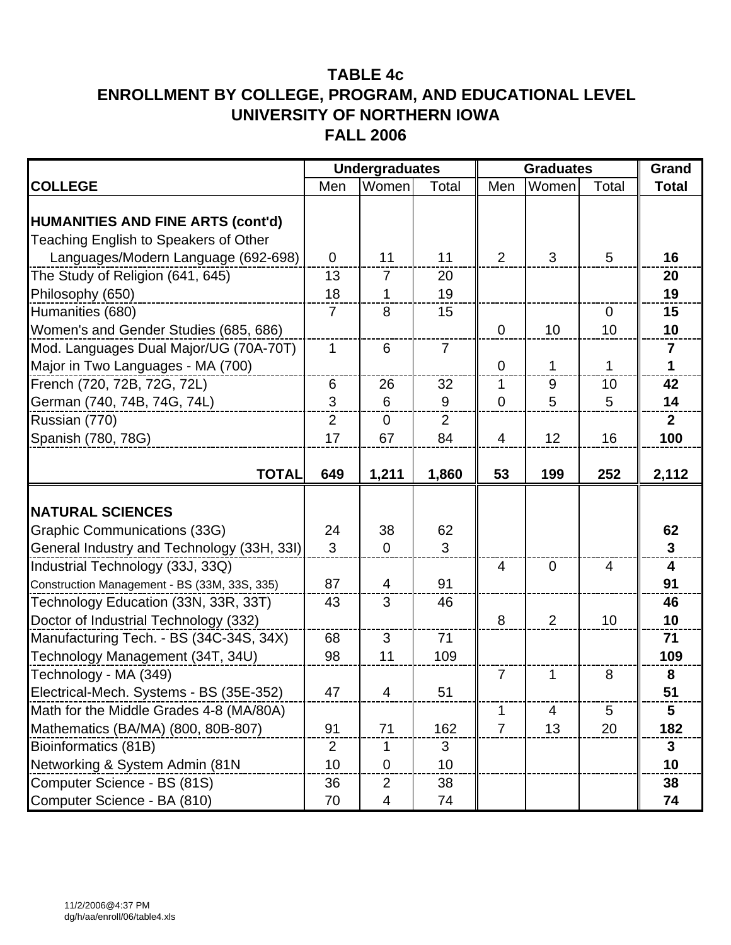|                                                                                   |                | <b>Undergraduates</b> |                |                | <b>Graduates</b> | Grand                    |                         |
|-----------------------------------------------------------------------------------|----------------|-----------------------|----------------|----------------|------------------|--------------------------|-------------------------|
| <b>COLLEGE</b>                                                                    | Men            | Women                 | Total          | Men            | Women            | Total                    | <b>Total</b>            |
| <b>HUMANITIES AND FINE ARTS (cont'd)</b><br>Teaching English to Speakers of Other |                |                       |                |                |                  |                          |                         |
| Languages/Modern Language (692-698)                                               | $\overline{0}$ | 11                    | 11             | $\overline{2}$ | 3                | 5                        | 16                      |
| The Study of Religion (641, 645)                                                  | 13             | $\overline{7}$        | 20             |                |                  |                          | 20                      |
| Philosophy (650)                                                                  | 18             | 1                     | 19             |                |                  |                          | 19                      |
| Humanities (680)                                                                  | $\overline{7}$ | 8                     | 15             |                |                  | $\overline{0}$           | 15                      |
| Women's and Gender Studies (685, 686)                                             |                |                       |                | $\overline{0}$ | 10               | 10                       | 10                      |
| Mod. Languages Dual Major/UG (70A-70T)                                            | $\mathbf 1$    | 6                     | $\overline{7}$ |                |                  |                          | $\overline{\mathbf{r}}$ |
| Major in Two Languages - MA (700)                                                 |                |                       |                | $\overline{0}$ | 1                | 1                        | 1                       |
| French (720, 72B, 72G, 72L)                                                       | 6              | 26                    | 32             | 1              | 9                | 10                       | 42                      |
| German (740, 74B, 74G, 74L)                                                       | 3              | 6                     | 9              | $\overline{0}$ | 5                | 5                        | 14                      |
| Russian (770)                                                                     | $\overline{2}$ | $\mathbf 0$           | $\overline{2}$ |                |                  |                          | $\overline{2}$          |
| Spanish (780, 78G)                                                                | 17             | 67                    | 84             | 4              | 12               | 16                       | 100                     |
| <b>TOTAL</b>                                                                      | 649            | 1,211                 | 1,860          | 53             | 199              | 252                      | 2,112                   |
| <b>NATURAL SCIENCES</b>                                                           |                |                       |                |                |                  |                          |                         |
| <b>Graphic Communications (33G)</b>                                               | 24             | 38                    | 62             |                |                  |                          | 62                      |
| General Industry and Technology (33H, 33I)                                        | 3              | $\mathbf 0$           | 3              |                |                  |                          | $\overline{3}$          |
| Industrial Technology (33J, 33Q)                                                  |                |                       |                | $\overline{4}$ | $\mathbf 0$      | $\overline{\mathcal{A}}$ | $\overline{\mathbf{4}}$ |
| Construction Management - BS (33M, 33S, 335)                                      | 87             | $\overline{4}$        | 91             |                |                  |                          | 91                      |
| Technology Education (33N, 33R, 33T)                                              | 43             | 3                     | 46             |                |                  |                          | 46                      |
| Doctor of Industrial Technology (332)                                             |                |                       |                | 8              | $\overline{2}$   | 10                       | 10                      |
| Manufacturing Tech. - BS (34C-34S, 34X)                                           | 68             | 3                     | 71             |                |                  |                          | 71                      |
| Technology Management (34T, 34U)                                                  | 98             | 11                    | 109            |                |                  |                          | 109                     |
| Technology - MA (349)                                                             |                |                       |                | $\overline{7}$ | 1                | 8                        | 8                       |
| Electrical-Mech. Systems - BS (35E-352)                                           | 47             | $\mathbf{\Lambda}$    | 51             |                |                  |                          | 51                      |
| Math for the Middle Grades 4-8 (MA/80A)                                           |                |                       |                | 1              | 4                | 5                        | 5                       |
| Mathematics (BA/MA) (800, 80B-807)                                                | 91             | 71                    | 162            | $\overline{7}$ | 13               | 20                       | 182                     |
| Bioinformatics (81B)                                                              | $\overline{2}$ | 1                     | 3              |                |                  |                          | 3                       |
| Networking & System Admin (81N                                                    | 10             | $\mathbf 0$           | 10             |                |                  |                          | 10                      |
| Computer Science - BS (81S)                                                       | 36             | 2                     | 38             |                |                  |                          | 38                      |
| Computer Science - BA (810)                                                       | 70             | 4                     | 74             |                |                  |                          | 74                      |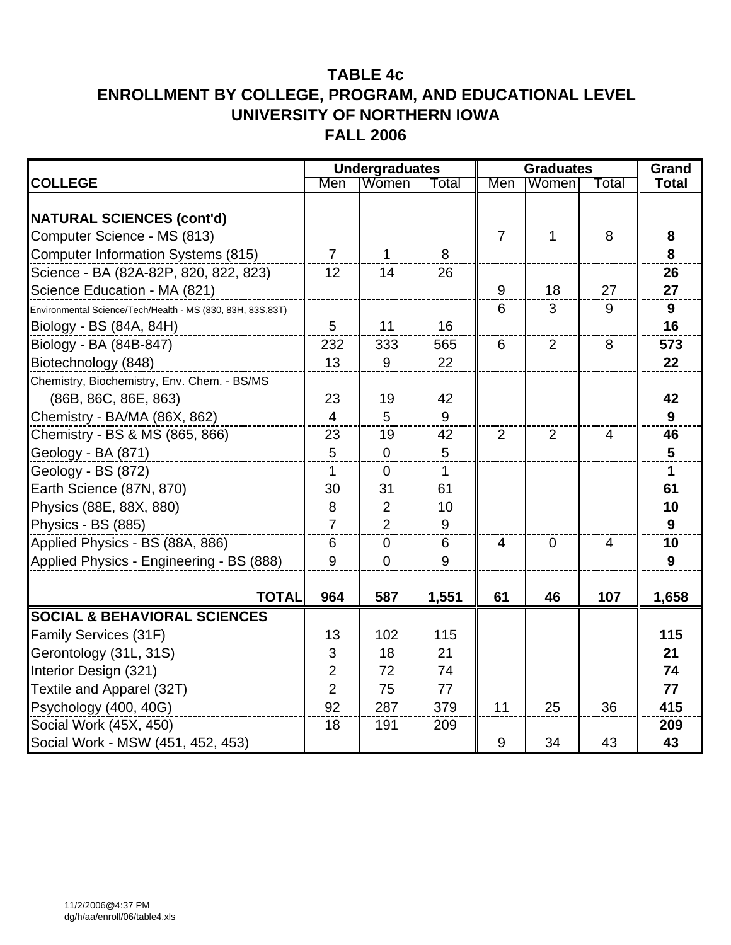|                                                            |                | <b>Undergraduates</b> |       |                | <b>Graduates</b> |                |              |  |
|------------------------------------------------------------|----------------|-----------------------|-------|----------------|------------------|----------------|--------------|--|
| <b>COLLEGE</b>                                             | Men            | Women                 | Total | Men            | Women            | Total          | <b>Total</b> |  |
| <b>NATURAL SCIENCES (cont'd)</b>                           |                |                       |       |                |                  |                |              |  |
| Computer Science - MS (813)                                |                |                       |       | $\overline{7}$ | 1                | 8              | 8            |  |
| <b>Computer Information Systems (815)</b>                  | $\overline{7}$ | $\mathbf{1}$          | 8     |                |                  |                | 8            |  |
| Science - BA (82A-82P, 820, 822, 823)                      | 12             | 14                    | 26    |                |                  |                | 26           |  |
| Science Education - MA (821)                               |                |                       |       | 9              | 18               | 27             | 27           |  |
| Environmental Science/Tech/Health - MS (830, 83H, 83S,83T) |                |                       |       | 6              | 3                | 9              | 9            |  |
| Biology - BS (84A, 84H)                                    | 5              | 11                    | 16    |                |                  |                | 16           |  |
| Biology - BA (84B-847)                                     | 232            | 333                   | 565   | 6              | $\overline{2}$   | 8              | 573          |  |
| Biotechnology (848)                                        | 13             | 9                     | 22    |                |                  |                | 22           |  |
| Chemistry, Biochemistry, Env. Chem. - BS/MS                |                |                       |       |                |                  |                |              |  |
| (86B, 86C, 86E, 863)                                       | 23             | 19                    | 42    |                |                  |                | 42           |  |
| Chemistry - BA/MA (86X, 862)                               | 4              | 5                     | 9     |                |                  |                | 9            |  |
| Chemistry - BS & MS (865, 866)                             | 23             | 19                    | 42    | $\overline{2}$ | $\overline{2}$   | $\overline{4}$ | 46           |  |
| Geology - BA (871)                                         | 5              | $\overline{0}$        | 5     |                |                  |                | 5            |  |
| Geology - BS (872)                                         | 1              | $\mathbf 0$           | 1     |                |                  |                | 1            |  |
| Earth Science (87N, 870)                                   | 30             | 31                    | 61    |                |                  |                | 61           |  |
| Physics (88E, 88X, 880)                                    | 8              | $\overline{2}$        | 10    |                |                  |                | 10           |  |
| Physics - BS (885)                                         | $\overline{7}$ | $\overline{2}$        | 9     |                |                  |                | 9            |  |
| Applied Physics - BS (88A, 886)                            | 6              | $\mathbf 0$           | 6     | $\overline{4}$ | $\mathbf 0$      | $\overline{4}$ | 10           |  |
| Applied Physics - Engineering - BS (888)                   | 9              | $\mathbf 0$           | 9     |                |                  |                | 9            |  |
| <b>TOTAL</b>                                               | 964            | 587                   | 1,551 | 61             | 46               | 107            | 1,658        |  |
| <b>SOCIAL &amp; BEHAVIORAL SCIENCES</b>                    |                |                       |       |                |                  |                |              |  |
| Family Services (31F)                                      | 13             | 102                   | 115   |                |                  |                | 115          |  |
| Gerontology (31L, 31S)                                     | 3              | 18                    | 21    |                |                  |                | 21           |  |
| Interior Design (321)                                      | $\overline{2}$ | 72                    | 74    |                |                  |                | 74           |  |
| Textile and Apparel (32T)                                  | $\overline{2}$ | 75                    | 77    |                |                  |                | 77           |  |
| Psychology (400, 40G)                                      | 92             | 287                   | 379   | 11             | 25               | 36             | 415          |  |
| Social Work (45X, 450)                                     | 18             | 191                   | 209   |                |                  |                | 209          |  |
| Social Work - MSW (451, 452, 453)                          |                |                       |       | 9              | 34               | 43             | 43           |  |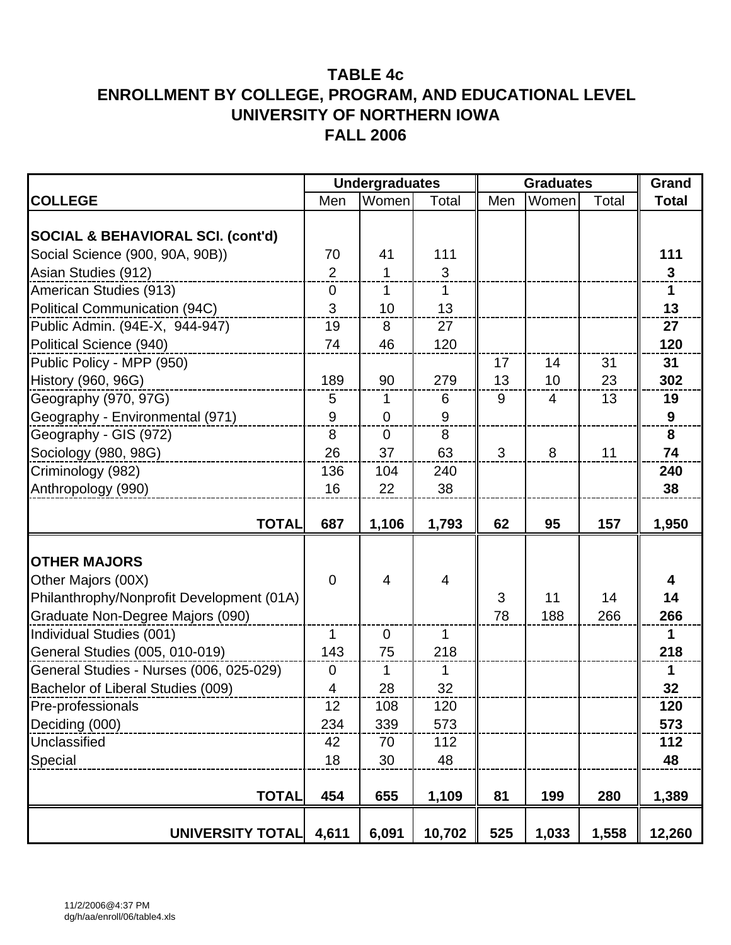|                                              | <b>Undergraduates</b> |                |        |     | <b>Graduates</b> |       |              |  |
|----------------------------------------------|-----------------------|----------------|--------|-----|------------------|-------|--------------|--|
| <b>COLLEGE</b>                               | Men                   | Women          | Total  | Men | Women            | Total | <b>Total</b> |  |
|                                              |                       |                |        |     |                  |       |              |  |
| <b>SOCIAL &amp; BEHAVIORAL SCI. (cont'd)</b> |                       |                |        |     |                  |       |              |  |
| Social Science (900, 90A, 90B))              | 70                    | 41             | 111    |     |                  |       | 111          |  |
| Asian Studies (912)                          | $\overline{2}$        | 1              | 3      |     |                  |       | $\mathbf 3$  |  |
| American Studies (913)                       | $\mathbf 0$           | 1              | 1      |     |                  |       | $\mathbf{1}$ |  |
| <b>Political Communication (94C)</b>         | 3                     | 10             | 13     |     |                  |       | 13           |  |
| Public Admin. (94E-X, 944-947)               | 19                    | 8              | 27     |     |                  |       | 27           |  |
| Political Science (940)                      | 74                    | 46             | 120    |     |                  |       | 120          |  |
| Public Policy - MPP (950)                    |                       |                |        | 17  | 14               | 31    | 31           |  |
| History (960, 96G)                           | 189                   | 90             | 279    | 13  | 10               | 23    | 302          |  |
| Geography (970, 97G)                         | $\overline{5}$        | 1              | 6      | 9   | $\overline{4}$   | 13    | 19           |  |
| Geography - Environmental (971)              | 9                     | $\mathbf 0$    | $9\,$  |     |                  |       | 9            |  |
| Geography - GIS (972)                        | 8                     | $\mathbf 0$    | 8      |     |                  |       | 8            |  |
| Sociology (980, 98G)                         | 26                    | 37             | 63     | 3   | 8                | 11    | 74           |  |
| Criminology (982)                            | 136                   | 104            | 240    |     |                  |       | 240          |  |
| Anthropology (990)                           | 16                    | 22             | 38     |     |                  |       | 38           |  |
|                                              |                       |                |        |     |                  |       |              |  |
| <b>TOTAL</b>                                 | 687                   | 1,106          | 1,793  | 62  | 95               | 157   | 1,950        |  |
|                                              |                       |                |        |     |                  |       |              |  |
| <b>OTHER MAJORS</b>                          |                       |                |        |     |                  |       |              |  |
| Other Majors (00X)                           | $\overline{0}$        | $\overline{4}$ | 4      |     |                  |       | 4            |  |
| Philanthrophy/Nonprofit Development (01A)    |                       |                |        | 3   | 11               | 14    | 14           |  |
| Graduate Non-Degree Majors (090)             |                       |                |        | 78  | 188              | 266   | 266          |  |
| Individual Studies (001)                     | $\mathbf{1}$          | $\overline{0}$ | 1      |     |                  |       | $\mathbf 1$  |  |
| General Studies (005, 010-019)               | 143                   | 75             | 218    |     |                  |       | 218          |  |
| General Studies - Nurses (006, 025-029)      | $\boldsymbol{0}$      | 1              | 1      |     |                  |       | $\mathbf 1$  |  |
| Bachelor of Liberal Studies (009)            | 4                     | 28             | 32     |     |                  |       | 32           |  |
| Pre-professionals                            | 12                    | 108            | 120    |     |                  |       | 120          |  |
| Deciding (000)                               | 234                   | 339            | 573    |     |                  |       | 573          |  |
| Unclassified                                 | 42                    | 70             | 112    |     |                  |       | 112          |  |
| Special                                      | 18                    | 30             | 48     |     |                  |       | 48           |  |
|                                              |                       |                |        |     |                  |       |              |  |
| <b>TOTAL</b>                                 | 454                   | 655            | 1,109  | 81  | 199              | 280   | 1,389        |  |
| <b>UNIVERSITY TOTAL</b>                      | 4,611                 | 6,091          | 10,702 | 525 | 1,033            | 1,558 | 12,260       |  |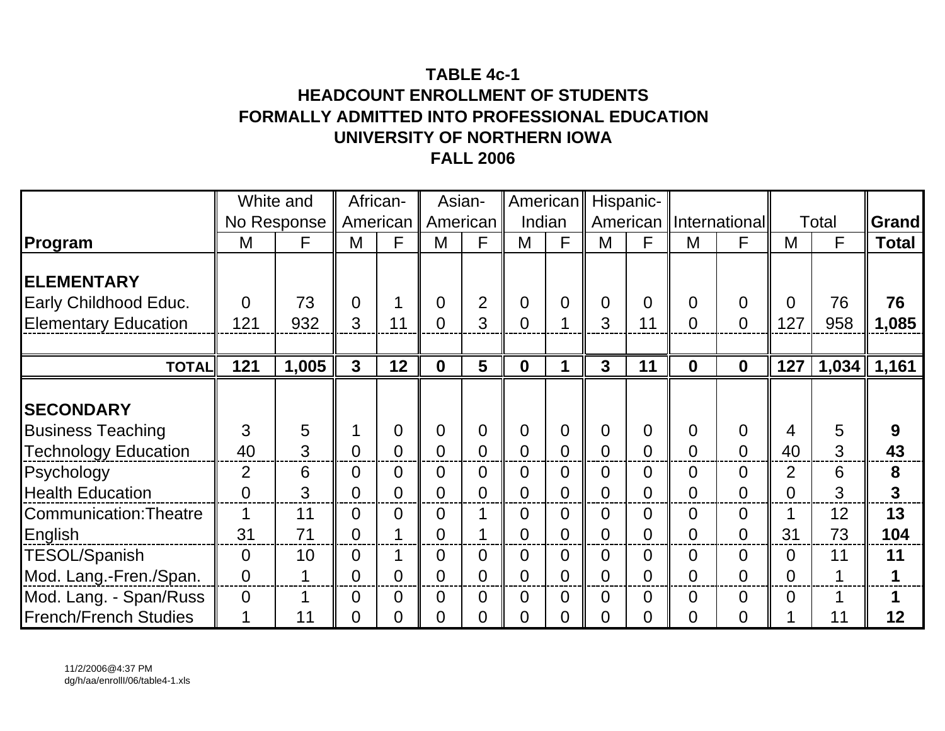# **TABLE 4c-1HEADCOUNT ENROLLMENT OF STUDENTSFORMALLY ADMITTED INTO PROFESSIONAL EDUCATION UNIVERSITY OF NORTHERN IOWAFALL 2006**

|                               | White and      |             |                         | African-       |                | Asian-         | American       |                |                | Hispanic-      |                |                          |                |       |              |
|-------------------------------|----------------|-------------|-------------------------|----------------|----------------|----------------|----------------|----------------|----------------|----------------|----------------|--------------------------|----------------|-------|--------------|
|                               |                | No Response |                         | American       | American       |                | Indian         |                |                |                |                | American   International |                | Total | <b>Grand</b> |
| Program                       | M              | F           | M                       | F              | M              | F              | M              | F              | M              | F              | M              | F                        | M              | F     | <b>Total</b> |
| <b>ELEMENTARY</b>             |                |             |                         |                |                |                |                |                |                |                |                |                          |                |       |              |
| Early Childhood Educ.         | $\Omega$       | 73          | $\Omega$                |                | $\Omega$       | $\overline{2}$ | $\overline{0}$ | 0              | $\overline{0}$ | $\Omega$       | $\Omega$       | $\Omega$                 | $\Omega$       | 76    | 76           |
| <b>Elementary Education</b>   | 121            | 932         | 3                       | 11             | $\overline{0}$ | 3              | 0              | 1              | 3              | 11             | $\overline{0}$ | $\Omega$                 | 127            | 958   | 1,085        |
|                               |                |             |                         |                |                |                |                |                |                |                |                |                          |                |       |              |
| <b>TOTAL</b>                  | 121            | 1,005       | $\overline{\mathbf{3}}$ | 12             | $\mathbf{0}$   | 5              | $\mathbf{0}$   | 1              | $\overline{3}$ | 11             | $\mathbf{0}$   | $\mathbf 0$              | 127            | 1,034 | 1,161        |
| <b>SECONDARY</b>              |                |             |                         |                |                |                |                |                |                |                |                |                          |                |       |              |
| <b>Business Teaching</b>      | 3              | 5           |                         | $\overline{0}$ | $\overline{0}$ | $\overline{0}$ | $\overline{0}$ | 0              | $\overline{0}$ | $\Omega$       | $\Omega$       | $\overline{0}$           | 4              | 5     | 9            |
| <b>Technology Education</b>   | 40             | 3           | $\Omega$                | $\overline{0}$ | 0              | $\overline{0}$ | 0              | 0              | $\overline{0}$ | $\overline{0}$ | $\overline{0}$ | $\overline{0}$           | 40             | 3     | 43           |
| Psychology                    | $\overline{2}$ | 6           | $\Omega$                | 0              | $\overline{0}$ | $\overline{0}$ | 0              | 0              | $\overline{0}$ | $\overline{0}$ | $\Omega$       | $\overline{0}$           | $\overline{2}$ | 6     | 8            |
| <b>Health Education</b>       | $\overline{0}$ | 3           | 0                       | $\overline{0}$ | 0              | $\overline{0}$ | 0              | 0              | $\overline{0}$ | $\overline{0}$ | $\overline{0}$ | $\Omega$                 | $\overline{0}$ | 3     | 3            |
| <b>Communication: Theatre</b> | 1              | 11          | 0                       | $\overline{0}$ | 0              | $\mathbf 1$    | 0              | 0              | $\overline{0}$ | $\overline{0}$ | $\overline{0}$ | $\overline{0}$           |                | 12    | 13           |
| English                       | 31             | 71          | $\overline{0}$          |                | 0              |                | $\overline{0}$ | $\overline{0}$ | $\overline{0}$ | $\overline{0}$ | $\overline{0}$ | $\overline{0}$           | 31             | 73    | 104          |
| <b>TESOL/Spanish</b>          | $\overline{0}$ | 10          | $\overline{0}$          |                | 0              | $\overline{0}$ | $\Omega$       | 0              | $\overline{0}$ | $\overline{0}$ | $\overline{0}$ | $\overline{0}$           | $\overline{0}$ | 11    | 11           |
| Mod. Lang.-Fren./Span.        | $\overline{0}$ | 1           | 0                       | 0              | 0              | $\overline{0}$ | 0              | 0              | $\overline{0}$ | $\overline{0}$ | $\overline{0}$ | $\Omega$                 | $\overline{0}$ | 1     | 1            |
| Mod. Lang. - Span/Russ        | $\overline{0}$ |             | 0                       | $\overline{0}$ | 0              | $\overline{0}$ | 0              | 0              | $\overline{0}$ | $\overline{0}$ | $\overline{0}$ | $\overline{0}$           | $\overline{0}$ | 1     |              |
| <b>French/French Studies</b>  | 1              | 11          | 0                       | $\Omega$       | $\overline{0}$ | $\overline{0}$ | 0              | 0              | $\overline{0}$ | 0              | 0              | $\overline{0}$           |                | 11    | 12           |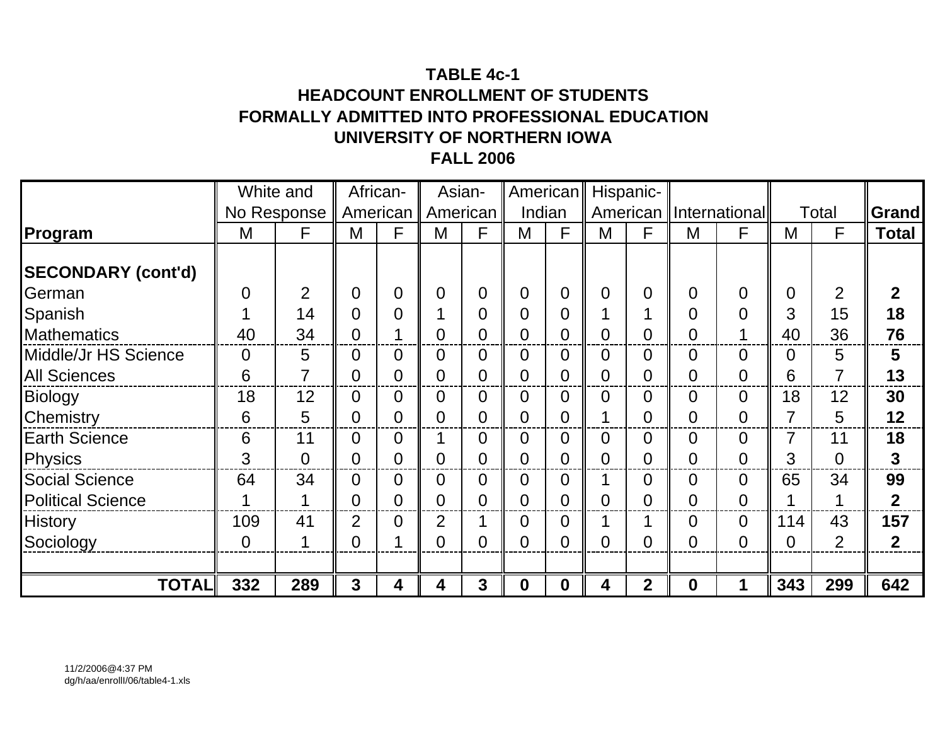# **TABLE 4c-1HEADCOUNT ENROLLMENT OF STUDENTSFORMALLY ADMITTED INTO PROFESSIONAL EDUCATION UNIVERSITY OF NORTHERN IOWAFALL 2006**

|                           |                | White and      |                | African-       |                | Asian-         | American       |                |                | Hispanic-      |                |                |                |                |              |
|---------------------------|----------------|----------------|----------------|----------------|----------------|----------------|----------------|----------------|----------------|----------------|----------------|----------------|----------------|----------------|--------------|
|                           |                | No Response    |                | American       |                | American       | Indian         |                |                | American       |                | Internationall |                | Total          | <b>Grand</b> |
| Program                   | M              | F              | M              | F              | M              | F              | M              | F              | M              | F              | M              | F              | M              | F              | <b>Total</b> |
| <b>SECONDARY (cont'd)</b> |                |                |                |                |                |                |                |                |                |                |                |                |                |                |              |
| German                    | $\overline{0}$ | $\overline{2}$ | 0              | 0              | $\Omega$       | $\overline{0}$ | 0              | 0              | $\overline{0}$ | 0              | 0              | $\overline{0}$ | $\overline{0}$ | $\overline{2}$ | $\mathbf 2$  |
| Spanish                   |                | 14             | 0              | 0              |                | $\overline{0}$ | 0              | 0              |                |                | 0              | $\overline{0}$ | 3              | 15             | 18           |
| <b>Mathematics</b>        | 40             | 34             |                |                | $\mathbf 0$    | $\overline{0}$ | 0              | 0              | 0              | 0              | 0              | 4              | 40             | 36             | 76           |
| Middle/Jr HS Science      | $\overline{0}$ | 5              |                | 0              | $\Omega$       | $\overline{0}$ | $\overline{0}$ | 0              | $\overline{0}$ | 0              | $\overline{0}$ | $\overline{0}$ | $\overline{0}$ | 5              | 5            |
| <b>All Sciences</b>       | 6              | 7              | $\Omega$       | $\overline{0}$ | $\overline{0}$ | $\overline{0}$ | $\overline{0}$ | 0              | $\overline{0}$ | 0              | 0              | $\overline{0}$ | 6              | 7              | 13           |
| Biology                   | 18             | 12             | $\overline{0}$ | 0              | $\overline{0}$ | $\overline{0}$ | $\Omega$       | 0              | $\overline{0}$ | 0              | 0              | $\overline{0}$ | 18             | 12             | 30           |
| <b>Chemistry</b>          | 6              | 5              | 0              | $\Omega$       | $\overline{0}$ | $\overline{0}$ | 0              | $\overline{0}$ |                | 0              | 0              | $\overline{0}$ | 7              | 5              | 12           |
| <b>Earth Science</b>      | 6              | 11             | $\overline{0}$ | $\overline{0}$ |                | $\overline{0}$ | $\overline{0}$ | 0              | 0              | 0              | $\overline{0}$ | $\overline{0}$ | 7              | 11             | 18           |
| Physics                   | 3              | $\overline{0}$ | 0              | $\overline{0}$ | $\overline{0}$ | $\overline{0}$ | $\overline{0}$ | 0              | $\overline{0}$ | 0              | $\overline{0}$ | $\overline{0}$ | 3              | $\overline{0}$ | $\mathbf{3}$ |
| <b>Social Science</b>     | 64             | 34             | $\Omega$       | $\overline{0}$ | $\overline{0}$ | $\mathbf 0$    | 0              | 0              |                | 0              | 0              | $\overline{0}$ | 65             | 34             | 99           |
| <b>Political Science</b>  |                | 1              | $\Omega$       | $\Omega$       | $\overline{0}$ | $\overline{0}$ | $\Omega$       | 0              | $\overline{0}$ | 0              | $\overline{0}$ | $\overline{0}$ |                | 1              | $\mathbf{2}$ |
| <b>History</b>            | 109            | 41             | $\overline{2}$ | 0              | $\overline{2}$ | 1              | $\overline{0}$ | 0              |                |                | 0              | $\overline{0}$ | 114            | 43             | 157          |
| Sociology                 | 0              | 1              | $\Omega$       |                | $\Omega$       | $\overline{0}$ | $\overline{0}$ | 0              | $\overline{0}$ | 0              | 0              | $\overline{0}$ | $\overline{0}$ | $\overline{2}$ | $\mathbf 2$  |
|                           |                |                |                |                |                |                |                |                |                |                |                |                |                |                |              |
| <b>TOTAL</b>              | 332            | 289            | 3              | 4              | 4              | $\mathbf{3}$   | $\bf{0}$       | $\mathbf 0$    | 4              | $\overline{2}$ | $\bf{0}$       |                | 343            | 299            | 642          |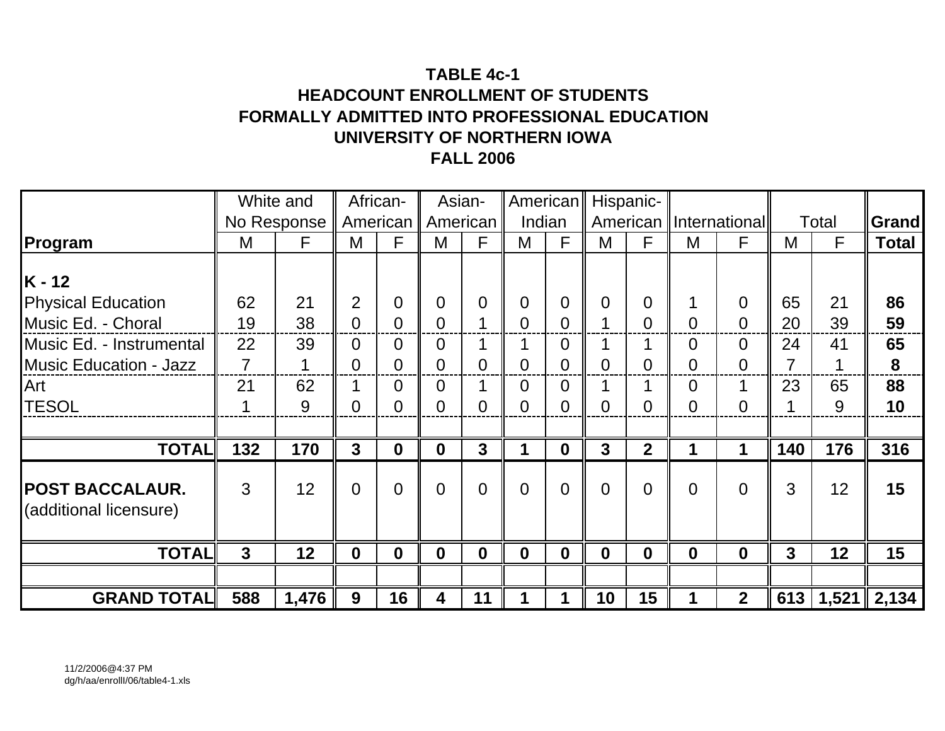# **TABLE 4c-1HEADCOUNT ENROLLMENT OF STUDENTSFORMALLY ADMITTED INTO PROFESSIONAL EDUCATION UNIVERSITY OF NORTHERN IOWAFALL 2006**

|                                           |                | White and   |                | African-         | Asian-         |                |                | American       |                | Hispanic-      |                |                          |     |       |              |
|-------------------------------------------|----------------|-------------|----------------|------------------|----------------|----------------|----------------|----------------|----------------|----------------|----------------|--------------------------|-----|-------|--------------|
|                                           |                | No Response | American       |                  |                | American       |                | Indian         |                |                |                | American   International |     | Total | <b>Grand</b> |
| Program                                   | M              | F           | M              | F                | M              | F              | M              | F              | M              | F              | M              | F                        | M   | F     | <b>Total</b> |
| $K - 12$                                  |                |             |                |                  |                |                |                |                |                |                |                |                          |     |       |              |
| <b>Physical Education</b>                 | 62             | 21          | 2              | 0                | $\overline{0}$ | $\overline{0}$ | $\Omega$       | 0              | $\overline{0}$ | $\Omega$       | 1              | $\Omega$                 | 65  | 21    | 86           |
| Music Ed. - Choral                        | 19             | 38          | $\Omega$       | $\Omega$         | $\Omega$       | $\mathbf 1$    | $\Omega$       | 0              | 1              | $\Omega$       | $\Omega$       | $\Omega$                 | 20  | 39    | 59           |
| Music Ed. - Instrumental                  | 22             | 39          | 0              | 0                | $\overline{0}$ | $\mathbf 1$    |                | 0              |                | ◢              | $\Omega$       | $\Omega$                 | 24  | 41    | 65           |
| <b>Music Education - Jazz</b>             | 7              |             | 0              | 0                | $\overline{0}$ | $\overline{0}$ | 0              |                | $\overline{0}$ | 0              | $\Omega$       | 0                        | 7   | 1     | 8            |
| Art                                       | 21             | 62          |                | $\Omega$         | $\overline{0}$ | 1              | $\Omega$       | 0              |                |                | $\overline{0}$ |                          | 23  | 65    | 88           |
| <b>TESOL</b>                              | 1              | 9           | $\Omega$       | 0                | $\overline{0}$ | $\overline{0}$ | 0              | 0              | $\overline{0}$ | $\overline{0}$ | $\overline{0}$ | $\overline{0}$           |     | 9     | 10           |
|                                           |                |             |                |                  |                |                |                |                |                |                |                |                          |     |       |              |
| <b>TOTAL</b>                              | 132            | 170         | $\mathbf{3}$   | $\boldsymbol{0}$ | $\mathbf 0$    | 3              |                | $\mathbf 0$    | $\mathbf{3}$   | $\overline{2}$ | 1              | 1                        | 140 | 176   | 316          |
| POST BACCALAUR.<br>(additional licensure) | 3              | 12          | $\overline{0}$ | $\overline{0}$   | $\overline{0}$ | $\overline{0}$ | $\overline{0}$ | $\overline{0}$ | $\overline{0}$ | $\overline{0}$ | $\overline{0}$ | $\overline{0}$           | 3   | 12    | 15           |
| <b>TOTAL</b>                              | $\overline{3}$ | 12          | $\mathbf 0$    | $\bf{0}$         | $\mathbf 0$    | $\mathbf 0$    | $\bf{0}$       | 0              | $\mathbf 0$    | $\mathbf 0$    | $\bf{0}$       | $\bf{0}$                 | 3   | 12    | 15           |
|                                           |                |             |                |                  |                |                |                |                |                |                |                |                          |     |       |              |
| <b>GRAND TOTAL</b>                        | 588            | 1,476       | 9              | 16               | 4              | 11             |                |                | 10             | 15             | 1              | $\overline{2}$           | 613 | 1,521 | 2,134        |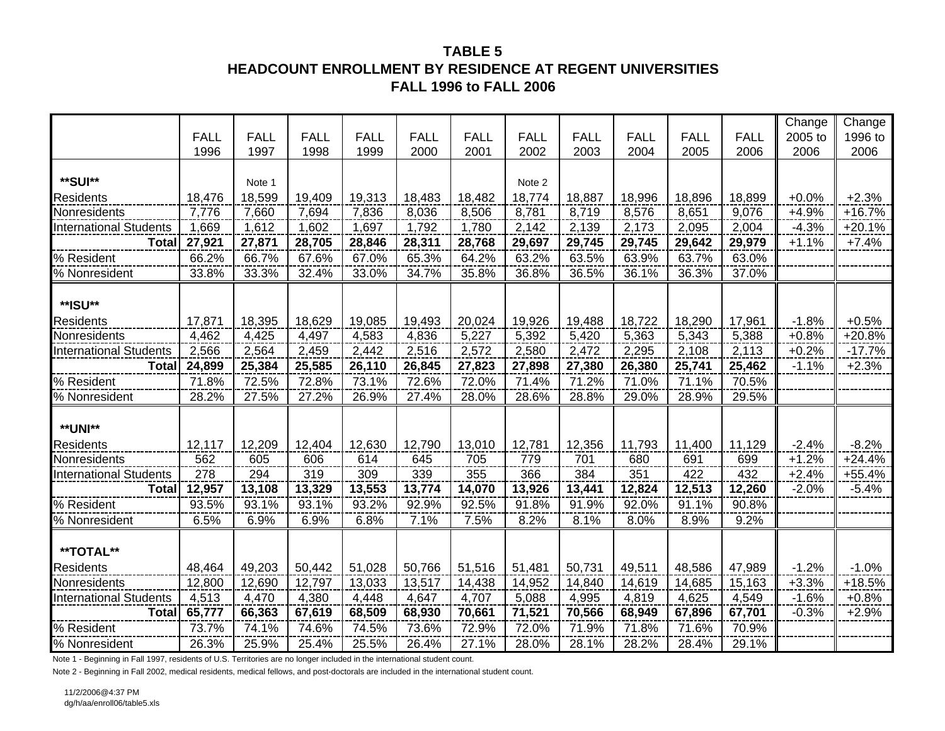### **TABLE 5HEADCOUNT ENROLLMENT BY RESIDENCE AT REGENT UNIVERSITIES FALL 1996 to FALL 2006**

|                               |             |             |             |             |             |             |             |             |             |             |             | Change  | Change   |
|-------------------------------|-------------|-------------|-------------|-------------|-------------|-------------|-------------|-------------|-------------|-------------|-------------|---------|----------|
|                               | <b>FALL</b> | <b>FALL</b> | <b>FALL</b> | <b>FALL</b> | <b>FALL</b> | <b>FALL</b> | <b>FALL</b> | <b>FALL</b> | <b>FALL</b> | <b>FALL</b> | <b>FALL</b> | 2005 to | 1996 to  |
|                               | 1996        | 1997        | 1998        | 1999        | 2000        | 2001        | 2002        | 2003        | 2004        | 2005        | 2006        | 2006    | 2006     |
|                               |             |             |             |             |             |             |             |             |             |             |             |         |          |
| **SUI**                       |             | Note 1      |             |             |             |             | Note 2      |             |             |             |             |         |          |
| <b>Residents</b>              | 18,476      | 18,599      | 19,409      | 19,313      | 18,483      | 18,482      | 18,774      | 18,887      | 18,996      | 18,896      | 18,899      | $+0.0%$ | $+2.3%$  |
| Nonresidents                  | 7,776       | 7,660       | 7,694       | 7,836       | 8,036       | 8,506       | 8,781       | 8,719       | 8,576       | 8,651       | 9,076       | +4.9%   | $+16.7%$ |
| <b>International Students</b> | 1,669       | 1,612       | 1,602       | 1,697       | 1,792       | 1,780       | 2,142       | 2,139       | 2,173       | 2,095       | 2,004       | $-4.3%$ | $+20.1%$ |
| <b>Total</b>                  | 27,921      | 27,871      | 28,705      | 28,846      | 28,311      | 28,768      | 29,697      | 29,745      | 29,745      | 29,642      | 29,979      | $+1.1%$ | $+7.4%$  |
| % Resident                    | 66.2%       | 66.7%       | 67.6%       | 67.0%       | 65.3%       | 64.2%       | 63.2%       | 63.5%       | 63.9%       | 63.7%       | 63.0%       |         |          |
| % Nonresident                 | 33.8%       | 33.3%       | 32.4%       | 33.0%       | 34.7%       | 35.8%       | 36.8%       | 36.5%       | 36.1%       | 36.3%       | 37.0%       |         |          |
|                               |             |             |             |             |             |             |             |             |             |             |             |         |          |
| **ISU**                       |             |             |             |             |             |             |             |             |             |             |             |         |          |
| <b>Residents</b>              | 17,871      | 18,395      | 18,629      | 19,085      | 19,493      | 20,024      | 19,926      | 19,488      | 18,722      | 18,290      | 17,961      | $-1.8%$ | $+0.5%$  |
| Nonresidents                  | 4,462       | 4,425       | 4,497       | 4,583       | 4,836       | 5,227       | 5,392       | 5,420       | 5,363       | 5,343       | 5,388       | $+0.8%$ | $+20.8%$ |
| <b>International Students</b> | 2,566       | 2,564       | 2,459       | 2,442       | 2,516       | 2,572       | 2,580       | 2,472       | 2,295       | 2,108       | 2,113       | $+0.2%$ | $-17.7%$ |
| <b>Total</b>                  | 24,899      | 25,384      | 25,585      | 26,110      | 26,845      | 27,823      | 27,898      | 27,380      | 26,380      | 25,741      | 25,462      | $-1.1%$ | $+2.3%$  |
| % Resident                    | 71.8%       | 72.5%       | 72.8%       | 73.1%       | 72.6%       | 72.0%       | 71.4%       | 71.2%       | 71.0%       | 71.1%       | 70.5%       |         |          |
| % Nonresident                 | 28.2%       | 27.5%       | 27.2%       | 26.9%       | 27.4%       | 28.0%       | 28.6%       | 28.8%       | 29.0%       | 28.9%       | 29.5%       |         |          |
|                               |             |             |             |             |             |             |             |             |             |             |             |         |          |
| **UNI**                       |             |             |             |             |             |             |             |             |             |             |             |         |          |
| <b>Residents</b>              | 12,117      | 12,209      | 12,404      | 12,630      | 12,790      | 13,010      | 12,781      | 12,356      | 11,793      | 11,400      | 11,129      | $-2.4%$ | $-8.2%$  |
| Nonresidents                  | 562         | 605         | 606         | 614         | 645         | 705         | 779         | 701         | 680         | 691         | 699         | $+1.2%$ | $+24.4%$ |
| <b>International Students</b> | 278         | 294         | 319         | 309         | 339         | 355         | 366         | 384         | 351         | 422         | 432         | $+2.4%$ | $+55.4%$ |
| <b>Total</b>                  | 12,957      | 13,108      | 13,329      | 13,553      | 13,774      | 14,070      | 13,926      | 13,441      | 12,824      | 12,513      | 12,260      | $-2.0%$ | $-5.4%$  |
| % Resident                    | 93.5%       | 93.1%       | 93.1%       | 93.2%       | 92.9%       | 92.5%       | 91.8%       | 91.9%       | 92.0%       | 91.1%       | 90.8%       |         |          |
| % Nonresident                 | 6.5%        | 6.9%        | 6.9%        | 6.8%        | 7.1%        | 7.5%        | 8.2%        | 8.1%        | 8.0%        | 8.9%        | 9.2%        |         |          |
|                               |             |             |             |             |             |             |             |             |             |             |             |         |          |
| **TOTAL**                     |             |             |             |             |             |             |             |             |             |             |             |         |          |
| <b>Residents</b>              | 48,464      | 49,203      | 50,442      | 51,028      | 50,766      | 51,516      | 51,481      | 50,731      | 49,511      | 48,586      | 47,989      | $-1.2%$ | $-1.0%$  |
| Nonresidents                  | 12,800      | 12,690      | 12,797      | 13,033      | 13,517      | 14,438      | 14,952      | 14,840      | 14,619      | 14,685      | 15,163      | $+3.3%$ | $+18.5%$ |
| <b>International Students</b> | 4,513       | 4,470       | 4,380       | 4,448       | 4,647       | 4,707       | 5,088       | 4,995       | 4,819       | 4,625       | 4,549       | $-1.6%$ | $+0.8%$  |
| <b>Total</b>                  | 65,777      | 66,363      | 67,619      | 68,509      | 68,930      | 70,661      | 71,521      | 70,566      | 68,949      | 67,896      | 67,701      | $-0.3%$ | $+2.9%$  |
| % Resident                    | 73.7%       | 74.1%       | 74.6%       | 74.5%       | 73.6%       | 72.9%       | 72.0%       | 71.9%       | 71.8%       | 71.6%       | 70.9%       |         |          |
| % Nonresident                 | 26.3%       | 25.9%       | 25.4%       | 25.5%       | 26.4%       | 27.1%       | 28.0%       | 28.1%       | 28.2%       | 28.4%       | 29.1%       |         |          |

Note 1 - Beginning in Fall 1997, residents of U.S. Territories are no longer included in the international student count.

Note 2 - Beginning in Fall 2002, medical residents, medical fellows, and post-doctorals are included in the international student count.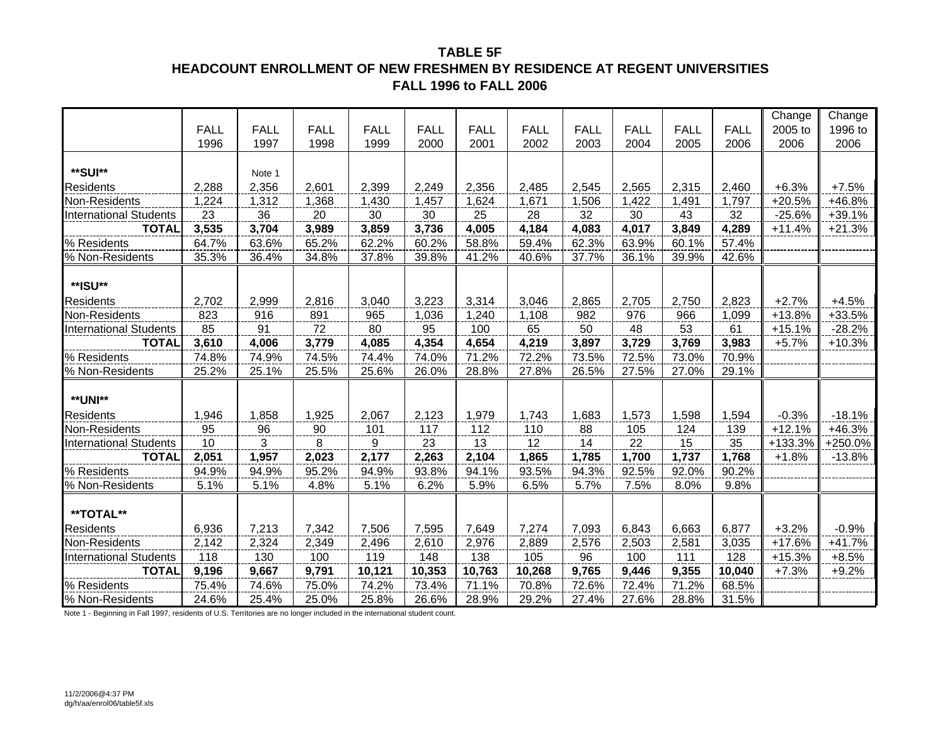### **TABLE 5FHEADCOUNT ENROLLMENT OF NEW FRESHMEN BY RESIDENCE AT REGENT UNIVERSITIESFALL 1996 to FALL 2006**

|                               |             |             |             |             |             |             |             |             |             |             |             | Change   | Change   |
|-------------------------------|-------------|-------------|-------------|-------------|-------------|-------------|-------------|-------------|-------------|-------------|-------------|----------|----------|
|                               | <b>FALL</b> | <b>FALL</b> | <b>FALL</b> | <b>FALL</b> | <b>FALL</b> | <b>FALL</b> | <b>FALL</b> | <b>FALL</b> | <b>FALL</b> | <b>FALL</b> | <b>FALL</b> | 2005 to  | 1996 to  |
|                               | 1996        | 1997        | 1998        | 1999        | 2000        | 2001        | 2002        | 2003        | 2004        | 2005        | 2006        | 2006     | 2006     |
|                               |             |             |             |             |             |             |             |             |             |             |             |          |          |
| **SUI**                       |             | Note 1      |             |             |             |             |             |             |             |             |             |          |          |
| Residents                     | 2,288       | 2,356       | 2,601       | 2,399       | 2,249       | 2,356       | 2,485       | 2,545       | 2,565       | 2,315       | 2,460       | $+6.3%$  | $+7.5%$  |
| Non-Residents                 | 1,224       | 1,312       | 1,368       | 1,430       | 1,457       | 1,624       | 1,671       | 1,506       | 1,422       | 1,491       | 1,797       | $+20.5%$ | +46.8%   |
| <b>International Students</b> | 23          | 36          | 20          | 30          | 30          | 25          | 28          | 32          | 30          | 43          | 32          | $-25.6%$ | $+39.1%$ |
| <b>TOTAL</b>                  | 3,535       | 3,704       | 3,989       | 3,859       | 3,736       | 4,005       | 4,184       | 4,083       | 4,017       | 3,849       | 4,289       | $+11.4%$ | $+21.3%$ |
| % Residents                   | 64.7%       | 63.6%       | 65.2%       | 62.2%       | 60.2%       | 58.8%       | 59.4%       | 62.3%       | 63.9%       | 60.1%       | 57.4%       |          |          |
| % Non-Residents               | 35.3%       | 36.4%       | 34.8%       | 37.8%       | 39.8%       | 41.2%       | 40.6%       | 37.7%       | 36.1%       | 39.9%       | 42.6%       |          |          |
|                               |             |             |             |             |             |             |             |             |             |             |             |          |          |
| **ISU**                       |             |             |             |             |             |             |             |             |             |             |             |          |          |
| <b>Residents</b>              | 2,702       | 2,999       | 2,816       | 3,040       | 3,223       | 3,314       | 3,046       | 2,865       | 2,705       | 2,750       | 2,823       | $+2.7%$  | $+4.5%$  |
| Non-Residents                 | 823         | 916         | 891         | 965         | 1,036       | 1,240       | 1,108       | 982         | 976         | 966         | 1,099       | $+13.8%$ | +33.5%   |
| <b>International Students</b> | 85          | 91          | 72          | 80          | 95          | 100         | 65          | 50          | 48          | 53          | 61          | $+15.1%$ | $-28.2%$ |
| <b>TOTAL</b>                  | 3,610       | 4,006       | 3,779       | 4,085       | 4,354       | 4,654       | 4,219       | 3,897       | 3,729       | 3,769       | 3,983       | $+5.7%$  | $+10.3%$ |
| % Residents                   | 74.8%       | 74.9%       | 74.5%       | 74.4%       | 74.0%       | 71.2%       | 72.2%       | 73.5%       | 72.5%       | 73.0%       | 70.9%       |          |          |
| % Non-Residents               | 25.2%       | 25.1%       | 25.5%       | 25.6%       | 26.0%       | 28.8%       | 27.8%       | 26.5%       | 27.5%       | 27.0%       | 29.1%       |          |          |
|                               |             |             |             |             |             |             |             |             |             |             |             |          |          |
| <b>**UNI**</b>                |             |             |             |             |             |             |             |             |             |             |             |          |          |
| <b>Residents</b>              | 1,946       | 1,858       | 1,925       | 2,067       | 2,123       | 1,979       | 1,743       | 1,683       | 1,573       | 1,598       | 1,594       | $-0.3%$  | $-18.1%$ |
| Non-Residents                 | 95          | 96          | 90          | 101         | 117         | 112         | 110         | 88          | 105         | 124         | 139         | $+12.1%$ | +46.3%   |
| <b>International Students</b> | 10          | 3           | 8           | 9           | 23          | 13          | 12          | 14          | 22          | 15          | 35          | +133.3%  | +250.0%  |
| <b>TOTAL</b>                  | 2,051       | 1,957       | 2,023       | 2,177       | 2,263       | 2,104       | 1,865       | 1,785       | 1,700       | 1,737       | 1,768       | $+1.8%$  | $-13.8%$ |
| % Residents                   | 94.9%       | 94.9%       | 95.2%       | 94.9%       | 93.8%       | 94.1%       | 93.5%       | 94.3%       | 92.5%       | 92.0%       | 90.2%       |          |          |
| % Non-Residents               | 5.1%        | 5.1%        | 4.8%        | 5.1%        | 6.2%        | 5.9%        | 6.5%        | 5.7%        | 7.5%        | 8.0%        | 9.8%        |          |          |
|                               |             |             |             |             |             |             |             |             |             |             |             |          |          |
| **TOTAL**                     |             |             |             |             |             |             |             |             |             |             |             |          |          |
| <b>Residents</b>              | 6,936       | 7,213       | 7,342       | 7,506       | 7,595       | 7,649       | 7,274       | 7,093       | 6,843       | 6,663       | 6,877       | $+3.2%$  | $-0.9%$  |
| Non-Residents                 | 2,142       | 2,324       | 2,349       | 2,496       | 2,610       | 2,976       | 2,889       | 2,576       | 2,503       | 2,581       | 3,035       | $+17.6%$ | $+41.7%$ |
| <b>International Students</b> | 118         | 130         | 100         | 119         | 148         | 138         | 105         | 96          | 100         | 111         | 128         | $+15.3%$ | $+8.5%$  |
| <b>TOTAL</b>                  | 9,196       | 9,667       | 9,791       | 10,121      | 10,353      | 10,763      | 10,268      | 9,765       | 9,446       | 9,355       | 10,040      | $+7.3%$  | $+9.2%$  |
| % Residents                   | 75.4%       | 74.6%       | 75.0%       | 74.2%       | 73.4%       | 71.1%       | 70.8%       | 72.6%       | 72.4%       | 71.2%       | 68.5%       |          |          |
| % Non-Residents               | 24.6%       | 25.4%       | 25.0%       | 25.8%       | 26.6%       | 28.9%       | 29.2%       | 27.4%       | 27.6%       | 28.8%       | 31.5%       |          |          |

Note 1 - Beginning in Fall 1997, residents of U.S. Territories are no longer included in the international student count.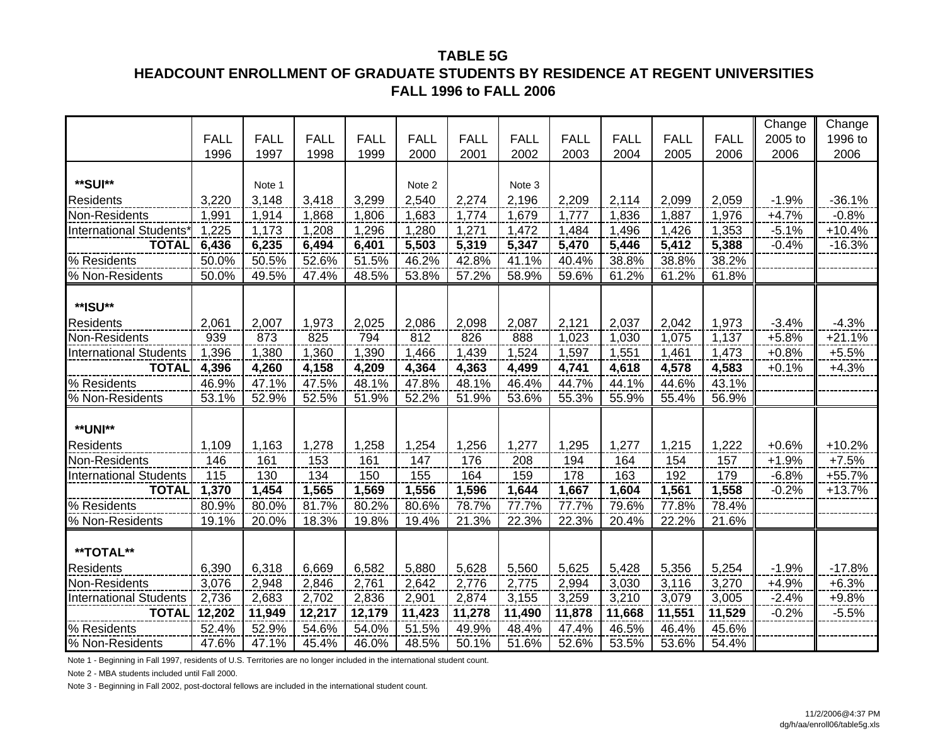#### **TABLE 5G**

### **HEADCOUNT ENROLLMENT OF GRADUATE STUDENTS BY RESIDENCE AT REGENT UNIVERSITIES FALL 1996 to FALL 2006**

|                               |             |             |             |             |             |             |             |             |             |             |             | Change  | Change   |
|-------------------------------|-------------|-------------|-------------|-------------|-------------|-------------|-------------|-------------|-------------|-------------|-------------|---------|----------|
|                               | <b>FALL</b> | <b>FALL</b> | <b>FALL</b> | <b>FALL</b> | <b>FALL</b> | <b>FALL</b> | <b>FALL</b> | <b>FALL</b> | <b>FALL</b> | <b>FALL</b> | <b>FALL</b> | 2005 to | 1996 to  |
|                               | 1996        | 1997        | 1998        | 1999        | 2000        | 2001        | 2002        | 2003        | 2004        | 2005        | 2006        | 2006    | 2006     |
|                               |             |             |             |             |             |             |             |             |             |             |             |         |          |
| **SUI**                       |             | Note 1      |             |             | Note 2      |             | Note 3      |             |             |             |             |         |          |
| <b>Residents</b>              | 3,220       | 3,148       | 3,418       | 3,299       | 2,540       | 2,274       | 2,196       | 2,209       | 2,114       | 2,099       | 2,059       | $-1.9%$ | $-36.1%$ |
| Non-Residents                 | 1,991       | 1,914       | 1,868       | 1,806       | 1,683       | 1,774       | 1,679       | 1,777       | 1,836       | 1,887       | 1,976       | $+4.7%$ | $-0.8%$  |
| <b>International Students</b> | 1,225       | 1,173       | 1,208       | 1,296       | 1,280       | 1,271       | 1,472       | 1,484       | 1,496       | 1,426       | 1,353       | $-5.1%$ | $+10.4%$ |
| <b>TOTAL</b>                  | 6,436       | 6,235       | 6,494       | 6,401       | 5,503       | 5,319       | 5,347       | 5,470       | 5,446       | 5,412       | 5,388       | $-0.4%$ | $-16.3%$ |
| % Residents                   | 50.0%       | 50.5%       | 52.6%       | 51.5%       | 46.2%       | 42.8%       | 41.1%       | 40.4%       | 38.8%       | 38.8%       | 38.2%       |         |          |
| % Non-Residents               | 50.0%       | 49.5%       | 47.4%       | 48.5%       | 53.8%       | 57.2%       | 58.9%       | 59.6%       | 61.2%       | 61.2%       | 61.8%       |         |          |
|                               |             |             |             |             |             |             |             |             |             |             |             |         |          |
| **ISU**                       |             |             |             |             |             |             |             |             |             |             |             |         |          |
| <b>Residents</b>              | 2,061       | 2,007       | 1,973       | 2,025       | 2,086       | 2,098       | 2,087       | 2,121       | 2,037       | 2,042       | 1,973       | $-3.4%$ | $-4.3%$  |
| Non-Residents                 | 939         | 873         | 825         | 794         | 812         | 826         | 888         | 1,023       | 1,030       | 1,075       | 1,137       | $+5.8%$ | $+21.1%$ |
| <b>International Students</b> | 1,396       | 1,380       | 1,360       | 1,390       | 1,466       | 1,439       | 1,524       | 1,597       | 1,551       | 1,461       | 1,473       | $+0.8%$ | $+5.5%$  |
| <b>TOTAL</b>                  | 4,396       | 4,260       | 4,158       | 4,209       | 4,364       | 4,363       | 4,499       | 4,741       | 4,618       | 4,578       | 4,583       | $+0.1%$ | $+4.3%$  |
| % Residents                   | 46.9%       | 47.1%       | 47.5%       | 48.1%       | 47.8%       | 48.1%       | 46.4%       | 44.7%       | 44.1%       | 44.6%       | 43.1%       |         |          |
| % Non-Residents               | 53.1%       | 52.9%       | 52.5%       | 51.9%       | 52.2%       | 51.9%       | 53.6%       | 55.3%       | 55.9%       | 55.4%       | 56.9%       |         |          |
|                               |             |             |             |             |             |             |             |             |             |             |             |         |          |
| <b>**UNI**</b>                |             |             |             |             |             |             |             |             |             |             |             |         |          |
| <b>Residents</b>              | 1,109       | 1,163       | 1,278       | 1,258       | 1,254       | 1,256       | 1,277       | 1,295       | 1,277       | 1,215       | 1,222       | $+0.6%$ | $+10.2%$ |
| Non-Residents                 | 146         | 161         | 153         | 161         | 147         | 176         | 208         | 194         | 164         | 154         | 157         | $+1.9%$ | $+7.5%$  |
| <b>International Students</b> | 115         | 130         | 134         | 150         | 155         | 164         | 159         | 178         | 163         | 192         | 179         | $-6.8%$ | +55.7%   |
| <b>TOTAL</b>                  | 1,370       | 1,454       | 1,565       | 1,569       | 1,556       | 1,596       | 1,644       | 1,667       | 1,604       | 1,561       | 1,558       | $-0.2%$ | $+13.7%$ |
| % Residents                   | 80.9%       | 80.0%       | 81.7%       | 80.2%       | 80.6%       | 78.7%       | 77.7%       | 77.7%       | 79.6%       | 77.8%       | 78.4%       |         |          |
| % Non-Residents               | 19.1%       | 20.0%       | 18.3%       | 19.8%       | 19.4%       | 21.3%       | 22.3%       | 22.3%       | 20.4%       | 22.2%       | 21.6%       |         |          |
|                               |             |             |             |             |             |             |             |             |             |             |             |         |          |
| **TOTAL**                     |             |             |             |             |             |             |             |             |             |             |             |         |          |
| <b>Residents</b>              | 6,390       | 6,318       | 6,669       | 6,582       | 5,880       | 5,628       | 5,560       | 5,625       | 5,428       | 5,356       | 5,254       | $-1.9%$ | $-17.8%$ |
| Non-Residents                 | 3,076       | 2,948       | 2,846       | 2,761       | 2,642       | 2,776       | 2,775       | 2,994       | 3,030       | 3,116       | 3,270       | $+4.9%$ | $+6.3%$  |
| <b>International Students</b> | 2,736       | 2,683       | 2,702       | 2,836       | 2,901       | 2,874       | 3,155       | 3,259       | 3,210       | 3,079       | 3,005       | $-2.4%$ | $+9.8%$  |
| <b>TOTAL</b>                  | 12,202      | 11,949      | 12,217      | 12,179      | 11,423      | 11,278      | 11,490      | 11,878      | 11,668      | 11,551      | 11,529      | $-0.2%$ | $-5.5%$  |
| % Residents                   | 52.4%       | 52.9%       | 54.6%       | 54.0%       | 51.5%       | 49.9%       | 48.4%       | 47.4%       | 46.5%       | 46.4%       | 45.6%       |         |          |
| % Non-Residents               | 47.6%       | 47.1%       | 45.4%       | 46.0%       | 48.5%       | 50.1%       | 51.6%       | 52.6%       | 53.5%       | 53.6%       | 54.4%       |         |          |

Note 1 - Beginning in Fall 1997, residents of U.S. Territories are no longer included in the international student count.

Note 2 - MBA students included until Fall 2000.

Note 3 - Beginning in Fall 2002, post-doctoral fellows are included in the international student count.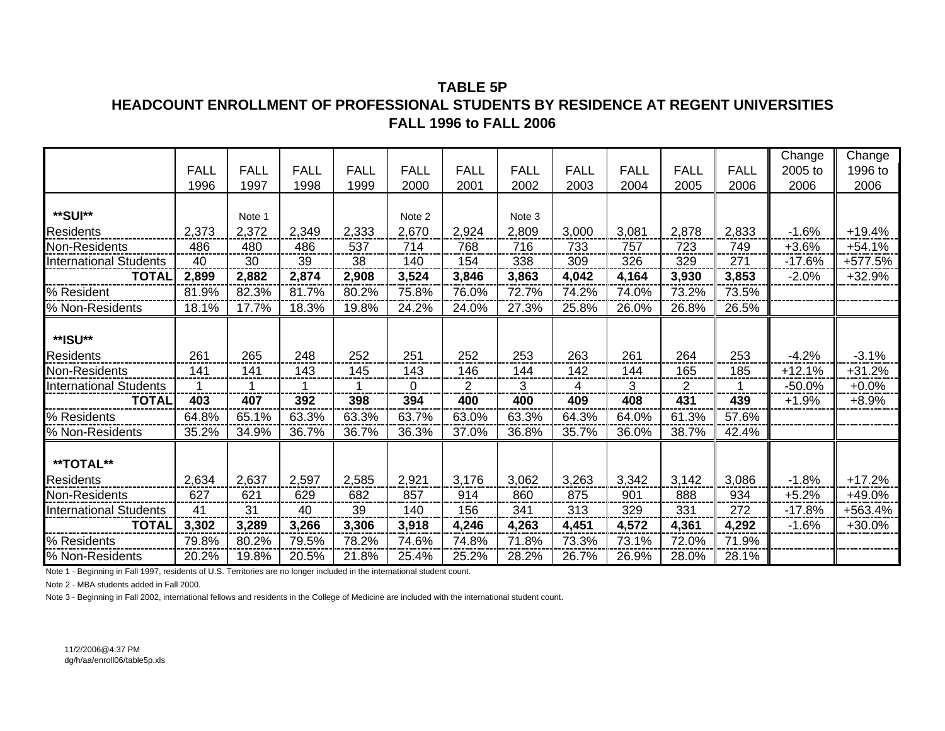### **TABLE 5PHEADCOUNT ENROLLMENT OF PROFESSIONAL STUDENTS BY RESIDENCE AT REGENT UNIVERSITIESFALL 1996 to FALL 2006**

|                               |                     |                     |                     |                     |                     |                     |                     |                     |                     |                     |                     | Change          | Change          |
|-------------------------------|---------------------|---------------------|---------------------|---------------------|---------------------|---------------------|---------------------|---------------------|---------------------|---------------------|---------------------|-----------------|-----------------|
|                               | <b>FALL</b><br>1996 | <b>FALL</b><br>1997 | <b>FALL</b><br>1998 | <b>FALL</b><br>1999 | <b>FALL</b><br>2000 | <b>FALL</b><br>2001 | <b>FALL</b><br>2002 | <b>FALL</b><br>2003 | <b>FALL</b><br>2004 | <b>FALL</b><br>2005 | <b>FALL</b><br>2006 | 2005 to<br>2006 | 1996 to<br>2006 |
|                               |                     |                     |                     |                     |                     |                     |                     |                     |                     |                     |                     |                 |                 |
| **SUI**                       |                     | Note 1              |                     |                     | Note 2              |                     | Note 3              |                     |                     |                     |                     |                 |                 |
| <b>Residents</b>              | 2,373               | 2,372               | 2,349               | 2,333               | 2,670               | 2,924               | 2,809               | 3,000               | 3,081               | 2,878               | 2,833               | $-1.6%$         | $+19.4%$        |
| Non-Residents                 | 486                 | 480                 | 486                 | 537                 | 714                 | 768                 | 716                 | 733                 | 757                 | 723                 | 749                 | $+3.6%$         | $+54.1%$        |
| <b>International Students</b> | 40                  | 30                  | 39                  | 38                  | 140                 | 154                 | 338                 | 309                 | 326                 | 329                 | 271                 | $-17.6%$        | +577.5%         |
| <b>TOTAL</b>                  | 2,899               | 2,882               | 2,874               | 2,908               | 3,524               | 3,846               | 3,863               | 4,042               | 4,164               | 3,930               | 3,853               | $-2.0%$         | $+32.9%$        |
| % Resident                    | 81.9%               | 82.3%               | 81.7%               | 80.2%               | 75.8%               | 76.0%               | 72.7%               | 74.2%               | 74.0%               | 73.2%               | 73.5%               |                 |                 |
| % Non-Residents               | 18.1%               | 17.7%               | 18.3%               | 19.8%               | 24.2%               | 24.0%               | 27.3%               | 25.8%               | 26.0%               | 26.8%               | 26.5%               |                 |                 |
| **ISU**                       |                     |                     |                     |                     |                     |                     |                     |                     |                     |                     |                     |                 |                 |
| <b>Residents</b>              | 261                 | 265                 | 248                 | 252                 | 251                 | 252                 | 253                 | 263                 | 261                 | 264                 | 253                 | $-4.2%$         | $-3.1%$         |
| Non-Residents                 | 141                 | 141                 | 143                 | 145                 | 143                 | 146                 | 144                 | 142                 | 144                 | 165                 | 185                 | $+12.1%$        | $+31.2%$        |
| <b>International Students</b> | 1                   | 1                   |                     |                     | 0                   | 2                   | 3                   | 4                   | 3                   | $\overline{2}$      |                     | $-50.0%$        | $+0.0%$         |
| <b>TOTAL</b>                  | 403                 | 407                 | 392                 | 398                 | 394                 | 400                 | 400                 | 409                 | 408                 | 431                 | 439                 | $+1.9%$         | $+8.9%$         |
| % Residents                   | 64.8%               | 65.1%               | 63.3%               | 63.3%               | 63.7%               | 63.0%               | 63.3%               | 64.3%               | 64.0%               | 61.3%               | 57.6%               |                 |                 |
| % Non-Residents               | 35.2%               | 34.9%               | 36.7%               | 36.7%               | 36.3%               | 37.0%               | 36.8%               | 35.7%               | 36.0%               | 38.7%               | 42.4%               |                 |                 |
| <b>**TOTAL**</b>              |                     |                     |                     |                     |                     |                     |                     |                     |                     |                     |                     |                 |                 |
| <b>Residents</b>              | 2,634               | 2,637               | 2,597               | 2,585               | 2,921               | 3,176               | 3,062               | 3,263               | 3,342               | 3,142               | 3,086               | $-1.8%$         | $+17.2%$        |
| Non-Residents                 | 627                 | 621                 | 629                 | 682                 | 857                 | 914                 | 860                 | 875                 | 901                 | 888                 | 934                 | $+5.2%$         | +49.0%          |
| <b>International Students</b> | 41                  | 31                  | 40                  | 39                  | 140                 | 156                 | 341                 | 313                 | 329                 | 331                 | 272                 | $-17.8%$        | +563.4%         |
| <b>TOTAL</b>                  | 3,302               | 3,289               | 3,266               | 3,306               | 3,918               | 4,246               | 4,263               | 4,451               | 4,572               | 4,361               | 4,292               | $-1.6%$         | $+30.0%$        |
| % Residents                   | 79.8%               | 80.2%               | 79.5%               | 78.2%               | 74.6%               | 74.8%               | 71.8%               | 73.3%               | 73.1%               | 72.0%               | 71.9%               |                 |                 |
| % Non-Residents               | 20.2%               | 19.8%               | 20.5%               | 21.8%               | 25.4%               | 25.2%               | 28.2%               | 26.7%               | 26.9%               | 28.0%               | 28.1%               |                 |                 |

Note 1 - Beginning in Fall 1997, residents of U.S. Territories are no longer included in the international student count.

Note 2 - MBA students added in Fall 2000.

Note 3 - Beginning in Fall 2002, international fellows and residents in the College of Medicine are included with the international student count.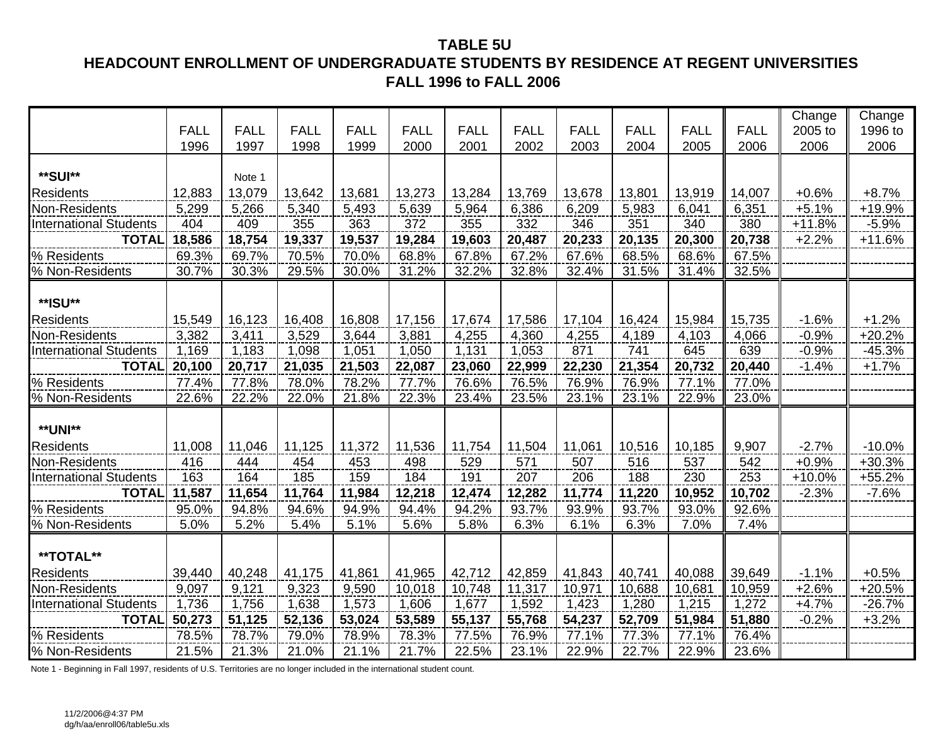### **TABLE 5U HEADCOUNT ENROLLMENT OF UNDERGRADUATE STUDENTS BY RESIDENCE AT REGENT UNIVERSITIES FALL 1996 to FALL 2006**

|                               |             |             |             |             |             |             |             |             |             |             |             | Change   | Change   |
|-------------------------------|-------------|-------------|-------------|-------------|-------------|-------------|-------------|-------------|-------------|-------------|-------------|----------|----------|
|                               | <b>FALL</b> | <b>FALL</b> | <b>FALL</b> | <b>FALL</b> | <b>FALL</b> | <b>FALL</b> | <b>FALL</b> | <b>FALL</b> | <b>FALL</b> | <b>FALL</b> | <b>FALL</b> | 2005 to  | 1996 to  |
|                               | 1996        | 1997        | 1998        | 1999        | 2000        | 2001        | 2002        | 2003        | 2004        | 2005        | 2006        | 2006     | 2006     |
|                               |             |             |             |             |             |             |             |             |             |             |             |          |          |
| **SUI**                       |             | Note 1      |             |             |             |             |             |             |             |             |             |          |          |
| <b>Residents</b>              | 12,883      | 13,079      | 13,642      | 13,681      | 13,273      | 13,284      | 13,769      | 13,678      | 13,801      | 13,919      | 14,007      | $+0.6%$  | $+8.7%$  |
| Non-Residents                 | 5,299       | 5,266       | 5,340       | 5,493       | 5,639       | 5,964       | 6,386       | 6,209       | 5,983       | 6,041       | 6,351       | $+5.1%$  | +19.9%   |
| <b>International Students</b> | 404         | 409         | 355         | 363         | 372         | 355         | 332         | 346         | 351         | 340         | 380         | $+11.8%$ | $-5.9%$  |
| <b>TOTAL</b>                  | 18,586      | 18,754      | 19,337      | 19,537      | 19,284      | 19,603      | 20,487      | 20,233      | 20,135      | 20,300      | 20,738      | $+2.2%$  | $+11.6%$ |
| % Residents                   | 69.3%       | 69.7%       | 70.5%       | 70.0%       | 68.8%       | 67.8%       | 67.2%       | 67.6%       | 68.5%       | 68.6%       | 67.5%       |          |          |
| % Non-Residents               | 30.7%       | 30.3%       | 29.5%       | 30.0%       | 31.2%       | 32.2%       | 32.8%       | 32.4%       | 31.5%       | 31.4%       | 32.5%       |          |          |
|                               |             |             |             |             |             |             |             |             |             |             |             |          |          |
| **ISU**                       |             |             |             |             |             |             |             |             |             |             |             |          |          |
| Residents                     | 15,549      | 16,123      | 16,408      | 16,808      | 17,156      | 17,674      | 17,586      | 17,104      | 16,424      | 15,984      | 15,735      | $-1.6%$  | $+1.2%$  |
| Non-Residents                 | 3,382       | 3,411       | 3,529       | 3,644       | 3,881       | 4,255       | 4,360       | 4,255       | 4,189       | 4,103       | 4,066       | $-0.9%$  | $+20.2%$ |
| <b>International Students</b> | 1,169       | 1,183       | 1,098       | 1,051       | 1,050       | 1,131       | 1,053       | 871         | 741         | 645         | 639         | $-0.9%$  | $-45.3%$ |
| <b>TOTAL</b>                  | 20,100      | 20,717      | 21,035      | 21,503      | 22,087      | 23,060      | 22,999      | 22,230      | 21,354      | 20,732      | 20,440      | $-1.4%$  | $+1.7%$  |
| % Residents                   | 77.4%       | 77.8%       | 78.0%       | 78.2%       | 77.7%       | 76.6%       | 76.5%       | 76.9%       | 76.9%       | 77.1%       | 77.0%       |          |          |
| % Non-Residents               | 22.6%       | 22.2%       | 22.0%       | 21.8%       | 22.3%       | 23.4%       | 23.5%       | 23.1%       | 23.1%       | 22.9%       | 23.0%       |          |          |
|                               |             |             |             |             |             |             |             |             |             |             |             |          |          |
| <b>**UNI**</b>                |             |             |             |             |             |             |             |             |             |             |             |          |          |
| <b>Residents</b>              | 11,008      | 11,046      | 11,125      | 11,372      | 11,536      | 11,754      | 11,504      | 11,061      | 10,516      | 10,185      | 9,907       | $-2.7%$  | $-10.0%$ |
| Non-Residents                 | 416         | 444         | 454         | 453         | 498         | 529         | 571         | 507         | 516         | 537         | 542         | $+0.9%$  | $+30.3%$ |
| <b>International Students</b> | 163         | 164         | 185         | 159         | 184         | 191         | 207         | 206         | 188         | 230         | 253         | $+10.0%$ | $+55.2%$ |
| <b>TOTAL</b>                  | 11,587      | 11,654      | 11,764      | 11,984      | 12,218      | 12,474      | 12,282      | 11,774      | 11,220      | 10,952      | 10,702      | $-2.3%$  | $-7.6%$  |
| % Residents                   | 95.0%       | 94.8%       | 94.6%       | 94.9%       | 94.4%       | 94.2%       | 93.7%       | 93.9%       | 93.7%       | 93.0%       | 92.6%       |          |          |
| % Non-Residents               | 5.0%        | 5.2%        | 5.4%        | 5.1%        | 5.6%        | 5.8%        | 6.3%        | 6.1%        | 6.3%        | 7.0%        | 7.4%        |          |          |
|                               |             |             |             |             |             |             |             |             |             |             |             |          |          |
| **TOTAL**                     |             |             |             |             |             |             |             |             |             |             |             |          |          |
| <b>Residents</b>              | 39,440      | 40,248      | 41,175      | 41,861      | 41,965      | 42,712      | 42,859      | 41,843      | 40,741      | 40,088      | 39,649      | $-1.1%$  | $+0.5%$  |
| Non-Residents                 | 9,097       | 9,121       | 9,323       | 9,590       | 10,018      | 10,748      | 11,317      | 10,971      | 10,688      | 10,681      | 10,959      | $+2.6%$  | $+20.5%$ |
| <b>International Students</b> | 1,736       | 1,756       | 1,638       | 1,573       | 1,606       | 1,677       | 1,592       | 1,423       | 1,280       | 1,215       | 1,272       | $+4.7%$  | $-26.7%$ |
| <b>TOTAL</b>                  | 50,273      | 51,125      | 52,136      | 53,024      | 53,589      | 55,137      | 55,768      | 54,237      | 52,709      | 51,984      | 51,880      | $-0.2%$  | $+3.2%$  |
| % Residents                   | 78.5%       | 78.7%       | 79.0%       | 78.9%       | 78.3%       | 77.5%       | 76.9%       | 77.1%       | 77.3%       | 77.1%       | 76.4%       |          |          |
| % Non-Residents               | 21.5%       | 21.3%       | 21.0%       | 21.1%       | 21.7%       | 22.5%       | 23.1%       | 22.9%       | 22.7%       | 22.9%       | 23.6%       |          |          |

Note 1 - Beginning in Fall 1997, residents of U.S. Territories are no longer included in the international student count.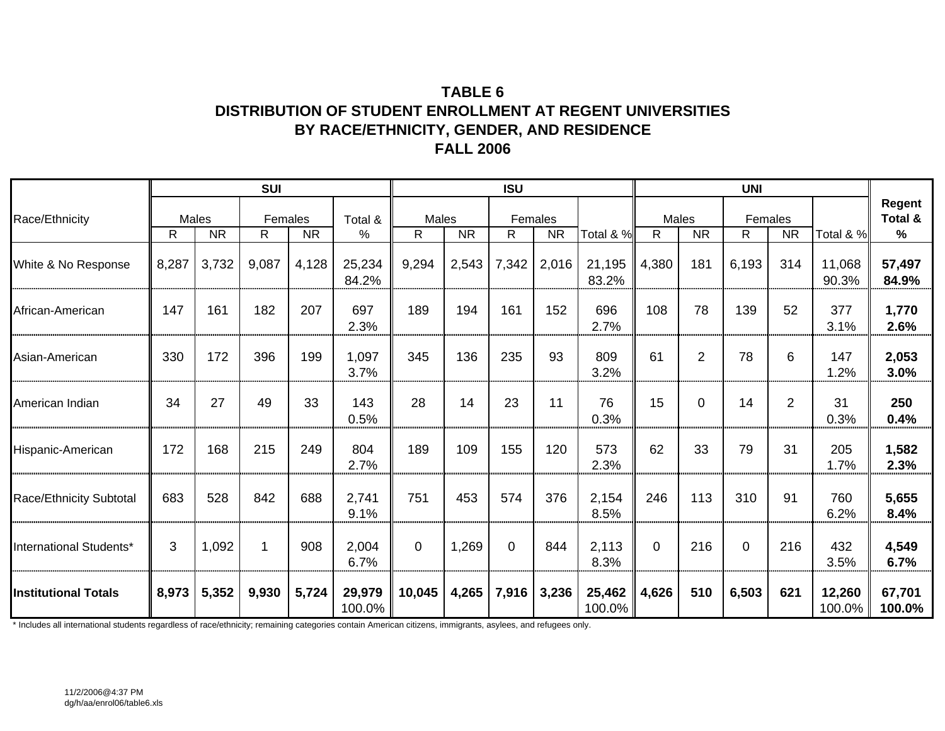### **TABLE 6DISTRIBUTION OF STUDENT ENROLLMENT AT REGENT UNIVERSITIES BY RACE/ETHNICITY, GENDER, AND RESIDENCE FALL 2006**

|                                |       |                    | <b>SUI</b>   |           |                  |            |           | <b>ISU</b>  |                      |                  |              |                | <b>UNI</b>    |                |                     |                           |
|--------------------------------|-------|--------------------|--------------|-----------|------------------|------------|-----------|-------------|----------------------|------------------|--------------|----------------|---------------|----------------|---------------------|---------------------------|
| Race/Ethnicity                 | R     | Males<br><b>NR</b> | Females<br>R | <b>NR</b> | Total &<br>%     | Males<br>R | <b>NR</b> | R           | Females<br><b>NR</b> | Total & %        | Males<br>R   | <b>NR</b>      | Females<br>R. | <b>NR</b>      | Total & %           | Regent<br>Total &<br>$\%$ |
| White & No Response            | 8,287 | 3,732              | 9,087        | 4,128     | 25,234<br>84.2%  | 9,294      | 2,543     | 7,342       | 2,016                | 21,195<br>83.2%  | 4,380        | 181            | 6,193         | 314            | 11,068<br>90.3%     | 57,497<br>84.9%           |
| African-American               | 147   | 161                | 182          | 207       | 697<br>2.3%      | 189        | 194       | 161         | 152                  | 696<br>2.7%      | 108          | 78             | 139           | 52             | 377<br>3.1%         | 1,770<br>2.6%             |
| Asian-American                 | 330   | 172                | 396          | 199       | 1,097<br>3.7%    | 345        | 136       | 235         | 93                   | 809<br>3.2%      | 61           | $\overline{2}$ | 78            | 6              | 147<br>1.2%         | 2,053<br>3.0%             |
| American Indian                | 34    | 27                 | 49           | 33        | 143<br>0.5%      | 28         | 14        | 23          | 11                   | 76<br>0.3%       | 15           | $\mathbf 0$    | 14            | $\overline{2}$ | 31<br>0.3%          | 250<br>0.4%               |
| Hispanic-American              | 172   | 168                | 215          | 249       | 804<br>2.7%      | 189        | 109       | 155         | 120                  | 573<br>2.3%      | 62           | 33             | 79            | 31             | 205<br>1.7%         | 1,582<br>2.3%             |
| <b>Race/Ethnicity Subtotal</b> | 683   | 528                | 842          | 688       | 2,741<br>9.1%    | 751        | 453       | 574         | 376                  | 2,154<br>8.5%    | 246          | 113            | 310           | 91             | 760<br>6.2%         | 5,655<br>8.4%             |
| International Students*        | 3     | 1,092              | 1            | 908       | 2,004<br>6.7%    | $\Omega$   | 1,269     | $\mathbf 0$ | 844                  | 2,113<br>8.3%    | $\mathbf{0}$ | 216            | $\mathbf 0$   | 216            | 432<br>3.5%         | 4,549<br>6.7%             |
| <b>Institutional Totals</b>    | 8,973 | 5,352              | 9,930        | 5,724     | 29,979<br>100.0% | 10,045     | 4,265     | 7,916       | 3,236                | 25,462<br>100.0% | 4,626        | 510            | 6,503         | 621            | 12,260<br>$100.0\%$ | 67,701<br>100.0%          |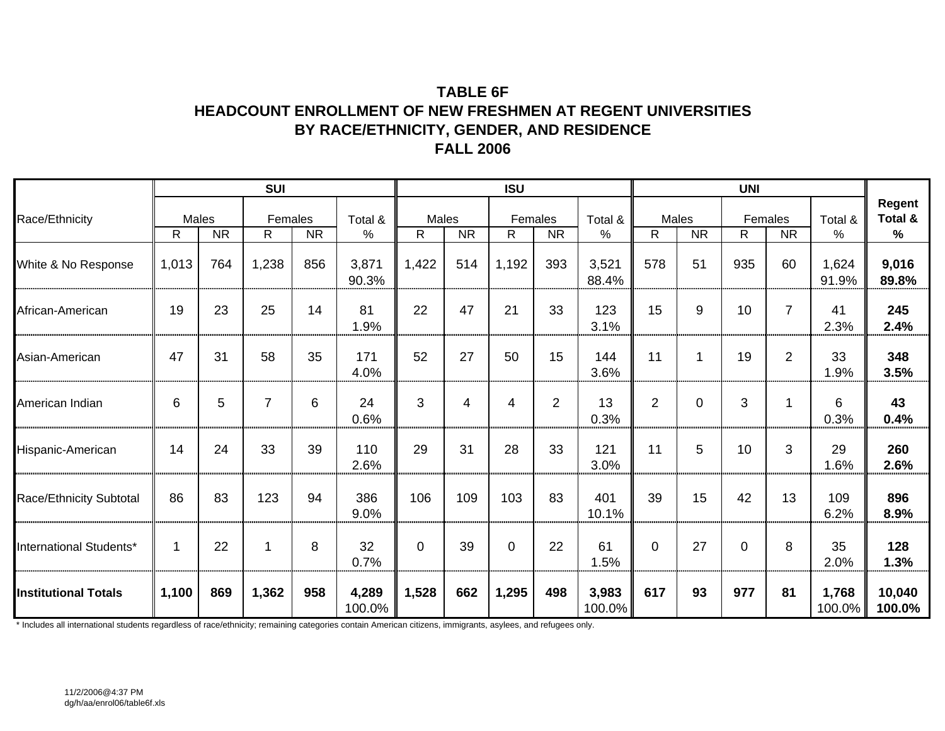### **TABLE 6FHEADCOUNT ENROLLMENT OF NEW FRESHMEN AT REGENT UNIVERSITIES BY RACE/ETHNICITY, GENDER, AND RESIDENCE FALL 2006**

|                             |             |           | <b>SUI</b>     |           |                 |                       |           | <b>ISU</b>   |                |                 |             |                    | <b>UNI</b>  |                      |                    |                                    |
|-----------------------------|-------------|-----------|----------------|-----------|-----------------|-----------------------|-----------|--------------|----------------|-----------------|-------------|--------------------|-------------|----------------------|--------------------|------------------------------------|
| Race/Ethnicity              | Males<br>R  | <b>NR</b> | Females<br>R.  | <b>NR</b> | Total &<br>%    | Males<br>$\mathsf{R}$ | <b>NR</b> | Females<br>R | <b>NR</b>      | Total &<br>$\%$ | R           | Males<br><b>NR</b> | R.          | Females<br><b>NR</b> | Total &<br>%       | Regent<br>Total &<br>$\frac{9}{6}$ |
| White & No Response         | 1,013       | 764       | 1,238          | 856       | 3,871<br>90.3%  | 1,422                 | 514       | 1,192        | 393            | 3,521<br>88.4%  | 578         | 51                 | 935         | 60                   | 1,624<br>91.9%     | 9,016<br>89.8%                     |
| African-American            | 19          | 23        | 25             | 14        | 81<br>1.9%      | 22                    | 47        | 21           | 33             | 123<br>3.1%     | 15          | 9                  | 10          | $\overline{7}$       | 41<br>2.3%         | 245<br>2.4%                        |
| Asian-American              | 47          | 31        | 58             | 35        | 171<br>4.0%     | 52                    | 27        | 50           | 15             | 144<br>3.6%     | 11          |                    | 19          | 2                    | 33<br>1.9%         | 348<br>3.5%                        |
| American Indian             | 6           | 5         | $\overline{7}$ | 6         | 24<br>0.6%      | 3                     | 4         | 4            | $\overline{2}$ | 13<br>0.3%      | 2           | $\Omega$           | 3           | 1                    | 6<br>0.3%          | 43<br>0.4%                         |
| Hispanic-American           | 14          | 24        | 33             | 39        | 110<br>2.6%     | 29                    | 31        | 28           | 33             | 121<br>3.0%     | 11          | 5                  | 10          | 3                    | 29<br>1.6%         | 260<br>2.6%                        |
| Race/Ethnicity Subtotal     | 86          | 83        | 123            | 94        | 386<br>9.0%     | 106                   | 109       | 103          | 83             | 401<br>10.1%    | 39          | 15                 | 42          | 13                   | 109<br>6.2%        | 896<br>8.9%                        |
| International Students*     | $\mathbf 1$ | 22        | 1              | 8         | 32<br>0.7%      | 0                     | 39        | $\mathbf 0$  | 22             | 61<br>1.5%      | $\mathbf 0$ | 27                 | $\mathbf 0$ | 8                    | 35<br>2.0%         | 128<br>1.3%                        |
| <b>Institutional Totals</b> | 1,100       | 869       | 1,362          | 958       | 4,289<br>100.0% | 1,528                 | 662       | 1,295        | 498            | 3,983<br>100.0% | 617         | 93                 | 977         | 81                   | 1,768<br>$100.0\%$ | 10,040<br>100.0%                   |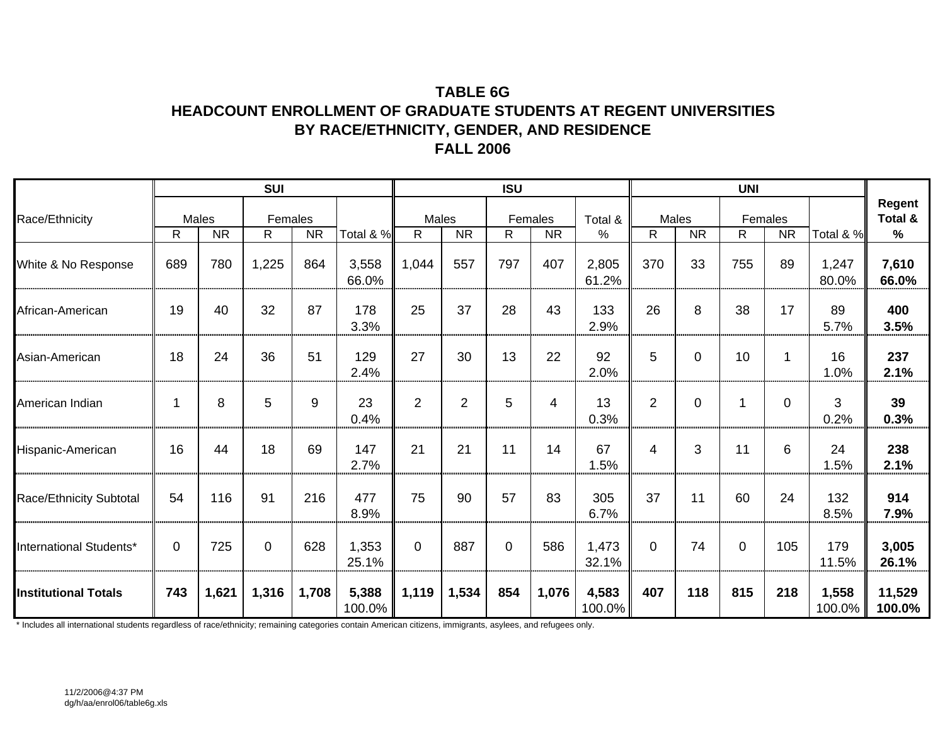### **TABLE 6GHEADCOUNT ENROLLMENT OF GRADUATE STUDENTS AT REGENT UNIVERSITIES BY RACE/ETHNICITY, GENDER, AND RESIDENCE FALL 2006**

|                             |     |                    | <b>SUI</b>    |           |                 |                |           | <b>ISU</b>  |                      |                 |                |                    | <b>UNI</b> |                      |                 |                                    |
|-----------------------------|-----|--------------------|---------------|-----------|-----------------|----------------|-----------|-------------|----------------------|-----------------|----------------|--------------------|------------|----------------------|-----------------|------------------------------------|
| Race/Ethnicity              | R.  | Males<br><b>NR</b> | Females<br>R. | <b>NR</b> | Total & %       | Males<br>R.    | <b>NR</b> | R.          | Females<br><b>NR</b> | Total &<br>%    | $\mathsf{R}$   | Males<br><b>NR</b> | R          | Females<br><b>NR</b> | Total & %       | Regent<br>Total &<br>$\frac{9}{6}$ |
| White & No Response         | 689 | 780                | 1,225         | 864       | 3,558<br>66.0%  | 1,044          | 557       | 797         | 407                  | 2,805<br>61.2%  | 370            | 33                 | 755        | 89                   | 1,247<br>80.0%  | 7,610<br>66.0%                     |
| African-American            | 19  | 40                 | 32            | 87        | 178<br>3.3%     | 25             | 37        | 28          | 43                   | 133<br>2.9%     | 26             | 8                  | 38         | 17                   | 89<br>5.7%      | 400<br>3.5%                        |
| Asian-American              | 18  | 24                 | 36            | 51        | 129<br>2.4%     | 27             | 30        | 13          | 22                   | 92<br>2.0%      | 5              | $\overline{0}$     | 10         |                      | 16<br>1.0%      | 237<br>2.1%                        |
| American Indian             | 1   | 8                  | 5             | 9         | 23<br>0.4%      | $\overline{2}$ | 2         | 5           | 4                    | 13<br>0.3%      | $\overline{2}$ | $\Omega$           | 1          | $\Omega$             | 3<br>0.2%       | 39<br>0.3%                         |
| Hispanic-American           | 16  | 44                 | 18            | 69        | 147<br>2.7%     | 21             | 21        | 11          | 14                   | 67<br>1.5%      | 4              | 3                  | 11         | 6                    | 24<br>1.5%      | 238<br>2.1%                        |
| Race/Ethnicity Subtotal     | 54  | 116                | 91            | 216       | 477<br>8.9%     | 75             | 90        | 57          | 83                   | 305<br>6.7%     | 37             | 11                 | 60         | 24                   | 132<br>8.5%     | 914<br>7.9%                        |
| International Students*     | 0   | 725                | $\mathbf 0$   | 628       | 1,353<br>25.1%  | $\Omega$       | 887       | $\mathbf 0$ | 586                  | 1,473<br>32.1%  | $\Omega$       | 74                 | $\Omega$   | 105                  | 179<br>11.5%    | 3,005<br>26.1%                     |
| <b>Institutional Totals</b> | 743 | 1,621              | 1,316         | 1,708     | 5,388<br>100.0% | 1,119          | 1,534     | 854         | 1,076                | 4,583<br>100.0% | 407            | 118                | 815        | 218                  | 1,558<br>100.0% | 11,529<br>100.0%                   |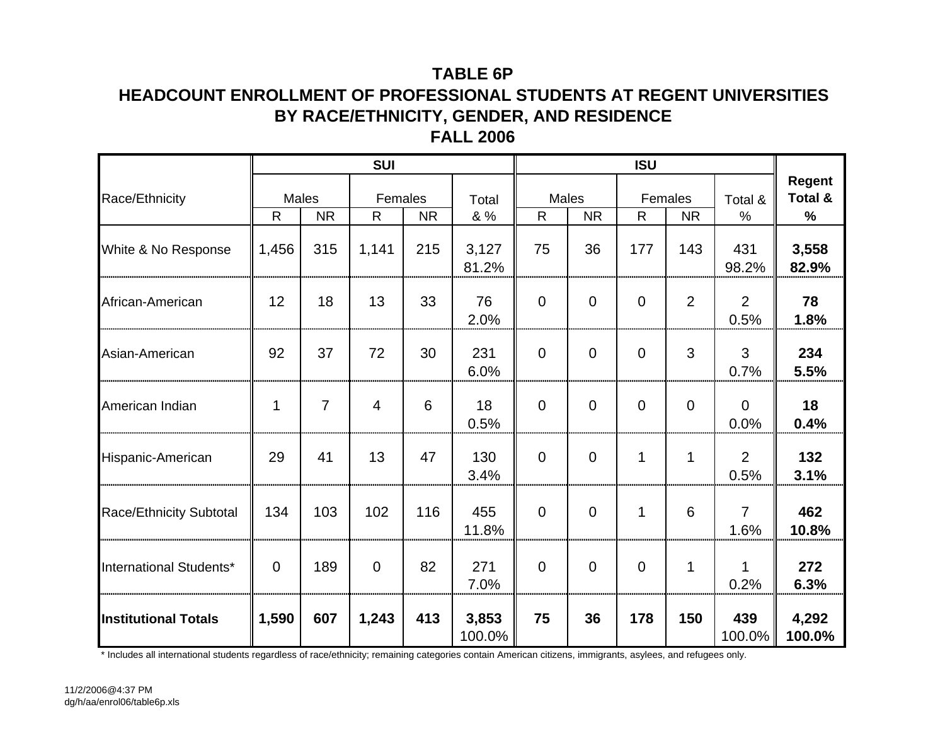# **TABLE 6P**

### **HEADCOUNT ENROLLMENT OF PROFESSIONAL STUDENTS AT REGENT UNIVERSITIES BY RACE/ETHNICITY, GENDER, AND RESIDENCE FALL 2006**

|                             |              |                    | <b>SUI</b>    |           |                 |                       |             | <b>ISU</b>              |                |                        |                        |
|-----------------------------|--------------|--------------------|---------------|-----------|-----------------|-----------------------|-------------|-------------------------|----------------|------------------------|------------------------|
| Race/Ethnicity              | $\mathsf{R}$ | Males<br><b>NR</b> | Females<br>R. | <b>NR</b> | Total<br>& %    | Males<br>$\mathsf{R}$ | <b>NR</b>   | Females<br>$\mathsf{R}$ | <b>NR</b>      | Total &<br>$\%$        | Regent<br>Total &<br>% |
| White & No Response         | 1,456        | 315                | 1,141         | 215       | 3,127<br>81.2%  | 75                    | 36          | 177                     | 143            | 431<br>98.2%           | 3,558<br>82.9%         |
| African-American            | 12           | 18                 | 13            | 33        | 76<br>2.0%      | $\overline{0}$        | $\Omega$    | $\Omega$                | $\overline{2}$ | 2<br>0.5%              | 78<br>1.8%             |
| Asian-American              | 92           | 37                 | 72            | 30        | 231<br>6.0%     | $\Omega$              | $\Omega$    | $\Omega$                | 3              | 3<br>0.7%              | 234<br>5.5%            |
| American Indian             |              | 7                  | 4             | 6         | 18<br>0.5%      | $\overline{0}$        | $\mathbf 0$ | $\mathbf 0$             | $\overline{0}$ | $\mathbf 0$<br>0.0%    | 18<br>0.4%             |
| Hispanic-American           | 29           | 41                 | 13            | 47        | 130<br>3.4%     | $\overline{0}$        | $\mathbf 0$ | 1                       | 1              | $\overline{2}$<br>0.5% | 132<br>3.1%            |
| Race/Ethnicity Subtotal     | 134          | 103                | 102           | 116       | 455<br>11.8%    | $\Omega$              | $\Omega$    | 1                       | 6              | $\overline{7}$<br>1.6% | 462<br>10.8%           |
| International Students*     | $\Omega$     | 189                | $\Omega$      | 82        | 271<br>7.0%     | $\overline{0}$        | $\mathbf 0$ | $\overline{0}$          | 1              | 1<br>0.2%              | 272<br>6.3%            |
| <b>Institutional Totals</b> | 1,590        | 607                | 1,243         | 413       | 3,853<br>100.0% | 75                    | 36          | 178                     | 150            | 439<br>100.0%          | 4,292<br>100.0%        |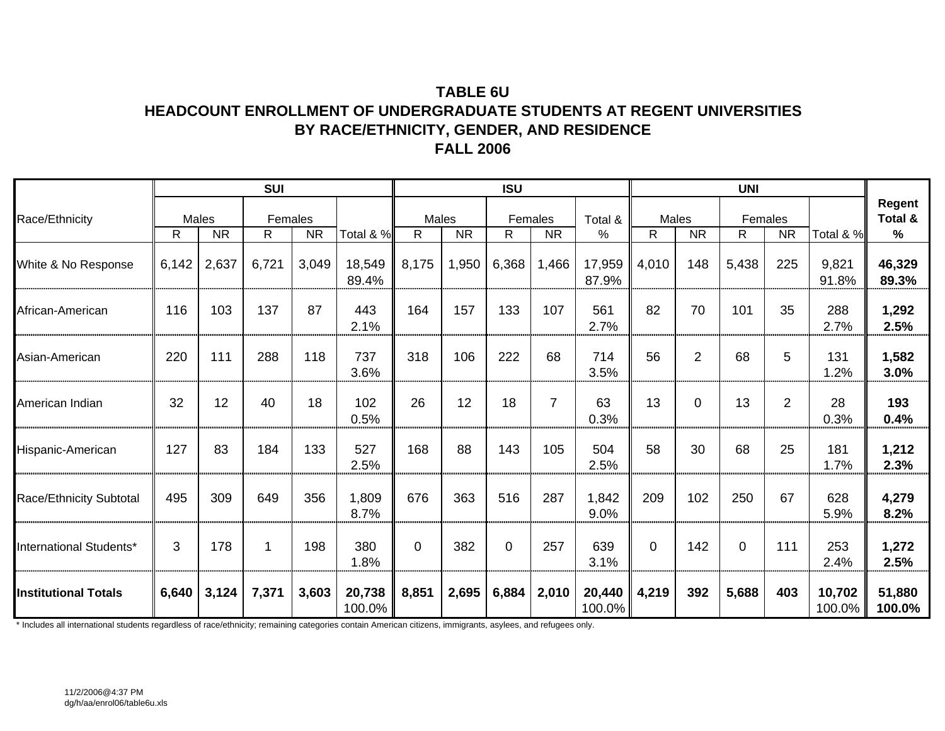### **TABLE 6UHEADCOUNT ENROLLMENT OF UNDERGRADUATE STUDENTS AT REGENT UNIVERSITIES BY RACE/ETHNICITY, GENDER, AND RESIDENCE FALL 2006**

|                             |       |                    | <b>SUI</b>   |           |                  |                       |           | <b>ISU</b>   |                |                  |              |                    | <b>UNI</b>   |                |                  |                        |
|-----------------------------|-------|--------------------|--------------|-----------|------------------|-----------------------|-----------|--------------|----------------|------------------|--------------|--------------------|--------------|----------------|------------------|------------------------|
| Race/Ethnicity              | R.    | Males<br><b>NR</b> | Females<br>R | <b>NR</b> | Total & %        | Males<br>$\mathsf{R}$ | <b>NR</b> | Females<br>R | <b>NR</b>      | Total &<br>%     | $\mathsf{R}$ | Males<br><b>NR</b> | Females<br>R | <b>NR</b>      | Total & %        | Regent<br>Total &<br>% |
| White & No Response         | 6,142 | 2,637              | 6,721        | 3,049     | 18,549<br>89.4%  | 8,175                 | 1,950     | 6,368        | 1,466          | 17,959<br>87.9%  | 4,010        | 148                | 5,438        | 225            | 9,821<br>91.8%   | 46,329<br>89.3%        |
| African-American            | 116   | 103                | 137          | 87        | 443<br>2.1%      | 164                   | 157       | 133          | 107            | 561<br>2.7%      | 82           | 70                 | 101          | 35             | 288<br>2.7%      | 1,292<br>2.5%          |
| Asian-American              | 220   | 111                | 288          | 118       | 737<br>3.6%      | 318                   | 106       | 222          | 68             | 714<br>3.5%      | 56           | $\overline{2}$     | 68           | 5              | 131<br>1.2%      | 1,582<br>3.0%          |
| American Indian             | 32    | 12                 | 40           | 18        | 102<br>0.5%      | 26                    | 12        | 18           | $\overline{7}$ | 63<br>0.3%       | 13           | $\Omega$           | 13           | $\overline{2}$ | 28<br>0.3%       | 193<br>0.4%            |
| Hispanic-American           | 127   | 83                 | 184          | 133       | 527<br>2.5%      | 168                   | 88        | 143          | 105            | 504<br>2.5%      | 58           | 30                 | 68           | 25             | 181<br>1.7%      | 1,212<br>2.3%          |
| Race/Ethnicity Subtotal     | 495   | 309                | 649          | 356       | 1,809<br>8.7%    | 676                   | 363       | 516          | 287            | 1,842<br>9.0%    | 209          | 102                | 250          | 67             | 628<br>5.9%      | 4,279<br>8.2%          |
| International Students*     | 3     | 178                | 1            | 198       | 380<br>1.8%      | $\Omega$              | 382       | $\Omega$     | 257            | 639<br>3.1%      | $\Omega$     | 142                | $\Omega$     | 111            | 253<br>2.4%      | 1,272<br>2.5%          |
| <b>Institutional Totals</b> | 6,640 | 3,124              | 7,371        | 3,603     | 20,738<br>100.0% | 8,851                 | 2,695     | 6,884        | 2,010          | 20,440<br>100.0% | 4,219        | 392                | 5,688        | 403            | 10,702<br>100.0% | 51,880<br>100.0%       |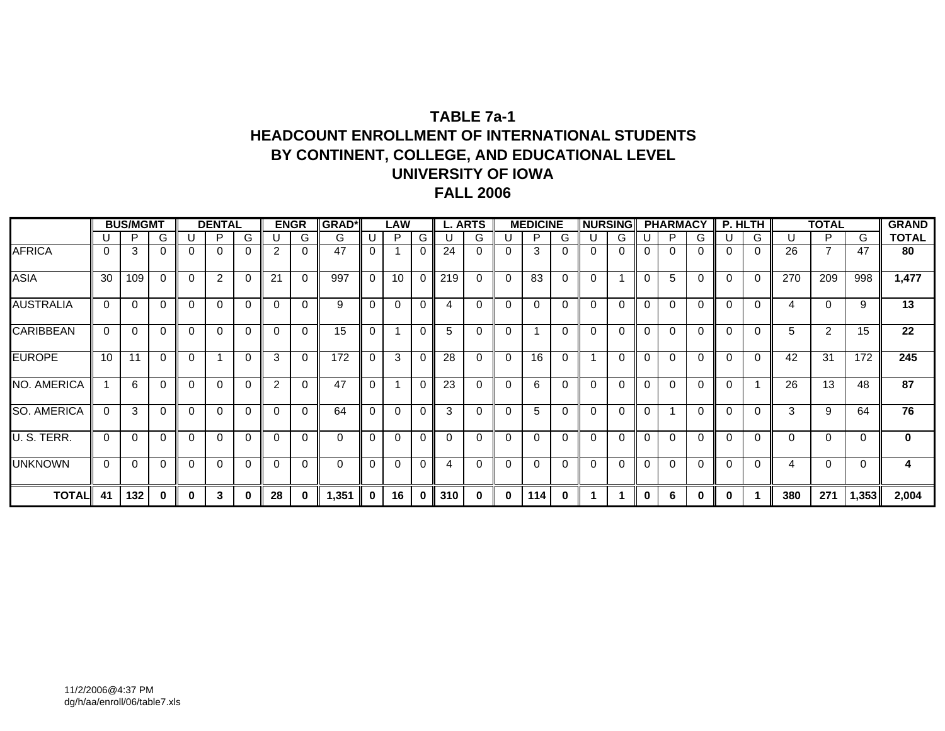### **TABLE 7a-1HEADCOUNT ENROLLMENT OF INTERNATIONAL STUDENTS BY CONTINENT, COLLEGE, AND EDUCATIONAL LEVEL UNIVERSITY OF IOWAFALL 2006**

|                    |          | <b>BUS/MGMT</b> |   |          | <b>DENTAL</b> |          |                | <b>ENGR</b> | <b>GRAD*</b> |          | LAW         |             |          | <b>L. ARTS</b> |          | <b>MEDICINE</b> |          | <b>NURSING</b> |   |          | <b>PHARMACY</b> |             |             | P. HLTH  |          | <b>TOTAL</b>   |       | <b>GRAND</b> |
|--------------------|----------|-----------------|---|----------|---------------|----------|----------------|-------------|--------------|----------|-------------|-------------|----------|----------------|----------|-----------------|----------|----------------|---|----------|-----------------|-------------|-------------|----------|----------|----------------|-------|--------------|
|                    |          | P               | G |          | D             | G        |                | G           | G            |          | P           | G           |          | G              |          | P               | G        |                | G |          | P               | G           |             | G        | U        | P              | G     | <b>TOTAL</b> |
| <b>AFRICA</b>      |          | 3               | 0 |          | $\Omega$      | $\Omega$ | 2              | 0           | 47           | $\Omega$ |             | 0           | 24       | 0              | $\Omega$ | 3               |          | $\Omega$       |   | $\Omega$ |                 |             | 0           | 0        | 26       | $\overline{ }$ | 47    | 80           |
| <b>ASIA</b>        | 30       | 109             | 0 | 0        | 2             | $\Omega$ | 21             | $\Omega$    | 997          | $\Omega$ | 10          | $\mathbf 0$ | 219      | 0              | - 0      | 83              | $\Omega$ | $\Omega$       |   | $\Omega$ | 5               | $\Omega$    | $\Omega$    | $\Omega$ | 270      | 209            | 998   | 1,477        |
| <b>AUSTRALIA</b>   | 0        | $\Omega$        | 0 | $\Omega$ | $\Omega$      | $\Omega$ | $\Omega$       |             | 9            | $\Omega$ | 0           | $\Omega$    | 4        | 0              | $\Omega$ | $\Omega$        |          | $\Omega$       |   | $\Omega$ | ∩               |             | $\Omega$    | $\Omega$ | 4        | $\Omega$       | 9     | 13           |
| <b>CARIBBEAN</b>   | 0        | $\Omega$        |   | 0        | $\Omega$      | $\Omega$ | $\Omega$       | 0           | 15           | $\Omega$ |             | 0           | 5        | 0              | $\Omega$ |                 | $\Omega$ | $\Omega$       | 0 | $\Omega$ | $\Omega$        | $\Omega$    | $\mathbf 0$ | 0        | 5        | 2              | 15    | 22           |
| <b>EUROPE</b>      | 10       | 11              | 0 | $\Omega$ |               | $\Omega$ | 3              |             | 172          | $\Omega$ | 3           | 0           | 28       | 0              | $\Omega$ | 16              | $\Omega$ |                |   | $\Omega$ | ∩               | $\Omega$    | $\Omega$    | $\Omega$ | 42       | 31             | 172   | 245          |
| <b>NO. AMERICA</b> |          | 6               | 0 | 0        | $\Omega$      | $\Omega$ | $\overline{2}$ |             | 47           | $\Omega$ |             | $\Omega$    | 23       | $\Omega$       | $\Omega$ | 6               |          | $\Omega$       | 0 | $\Omega$ | $\Omega$        | $\Omega$    | $\Omega$    |          | 26       | 13             | 48    | 87           |
| <b>SO. AMERICA</b> | $\Omega$ | 3               |   | $\Omega$ | $\Omega$      | $\Omega$ | $\Omega$       | $\Omega$    | 64           | $\Omega$ | $\Omega$    | $\Omega$    | 3        | 0              | $\Omega$ | 5               |          | $\Omega$       |   | $\Omega$ |                 | $\Omega$    | $\Omega$    | ∩        | 3        | 9              | 64    | 76           |
| U. S. TERR.        | 0        | $\Omega$        |   |          | $\Omega$      | $\Omega$ | 0              |             | $\Omega$     | $\Omega$ | $\Omega$    | $\Omega$    | $\Omega$ | 0              | -0       | $\Omega$        |          | 0              |   | $\Omega$ |                 | $\Omega$    | 0           | 0        | $\Omega$ | $\Omega$       | 0     | $\mathbf 0$  |
| <b>UNKNOWN</b>     | 0        | $\Omega$        | 0 | $\Omega$ | $\Omega$      | $\Omega$ | $\Omega$       | $\Omega$    | $\mathbf{0}$ | $\Omega$ | $\mathbf 0$ | $\Omega$    | 4        | 0              | $\Omega$ | $\Omega$        | $\Omega$ | $\Omega$       | 0 | $\Omega$ | $\Omega$        | $\Omega$    | $\Omega$    | $\Omega$ | 4        | $\Omega$       | 0     | 4            |
| <b>TOTALI</b>      | 41       | 132             | 0 | $\bf{0}$ | 3             | $\bf{0}$ | 28             | 0           | 1,351        | $\bf{0}$ | 16          | $\bf{0}$    | 310      | $\bf{0}$       | $\bf{0}$ | 114 I           | $\bf{0}$ |                |   | $\bf{0}$ | 6               | $\mathbf 0$ | 0           |          | 380      | 271            | 1,353 | 2,004        |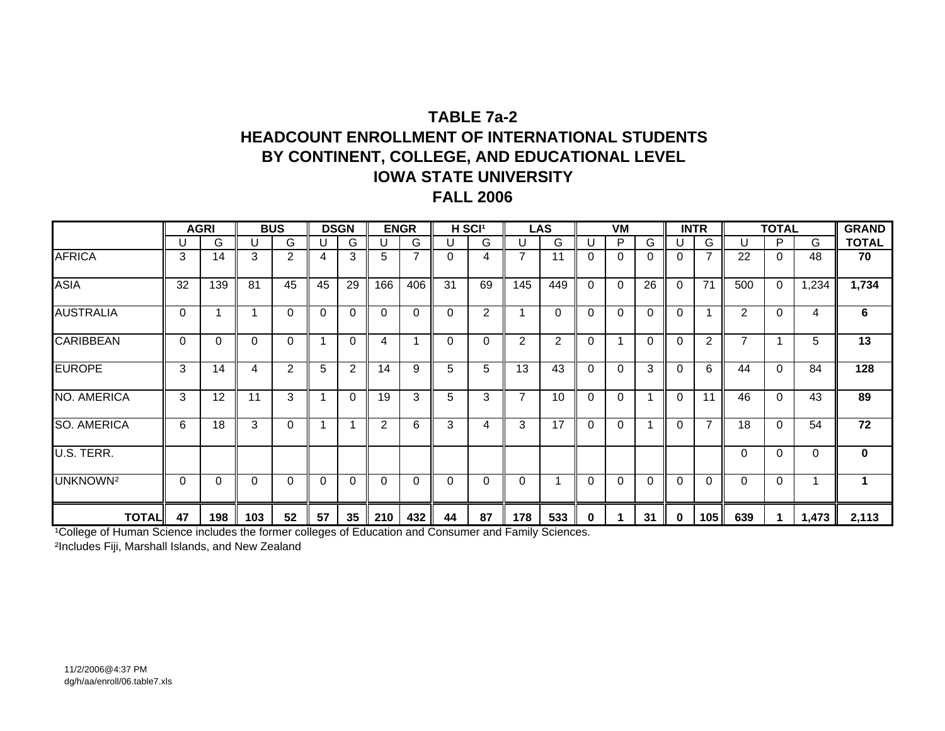## **TABLE 7a-2HEADCOUNT ENROLLMENT OF INTERNATIONAL STUDENTSBY CONTINENT, COLLEGE, AND EDUCATIONAL LEVEL IOWA STATE UNIVERSITYFALL 2006**

|                      |          | <b>AGRI</b> |     | <b>BUS</b> |              | <b>DSGN</b>    |          | <b>ENGR</b>    |    | H SCI <sup>1</sup> |                | <b>LAS</b> |          | VM           |          | <b>INTR</b> |                |     | <b>TOTAL</b> |       | <b>GRAND</b> |
|----------------------|----------|-------------|-----|------------|--------------|----------------|----------|----------------|----|--------------------|----------------|------------|----------|--------------|----------|-------------|----------------|-----|--------------|-------|--------------|
|                      |          | G           | U   | G          | U            | G              | U        | G              | U  | G                  |                | G          |          | P            | G        | U           | G              | U   | P            | G     | <b>TOTAL</b> |
| <b>AFRICA</b>        | 3        | 14          | 3   | 2          | 4            | 3              | 5        | $\overline{7}$ | 0  | 4                  | 7              | 11         | 0        | $\Omega$     | 0        | 0           | $\overline{7}$ | 22  | $\Omega$     | 48    | 70           |
| <b>ASIA</b>          | 32       | 139         | 81  | 45         | 45           | 29             | 166      | 406            | 31 | 69                 | 145            | 449        | $\Omega$ | $\Omega$     | 26       | $\Omega$    | 71             | 500 | $\Omega$     | 1,234 | 1,734        |
| <b>AUSTRALIA</b>     | $\Omega$ |             |     | $\Omega$   | $\Omega$     | 0              | $\Omega$ | $\mathbf 0$    | 0  | 2                  |                | 0          | 0        | $\Omega$     | $\Omega$ | 0           |                | 2   | $\Omega$     | 4     | 6            |
| <b>CARIBBEAN</b>     | $\Omega$ | 0           | 0   | $\Omega$   | 1            | 0              | 4        |                | 0  | 0                  | $\overline{2}$ | 2          | 0        |              | $\Omega$ | $\Omega$    | $\overline{2}$ | ⇁   | 1            | 5     | 13           |
| <b>EUROPE</b>        | 3        | 14          | 4   | 2          | 5            | $\overline{2}$ | 14       | 9              | 5  | 5                  | 13             | 43         | 0        | $\mathbf{0}$ | 3        | $\Omega$    | 6              | 44  | $\Omega$     | 84    | 128          |
| NO. AMERICA          | 3        | 12          | 11  | 3          |              | 0              | 19       | 3              | 5  | 3                  | 7              | 10         | $\Omega$ | $\Omega$     |          | $\Omega$    | 11             | 46  | $\mathbf{0}$ | 43    | 89           |
| <b>SO. AMERICA</b>   | 6        | 18          | 3   | 0          |              |                | 2        | 6              | 3  | 4                  | 3              | 17         | $\Omega$ | $\Omega$     |          | $\Omega$    | $\overline{7}$ | 18  | $\Omega$     | 54    | 72           |
| U.S. TERR.           |          |             |     |            |              |                |          |                |    |                    |                |            |          |              |          |             |                | O   | $\Omega$     | 0     | 0            |
| UNKNOWN <sup>2</sup> | $\Omega$ | 0           | 0   | $\Omega$   | $\mathbf{0}$ | 0              | $\Omega$ | $\mathbf 0$    | 0  | $\Omega$           | $\Omega$       |            | $\Omega$ | $\Omega$     | $\Omega$ | $\Omega$    | $\mathbf 0$    | 0   | $\Omega$     |       | 1            |
| <b>TOTAL</b>         | 47       | 198         | 103 | 52         | 57           | 35             | 210      | 432            | 44 | 87                 | 178            | 533        | 0        |              | 31       | $\Omega$    | 105            | 639 |              | 1,473 | 2,113        |

<sup>1</sup>College of Human Science includes the former colleges of Education and Consumer and Family Sciences.

²Includes Fiji, Marshall Islands, and New Zealand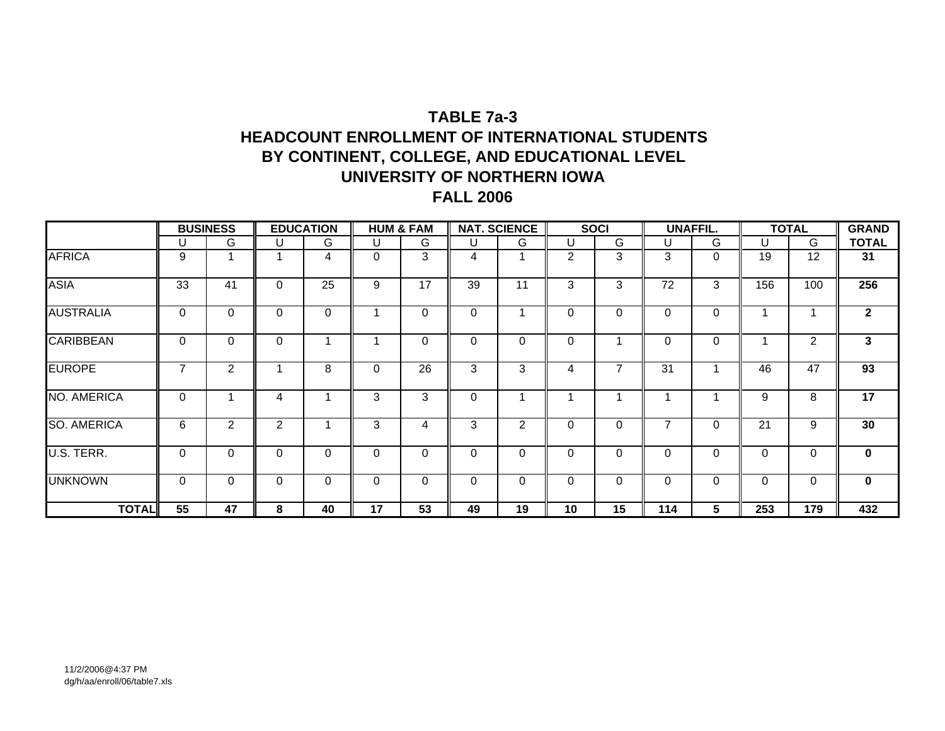# **TABLE 7a-3HEADCOUNT ENROLLMENT OF INTERNATIONAL STUDENTSBY CONTINENT, COLLEGE, AND EDUCATIONAL LEVEL UNIVERSITY OF NORTHERN IOWA FALL 2006**

|                    |                | <b>BUSINESS</b> |          | <b>EDUCATION</b> |    | <b>HUM &amp; FAM</b> |          | <b>NAT. SCIENCE</b> |                | <b>SOCI</b> |             | <b>UNAFFIL.</b> |          | <b>TOTAL</b> | <b>GRAND</b> |
|--------------------|----------------|-----------------|----------|------------------|----|----------------------|----------|---------------------|----------------|-------------|-------------|-----------------|----------|--------------|--------------|
|                    | U              | G               | U        | G                | U  | G                    | U        | G                   |                | G           | U           | G               | U        | G            | <b>TOTAL</b> |
| <b>AFRICA</b>      | 9              |                 | 4        | 4                | 0  | 3                    | 4        |                     | $\overline{2}$ | 3           | 3           | $\Omega$        | 19       | 12           | 31           |
| <b>ASIA</b>        | 33             | 41              | 0        | 25               | 9  | 17                   | 39       | 11                  | 3              | 3           | 72          | 3               | 156      | 100          | 256          |
| <b>AUSTRALIA</b>   | 0              | $\mathbf 0$     | 0        | $\Omega$         |    | 0                    | 0        |                     | $\Omega$       | 0           | $\Omega$    | 0               |          |              | $\mathbf{2}$ |
| <b>CARIBBEAN</b>   | 0              | $\mathbf{0}$    | $\Omega$ | 4                |    | $\Omega$             | 0        | $\Omega$            | $\Omega$       |             | $\Omega$    | $\Omega$        |          | 2            | 3            |
| <b>EUROPE</b>      | $\overline{7}$ | 2               |          | 8                | 0  | 26                   | 3        | 3                   | 4              | 7           | 31          |                 | 46       | 47           | 93           |
| NO. AMERICA        | 0              |                 | 4        |                  | 3  | 3                    | 0        |                     |                |             |             | и               | 9        | 8            | 17           |
| <b>SO. AMERICA</b> | 6              | $\overline{2}$  | 2        |                  | 3  | 4                    | 3        | $\overline{2}$      | $\Omega$       | 0           | 7           | 0               | 21       | 9            | 30           |
| U.S. TERR.         | 0              | $\Omega$        | 0        | 0                | 0  | $\Omega$             | $\Omega$ | 0                   | $\Omega$       | $\Omega$    | $\Omega$    | 0               | 0        | 0            | $\mathbf{0}$ |
| <b>UNKNOWN</b>     | 0              | $\mathbf 0$     | 0        | $\Omega$         | 0  | $\Omega$             | $\Omega$ | $\Omega$            | $\Omega$       | 0           | $\mathbf 0$ | $\Omega$        | $\Omega$ | 0            | $\mathbf 0$  |
| <b>TOTAL</b>       | 55             | 47              | 8        | 40               | 17 | 53                   | 49       | 19                  | 10             | 15          | 114         | 5               | 253      | 179          | 432          |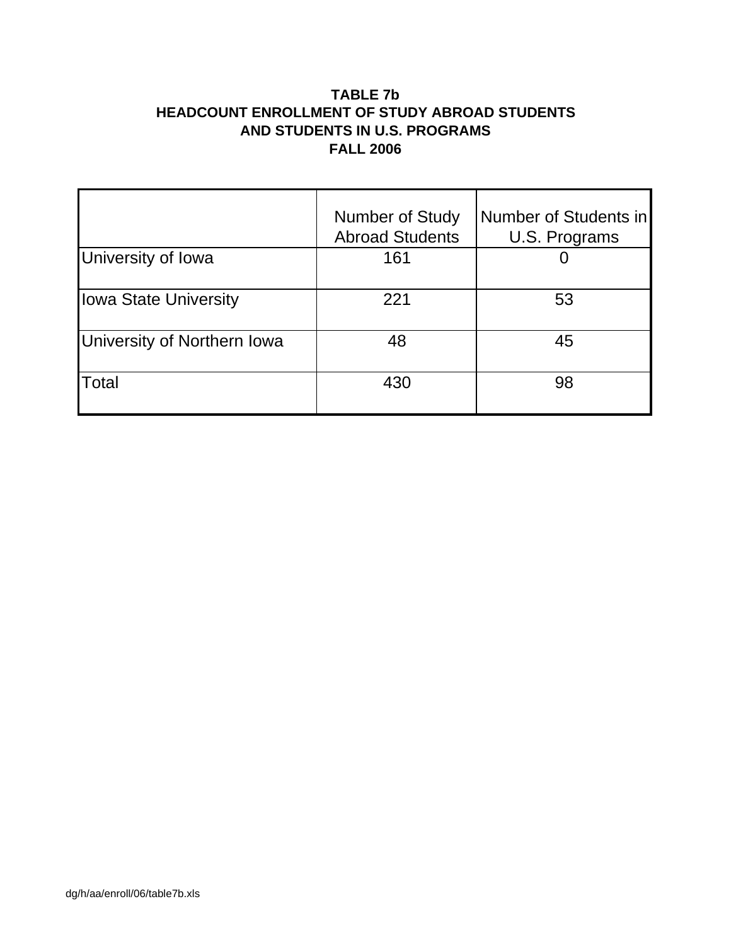### **TABLE 7b HEADCOUNT ENROLLMENT OF STUDY ABROAD STUDENTS AND STUDENTS IN U.S. PROGRAMS FALL 2006**

|                              | <b>Number of Study</b><br><b>Abroad Students</b> | Number of Students in<br>U.S. Programs |
|------------------------------|--------------------------------------------------|----------------------------------------|
| University of Iowa           | 161                                              |                                        |
| <b>Iowa State University</b> | 221                                              | 53                                     |
| University of Northern Iowa  | 48                                               | 45                                     |
| Total                        | 430                                              | 98                                     |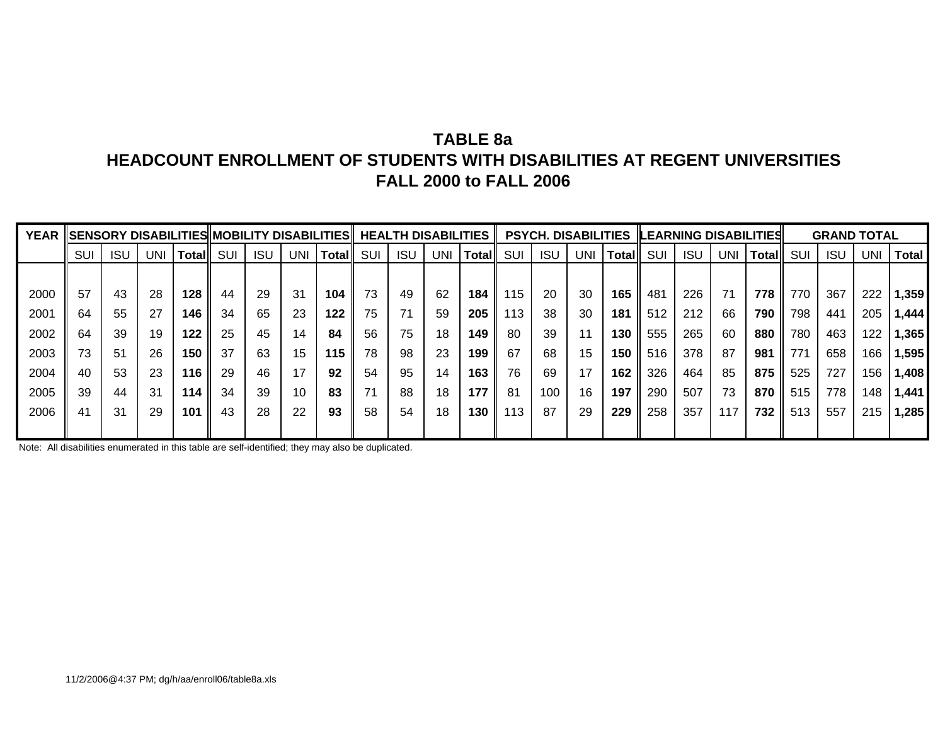# **TABLE 8aHEADCOUNT ENROLLMENT OF STUDENTS WITH DISABILITIES AT REGENT UNIVERSITIESFALL 2000 to FALL 2006**

| <b>YEAR</b> |     |            |     |       |     |            |     | SENSORY DISABILITIES  MOBILITY DISABILITIES |     |            | <b>HEALTH DISABILITIES</b> |              |     | <b>PSYCH. DISABILITIES</b> |     |        |     |            |     | <b>ILEARNING DISABILITIES</b> |     | <b>GRAND TOTAL</b> |            |              |
|-------------|-----|------------|-----|-------|-----|------------|-----|---------------------------------------------|-----|------------|----------------------------|--------------|-----|----------------------------|-----|--------|-----|------------|-----|-------------------------------|-----|--------------------|------------|--------------|
|             | SUI | <b>ISL</b> | UNI | Total | SUI | <b>ISU</b> | UNI | Total                                       | SUI | <b>ISU</b> | UNI                        | <b>Total</b> | SUI | <b>ISU</b>                 | UNI | Totall | SUI | <b>ISU</b> | UNI | Total                         | SUI | <b>ISU</b>         | <b>UNI</b> | <b>Total</b> |
|             |     |            |     |       |     |            |     |                                             |     |            |                            |              |     |                            |     |        |     |            |     |                               |     |                    |            |              |
| 2000        | 57  | 43         | 28  | 128   | 44  | 29         | 31  | 104                                         | 73  | 49         | 62                         | 184          | 115 | 20                         | 30  | 165    | 481 | 226        | 71  | 778                           | 770 | 367                | 222        | 1,359        |
| 2001        | 64  | 55         | 27  | 146   | 34  | 65         | 23  | 122                                         | 75  | 71         | 59                         | 205          | 113 | 38                         | 30  | 181    | 512 | 212        | 66  | 790                           | 798 | 441                | 205        | ا 444. ا     |
| 2002        | 64  | 39         | 19  | 122   | 25  | 45         | 14  | 84                                          | 56  | 75         | 18                         | 149          | -80 | 39                         | 11  | 130    | 555 | 265        | 60  | 880                           | 780 | 463                | 122        | 1,365        |
| 2003        | 73  | 51         | 26  | 150   | 37  | 63         | 15  | 115                                         | 78  | 98         | 23                         | 199          | 67  | 68                         | 15  | 150    | 516 | 378        | 87  | 981                           | 771 | 658                | 166        | 1,595        |
| 2004        | 40  | 53         | 23  | 116   | 29  | 46         | 17  | 92                                          | 54  | 95         | 14                         | 163          | 76  | 69                         | 17  | 162    | 326 | 464        | 85  | 875                           | 525 | 727                | 156        | 1,408        |
| 2005        | 39  | 44         | 31  | 114   | 34  | 39         | 10  | 83                                          |     | 88         | 18                         | 177          | -81 | 100                        | 16  | 197    | 290 | 507        | 73  | 870                           | 515 | 778                | 148        | 1,441        |
| 2006        | 41  | 31         | 29  | 101   | 43  | 28         | 22  | 93                                          | 58  | 54         | 18                         | 130          | 113 | 87                         | 29  | 229    | 258 | 357        | 117 | 732                           | 513 | 557                | 215        | ا 285.ا      |
|             |     |            |     |       |     |            |     |                                             |     |            |                            |              |     |                            |     |        |     |            |     |                               |     |                    |            |              |

Note: All disabilities enumerated in this table are self-identified; they may also be duplicated.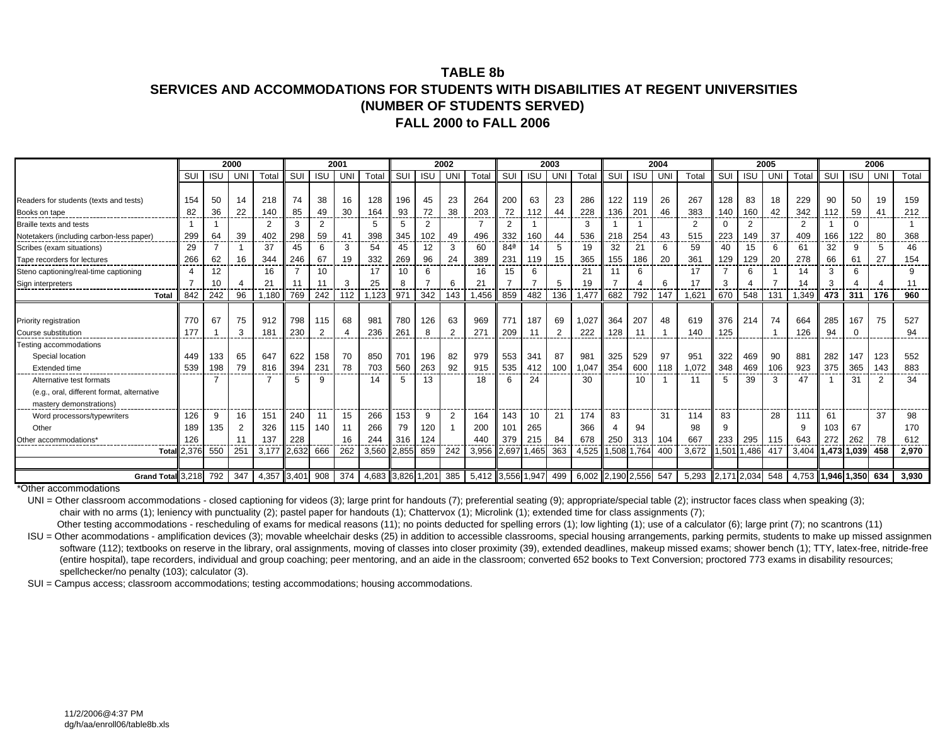#### **TABLE 8bSERVICES AND ACCOMMODATIONS FOR STUDENTS WITH DISABILITIES AT REGENT UNIVERSITIES(NUMBER OF STUDENTS SERVED) FALL 2000 to FALL 2006**

|                                            |       |            | 2000 |                 |       |                | 2001       |                   |       |                | 2002           |                   |                 |            | 2003           |                   |       |            | 2004 |                |             |            | 2005 |       |             |            | 2006           |       |
|--------------------------------------------|-------|------------|------|-----------------|-------|----------------|------------|-------------------|-------|----------------|----------------|-------------------|-----------------|------------|----------------|-------------------|-------|------------|------|----------------|-------------|------------|------|-------|-------------|------------|----------------|-------|
|                                            | SUI   | <b>ISU</b> | UN   | Total           | SUI   | <b>ISU</b>     | <b>UNI</b> | Total             | SUI   | <b>ISU</b>     | <b>UNI</b>     | Total             | SUI             | <b>ISU</b> | UN             | Total             | SUI   | <b>ISU</b> | UNI  | Total          | SUI         | <b>ISU</b> | UNI  | Total | SUI         | <b>ISU</b> | UNI            | Total |
|                                            |       |            |      |                 |       |                |            |                   |       |                |                |                   |                 |            |                |                   |       |            |      |                |             |            |      |       |             |            |                |       |
| Readers for students (texts and tests)     | 154   | 50         | 14   | 218             | 74    | 38             | 16         | 128               | 196   | 45             | 23             | 264               | 200             | 63         | 23             | 286               | 122   | 119        | 26   | 267            | 128         | 83         | 18   | 229   | 90          | 50         | 19             | 159   |
| Books on tape                              | 82    | 36         | 22   | 140             | 85    | 49             | 30         | 164               | 93    | 72             | 38             | 203               | 72              | 112        | 44             | 228               | 136   | 201        | 46   | 383            | 140         | 160        | 42   | 342   | 112         | 59         | 4              | 212   |
| Braille texts and tests                    |       |            |      | $\overline{2}$  | 3     | $\overline{2}$ |            | 5                 | 5     | $\overline{2}$ |                | 7                 | 2               |            |                | 3                 |       |            |      | $\overline{2}$ | 0           | 2          |      | 2     |             | $\Omega$   |                |       |
| Notetakers (including carbon-less paper)   | 299   | 64         | 39   | 402             | 298   | 59             | 41         | 398               | 345   | 102            | 49             | 496               | 332             | 160        | 44             | 536               | 218   | 254        | 43   | 515            | 223         | 149        | 37   | 409   | 166         | 122        | 80             | 368   |
| Scribes (exam situations)                  | 29    |            |      | 37              | 45    | 6              | 3          | 54                | 45    | 12             | 3              | 60                | 84 <sup>a</sup> | 14         | 5              | 19                | 32    | 21         | 6    | 59             | 40          | 15         | 6    | 61    | 32          | 9          | 5              | 46    |
| Tape recorders for lectures                | 266   | 62         | 16   | 344             | 246   | 67             | 19         | 332               | 269   | 96             | 24             | 389               | 231<br>---      | 119        | 15             | 365               | 155   | 186        | 20   | 361            | 129         | 129        | 20   | 278   | 66          | 61         | 27             | 154   |
| Steno captioning/real-time captioning      |       | 12         |      | 16              |       | 10             |            | 17                | 10    | 6              |                | 16                | 15              | 6          |                | 21                | 11    | 6          |      | 17             |             | 6          |      | 14    | 3           | 6          |                |       |
| Sign interpreters                          |       | 10         |      | $\overline{2}$  | 11    |                | 3          | 25                |       |                | 6              | 21                |                 |            | 5              | 19                |       |            | 6    | 17             | 3           |            |      | 14    |             |            |                | 11    |
| Total                                      | 842   | 242        | 96   | 1,180           | 769   | 242            | 112        | 1,123             | 971   | 342            | 143            | 1.456             | 859             | 482        | 136            | 477, ا            | 682   | 792        | 147  | 1.62           | 670         | 548        | 131  | 1,349 | 473         | 311        | 176            | 960   |
|                                            |       |            |      |                 |       |                |            |                   |       |                |                |                   |                 |            |                |                   |       |            |      |                |             |            |      |       |             |            |                |       |
| Priority registration                      | 770   | 67         | 75   | 912             | 798   | 115            | 68         | 981               | 780   | 126            | 63             | 969               | 771             | 187        | 69             | .027              | 364   | 207        | 48   | 619            | 376         | 214        | 74   | 664   | 285         | 167        | 75             | 527   |
| Course substitution                        | 177   |            | 3    | 18 <sup>′</sup> | 230   | $\overline{2}$ |            | 236               | 261   | 8              | 2              | 271               | 209             | 11         | $\overline{2}$ | 222               | 128   | 11         |      | 140            | 125         |            |      | 126   | 94          | $\Omega$   |                | 94    |
| Testing accommodations                     |       |            |      |                 |       |                |            |                   |       |                |                |                   |                 |            |                |                   |       |            |      |                |             |            |      |       |             |            |                |       |
| Special location                           | 449   | 133        | 65   | 647             | 622   | 158            | 70         | 850               | 701   | 196            | 82             | 979               | 553             | 341        | 87             | 981               | 325   | 529        | 97   | 951            | 322         | 469        | 90   | 881   | 282         | 147        | 123            | 552   |
| Extended time                              | 539   | 198        | 79   | 816             | 394   | 23'            | 78         | 703               | 560   | 263            | 92             | 915               | 535             | 412        | 100            | .047              | 354   | 600        | 118  | 1,072          | 348         | 469        | 106  | 923   | 375         | 365        | 143            | 883   |
| Alternative test formats                   |       |            |      |                 | 5     | 9              |            | 14                | 5     | 13             |                | 18                | 6               | 24         |                | 30                |       | 10         |      |                | 5           | 39         | 3    | 47    |             | 31         | $\overline{2}$ | 34    |
| (e.g., oral, different format, alternative |       |            |      |                 |       |                |            |                   |       |                |                |                   |                 |            |                |                   |       |            |      |                |             |            |      |       |             |            |                |       |
| mastery demonstrations)                    |       |            |      |                 |       |                |            |                   |       |                |                |                   |                 |            |                |                   |       |            |      |                |             |            |      |       |             |            |                |       |
| Word processors/typewriters                | 126   | 9          | 16   | 151             | 240   | 11             | 15         | 266               | 153   | 9              | $\overline{2}$ | 164               | 143             | 10         | 21             | 174               | 83    |            | 31   | 114            | 83          |            | 28   | 111   | 61          |            | 37             | 98    |
| Other                                      | 189   | 135        |      | 326             | 115   | 140            | 11         | 266               | 79    | 120            |                | 200               | 101             | 265        |                | 366               |       | 94         |      | 98             | 9           |            |      | -9    | 103         | 67         |                | 170   |
| Other accommodations                       | 126   |            |      | 137             | 228   |                | 16         | 244               | 316   | 124            |                | 440               | 379             | 215        | 84             | 678               | 250   | 313        | 104  | 667            | 233         | 295        | 115  | 643   | 272         | 262        | 78             | 612   |
| Total                                      | 2,376 | 550        | 251  | 3,177           | 2,632 | 666            | 262        | 3,560             | 2,855 | 859            | 242            | 3,956             | 2,697 1,465     |            | 363            | 4,525             | 1,508 | 1,764      | 400  | 3,672          | 1,501       | 1,486      | 417  | 3,404 | 1,473       | 1,039      | 458            | 2,970 |
|                                            |       |            |      |                 |       |                |            |                   |       |                |                |                   |                 |            |                |                   |       |            |      |                |             |            |      |       |             |            |                |       |
| Grand Total 3,218                          |       | 792        | 347  | 4,357           | 3,401 | 908            | 374        | 4,683 3,826 1,201 |       |                | 385            | 5,412 3,556 1,947 |                 |            | 499            | 6,002 2,190 2,556 |       |            | 547  | 5,293          | 2,171 2,034 |            | 548  | 4.753 | 1,946 1,350 |            | 634            | 3,930 |
| $*$ $\sim$ $-$<br>$-1 - 1 = 0$             |       |            |      |                 |       |                |            |                   |       |                |                |                   |                 |            |                |                   |       |            |      |                |             |            |      |       |             |            |                |       |

\*Other accommodations

UNI = Other classroom accommodations - closed captioning for videos (3); large print for handouts (7); preferential seating (9); appropriate/special table (2); instructor faces class when speaking (3);

chair with no arms (1); leniency with punctuality (2); pastel paper for handouts (1); Chattervox (1); Microlink (1); extended time for class assignments (7);

Other testing accommodations - rescheduling of exams for medical reasons (11); no points deducted for spelling errors (1); low lighting (1); use of a calculator (6); large print (7); no scantrons (11)

ISU = Other acommodations - amplification devices (3); movable wheelchair desks (25) in addition to accessible classrooms, special housing arrangements, parking permits, students to make up missed assignmen software (112); textbooks on reserve in the library, oral assignments, moving of classes into closer proximity (39), extended deadlines, makeup missed exams; shower bench (1); TTY, latex-free, nitride-free (entire hospital), tape recorders, individual and group coaching; peer mentoring, and an aide in the classroom; converted 652 books to Text Conversion; proctored 773 exams in disability resources; spellchecker/no penalty (103); calculator (3).

SUI = Campus access; classroom accommodations; testing accommodations; housing accommodations.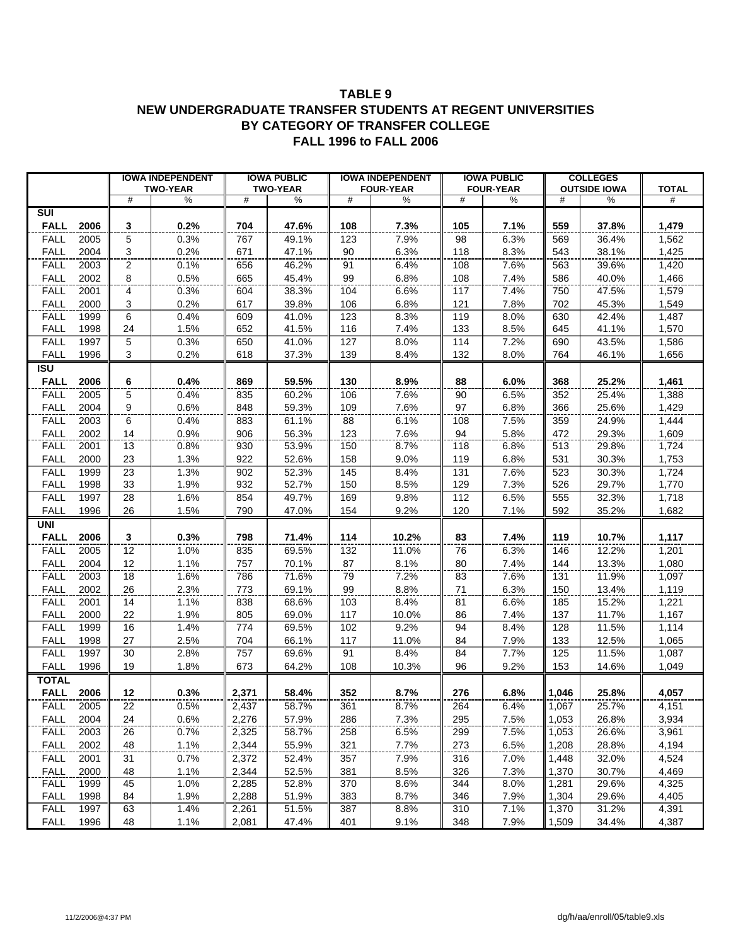#### **TABLE 9 NEW UNDERGRADUATE TRANSFER STUDENTS AT REGENT UNIVERSITIES BY CATEGORY OF TRANSFER COLLEGE FALL 1996 to FALL 2006**

|                            |              |                         | <b>IOWA INDEPENDENT</b> |       | <b>IOWA PUBLIC</b> |            | <b>IOWA INDEPENDENT</b> |            | <b>IOWA PUBLIC</b> |       | <b>COLLEGES</b>     |                |
|----------------------------|--------------|-------------------------|-------------------------|-------|--------------------|------------|-------------------------|------------|--------------------|-------|---------------------|----------------|
|                            |              |                         | <b>TWO-YEAR</b>         |       | <b>TWO-YEAR</b>    |            | <b>FOUR-YEAR</b>        |            | <b>FOUR-YEAR</b>   |       | <b>OUTSIDE IOWA</b> | <b>TOTAL</b>   |
|                            |              | #                       | $\%$                    | #     | $\%$               | #          | %                       | #          | %                  | #     | %                   | #              |
| SUI                        |              |                         |                         |       |                    |            |                         |            |                    |       |                     |                |
| <b>FALL</b>                | 2006         | 3                       | 0.2%                    | 704   | 47.6%              | 108        | 7.3%                    | 105        | 7.1%               | 559   | 37.8%               | 1,479          |
| <b>FALL</b>                | 2005         | 5                       | 0.3%                    | 767   | 49.1%              | 123        | 7.9%                    | 98         | 6.3%               | 569   | 36.4%               | 1,562          |
| <b>FALL</b>                | 2004         | $\overline{\mathbf{3}}$ | 0.2%                    | 671   | 47.1%              | 90         | 6.3%                    | 118        | 8.3%               | 543   | 38.1%               | 1,425          |
| <b>FALL</b>                | 2003         | $\overline{c}$          | 0.1%                    | 656   | 46.2%              | 91         | 6.4%                    | 108        | 7.6%               | 563   | 39.6%               | 1,420          |
| <b>FALL</b>                | 2002         | 8                       | 0.5%                    | 665   | 45.4%              | 99         | 6.8%                    | 108        | 7.4%               | 586   | 40.0%               | 1,466          |
| <b>FALL</b>                | 2001         | 4                       | 0.3%                    | 604   | 38.3%              | 104        | 6.6%                    | 117        | 7.4%               | 750   | 47.5%               | 1,579          |
| <b>FALL</b>                | 2000         | 3                       | 0.2%                    | 617   | 39.8%              | 106        | 6.8%                    | 121        | 7.8%               | 702   | 45.3%               | 1,549          |
| <b>FALL</b>                | 1999         | 6                       | 0.4%                    | 609   | 41.0%              | 123        | 8.3%                    | 119        | 8.0%               | 630   | 42.4%               | 1,487          |
| <b>FALL</b>                | 1998         | 24                      | 1.5%                    | 652   | 41.5%              | 116        | 7.4%                    | 133        | 8.5%               | 645   | 41.1%               | 1,570          |
| <b>FALL</b>                | 1997         | 5                       | 0.3%                    | 650   | 41.0%              | 127        | 8.0%                    | 114        | 7.2%               | 690   | 43.5%               | 1,586          |
| <b>FALL</b>                | 1996         | 3                       | 0.2%                    | 618   | 37.3%              | 139        | 8.4%                    | 132        | 8.0%               | 764   | 46.1%               | 1,656          |
| $\overline{\mathsf{ISU}}$  |              |                         |                         |       |                    |            |                         |            |                    |       |                     |                |
| <b>FALL</b>                | 2006         | 6                       | 0.4%                    | 869   | 59.5%              | 130        | 8.9%                    | 88         | 6.0%               | 368   | 25.2%               | 1,461          |
| <b>FALL</b>                | 2005         | 5                       | 0.4%                    | 835   | 60.2%              | 106        | 7.6%                    | 90         | 6.5%               | 352   | 25.4%               | 1,388          |
| <b>FALL</b>                | 2004         | 9                       | 0.6%                    | 848   | 59.3%              | 109        | 7.6%                    | 97         | 6.8%               | 366   | 25.6%               | 1,429          |
| <b>FALL</b>                | 2003         | 6                       | 0.4%                    | 883   | 61.1%              | 88         | 6.1%                    | 108        | 7.5%               | 359   | 24.9%               | 1,444          |
| <b>FALL</b>                | 2002         | 14                      | 0.9%                    | 906   | 56.3%              | 123        | 7.6%                    | 94         | 5.8%               | 472   | 29.3%               | 1,609          |
| <b>FALL</b>                | 2001         | 13                      | 0.8%                    | 930   | 53.9%              | 150        | 8.7%                    | 118        | 6.8%               | 513   | 29.8%               | 1,724          |
| <b>FALL</b>                | 2000         | 23                      | 1.3%                    | 922   | 52.6%              | 158        | 9.0%                    | 119        | 6.8%               | 531   | 30.3%               | 1,753          |
| <b>FALL</b>                | 1999         | 23                      | 1.3%                    | 902   | 52.3%              | 145        | 8.4%                    | 131        | 7.6%               | 523   | 30.3%               | 1,724          |
| <b>FALL</b>                | 1998         | 33                      | 1.9%                    | 932   | 52.7%              | 150        | 8.5%                    | 129        | 7.3%               | 526   | 29.7%               | 1,770          |
| FALL                       | 1997         | 28                      | 1.6%                    | 854   | 49.7%              | 169        | 9.8%                    | 112        | 6.5%               | 555   | 32.3%               | 1,718          |
| <b>FALL</b>                | 1996         | 26                      | 1.5%                    | 790   | 47.0%              | 154        | 9.2%                    | 120        | 7.1%               | 592   | 35.2%               | 1,682          |
| <b>UNI</b>                 |              |                         |                         |       |                    |            |                         |            |                    |       |                     |                |
| <b>FALL</b>                | 2006         | 3                       | 0.3%                    | 798   | 71.4%              | 114        | 10.2%                   | 83         | 7.4%               | 119   | 10.7%               | 1,117          |
| <b>FALL</b>                | 2005         | 12                      | 1.0%                    | 835   | 69.5%              | 132        | 11.0%                   | 76         | 6.3%               | 146   | 12.2%               | 1,201          |
| <b>FALL</b>                | 2004         | 12                      | 1.1%                    | 757   | 70.1%              | 87         | 8.1%                    | 80         | 7.4%               | 144   | 13.3%               | 1,080          |
| <b>FALL</b>                | 2003         | 18                      | 1.6%                    | 786   | 71.6%              | 79         | 7.2%                    | 83         | 7.6%               | 131   | 11.9%               | 1,097          |
| <b>FALL</b>                | 2002         | 26                      | 2.3%                    | 773   | 69.1%              | 99         | 8.8%                    | 71         | 6.3%               | 150   | 13.4%               | 1,119          |
| <b>FALL</b>                | 2001         | 14                      | 1.1%                    | 838   | 68.6%              | 103        | 8.4%                    | 81         | 6.6%               | 185   | 15.2%               | 1,221          |
| <b>FALL</b>                | 2000         | 22                      | 1.9%                    | 805   | 69.0%              | 117        | 10.0%                   | 86         | 7.4%               | 137   | 11.7%               | 1,167          |
| <b>FALL</b>                | 1999         | 16                      | 1.4%                    | 774   | 69.5%              | 102        | 9.2%                    | 94         | 8.4%               | 128   | 11.5%               | 1,114          |
| <b>FALL</b>                | 1998         | 27                      | 2.5%                    | 704   | 66.1%              | 117        | 11.0%                   | 84         | 7.9%               | 133   | 12.5%               | 1,065          |
| FALL                       | 1997         | 30                      | 2.8%                    | 757   | 69.6%              | 91         | 8.4%                    | 84         | 7.7%               | 125   | 11.5%               | 1,087          |
| <b>FALL</b>                | 1996         | 19                      | 1.8%                    | 673   | 64.2%              | 108        | 10.3%                   | 96         | 9.2%               | 153   | 14.6%               | 1,049          |
| <b>TOTAL</b>               |              |                         |                         |       |                    |            |                         |            |                    |       |                     |                |
| <b>FALL</b>                | 2006         | 12                      | 0.3%                    | 2,371 | 58.4%              | 352        | 8.7%                    | 276        | 6.8%               | 1,046 | 25.8%               | 4,057          |
| <b>FALL</b>                | 2005         | $\overline{22}$         | 0.5%                    | 2,437 | 58.7%              | 361        | 8.7%                    | 264        | 6.4%               | 1,067 | 25.7%               | 4,151          |
| <b>FALL</b>                | 2004         | 24                      | 0.6%                    | 2,276 | 57.9%              | 286        | 7.3%                    | 295        | 7.5%               | 1,053 | 26.8%               | 3,934          |
| <b>FALL</b>                | 2003         | 26                      | 0.7%                    | 2,325 | 58.7%              | 258        | 6.5%                    | 299        | 7.5%               | 1,053 | 26.6%               | 3,961          |
| <b>FALL</b>                |              |                         |                         |       |                    |            |                         |            |                    |       |                     |                |
|                            | 2002         | 48                      | 1.1%                    | 2,344 | 55.9%              | 321        | 7.7%                    | 273        | 6.5%               | 1,208 | 28.8%               | 4,194          |
| <b>FALL</b>                | 2001         | 31                      | 0.7%                    | 2,372 | 52.4%              | 357        | 7.9%                    | 316        | 7.0%               | 1,448 | 32.0%               | 4,524          |
| <b>FALL</b>                | 2000         | 48                      | 1.1%                    | 2,344 | 52.5%              | 381        | 8.5%                    | 326        | 7.3%               | 1,370 | 30.7%               | 4,469          |
| <b>FALL</b><br><b>FALL</b> | 1999<br>1998 | 45<br>84                | 1.0%<br>1.9%            | 2,285 | 52.8%<br>51.9%     | 370<br>383 | 8.6%<br>8.7%            | 344<br>346 | 8.0%<br>7.9%       | 1,281 | 29.6%               | 4,325<br>4,405 |
|                            |              |                         |                         | 2,288 |                    |            |                         |            |                    | 1,304 | 29.6%               |                |
| <b>FALL</b>                | 1997         | 63                      | 1.4%                    | 2,261 | 51.5%              | 387        | 8.8%                    | 310        | 7.1%               | 1,370 | 31.2%               | 4,391          |
| <b>FALL</b>                | 1996         | 48                      | 1.1%                    | 2,081 | 47.4%              | 401        | 9.1%                    | 348        | 7.9%               | 1,509 | 34.4%               | 4,387          |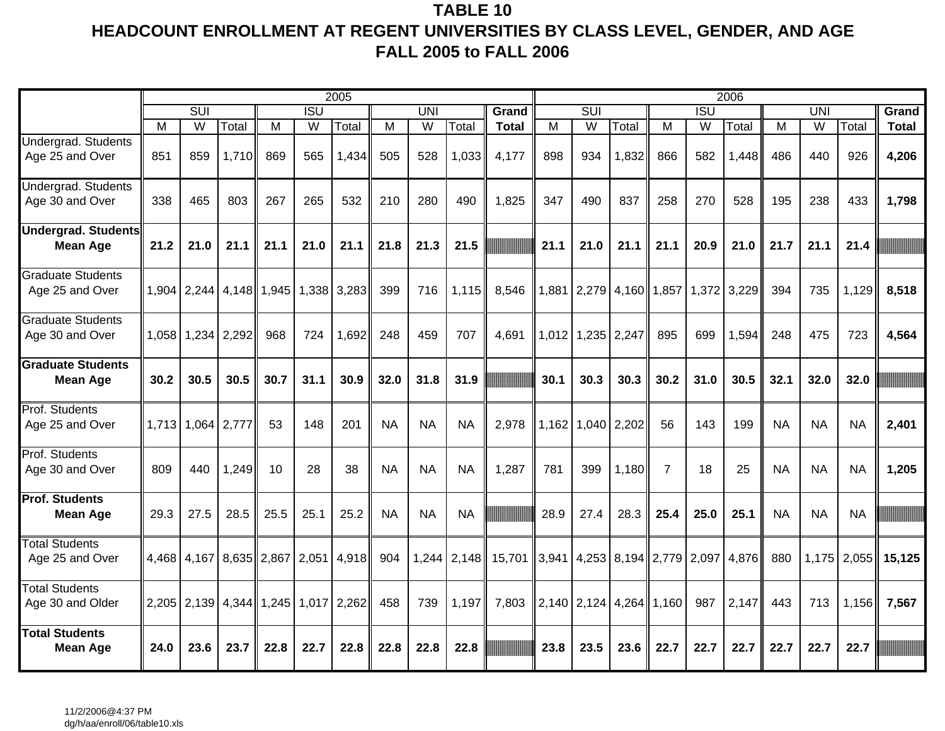# **TABLE 10 HEADCOUNT ENROLLMENT AT REGENT UNIVERSITIES BY CLASS LEVEL, GENDER, AND AGE FALL 2005 to FALL 2006**

|                                               |      |                         |                                               |      |            | 2005          |           |            |               |                                            |       |                                     |             |                |                  | 2006  |           |            |             |              |
|-----------------------------------------------|------|-------------------------|-----------------------------------------------|------|------------|---------------|-----------|------------|---------------|--------------------------------------------|-------|-------------------------------------|-------------|----------------|------------------|-------|-----------|------------|-------------|--------------|
|                                               |      | $\overline{\text{SUI}}$ |                                               |      | <b>ISU</b> |               |           | <b>UNI</b> |               | Grand                                      |       | $\overline{\text{SUI}}$             |             |                | $\overline{ISU}$ |       |           | <b>UNI</b> |             | Grand        |
|                                               | м    | W                       | Total                                         | м    | W          | Total         | м         | W          | Total         | <b>Total</b>                               | M     | $\overline{W}$                      | Total       | м              | W                | Total | М         | W          | Total       | <b>Total</b> |
| Undergrad. Students<br>Age 25 and Over        | 851  | 859                     | 1,710                                         | 869  | 565        | 1,434         | 505       | 528        | 1,033         | 4,177                                      | 898   | 934                                 | 1,832       | 866            | 582              | 1,448 | 486       | 440        | 926         | 4,206        |
| Undergrad. Students<br>Age 30 and Over        | 338  | 465                     | 803                                           | 267  | 265        | 532           | 210       | 280        | 490           | 1,825                                      | 347   | 490                                 | 837         | 258            | 270              | 528   | 195       | 238        | 433         | 1,798        |
| <b>Undergrad. Students</b><br><b>Mean Age</b> | 21.2 | 21.0                    | 21.1                                          | 21.1 | 21.0       | 21.1          | 21.8      | 21.3       | 21.5          |                                            | 21.1  | 21.0                                | 21.1        | 21.1           | 20.9             | 21.0  | 21.7      | 21.1       | 21.4        |              |
| <b>Graduate Students</b><br>Age 25 and Over   |      |                         | $1,904$   2,244   4,148   1,945               |      |            | 1,338 3,283   | 399       | 716        | 1,115         | 8,546                                      |       | 1,881 2,279 4,160 1,857 1,372 3,229 |             |                |                  |       | 394       | 735        | 1,129       | 8,518        |
| <b>Graduate Students</b><br>Age 30 and Over   |      |                         | 1,058   1,234   2,292                         | 968  | 724        | 1,692         | 248       | 459        | 707           | 4,691                                      | 1,012 |                                     | 1,235 2,247 | 895            | 699              | 1,594 | 248       | 475        | 723         | 4,564        |
| <b>Graduate Students</b><br><b>Mean Age</b>   | 30.2 | 30.5                    | 30.5                                          | 30.7 | 31.1       | 30.9          | 32.0      | 31.8       | 31.9          |                                            | 30.1  | 30.3                                | 30.3        | 30.2           | 31.0             | 30.5  | 32.1      | 32.0       | 32.0        |              |
| Prof. Students<br>Age 25 and Over             |      | 1,713 1,064 2,777       |                                               | 53   | 148        | 201           | <b>NA</b> | <b>NA</b>  | <b>NA</b>     | 2,978                                      | 1,162 |                                     | 1,040 2,202 | 56             | 143              | 199   | <b>NA</b> | <b>NA</b>  | <b>NA</b>   | 2,401        |
| Prof. Students<br>Age 30 and Over             | 809  | 440                     | 1,249                                         | 10   | 28         | 38            | <b>NA</b> | <b>NA</b>  | <b>NA</b>     | 1,287                                      | 781   | 399                                 | 1,180       | $\overline{7}$ | 18               | 25    | <b>NA</b> | <b>NA</b>  | <b>NA</b>   | 1,205        |
| <b>Prof. Students</b><br><b>Mean Age</b>      | 29.3 | 27.5                    | 28.5                                          | 25.5 | 25.1       | 25.2          | <b>NA</b> | <b>NA</b>  | <b>NA</b>     |                                            | 28.9  | 27.4                                | 28.3        | 25.4           | 25.0             | 25.1  | <b>NA</b> | <b>NA</b>  | <b>NA</b>   |              |
| <b>Total Students</b><br>Age 25 and Over      |      |                         | 4,468 4,167 8,635 2,867                       |      |            | $2,051$ 4,918 | 904       |            | $1,244$ 2,148 | 15,701 3,941 4,253 8,194 2,779 2,097 4,876 |       |                                     |             |                |                  |       | 880       |            | 1,175 2,055 | 15,125       |
| <b>Total Students</b><br>Age 30 and Older     |      |                         | 2,205   2,139   4,344   1,245   1,017   2,262 |      |            |               | 458       | 739        | 1,197         | 7,803                                      |       | $2,140$   2,124   4,264   1,160     |             |                | 987              | 2,147 | 443       | 713        | 1,156       | 7,567        |
| <b>Total Students</b><br><b>Mean Age</b>      | 24.0 | 23.6                    | 23.7                                          | 22.8 | 22.7       | 22.8          | 22.8      | 22.8       | 22.8          |                                            | 23.8  | 23.5                                | 23.6        | 22.7           | 22.7             | 22.7  | 22.7      | 22.7       | 22.7        |              |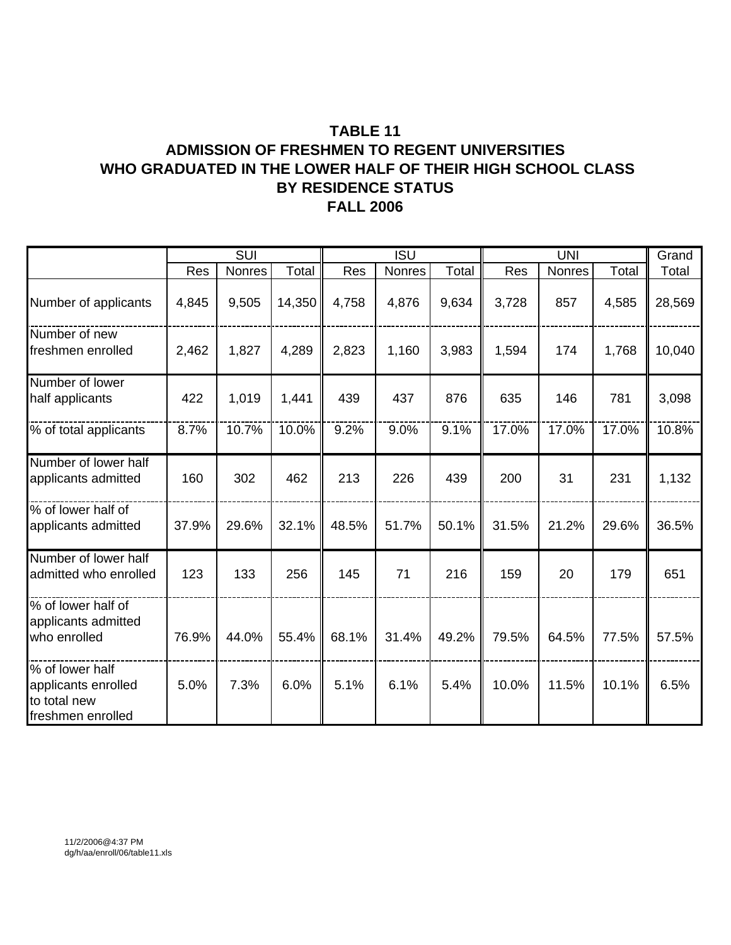# **TABLE 11**

### **ADMISSION OF FRESHMEN TO REGENT UNIVERSITIES WHO GRADUATED IN THE LOWER HALF OF THEIR HIGH SCHOOL CLASS FALL 2006 BY RESIDENCE STATUS**

|                                                                             |       | SUI    |        |       | <b>ISU</b> |       |       | <b>UNI</b> |       | Grand  |
|-----------------------------------------------------------------------------|-------|--------|--------|-------|------------|-------|-------|------------|-------|--------|
|                                                                             | Res   | Nonres | Total  | Res   | Nonres     | Total | Res   | Nonres     | Total | Total  |
| Number of applicants                                                        | 4,845 | 9,505  | 14,350 | 4,758 | 4,876      | 9,634 | 3,728 | 857        | 4,585 | 28,569 |
| Number of new<br>freshmen enrolled                                          | 2,462 | 1,827  | 4,289  | 2,823 | 1,160      | 3,983 | 1,594 | 174        | 1,768 | 10,040 |
| Number of lower<br>half applicants                                          | 422   | 1,019  | 1,441  | 439   | 437        | 876   | 635   | 146        | 781   | 3,098  |
| % of total applicants                                                       | 8.7%  | 10.7%  | 10.0%  | 9.2%  | 9.0%       | 9.1%  | 17.0% | 17.0%      | 17.0% | 10.8%  |
| Number of lower half<br>applicants admitted                                 | 160   | 302    | 462    | 213   | 226        | 439   | 200   | 31         | 231   | 1,132  |
| % of lower half of<br>applicants admitted                                   | 37.9% | 29.6%  | 32.1%  | 48.5% | 51.7%      | 50.1% | 31.5% | 21.2%      | 29.6% | 36.5%  |
| Number of lower half<br>admitted who enrolled                               | 123   | 133    | 256    | 145   | 71         | 216   | 159   | 20         | 179   | 651    |
| % of lower half of<br>applicants admitted<br>who enrolled                   | 76.9% | 44.0%  | 55.4%  | 68.1% | 31.4%      | 49.2% | 79.5% | 64.5%      | 77.5% | 57.5%  |
| % of lower half<br>applicants enrolled<br>to total new<br>freshmen enrolled | 5.0%  | 7.3%   | 6.0%   | 5.1%  | 6.1%       | 5.4%  | 10.0% | 11.5%      | 10.1% | 6.5%   |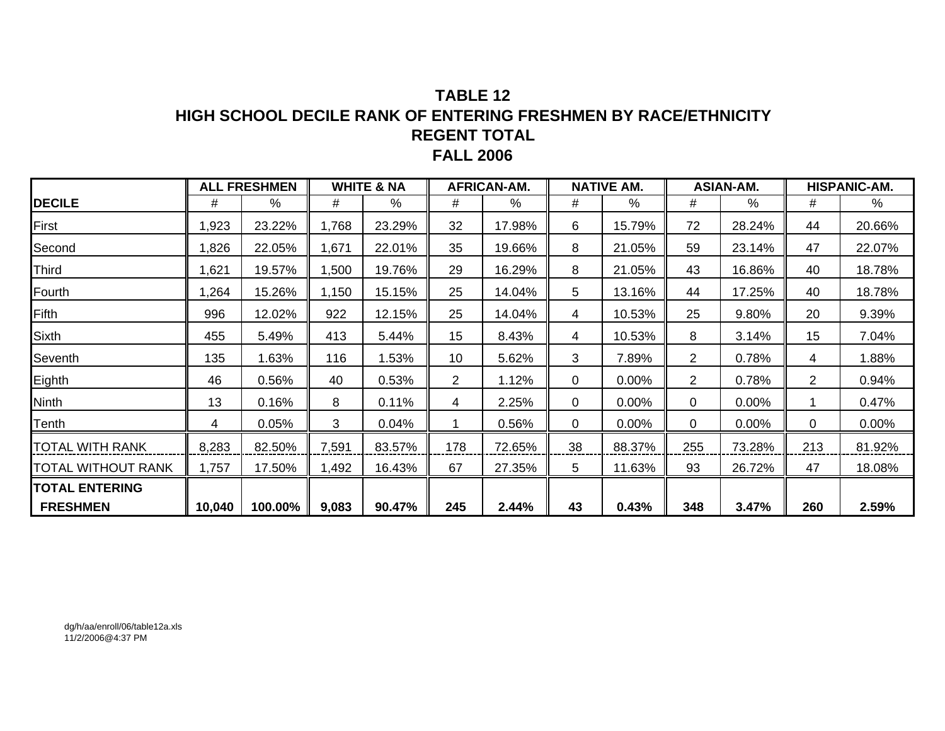## **TABLE 12HIGH SCHOOL DECILE RANK OF ENTERING FRESHMEN BY RACE/ETHNICITYREGENT TOTAL FALL 2006**

|                       |        | <b>ALL FRESHMEN</b> |       | <b>WHITE &amp; NA</b> |                | AFRICAN-AM. |    | <b>NATIVE AM.</b> |                | <b>ASIAN-AM.</b> |                | <b>HISPANIC-AM.</b> |
|-----------------------|--------|---------------------|-------|-----------------------|----------------|-------------|----|-------------------|----------------|------------------|----------------|---------------------|
| <b>DECILE</b>         | #      | $\frac{0}{0}$       | #     | $\%$                  | #              | $\%$        | #  | %                 | #              | %                | #              | %                   |
| First                 | ,923   | 23.22%              | 1,768 | 23.29%                | 32             | 17.98%      | 6  | 15.79%            | 72             | 28.24%           | 44             | 20.66%              |
| Second                | ,826   | 22.05%              | 1,671 | 22.01%                | 35             | 19.66%      | 8  | 21.05%            | 59             | 23.14%           | 47             | 22.07%              |
| Third                 | ,621   | 19.57%              | ,500  | 19.76%                | 29             | 16.29%      | 8  | 21.05%            | 43             | 16.86%           | 40             | 18.78%              |
| Fourth                | ,264   | 15.26%              | 1,150 | 15.15%                | 25             | 14.04%      | 5  | 13.16%            | 44             | 17.25%           | 40             | 18.78%              |
| Fifth                 | 996    | 12.02%              | 922   | 12.15%                | 25             | 14.04%      | 4  | 10.53%            | 25             | 9.80%            | 20             | 9.39%               |
| Sixth                 | 455    | 5.49%               | 413   | 5.44%                 | 15             | 8.43%       | 4  | 10.53%            | 8              | 3.14%            | 15             | 7.04%               |
| Seventh               | 135    | 1.63%               | 116   | 1.53%                 | 10             | 5.62%       | 3  | 7.89%             | $\overline{2}$ | 0.78%            | 4              | 1.88%               |
| Eighth                | 46     | 0.56%               | 40    | 0.53%                 | $\overline{2}$ | 1.12%       | 0  | 0.00%             | $\overline{2}$ | 0.78%            | $\overline{2}$ | 0.94%               |
| Ninth                 | 13     | 0.16%               | 8     | 0.11%                 | 4              | 2.25%       | 0  | 0.00%             | 0              | 0.00%            | 1              | 0.47%               |
| Tenth                 | 4      | 0.05%               | 3     | 0.04%                 |                | 0.56%       | 0  | 0.00%             | 0              | 0.00%            | 0              | $0.00\%$            |
| TOTAL WITH RANK       | 8,283  | 82.50%              | 7,591 | 83.57%                | 178            | 72.65%      | 38 | 88.37%            | 255            | 73.28%           | 213            | 81.92%              |
| TOTAL WITHOUT RANK    | 1,757  | 17.50%              | 1,492 | 16.43%                | 67             | 27.35%      | 5  | 11.63%            | 93             | 26.72%           | 47             | 18.08%              |
| <b>TOTAL ENTERING</b> |        |                     |       |                       |                |             |    |                   |                |                  |                |                     |
| <b>FRESHMEN</b>       | 10,040 | 100.00%             | 9,083 | 90.47%                | 245            | 2.44%       | 43 | 0.43%             | 348            | 3.47%            | 260            | 2.59%               |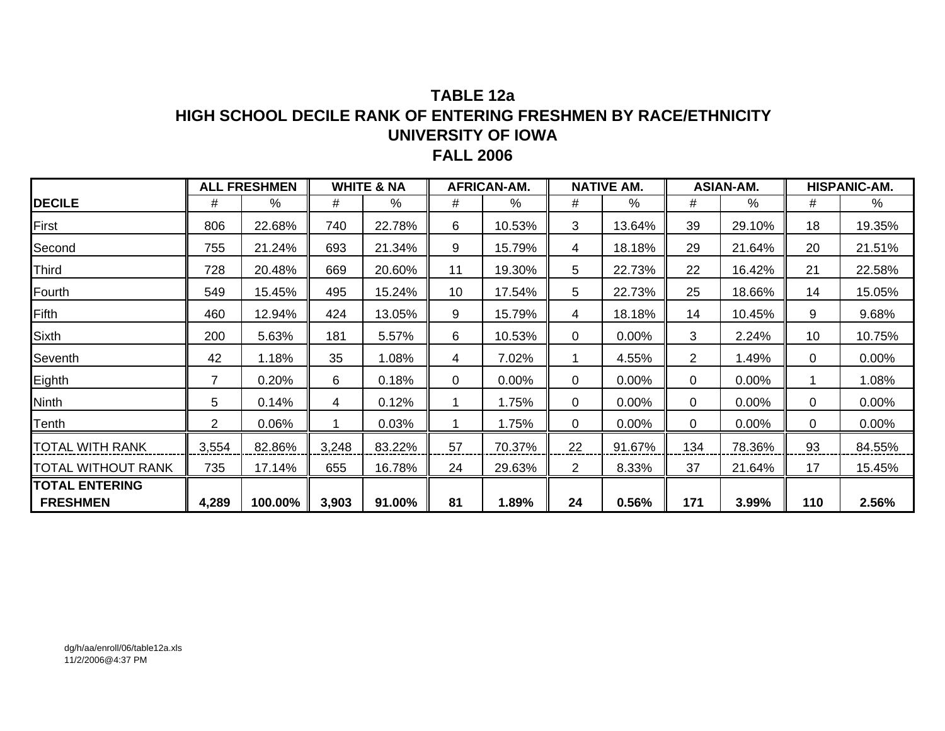### **TABLE 12aHIGH SCHOOL DECILE RANK OF ENTERING FRESHMEN BY RACE/ETHNICITYUNIVERSITY OF IOWA FALL 2006**

|                    |                | <b>ALL FRESHMEN</b> |       | <b>WHITE &amp; NA</b> |    | <b>AFRICAN-AM.</b> |                | <b>NATIVE AM.</b> |                | <b>ASIAN-AM.</b> |     | <b>HISPANIC-AM.</b> |
|--------------------|----------------|---------------------|-------|-----------------------|----|--------------------|----------------|-------------------|----------------|------------------|-----|---------------------|
| <b>DECILE</b>      | #              | $\frac{0}{0}$       | #     | %                     | #  | $\%$               | #              | %                 | #              | $\%$             | #   | %                   |
| First              | 806            | 22.68%              | 740   | 22.78%                | 6  | 10.53%             | 3              | 13.64%            | 39             | 29.10%           | 18  | 19.35%              |
| Second             | 755            | 21.24%              | 693   | 21.34%                | 9  | 15.79%             | 4              | 18.18%            | 29             | 21.64%           | 20  | 21.51%              |
| Third              | 728            | 20.48%              | 669   | 20.60%                | 11 | 19.30%             | 5              | 22.73%            | 22             | 16.42%           | 21  | 22.58%              |
| Fourth             | 549            | 15.45%              | 495   | 15.24%                | 10 | 17.54%             | 5              | 22.73%            | 25             | 18.66%           | 14  | 15.05%              |
| Fifth              | 460            | 12.94%              | 424   | 13.05%                | 9  | 15.79%             | 4              | 18.18%            | 14             | 10.45%           | 9   | 9.68%               |
| <b>Sixth</b>       | 200            | 5.63%               | 181   | 5.57%                 | 6  | 10.53%             | 0              | 0.00%             | 3              | 2.24%            | 10  | 10.75%              |
| Seventh            | 42             | 1.18%               | 35    | 1.08%                 | 4  | 7.02%              |                | 4.55%             | $\overline{2}$ | 1.49%            | 0   | 0.00%               |
| Eighth             | 7              | 0.20%               | 6     | 0.18%                 | 0  | $0.00\%$           | 0              | 0.00%             | 0              | 0.00%            |     | 1.08%               |
| Ninth              | 5              | 0.14%               | 4     | 0.12%                 |    | 1.75%              | 0              | 0.00%             | 0              | $0.00\%$         | 0   | $0.00\%$            |
| Tenth              | $\overline{2}$ | 0.06%               |       | 0.03%                 |    | 1.75%              | 0              | 0.00%             | 0              | 0.00%            | 0   | 0.00%               |
| TOTAL WITH RANK    | 3,554          | 82.86%              | 3,248 | 83.22%                | 57 | 70.37%             | 22             | 91.67%            | 134            | 78.36%           | 93  | 84.55%              |
| TOTAL WITHOUT RANK | 735            | 17.14%              | 655   | 16.78%                | 24 | 29.63%             | $\overline{2}$ | 8.33%             | 37             | 21.64%           | 17  | 15.45%              |
| TOTAL ENTERING     |                |                     |       |                       |    |                    |                |                   |                |                  |     |                     |
| <b>FRESHMEN</b>    | 4,289          | 100.00%             | 3,903 | 91.00%                | 81 | 1.89%              | 24             | 0.56%             | 171            | 3.99%            | 110 | 2.56%               |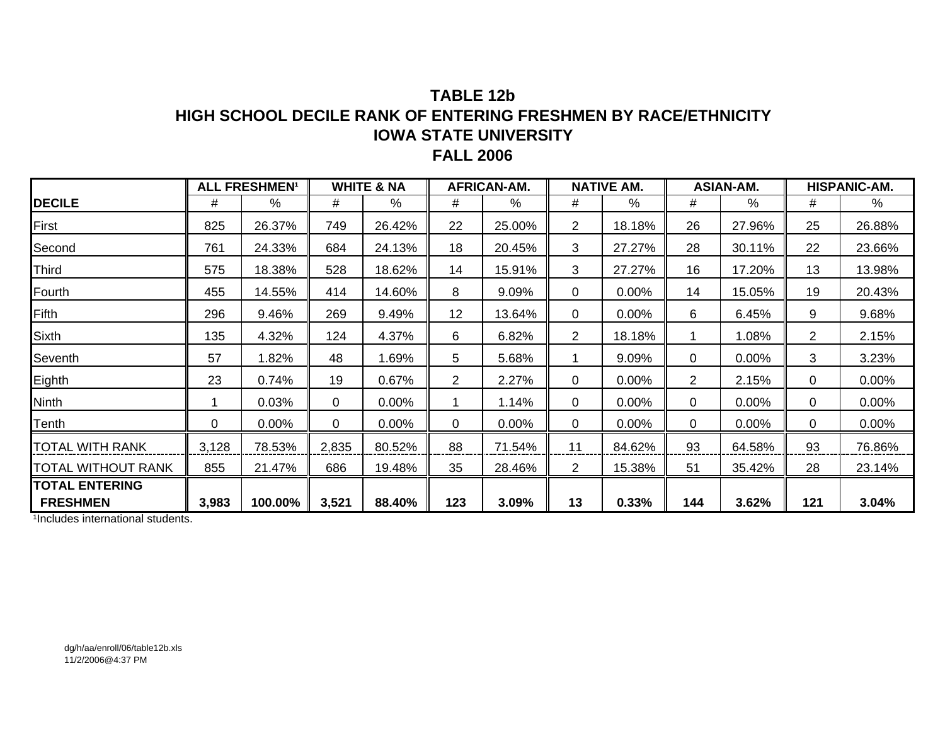### **TABLE 12bHIGH SCHOOL DECILE RANK OF ENTERING FRESHMEN BY RACE/ETHNICITY IOWA STATE UNIVERSITY FALL 2006**

|                           |       | <b>ALL FRESHMEN<sup>1</sup></b> |             | <b>WHITE &amp; NA</b> |                | <b>AFRICAN-AM.</b> |                | <b>NATIVE AM.</b> |                | <b>ASIAN-AM.</b> |                | HISPANIC-AM. |
|---------------------------|-------|---------------------------------|-------------|-----------------------|----------------|--------------------|----------------|-------------------|----------------|------------------|----------------|--------------|
| <b>DECILE</b>             | #     | %                               | #           | $\%$                  | #              | $\%$               | #              | %                 | #              | $\%$             | #              | %            |
| First                     | 825   | 26.37%                          | 749         | 26.42%                | 22             | 25.00%             | 2              | 18.18%            | 26             | 27.96%           | 25             | 26.88%       |
| Second                    | 761   | 24.33%                          | 684         | 24.13%                | 18             | 20.45%             | 3              | 27.27%            | 28             | 30.11%           | 22             | 23.66%       |
| <b>Third</b>              | 575   | 18.38%                          | 528         | 18.62%                | 14             | 15.91%             | 3              | 27.27%            | 16             | 17.20%           | 13             | 13.98%       |
| Fourth                    | 455   | 14.55%                          | 414         | 14.60%                | 8              | 9.09%              | 0              | 0.00%             | 14             | 15.05%           | 19             | 20.43%       |
| <b>Fifth</b>              | 296   | 9.46%                           | 269         | 9.49%                 | 12             | 13.64%             | 0              | 0.00%             | 6              | 6.45%            | 9              | 9.68%        |
| Sixth                     | 135   | 4.32%                           | 124         | 4.37%                 | 6              | 6.82%              | $\overline{2}$ | 18.18%            |                | 1.08%            | $\overline{2}$ | 2.15%        |
| Seventh                   | 57    | 1.82%                           | 48          | 1.69%                 | 5              | 5.68%              | 1              | 9.09%             | 0              | 0.00%            | 3              | 3.23%        |
| Eighth                    | 23    | 0.74%                           | 19          | 0.67%                 | $\overline{2}$ | 2.27%              | 0              | 0.00%             | $\overline{2}$ | 2.15%            | 0              | 0.00%        |
| <b>Ninth</b>              |       | 0.03%                           | $\mathbf 0$ | 0.00%                 |                | 1.14%              | 0              | 0.00%             | 0              | 0.00%            | 0              | 0.00%        |
| Tenth                     | 0     | $0.00\%$                        | 0           | 0.00%                 | 0              | 0.00%              | 0              | 0.00%             | 0              | 0.00%            | 0              | 0.00%        |
| <b>TOTAL WITH RANK</b>    | 3,128 | 78.53%                          | 2,835       | 80.52%                | 88             | 71.54%             | 11             | 84.62%            | 93             | 64.58%           | 93             | 76.86%       |
| <b>TOTAL WITHOUT RANK</b> | 855   | 21.47%                          | 686         | 19.48%                | 35             | 28.46%             | $\overline{2}$ | 15.38%            | 51             | 35.42%           | 28             | 23.14%       |
| <b>TOTAL ENTERING</b>     |       |                                 |             |                       |                |                    |                |                   |                |                  |                |              |
| <b>FRESHMEN</b>           | 3,983 | 100.00%                         | 3,521       | 88.40%                | 123            | 3.09%              | 13             | 0.33%             | 144            | 3.62%            | 121            | 3.04%        |

<sup>1</sup>Includes international students.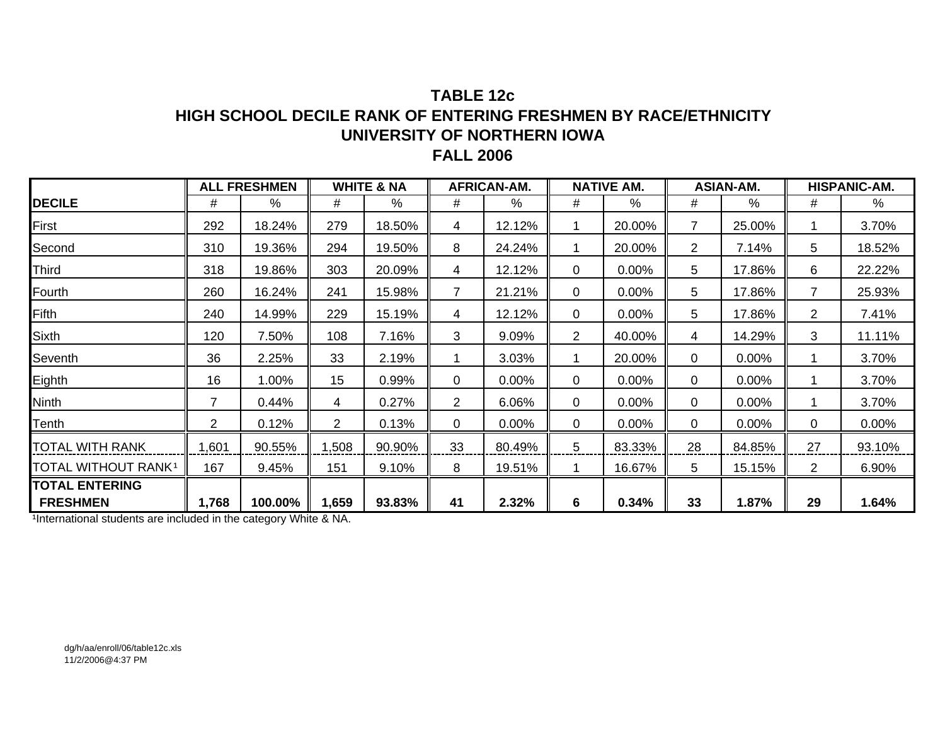### **TABLE 12cHIGH SCHOOL DECILE RANK OF ENTERING FRESHMEN BY RACE/ETHNICITY UNIVERSITY OF NORTHERN IOWA FALL 2006**

|                                 |                | <b>ALL FRESHMEN</b> |              | <b>WHITE &amp; NA</b> |                | <b>AFRICAN-AM.</b> |                | <b>NATIVE AM.</b> |                       | <b>ASIAN-AM.</b> |                | <b>HISPANIC-AM.</b> |
|---------------------------------|----------------|---------------------|--------------|-----------------------|----------------|--------------------|----------------|-------------------|-----------------------|------------------|----------------|---------------------|
| <b>DECILE</b>                   | #              | %                   | #            | %                     | #              | %                  | #              | $\%$              | #                     | %                | #              | %                   |
| First                           | 292            | 18.24%              | 279          | 18.50%                | 4              | 12.12%             |                | 20.00%            | $\overline{7}$        | 25.00%           |                | 3.70%               |
| Second                          | 310            | 19.36%              | 294          | 19.50%                | 8              | 24.24%             | 1              | 20.00%            | $\mathbf{2}^{\prime}$ | 7.14%            | 5              | 18.52%              |
| Third                           | 318            | 19.86%              | 303          | 20.09%                | 4              | 12.12%             | 0              | $0.00\%$          | 5                     | 17.86%           | 6              | 22.22%              |
| Fourth                          | 260            | 16.24%              | 241          | 15.98%                | $\overline{7}$ | 21.21%             | 0              | $0.00\%$          | 5                     | 17.86%           | $\overline{7}$ | 25.93%              |
| Fifth                           | 240            | 14.99%              | 229          | 15.19%                | 4              | 12.12%             | 0              | 0.00%             | 5                     | 17.86%           | $\overline{2}$ | 7.41%               |
| Sixth                           | 120            | 7.50%               | 108          | 7.16%                 | 3              | 9.09%              | $\overline{2}$ | 40.00%            | 4                     | 14.29%           | 3              | 11.11%              |
| Seventh                         | 36             | 2.25%               | 33           | 2.19%                 |                | 3.03%              |                | 20.00%            | 0                     | 0.00%            |                | 3.70%               |
| Eighth                          | 16             | 1.00%               | 15           | 0.99%                 | 0              | 0.00%              | 0              | 0.00%             | 0                     | 0.00%            |                | 3.70%               |
| Ninth                           | $\overline{7}$ | 0.44%               | 4            | 0.27%                 | $\overline{2}$ | 6.06%              | 0              | 0.00%             | 0                     | 0.00%            |                | 3.70%               |
| Tenth                           | $\overline{2}$ | 0.12%               | $\mathbf{2}$ | 0.13%                 | 0              | 0.00%              | 0              | 0.00%             | 0                     | 0.00%            | 0              | 0.00%               |
| TOTAL WITH RANK                 | ,601           | 90.55%              | 1,508        | 90.90%                | 33             | 80.49%             | 5              | 83.33%            | 28                    | 84.85%           | 27             | 93.10%              |
| TOTAL WITHOUT RANK <sup>1</sup> | 167            | 9.45%               | 151          | 9.10%                 | 8              | 19.51%             |                | 16.67%            | 5                     | 15.15%           | $\overline{2}$ | 6.90%               |
| <b>TOTAL ENTERING</b>           |                |                     |              |                       |                |                    |                |                   |                       |                  |                |                     |
| <b>FRESHMEN</b>                 | 1,768          | 100.00%             | 1,659        | 93.83%                | 41             | 2.32%              | 6              | 0.34%             | 33                    | 1.87%            | 29             | 1.64%               |

1International students are included in the category White & NA.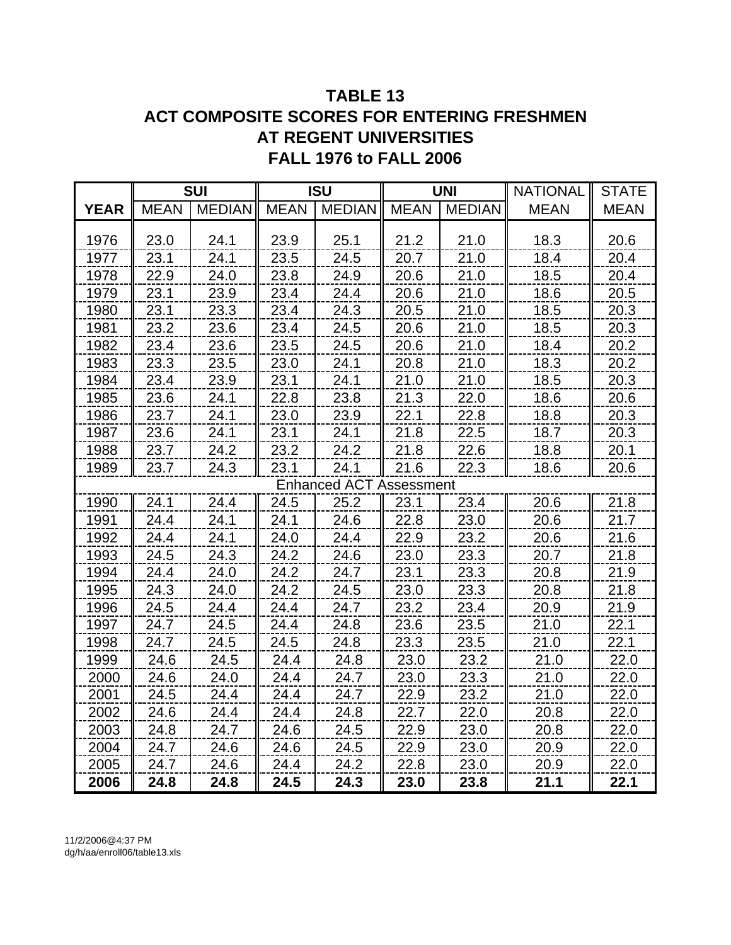# **TABLE 13 ACT COMPOSITE SCORES FOR ENTERING FRESHMEN AT REGENT UNIVERSITIES FALL 1976 to FALL 2006**

|             |             | <b>SUI</b>    |             | <b>ISU</b>                     |             | <b>UNI</b>    | <b>NATIONAL</b> | <b>STATE</b> |
|-------------|-------------|---------------|-------------|--------------------------------|-------------|---------------|-----------------|--------------|
| <b>YEAR</b> | <b>MEAN</b> | <b>MEDIAN</b> | <b>MEAN</b> | <b>MEDIAN</b>                  | <b>MEAN</b> | <b>MEDIAN</b> | <b>MEAN</b>     | <b>MEAN</b>  |
|             |             |               |             |                                |             |               |                 |              |
| 1976        | 23.0        | 24.1          | 23.9        | 25.1                           | 21.2        | 21.0          | 18.3            | 20.6         |
| 1977        | 23.1        | 24.1          | 23.5        | 24.5                           | 20.7        | 21.0          | 18.4            | 20.4         |
| 1978        | 22.9        | 24.0          | 23.8        | 24.9                           | 20.6        | 21.0          | 18.5            | 20.4         |
| 1979        | 23.1        | 23.9          | 23.4        | 24.4                           | 20.6        | 21.0          | 18.6            | 20.5         |
| 1980        | 23.1        | 23.3          | 23.4        | 24.3                           | 20.5        | 21.0          | 18.5            | 20.3         |
| 1981        | 23.2        | 23.6          | 23.4        | 24.5                           | 20.6        | 21.0          | 18.5            | 20.3         |
| 1982        | 23.4        | 23.6          | 23.5        | 24.5                           | 20.6        | 21.0          | 18.4            | 20.2         |
| 1983        | 23.3        | 23.5          | 23.0        | 24.1                           | 20.8        | 21.0          | 18.3            | 20.2         |
| 1984        | 23.4        | 23.9          | 23.1        | 24.1                           | 21.0        | 21.0          | 18.5            | 20.3         |
| 1985        | 23.6        | 24.1          | 22.8        | 23.8                           | 21.3        | 22.0          | 18.6            | 20.6         |
| 1986        | 23.7        | 24.1          | 23.0        | 23.9                           | 22.1        | 22.8          | 18.8            | 20.3         |
| 1987        | 23.6        | 24.1          | 23.1        | 24.1                           | 21.8        | 22.5          | 18.7            | 20.3         |
| 1988        | 23.7        | 24.2          | 23.2        | 24.2                           | 21.8        | 22.6          | 18.8            | 20.1         |
| 1989        | 23.7        | 24.3          | 23.1        | 24.1                           | 21.6        | 22.3          | 18.6            | 20.6         |
|             |             |               |             | <b>Enhanced ACT Assessment</b> |             |               |                 |              |
| 1990        | 24.1        | 24.4          | 24.5        | 25.2                           | 23.1        | 23.4          | 20.6            | 21.8         |
| 1991        | 24.4        | 24.1          | 24.1        | 24.6                           | 22.8        | 23.0          | 20.6            | 21.7         |
| 1992        | 24.4        | 24.1          | 24.0        | 24.4                           | 22.9        | 23.2          | 20.6            | 21.6         |
| 1993        | 24.5        | 24.3          | 24.2        | 24.6                           | 23.0        | 23.3          | 20.7            | 21.8         |
| 1994        | 24.4        | 24.0          | 24.2        | 24.7                           | 23.1        | 23.3          | 20.8            | 21.9         |
| 1995        | 24.3        | 24.0          | 24.2        | 24.5                           | 23.0        | 23.3          | 20.8            | 21.8         |
| 1996        | 24.5        | 24.4          | 24.4        | 24.7                           | 23.2        | 23.4          | 20.9            | 21.9         |
| 1997        | 24.7        | 24.5          | 24.4        | 24.8                           | 23.6        | 23.5          | 21.0            | 22.1         |
| 1998        | 24.7        | 24.5          | 24.5        | 24.8                           | 23.3        | 23.5          | 21.0            | 22.1         |
| 1999        | 24.6        | 24.5          | 24.4        | 24.8                           | 23.0        | 23.2          | 21.0            | 22.0         |
| 2000        | 24.6        | 24.0          | 24.4        | 24.7                           | 23.0        | 23.3          | 21.0            | 22.0         |
| 2001        | 24.5        | 24.4          | 24.4        | 24.7                           | 22.9        | 23.2          | 21.0            | 22.0         |
| 2002        | 24.6        | 24.4          | 24.4        | 24.8                           | 22.7        | 22.0          | 20.8            | 22.0         |
| 2003        | 24.8        | 24.7          | 24.6        | 24.5                           | 22.9        | 23.0          | 20.8            | 22.0         |
| 2004        | 24.7        | 24.6          | 24.6        | 24.5                           | 22.9        | 23.0          | 20.9            | 22.0         |
| 2005        | 24.7        | 24.6          | 24.4        | 24.2                           | 22.8        | 23.0          | 20.9            | 22.0         |
| 2006        | 24.8        | 24.8          | 24.5        | 24.3                           | 23.0        | 23.8          | 21.1            | 22.1         |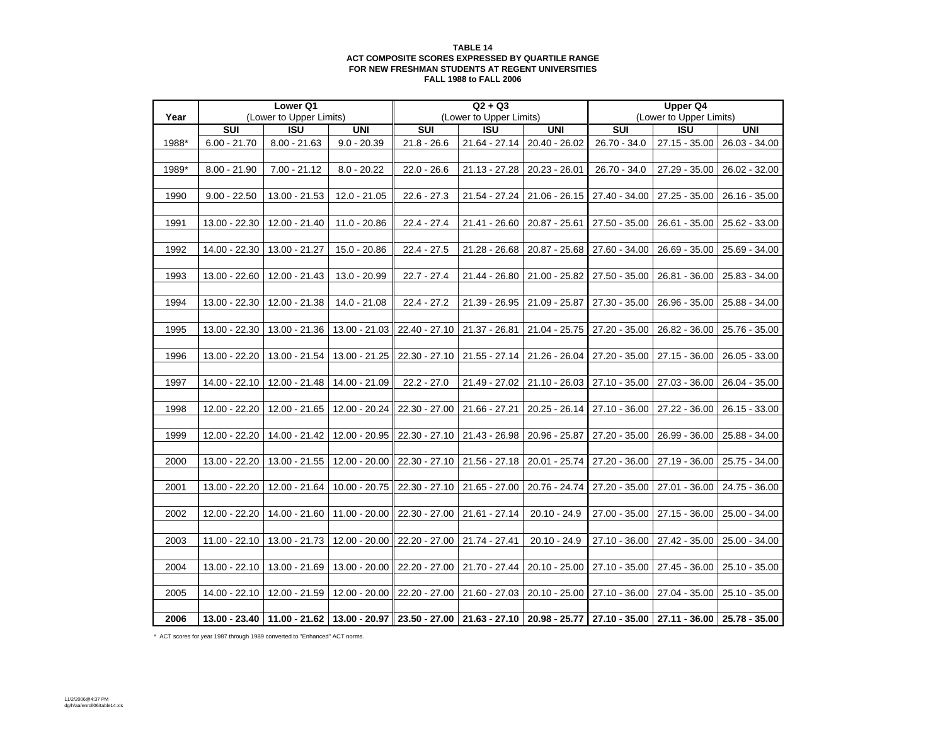#### **TABLE 14 ACT COMPOSITE SCORES EXPRESSED BY QUARTILE RANGE FOR NEW FRESHMAN STUDENTS AT REGENT UNIVERSITIESFALL 1988 to FALL 2006**

|       |                | Lower Q1                |                 |                                                                                           | $Q2 + Q3$               |                             |                 | <b>Upper Q4</b>         |                 |
|-------|----------------|-------------------------|-----------------|-------------------------------------------------------------------------------------------|-------------------------|-----------------------------|-----------------|-------------------------|-----------------|
| Year  |                | (Lower to Upper Limits) |                 |                                                                                           | (Lower to Upper Limits) |                             |                 | (Lower to Upper Limits) |                 |
|       | <b>SUI</b>     | <b>ISU</b>              | <b>UNI</b>      | SUI                                                                                       | <b>ISU</b>              | <b>UNI</b>                  | <b>SUI</b>      | <b>ISU</b>              | <b>UNI</b>      |
| 1988* | $6.00 - 21.70$ | $8.00 - 21.63$          | $9.0 - 20.39$   | $21.8 - 26.6$                                                                             | $21.64 - 27.14$         | $20.40 - 26.02$             | $26.70 - 34.0$  | 27.15 - 35.00           | 26.03 - 34.00   |
|       |                |                         |                 |                                                                                           |                         |                             |                 |                         |                 |
| 1989* | $8.00 - 21.90$ | 7.00 - 21.12            | $8.0 - 20.22$   | $22.0 - 26.6$                                                                             | 21.13 - 27.28           | 20.23 - 26.01               | 26.70 - 34.0    | 27.29 - 35.00           | 26.02 - 32.00   |
|       |                |                         |                 |                                                                                           |                         |                             |                 |                         |                 |
| 1990  | $9.00 - 22.50$ | 13.00 - 21.53           | $12.0 - 21.05$  | $22.6 - 27.3$                                                                             | 21.54 - 27.24           | 21.06 - 26.15               | 27.40 - 34.00   | 27.25 - 35.00           | 26.16 - 35.00   |
|       |                |                         |                 |                                                                                           |                         |                             |                 |                         |                 |
| 1991  | 13.00 - 22.30  | 12.00 - 21.40           | 11.0 - 20.86    | $22.4 - 27.4$                                                                             |                         | 21.41 - 26.60 20.87 - 25.61 | 27.50 - 35.00   | 26.61 - 35.00           | 25.62 - 33.00   |
|       |                |                         |                 |                                                                                           |                         |                             |                 |                         |                 |
| 1992  | 14.00 - 22.30  | 13.00 - 21.27           | 15.0 - 20.86    | $22.4 - 27.5$                                                                             | 21.28 - 26.68           | 20.87 - 25.68               | 27.60 - 34.00   | 26.69 - 35.00           | 25.69 - 34.00   |
|       |                |                         |                 |                                                                                           |                         |                             |                 |                         |                 |
| 1993  | 13.00 - 22.60  | 12.00 - 21.43           | $13.0 - 20.99$  | $22.7 - 27.4$                                                                             | 21.44 - 26.80           | 21.00 - 25.82               | $27.50 - 35.00$ | 26.81 - 36.00           | 25.83 - 34.00   |
|       |                |                         |                 |                                                                                           |                         |                             |                 |                         |                 |
| 1994  | 13.00 - 22.30  | 12.00 - 21.38           | 14.0 - 21.08    | $22.4 - 27.2$                                                                             | 21.39 - 26.95           | 21.09 - 25.87               | 27.30 - 35.00   | 26.96 - 35.00           | 25.88 - 34.00   |
|       |                |                         |                 |                                                                                           |                         |                             |                 |                         |                 |
| 1995  | 13.00 - 22.30  | 13.00 - 21.36           | 13.00 - 21.03   | 22.40 - 27.10                                                                             | 21.37 - 26.81           | 21.04 - 25.75               | 27.20 - 35.00   | 26.82 - 36.00           | 25.76 - 35.00   |
|       |                |                         |                 |                                                                                           |                         |                             |                 |                         |                 |
| 1996  | 13.00 - 22.20  | 13.00 - 21.54           | 13.00 - 21.25   | 22.30 - 27.10                                                                             | $21.55 - 27.14$         | 21.26 - 26.04               | 27.20 - 35.00   | 27.15 - 36.00           | $26.05 - 33.00$ |
|       |                |                         |                 |                                                                                           |                         |                             |                 |                         |                 |
|       |                |                         |                 |                                                                                           |                         |                             |                 |                         |                 |
| 1997  | 14.00 - 22.10  | 12.00 - 21.48           | 14.00 - 21.09   | $22.2 - 27.0$                                                                             | 21.49 - 27.02           | $21.10 - 26.03$             | 27.10 - 35.00   | 27.03 - 36.00           | 26.04 - 35.00   |
| 1998  |                |                         |                 |                                                                                           |                         |                             |                 |                         |                 |
|       | 12.00 - 22.20  | 12.00 - 21.65           | 12.00 - 20.24   | 22.30 - 27.00                                                                             | 21.66 - 27.21           | $20.25 - 26.14$             | 27.10 - 36.00   | 27.22 - 36.00           | 26.15 - 33.00   |
|       |                |                         |                 |                                                                                           |                         |                             |                 |                         |                 |
| 1999  | 12.00 - 22.20  | 14.00 - 21.42           | 12.00 - 20.95   | 22.30 - 27.10                                                                             | 21.43 - 26.98           | 20.96 - 25.87               | 27.20 - 35.00   | 26.99 - 36.00           | 25.88 - 34.00   |
|       |                |                         |                 |                                                                                           |                         |                             |                 |                         |                 |
| 2000  | 13.00 - 22.20  | 13.00 - 21.55           | 12.00 - 20.00   | 22.30 - 27.10                                                                             | 21.56 - 27.18           | 20.01 - 25.74               | 27.20 - 36.00   | 27.19 - 36.00           | 25.75 - 34.00   |
|       |                |                         |                 |                                                                                           |                         |                             |                 |                         |                 |
| 2001  | 13.00 - 22.20  | 12.00 - 21.64           | $10.00 - 20.75$ | 22.30 - 27.10                                                                             | 21.65 - 27.00           | 20.76 - 24.74               | 27.20 - 35.00   | 27.01 - 36.00           | 24.75 - 36.00   |
|       |                |                         |                 |                                                                                           |                         |                             |                 |                         |                 |
| 2002  | 12.00 - 22.20  | 14.00 - 21.60           | $11.00 - 20.00$ | 22.30 - 27.00                                                                             | 21.61 - 27.14           | $20.10 - 24.9$              | 27.00 - 35.00   | 27.15 - 36.00           | 25.00 - 34.00   |
|       |                |                         |                 |                                                                                           |                         |                             |                 |                         |                 |
| 2003  | 11.00 - 22.10  | 13.00 - 21.73           | 12.00 - 20.00   | 22.20 - 27.00                                                                             | 21.74 - 27.41           | $20.10 - 24.9$              | 27.10 - 36.00   | 27.42 - 35.00           | 25.00 - 34.00   |
|       |                |                         |                 |                                                                                           |                         |                             |                 |                         |                 |
| 2004  | 13.00 - 22.10  | 13.00 - 21.69           | 13.00 - 20.00   | 22.20 - 27.00                                                                             | 21.70 - 27.44           | $20.10 - 25.00$             | 27.10 - 35.00   | 27.45 - 36.00           | $25.10 - 35.00$ |
|       |                |                         |                 |                                                                                           |                         |                             |                 |                         |                 |
| 2005  | 14.00 - 22.10  | 12.00 - 21.59           | 12.00 - 20.00   | 22.20 - 27.00                                                                             | 21.60 - 27.03           | $20.10 - 25.00$             | $27.10 - 36.00$ | 27.04 - 35.00           | 25.10 - 35.00   |
|       |                |                         |                 |                                                                                           |                         |                             |                 |                         |                 |
| 2006  | 13.00 - 23.40  |                         |                 | │11.00 - 21.62 │13.00 - 20.97 │23.50 - 27.00 │21.63 - 27.10 │20.98 - 25.77 ║27.10 - 35.00 |                         |                             |                 | 27.11 - 36.00           | 25.78 - 35.00   |

\* ACT scores for year 1987 through 1989 converted to "Enhanced" ACT norms.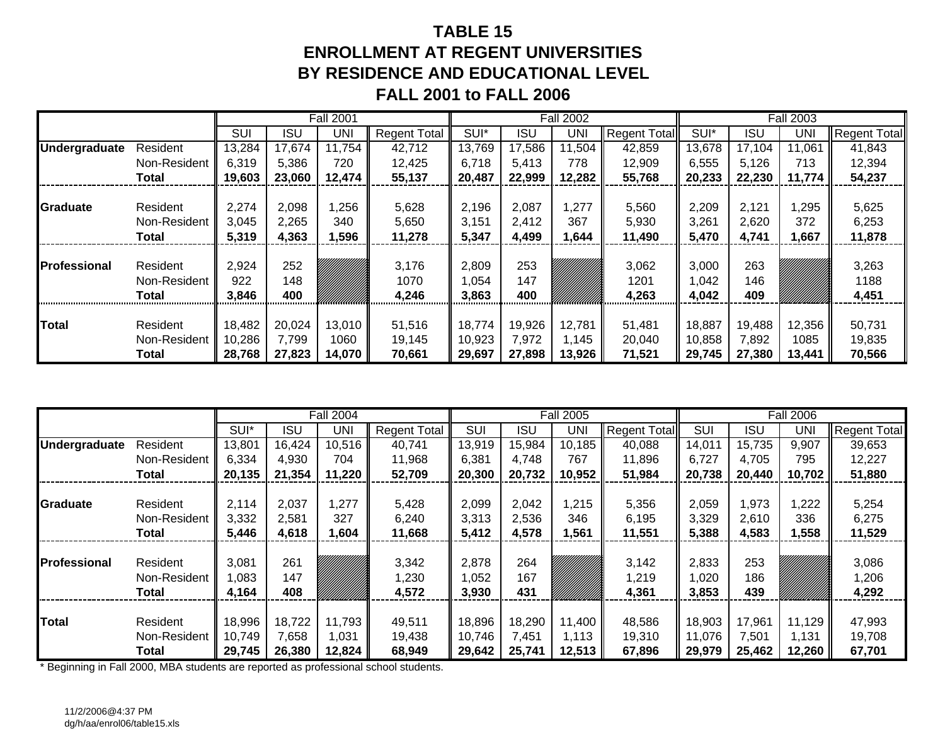# **TABLE 15ENROLLMENT AT REGENT UNIVERSITIESBY RESIDENCE AND EDUCATIONAL LEVELFALL 2001 to FALL 2006**

|               |              |        |            | <b>Fall 2001</b> |                     |        |            | <b>Fall 2002</b> |                     |        |            | <b>Fall 2003</b> |                     |
|---------------|--------------|--------|------------|------------------|---------------------|--------|------------|------------------|---------------------|--------|------------|------------------|---------------------|
|               |              | SUI    | <b>ISU</b> | UNI              | <b>Regent Total</b> | SUI*   | <b>ISU</b> | UNI              | <b>Regent Total</b> | SUI*   | <b>ISU</b> | <b>UNI</b>       | <b>Regent Total</b> |
| Undergraduate | Resident     | 13,284 | 17,674     | 11,754           | 42,712              | 13,769 | 17,586     | 11,504           | 42,859              | 13,678 | 17,104     | 11,061           | 41,843              |
|               | Non-Resident | 6,319  | 5,386      | 720              | 12,425              | 6,718  | 5,413      | 778              | 12,909              | 6,555  | 5,126      | 713              | 12,394              |
|               | Total        | 19,603 | 23,060     | 12,474           | 55,137              | 20,487 | 22,999     | 12,282           | 55,768              | 20,233 | 22,230     | 11,774           | 54,237              |
|               |              |        |            |                  |                     |        |            |                  |                     |        |            |                  |                     |
| Graduate      | Resident     | 2,274  | 2,098      | ,256             | 5,628               | 2,196  | 2,087      | ,277             | 5,560               | 2,209  | 2,121      | 1,295            | 5,625               |
|               | Non-Resident | 3,045  | 2,265      | 340              | 5,650               | 3,151  | 2,412      | 367              | 5,930               | 3,261  | 2,620      | 372              | 6,253               |
|               | Total        | 5,319  | 4,363      | ,596             | 11,278              | 5,347  | 4,499      | ,644             | 11,490              | 5,470  | 4,741      | 1,667            | 11,878              |
|               |              |        |            |                  |                     |        |            |                  |                     |        |            |                  |                     |
| Professional  | Resident     | 2,924  | 252        |                  | 3,176               | 2,809  | 253        |                  | 3,062               | 3,000  | 263        |                  | 3,263               |
|               | Non-Resident | 922    | 148        |                  | 1070                | 1,054  | 147        |                  | 1201                | 1,042  | 146        |                  | 1188                |
|               | Total        | 3,846  | 400        |                  | 4,246               | 3,863  | 400        |                  | 4,263               | 4,042  | 409        |                  | 4,451               |
|               |              |        |            |                  |                     |        |            |                  |                     |        |            |                  |                     |
| <b>Total</b>  | Resident     | 18,482 | 20,024     | 13,010           | 51,516              | 18,774 | 19,926     | 12,781           | 51,481              | 18,887 | 19,488     | 12,356           | 50,731              |
|               | Non-Resident | 10,286 | 7,799      | 1060             | 19,145              | 10,923 | 7,972      | 1,145            | 20,040              | 10,858 | 7,892      | 1085             | 19,835              |
|               | Total        | 28,768 | 27,823     | 14,070           | 70,661              | 29,697 | 27,898     | 13,926           | 71,521              | 29,745 | 27,380     | 13,441           | 70,566              |

|                      |              |        |            | <b>Fall 2004</b> |                     |            |        | <b>Fall 2005</b> |                     |            |        | <b>Fall 2006</b> |                     |
|----------------------|--------------|--------|------------|------------------|---------------------|------------|--------|------------------|---------------------|------------|--------|------------------|---------------------|
|                      |              | SUI*   | <b>ISU</b> | UNI              | <b>Regent Total</b> | <b>SUI</b> | ISU    | UNI              | <b>Regent Total</b> | <b>SUI</b> | ISU    | UNI              | <b>Regent Total</b> |
| <b>Undergraduate</b> | Resident     | 13,801 | 16,424     | 10,516           | 40,741              | 13,919     | 15,984 | 10,185           | 40,088              | 14,011     | 15,735 | 9,907            | 39,653              |
|                      | Non-Resident | 6,334  | 4,930      | 704              | 11,968              | 6,381      | 4,748  | 767              | 11,896              | 6,727      | 4,705  | 795              | 12,227              |
|                      | <b>Total</b> | 20,135 | 21,354     | 11,220           | 52,709              | 20,300     | 20,732 | 10,952           | 51,984              | 20,738     | 20,440 | 10,702           | 51,880              |
|                      |              |        |            |                  |                     |            |        |                  |                     |            |        |                  |                     |
| Graduate             | Resident     | 2,114  | 2,037      | 1,277            | 5,428               | 2,099      | 2,042  | 1,215            | 5,356               | 2,059      | 1,973  | ,222             | 5,254               |
|                      | Non-Resident | 3,332  | 2,581      | 327              | 6,240               | 3,313      | 2,536  | 346              | 6,195               | 3,329      | 2,610  | 336              | 6,275               |
|                      | Total        | 5,446  | 4,618      | 1,604            | 11,668              | 5,412      | 4,578  | ,561             | 11,551              | 5,388      | 4,583  | 1,558            | 11,529              |
|                      |              |        |            |                  |                     |            |        |                  |                     |            |        |                  |                     |
| <b>Professional</b>  | Resident     | 3,081  | 261        |                  | 3,342               | 2,878      | 264    |                  | 3,142               | 2,833      | 253    |                  | 3,086               |
|                      | Non-Resident | 1,083  | 147        |                  | 1,230               | 1,052      | 167    |                  | 1,219               | 020, ا     | 186    |                  | 1,206               |
|                      | <b>Total</b> | 4,164  | 408        |                  | 4,572               | 3,930      | 431    |                  | 4,361               | 3,853      | 439    |                  | 4,292               |
|                      |              |        |            |                  |                     |            |        |                  |                     |            |        |                  |                     |
| <b>Total</b>         | Resident     | 18,996 | 18,722     | 11,793           | 49,511              | 18,896     | 18,290 | 11,400           | 48,586              | 18,903     | 17,961 | 11,129           | 47,993              |
|                      | Non-Resident | 10,749 | 7,658      | 1,031            | 19,438              | 10,746     | 7,451  | 1,113            | 19,310              | 11,076     | 7.501  | 1,131            | 19,708              |
|                      | Total        | 29,745 | 26,380     | 12,824           | 68,949              | 29,642     | 25,741 | 12,513           | 67,896              | 29,979     | 25,462 | 12,260           | 67,701              |

\* Beginning in Fall 2000, MBA students are reported as professional school students.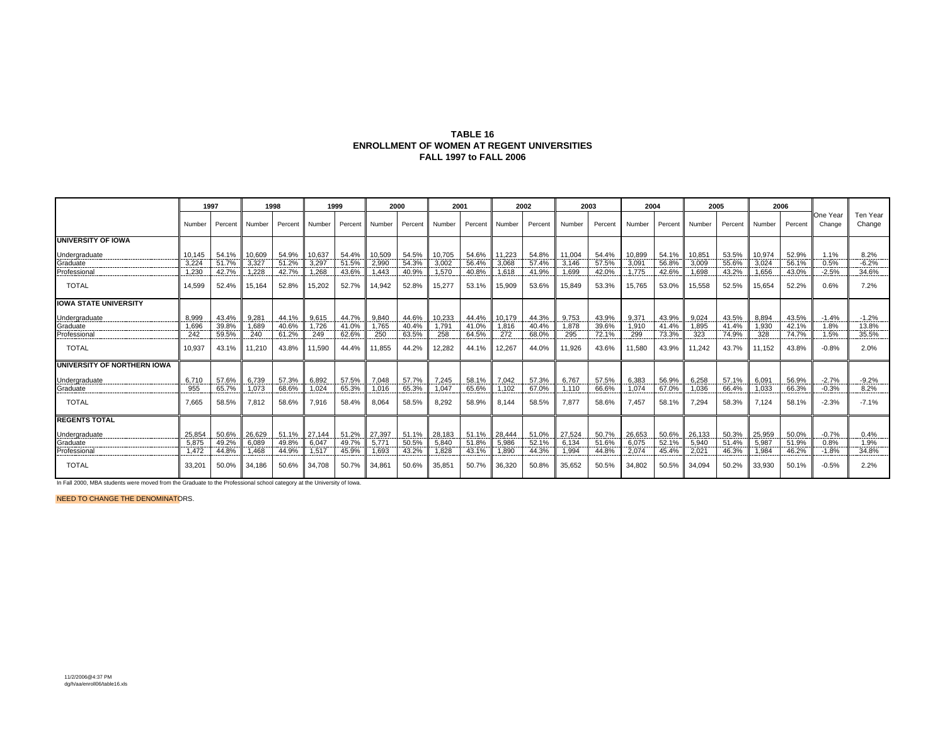#### **TABLE 16 ENROLLMENT OF WOMEN AT REGENT UNIVERSITIES FALL 1997 to FALL 2006**

|                                             |        | 1997               |                   | 1998    | 1999   |         |        | 2000               | 2001   |         |        | 2002    |        | 2003               | 2004               |                    | 2005       |         |                   | 2006       |                    |                    |
|---------------------------------------------|--------|--------------------|-------------------|---------|--------|---------|--------|--------------------|--------|---------|--------|---------|--------|--------------------|--------------------|--------------------|------------|---------|-------------------|------------|--------------------|--------------------|
|                                             | Number | Percent            | Number            | Percent | Number | Percent | Number | Percent            | Number | Percent | Number | Percent | Number | Percent            | Number             | Percent            | Number     | Percent | Number            | Percent    | One Year<br>Change | Ten Year<br>Change |
| <b>UNIVERSITY OF IOWA</b>                   |        |                    |                   |         |        |         |        |                    |        |         |        |         |        |                    |                    |                    |            |         |                   |            |                    |                    |
| Undergraduate                               | 10.145 | 54.1%              | 10,609            | 54.9%   | 10,637 | 54.4%   | 10,509 | 54.5%              | 10.705 | 54.6%   | 11,223 | 54.8%   | 11.004 | 54.4%              | 10,899             | 54.1%              | 10,851     | 53.5%   | 10,974            | 52.9%      | 1.1%               | 8.2%               |
|                                             | 3,224  | 51.7%<br>--------- | 3,327<br>-------- | 51.2%   | 3,297  | 51.5%   | 2,990  | 54.3%<br>--------- | 3,002  | 56.4%   | 3,068  | 57.4%   | 3.146  | 57.5%<br>--------- | 3,091<br>--------- | 56.8%<br>--------- | 3,009<br>. | 55.6%   | 3.024<br>-------- | 56.1%<br>. | 0.5%<br>.          | $-6.2%$            |
| Professiona                                 | 1,230  | 42.7%              | .228              | 42.7%   | 1.268  | 43.6%   | 1.443  | 40.9%              | 1.570  | 40.8%   | 1.618  | 41.9%   | 1.699  | 42.0%              | 1.775              | 42.6%              | 1.698      | 43.2%   | 1.656             | 43.0%      | $-2.5%$            | 34.6%              |
| <b>TOTAL</b>                                | 14.599 | 52.4%              | 15,164            | 52.8%   | 15,202 | 52.7%   | 14,942 | 52.8%              | 15,277 | 53.1%   | 15,909 | 53.6%   | 15,849 | 53.3%              | 15,765             | 53.0%              | 15,558     | 52.5%   | 15,654            | 52.2%      | 0.6%               | 7.2%               |
| <b>IOWA STATE UNIVERSITY</b>                |        |                    |                   |         |        |         |        |                    |        |         |        |         |        |                    |                    |                    |            |         |                   |            |                    |                    |
| Undergraduate                               | 8.999  | 43.4%              | 9.281             | 44.1%   | 9.615  | 44.7%   | 9.840  | 44.6%              | 10.233 | 44.4%   | 10.179 | 44.3%   | 9.753  | 43.9%              | 9.371              | 43.9%              | 9.024      | 43.5%   | 8.894             | 43.5%      | $-1.4%$            | $-1.2%$            |
| Graduate                                    | 1.696  | 39.8%              | 1.689             | 40.6%   | 1.726  | 41.0%   | 1.765  | 40.4%              | 1.79   | 41.0%   | 1.816  | 40.4%   | 1.878  | 39.6%              | 1.910              | 41.4%              | 1.895      | 41.4%   | 1.930             | 42.1%      | 1.8%               | 13.8%              |
| Professional                                | 242    | 59.5%              | 240               | 61.2%   | 249    | 62.6%   | 250    | 63.5%              | 258    | 64.5%   | 272    | 68.0%   | 295    | 72.1%              | 299                | 73.3%              | 323        | 74.9%   | 328               | 74.7%      | 1.5%               | 35.5%              |
| <b>TOTAL</b>                                | 10.937 | 43.1%              | 11.210            | 43.8%   | 11,590 | 44.4%   | 11.855 | 44.2%              | 12.282 | 44.1%   | 12,267 | 44.0%   | 11,926 | 43.6%              | 11,580             | 43.9%              | 11.242     | 43.7%   | 11,152            | 43.8%      | $-0.8%$            | 2.0%               |
| UNIVERSITY OF NORTHERN IOWA                 |        |                    |                   |         |        |         |        |                    |        |         |        |         |        |                    |                    |                    |            |         |                   |            |                    |                    |
| <b>Undergraduate</b>                        | 6.710  | 57.6%              | 6.739             | 57.3%   | 6.892  | 57.5%   | 7.048  | 57.7%              | 7.245  | 58.1%   | 7.042  | 57.3%   | 6.767  | 57.5%              | 6.383              | 56.9%              | 6.258      | 57.1%   | 6.091             | 56.9%      | $-2.7%$            | $-9.2%$            |
| Graduate<br>.                               | 955    | 65.7%              | 1.073             | 68.6%   | 1.024  | 65.3%   | 1.016  | 65.3%              | 1.047  | 65.6%   | 1.102  | 67.0%   | 1.110  | 66.6%              | 1.074              | 67.0%              | 1.036      | 66.4%   | 1.033             | 66.3%      | $-0.3%$            | 8.2%               |
| <b>TOTAL</b>                                | 7.665  | 58.5%              | 7,812             | 58.6%   | 7.916  | 58.4%   | 8.064  | 58.5%              | 8.292  | 58.9%   | 8.144  | 58.5%   | 7,877  | 58.6%              | 7.457              | 58.1%              | 7.294      | 58.3%   | 7.124             | 58.1%      | $-2.3%$            | $-7.1%$            |
| <b>REGENTS TOTAL</b>                        |        |                    |                   |         |        |         |        |                    |        |         |        |         |        |                    |                    |                    |            |         |                   |            |                    |                    |
| Undergraduate<br>-------------------------- | 25.854 | 50.6%              | 26.629            | 51.1%   | 27.144 | 51.2%   | 27.397 | 51.1%              | 28.183 | 51.1%   | 28,444 | 51.0%   | 27.524 | 50.7%              | 26.653             | 50.6%              | 26,133     | 50.3%   | 25.959            | 50.0%      | $-0.7%$            | 0.4%               |
| Graduate                                    | 5.875  | 49.2%              | 6.089             | 49.8%   | 6.047  | 49.7%   | 5.771  | 50.5%              | 5.840  | 51.8%   | 5.986  | 52.1%   | 6.134  | 51.6%              | 6.075              | 52.1%              | 5.940      | 51.4%   | 5.98              | 51.9%      | 0.8%               | 1.9%               |
| Professional                                | 1,472  | 44.8%              | .468              | 44.9%   | 1.517  | 45.9%   | 1.693  | 43.2%              | 1.828  | 43.1%   | 1,890  | 44.3%   | 1.994  | 44.8%              | 2.074              | 45.4%              | 2,021      | 46.3%   | 1.984             | 46.2%      | $-1.8%$            | 34.8%              |
| <b>TOTAL</b>                                | 33.20' | 50.0%              | 34.186            | 50.6%   | 34.708 | 50.7%   | 34.86' | 50.6%              | 35,851 | 50.7%   | 36,320 | 50.8%   | 35.652 | 50.5%              | 34.802             | 50.5%              | 34.094     | 50.2%   | 33.930            | 50.1%      | $-0.5%$            | 2.2%               |

In Fall 2000, MBA students were moved from the Graduate to the Professional school category at the University of Iowa.

NEED TO CHANGE THE DENOMINATORS.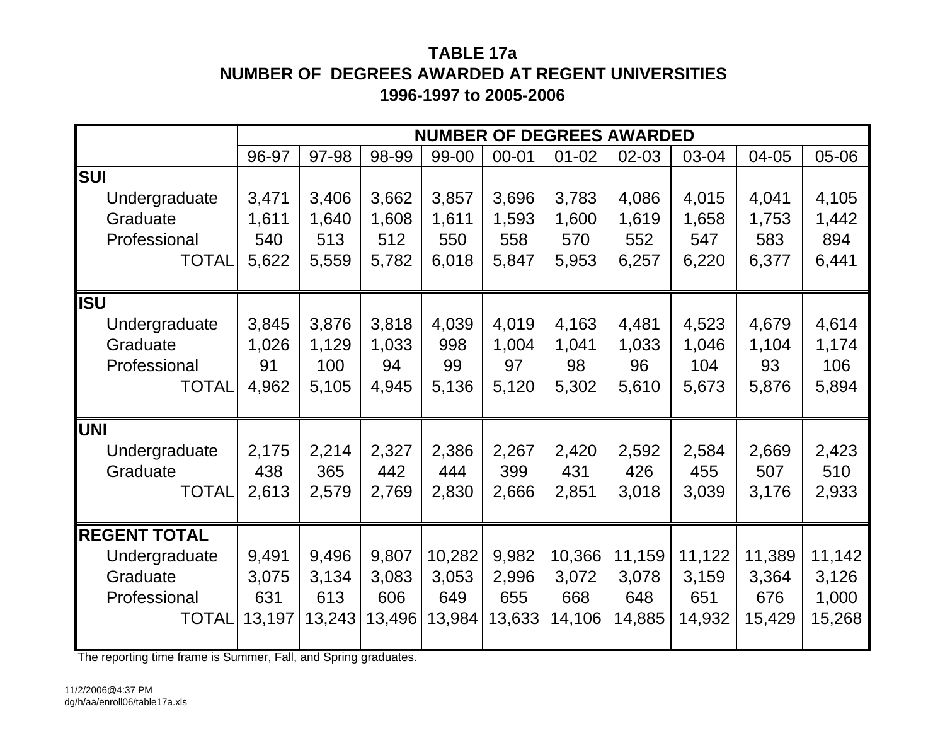# **TABLE 17aNUMBER OF DEGREES AWARDED AT REGENT UNIVERSITIES1996-1997 to 2005-2006**

|                     |        |        |        |        |           |           | <b>NUMBER OF DEGREES AWARDED</b> |        |        |        |
|---------------------|--------|--------|--------|--------|-----------|-----------|----------------------------------|--------|--------|--------|
|                     | 96-97  | 97-98  | 98-99  | 99-00  | $00 - 01$ | $01 - 02$ | 02-03                            | 03-04  | 04-05  | 05-06  |
| <b>SUI</b>          |        |        |        |        |           |           |                                  |        |        |        |
| Undergraduate       | 3,471  | 3,406  | 3,662  | 3,857  | 3,696     | 3,783     | 4,086                            | 4,015  | 4,041  | 4,105  |
| Graduate            | 1,611  | 1,640  | 1,608  | 1,611  | 1,593     | 1,600     | 1,619                            | 1,658  | 1,753  | 1,442  |
| Professional        | 540    | 513    | 512    | 550    | 558       | 570       | 552                              | 547    | 583    | 894    |
| <b>TOTAL</b>        | 5,622  | 5,559  | 5,782  | 6,018  | 5,847     | 5,953     | 6,257                            | 6,220  | 6,377  | 6,441  |
|                     |        |        |        |        |           |           |                                  |        |        |        |
| <b>ISU</b>          |        |        |        |        |           |           |                                  |        |        |        |
| Undergraduate       | 3,845  | 3,876  | 3,818  | 4,039  | 4,019     | 4,163     | 4,481                            | 4,523  | 4,679  | 4,614  |
| Graduate            | 1,026  | 1,129  | 1,033  | 998    | 1,004     | 1,041     | 1,033                            | 1,046  | 1,104  | 1,174  |
| Professional        | 91     | 100    | 94     | 99     | 97        | 98        | 96                               | 104    | 93     | 106    |
| <b>TOTAL</b>        | 4,962  | 5,105  | 4,945  | 5,136  | 5,120     | 5,302     | 5,610                            | 5,673  | 5,876  | 5,894  |
| <b>UNI</b>          |        |        |        |        |           |           |                                  |        |        |        |
| Undergraduate       | 2,175  | 2,214  | 2,327  | 2,386  | 2,267     | 2,420     | 2,592                            | 2,584  | 2,669  | 2,423  |
| Graduate            | 438    | 365    | 442    | 444    | 399       | 431       | 426                              | 455    | 507    | 510    |
| <b>TOTAL</b>        | 2,613  | 2,579  | 2,769  | 2,830  | 2,666     | 2,851     | 3,018                            | 3,039  | 3,176  | 2,933  |
|                     |        |        |        |        |           |           |                                  |        |        |        |
| <b>REGENT TOTAL</b> |        |        |        |        |           |           |                                  |        |        |        |
| Undergraduate       | 9,491  | 9,496  | 9,807  | 10,282 | 9,982     | 10,366    | 11,159                           | 11,122 | 11,389 | 11,142 |
| Graduate            | 3,075  | 3,134  | 3,083  | 3,053  | 2,996     | 3,072     | 3,078                            | 3,159  | 3,364  | 3,126  |
| Professional        | 631    | 613    | 606    | 649    | 655       | 668       | 648                              | 651    | 676    | 1,000  |
| <b>TOTAL</b>        | 13,197 | 13,243 | 13,496 | 13,984 | 13,633    | 14,106    | 14,885                           | 14,932 | 15,429 | 15,268 |
|                     |        |        |        |        |           |           |                                  |        |        |        |

The reporting time frame is Summer, Fall, and Spring graduates.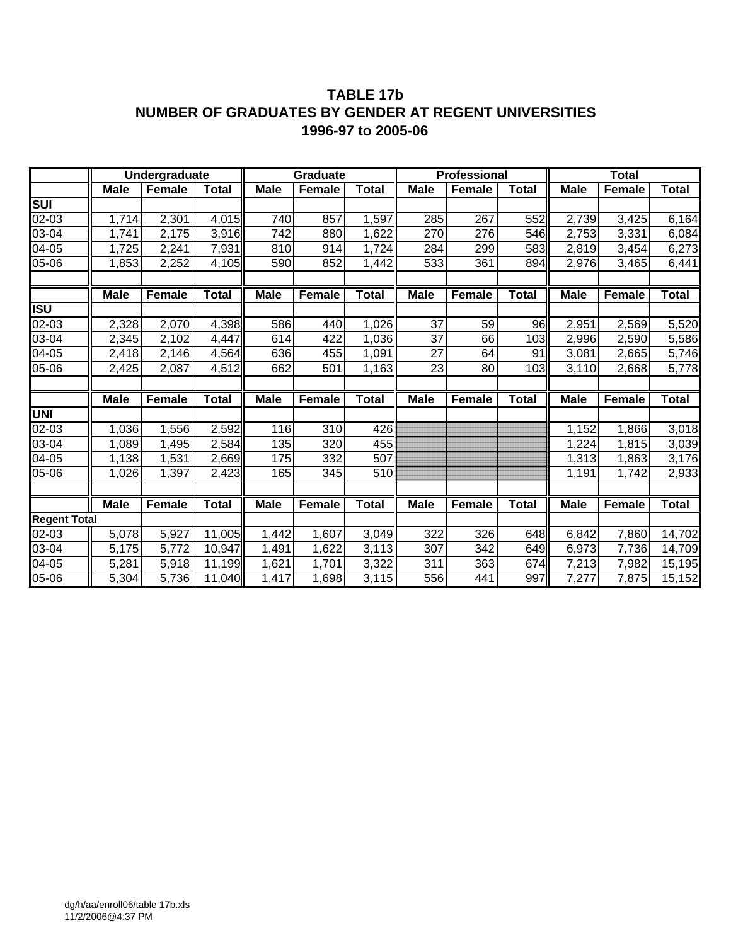### **TABLE 17b NUMBER OF GRADUATES BY GENDER AT REGENT UNIVERSITIES 1996-97 to 2005-06**

|                                   |             | <b>Undergraduate</b> |              |             | Graduate      |              |             | <b>Professional</b> |              |             | <b>Total</b>  |              |
|-----------------------------------|-------------|----------------------|--------------|-------------|---------------|--------------|-------------|---------------------|--------------|-------------|---------------|--------------|
|                                   | <b>Male</b> | Female               | Total        | <b>Male</b> | <b>Female</b> | <b>Total</b> | <b>Male</b> | <b>Female</b>       | <b>Total</b> | <b>Male</b> | <b>Female</b> | Total        |
| $\overline{\mathsf{s}\mathsf{u}}$ |             |                      |              |             |               |              |             |                     |              |             |               |              |
| 02-03                             | 1,714       | 2,301                | 4,015        | 740         | 857           | 1,597        | 285         | 267                 | 552          | 2,739       | 3,425         | 6,164        |
| 03-04                             | 1,741       | 2,175                | 3,916        | 742         | 880           | 1,622        | 270         | 276                 | 546          | 2,753       | 3,331         | 6,084        |
| 04-05                             | 1,725       | 2,241                | 7,931        | 810         | 914           | 1,724        | 284         | 299                 | 583          | 2,819       | 3,454         | 6,273        |
| 05-06                             | 1,853       | 2,252                | 4,105        | 590         | 852           | 1,442        | 533         | 361                 | 894          | 2,976       | 3,465         | 6,441        |
|                                   |             |                      |              |             |               |              |             |                     |              |             |               |              |
|                                   | <b>Male</b> | Female               | <b>Total</b> | <b>Male</b> | Female        | <b>Total</b> | <b>Male</b> | <b>Female</b>       | <b>Total</b> | <b>Male</b> | <b>Female</b> | <b>Total</b> |
| $\overline{\mathsf{ISU}}$         |             |                      |              |             |               |              |             |                     |              |             |               |              |
| 02-03                             | 2,328       | 2,070                | 4,398        | 586         | 440           | 1,026        | 37          | 59                  | 96           | 2,951       | 2,569         | 5,520        |
| 03-04                             | 2,345       | 2,102                | 4,447        | 614         | 422           | 1,036        | 37          | 66                  | 103          | 2,996       | 2,590         | 5,586        |
| 04-05                             | 2,418       | 2,146                | 4,564        | 636         | 455           | 1,091        | 27          | 64                  | 91           | 3,081       | 2,665         | 5,746        |
| $05-06$                           | 2,425       | 2,087                | 4,512        | 662         | 501           | 1,163        | 23          | 80                  | 103          | 3,110       | 2,668         | 5,778        |
|                                   |             |                      |              |             |               |              |             |                     |              |             |               |              |
|                                   | <b>Male</b> | Female               | <b>Total</b> | <b>Male</b> | <b>Female</b> | <b>Total</b> | <b>Male</b> | <b>Female</b>       | <b>Total</b> | <b>Male</b> | <b>Female</b> | <b>Total</b> |
| UNI                               |             |                      |              |             |               |              |             |                     |              |             |               |              |
| 02-03                             | 1,036       | 1,556                | 2,592        | 116         | 310           | 426          |             |                     |              | 1,152       | 1,866         | 3,018        |
| 03-04                             | 1,089       | 1,495                | 2,584        | 135         | 320           | 455          |             |                     |              | 1,224       | 1,815         | 3,039        |
| 04-05                             | 1,138       | 1,531                | 2,669        | 175         | 332           | 507          |             |                     |              | 1,313       | 1,863         | 3,176        |
| 05-06                             | 1,026       | 1,397                | 2,423        | 165         | 345           | 510          |             |                     |              | 1,191       | 1,742         | 2,933        |
|                                   |             |                      |              |             |               |              |             |                     |              |             |               |              |
|                                   | <b>Male</b> | <b>Female</b>        | <b>Total</b> | <b>Male</b> | Female        | <b>Total</b> | <b>Male</b> | <b>Female</b>       | <b>Total</b> | <b>Male</b> | <b>Female</b> | <b>Total</b> |
| <b>Regent Total</b>               |             |                      |              |             |               |              |             |                     |              |             |               |              |
| 02-03                             | 5,078       | 5,927                | 11,005       | 1,442       | 1,607         | 3,049        | 322         | 326                 | 648          | 6,842       | 7,860         | 14,702       |
| 03-04                             | 5,175       | 5,772                | 10,947       | 1,491       | 1,622         | 3,113        | 307         | 342                 | 649          | 6,973       | 7,736         | 14,709       |
| 04-05                             | 5,281       | 5,918                | 11,199       | 1,621       | 1,701         | 3,322        | 311         | 363                 | 674          | 7,213       | 7,982         | 15,195       |
| 05-06                             | 5,304       | 5,736                | 11,040       | 1,417       | 1,698         | 3,115        | 556         | 441                 | 997          | 7,277       | 7,875         | 15,152       |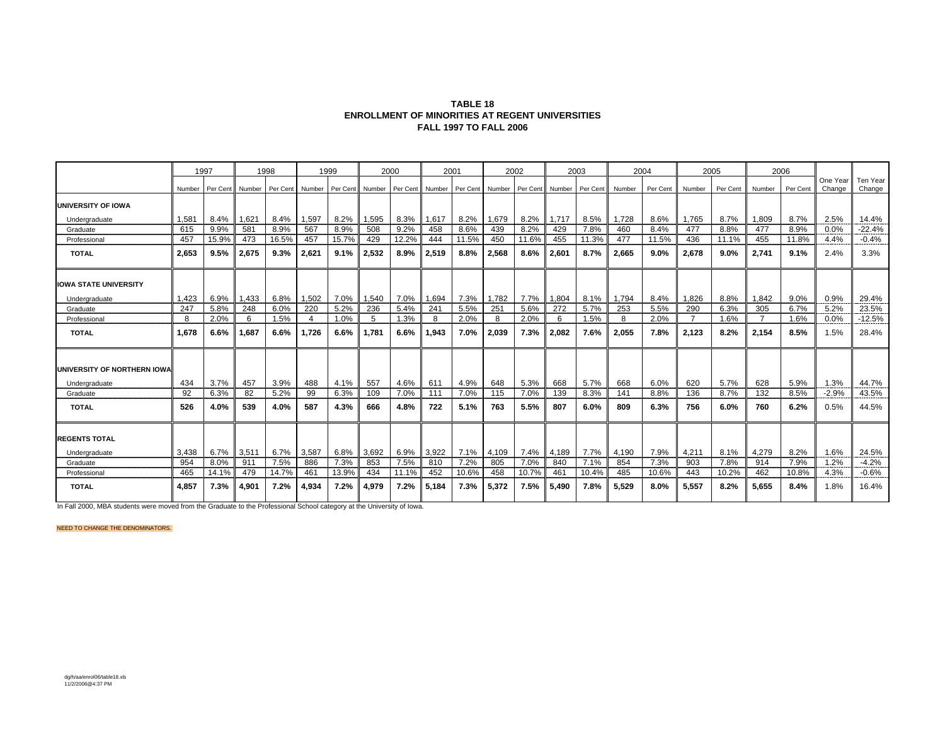| <b>TABLE 18</b>                                 |
|-------------------------------------------------|
| ENROLLMENT OF MINORITIES AT REGENT UNIVERSITIES |
| <b>FALL 1997 TO FALL 2006</b>                   |

|                              |        | 1997     |        | 1998     |                | 1999     | 2000   |          |        | 2001  |                 | 2002            |       | 2003     |        | 2004     |                | 2005     |                | 2006     |                    |                    |
|------------------------------|--------|----------|--------|----------|----------------|----------|--------|----------|--------|-------|-----------------|-----------------|-------|----------|--------|----------|----------------|----------|----------------|----------|--------------------|--------------------|
|                              | Number | Per Cent | Number | Per Cent | Number         | Per Cent | Number | Per Cent | Number |       | Per Cent Number | Per Cent Number |       | Per Cent | Number | Per Cent | Number         | Per Cent | Number         | Per Cent | One Year<br>Change | Ten Year<br>Change |
| UNIVERSITY OF IOWA           |        |          |        |          |                |          |        |          |        |       |                 |                 |       |          |        |          |                |          |                |          |                    |                    |
| Undergraduate                | 1,581  | 8.4%     | 1,621  | 8.4%     | 1,597          | 8.2%     | 1,595  | 8.3%     | 1,617  | 8.2%  | 1,679           | 8.2%            | 1,717 | 8.5%     | 1.728  | 8.6%     | 1,765          | 8.7%     | 1.809          | 8.7%     | 2.5%               | 14.4%              |
| Graduate                     | 615    | 9.9%     | 581    | 8.9%     | 567            | 8.9%     | 508    | 9.2%     | 458    | 8.6%  | 439             | 8.2%            | 429   | 7.8%     | 460    | 8.4%     | 477            | 8.8%     | 477            | 8.9%     | 0.0%               | $-22.4%$           |
| Professional                 | 457    | 15.9%    | 473    | 16.5%    | 457            | 15.7%    | 429    | 12.2%    | 444    | 11.5% | 450             | 11.6%           | 455   | 11.3%    | 477    | 11.5%    | 436            | 11.1%    | 455            | 11.8%    | 4.4%               | $-0.4%$            |
| <b>TOTAL</b>                 | 2.653  | 9.5%     | 2,675  | 9.3%     | 2.621          | 9.1%     | 2,532  | 8.9%     | 2,519  | 8.8%  | 2,568           | 8.6%            | 2.601 | 8.7%     | 2.665  | $9.0\%$  | 2.678          | 9.0%     | 2,741          | 9.1%     | 2.4%               | 3.3%               |
| <b>IOWA STATE UNIVERSITY</b> |        |          |        |          |                |          |        |          |        |       |                 |                 |       |          |        |          |                |          |                |          |                    |                    |
| Undergraduate                | 1.423  | 6.9%     | 1,433  | 6.8%     | 1,502          | 7.0%     | 1,540  | 7.0%     | 1,694  | 7.3%  | 1,782           | 7.7%            | 1,804 | 8.1%     | 1,794  | 8.4%     | 1,826          | 8.8%     | 1.842          | 9.0%     | 0.9%               | 29.4%              |
| Graduate                     | 247    | 5.8%     | 248    | 6.0%     | 220            | 5.2%     | 236    | 5.4%     | 241    | 5.5%  | 251             | 5.6%            | 272   | 5.7%     | 253    | 5.5%     | 290            | 6.3%     | 305            | 6.7%     | 5.2%               | 23.5%              |
| Professional                 | 8      | 2.0%     | 6      | 1.5%     | $\overline{4}$ | 1.0%     | 5      | 1.3%     | 8      | 2.0%  | 8               | 2.0%            | 6     | 1.5%     | 8      | 2.0%     | $\overline{7}$ | 1.6%     | $\overline{7}$ | 1.6%     | 0.0%               | $-12.5%$           |
| <b>TOTAL</b>                 | 1.678  | 6.6%     | 1.687  | 6.6%     | .726           | 6.6%     | 1.781  | 6.6%     | 1,943  | 7.0%  | 2,039           | 7.3%            | 2.082 | 7.6%     | 2.055  | 7.8%     | 2,123          | 8.2%     | 2,154          | 8.5%     | 1.5%               | 28.4%              |
| UNIVERSITY OF NORTHERN IOWA  |        |          |        |          |                |          |        |          |        |       |                 |                 |       |          |        |          |                |          |                |          |                    |                    |
| Undergraduate                | 434    | 3.7%     | 457    | 3.9%     | 488            | 4.1%     | 557    | 4.6%     | 611    | 4.9%  | 648             | 5.3%            | 668   | 5.7%     | 668    | 6.0%     | 620            | 5.7%     | 628            | 5.9%     | 1.3%               | 44.7%              |
| Graduate                     | 92     | 6.3%     | 82     | 5.2%     | 99             | 6.3%     | 109    | 7.0%     | 111    | 7.0%  | 115             | 7.0%            | 139   | 8.3%     | 141    | 8.8%     | 136            | 8.7%     | 132            | 8.5%     | $-2.9%$            | 43.5%              |
| <b>TOTAL</b>                 | 526    | 4.0%     | 539    | 4.0%     | 587            | 4.3%     | 666    | 4.8%     | 722    | 5.1%  | 763             | 5.5%            | 807   | 6.0%     | 809    | 6.3%     | 756            | 6.0%     | 760            | 6.2%     | 0.5%               | 44.5%              |
| <b>REGENTS TOTAL</b>         |        |          |        |          |                |          |        |          |        |       |                 |                 |       |          |        |          |                |          |                |          |                    |                    |
| Undergraduate                | 3,438  | 6.7%     | 3,511  | 6.7%     | 3,587          | 6.8%     | 3,692  | 6.9%     | 3,922  | 7.1%  | 4,109           | 7.4%            | 4,189 | 7.7%     | 4,190  | 7.9%     | 4,211          | 8.1%     | 4,279          | 8.2%     | 1.6%               | 24.5%              |
| Graduate                     | 954    | 8.0%     | 911    | 7.5%     | 886            | 7.3%     | 853    | 7.5%     | 810    | 7.2%  | 805             | 7.0%            | 840   | 7.1%     | 854    | 7.3%     | 903            | 7.8%     | 914            | 7.9%     | 1.2%               | $-4.2%$            |
| Professional                 | 465    | 14.1%    | 479    | 14.7%    | 461            | 13.9%    | 434    | 11.1%    | 452    | 10.6% | 458             | 10.7%           | 461   | 10.4%    | 485    | 10.6%    | 443            | 10.2%    | 462            | 10.8%    | 4.3%               | $-0.6%$            |
| <b>TOTAL</b>                 | 4.857  | 7.3%     | 4,901  | 7.2%     | 4.934          | 7.2%     | 4,979  | 7.2%     | 5.184  | 7.3%  | 5,372           | 7.5%            | 5.490 | 7.8%     | 5.529  | 8.0%     | 5,557          | 8.2%     | 5.655          | 8.4%     | 1.8%               | 16.4%              |

In Fall 2000, MBA students were moved from the Graduate to the Professional School category at the University of Iowa.

NEED TO CHANGE THE DENOMINATORS.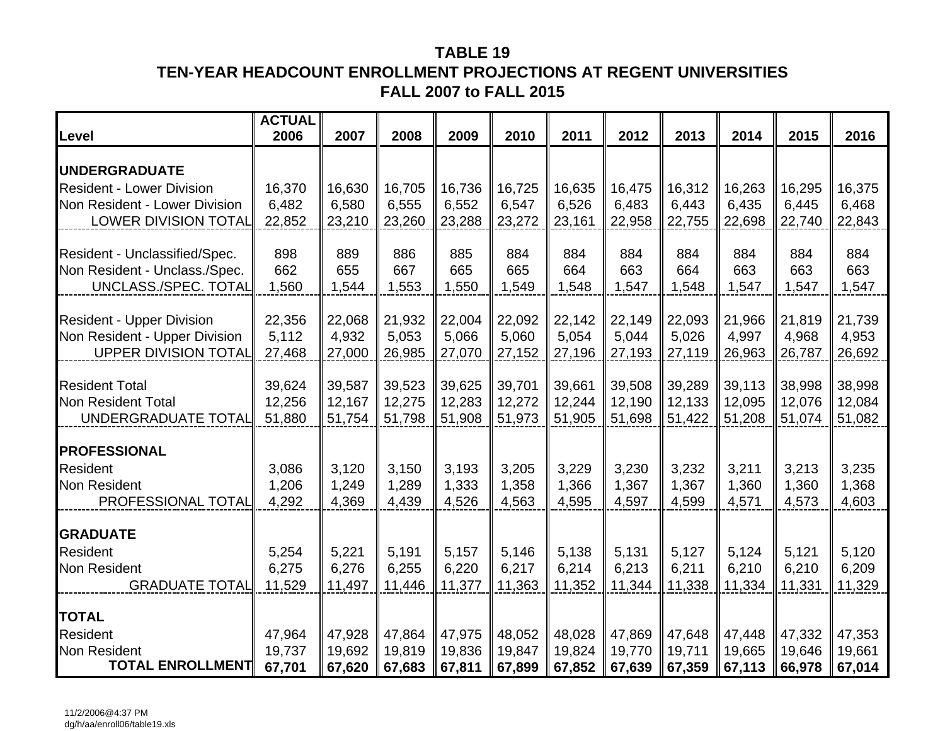# **TABLE 19TEN-YEAR HEADCOUNT ENROLLMENT PROJECTIONS AT REGENT UNIVERSITIES FALL 2007 to FALL 2015**

| Level                              | <b>ACTUAL</b><br>2006 | 2007           | 2008           | 2009   | 2010           | 2011   | 2012           | 2013   | 2014           | 2015   | 2016           |
|------------------------------------|-----------------------|----------------|----------------|--------|----------------|--------|----------------|--------|----------------|--------|----------------|
|                                    |                       |                |                |        |                |        |                |        |                |        |                |
| <b>UNDERGRADUATE</b>               |                       |                |                |        |                |        |                |        |                |        |                |
| <b>Resident - Lower Division</b>   | 16,370                | 16,630         | 16,705         | 16,736 | 16,725         | 16,635 | 16,475         | 16,312 | 16,263         | 16,295 | 16,375         |
| Non Resident - Lower Division      | 6,482                 | 6,580          | 6,555          | 6,552  | 6,547          | 6,526  | 6,483          | 6,443  | 6,435          | 6,445  | 6,468          |
| <b>LOWER DIVISION TOTAL</b>        | 22,852                | 23,210         | 23,260         | 23,288 | 23,272         | 23,161 | 22,958         | 22,755 | 22,698         | 22,740 | 22,843         |
| Resident - Unclassified/Spec.      | 898                   | 889            | 886            | 885    | 884            | 884    | 884            | 884    | 884            | 884    | 884            |
| Non Resident - Unclass./Spec.      | 662                   | 655            | 667            | 665    | 665            | 664    | 663            | 664    | 663            | 663    | 663            |
| UNCLASS./SPEC. TOTAL               | 1,560                 | 1,544          | 1,553          | 1,550  | 1,549          | 1,548  | 1,547          | 1,548  | 1,547          | 1,547  | 1,547          |
|                                    |                       |                |                |        |                |        |                |        |                |        |                |
| <b>Resident - Upper Division</b>   | 22,356                | 22,068         | 21,932         | 22,004 | 22,092         | 22,142 | 22,149         | 22,093 | 21,966         | 21,819 | 21,739         |
| Non Resident - Upper Division      | 5,112                 | 4,932          | 5,053          | 5,066  | 5,060          | 5,054  | 5,044          | 5,026  | 4,997          | 4,968  | 4,953          |
| <b>UPPER DIVISION TOTAL</b>        | 27,468                | 27,000         | 26,985         | 27,070 | 27,152         | 27,196 | 27,193         | 27,119 | 26,963         | 26,787 | 26,692         |
| <b>Resident Total</b>              | 39,624                | 39,587         | 39,523         | 39,625 | 39,701         | 39,661 | 39,508         | 39,289 | 39,113         | 38,998 | 38,998         |
| <b>Non Resident Total</b>          | 12,256                | 12,167         | 12,275         | 12,283 | 12,272         | 12,244 | 12,190         | 12,133 | 12,095         | 12,076 | 12,084         |
| UNDERGRADUATE TOTAL                | 51,880                | 51,754         | 51,798         | 51,908 | 51,973         | 51,905 | 51,698         | 51,422 | 51,208         | 51,074 | 51,082         |
|                                    |                       |                |                |        |                |        |                |        |                |        |                |
| <b>PROFESSIONAL</b>                |                       |                |                |        |                |        |                |        |                |        |                |
| <b>Resident</b>                    | 3,086                 | 3,120          | 3,150          | 3,193  | 3,205          | 3,229  | 3,230          | 3,232  | 3,211          | 3,213  | 3,235          |
| Non Resident<br>PROFESSIONAL TOTAL | 1,206<br>4,292        | 1,249<br>4,369 | 1,289<br>4,439 | 1,333  | 1,358<br>4,563 | 1,366  | 1,367<br>4,597 | 1,367  | 1,360<br>4,571 | 1,360  | 1,368<br>4,603 |
|                                    |                       |                |                | 4,526  |                | 4,595  |                | 4,599  |                | 4,573  |                |
| <b>GRADUATE</b>                    |                       |                |                |        |                |        |                |        |                |        |                |
| <b>Resident</b>                    | 5,254                 | 5,221          | 5,191          | 5,157  | 5,146          | 5,138  | 5,131          | 5,127  | 5,124          | 5,121  | 5,120          |
| Non Resident                       | 6,275                 | 6,276          | 6,255          | 6,220  | 6,217          | 6,214  | 6,213          | 6,211  | 6,210          | 6,210  | 6,209          |
| <b>GRADUATE TOTAL</b>              | 11,529                | 11,497         | 11,446         | 11,377 | 11,363         | 11,352 | 11,344         | 11,338 | 11,334         | 11,331 | 11,329         |
| <b>TOTAL</b>                       |                       |                |                |        |                |        |                |        |                |        |                |
| <b>Resident</b>                    | 47,964                | 47,928         | 47,864         | 47,975 | 48,052         | 48,028 | 47,869         | 47,648 | 47,448         | 47,332 | 47,353         |
| <b>Non Resident</b>                | 19,737                | 19,692         | 19,819         | 19,836 | 19,847         | 19,824 | 19,770         | 19,711 | 19,665         | 19,646 | 19,661         |
| <b>TOTAL ENROLLMENT</b>            | 67,701                | 67,620         | 67,683         | 67,811 | 67,899         | 67,852 | 67,639         | 67,359 | 67,113         | 66,978 | 67,014         |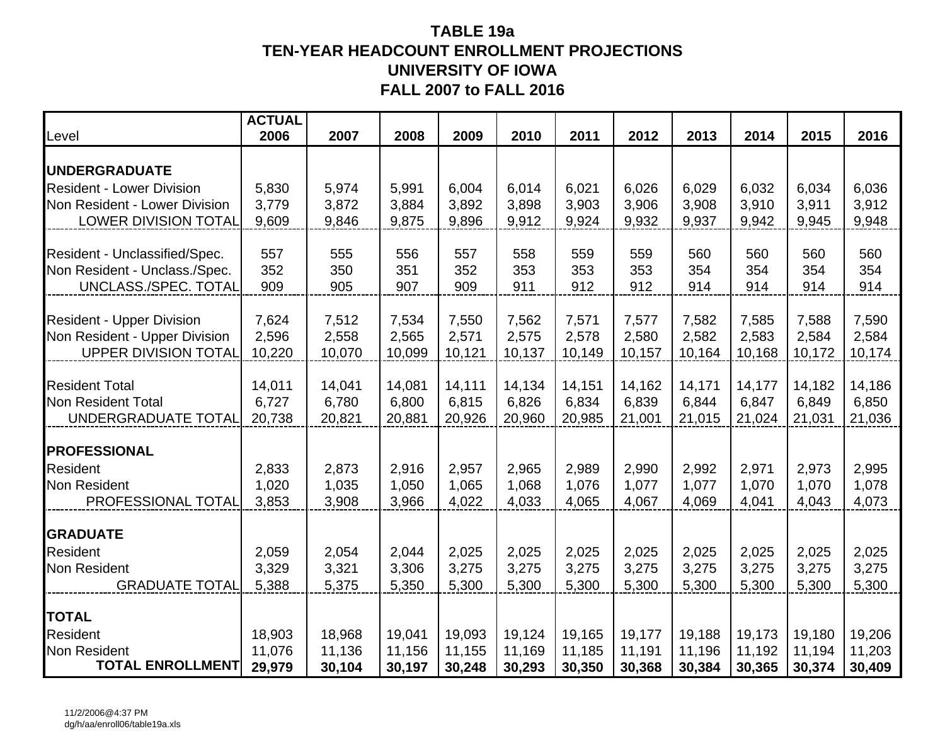## **TABLE 19a TEN-YEAR HEADCOUNT ENROLLMENT PROJECTIONS UNIVERSITY OF IOWAFALL 2007 to FALL 2016**

| Level                                                        | <b>ACTUAL</b><br>2006 | 2007            | 2008            | 2009            | 2010            | 2011            | 2012            | 2013            | 2014            | 2015            | 2016            |
|--------------------------------------------------------------|-----------------------|-----------------|-----------------|-----------------|-----------------|-----------------|-----------------|-----------------|-----------------|-----------------|-----------------|
| <b> UNDERGRADUATE</b>                                        |                       |                 |                 |                 |                 |                 |                 |                 |                 |                 |                 |
| <b>Resident - Lower Division</b>                             | 5,830                 | 5,974           | 5,991           | 6,004           | 6,014           | 6,021           | 6,026           | 6,029           | 6,032           | 6,034           | 6,036           |
| Non Resident - Lower Division                                | 3,779                 | 3,872           | 3,884           | 3,892           | 3,898           | 3,903           | 3,906           | 3,908           | 3,910           | 3,911           | 3,912           |
| <b>LOWER DIVISION TOTAL</b>                                  | 9,609                 | 9,846           | 9,875           | 9,896           | 9,912           | 9,924           | 9,932           | 9,937           | 9,942           | 9,945           | 9,948           |
| Resident - Unclassified/Spec.                                | 557                   | 555             | 556             | 557             | 558             | 559             | 559             | 560             | 560             | 560             | 560             |
| Non Resident - Unclass./Spec.                                | 352                   | 350             | 351             | 352             | 353             | 353             | 353             | 354             | 354             | 354             | 354             |
| UNCLASS./SPEC. TOTAL                                         | 909                   | 905             | 907             | 909             | 911             | 912             | 912             | 914             | 914             | 914             | 914             |
|                                                              |                       |                 |                 |                 |                 |                 |                 |                 |                 |                 |                 |
| <b>Resident - Upper Division</b>                             | 7,624<br>2,596        | 7,512           | 7,534           | 7,550           | 7,562           | 7,571           | 7,577           | 7,582           | 7,585           | 7,588           | 7,590           |
| Non Resident - Upper Division<br><b>UPPER DIVISION TOTAL</b> | 10,220                | 2,558<br>10,070 | 2,565<br>10,099 | 2,571<br>10,121 | 2,575<br>10,137 | 2,578<br>10,149 | 2,580<br>10,157 | 2,582<br>10,164 | 2,583<br>10,168 | 2,584<br>10,172 | 2,584<br>10,174 |
|                                                              |                       |                 |                 |                 |                 |                 |                 |                 |                 |                 |                 |
| <b>Resident Total</b>                                        | 14,011                | 14,041          | 14,081          | 14,111          | 14,134          | 14,151          | 14,162          | 14,171          | 14,177          | 14,182          | 14,186          |
| Non Resident Total                                           | 6,727                 | 6,780           | 6,800           | 6,815           | 6,826           | 6,834           | 6,839           | 6,844           | 6,847           | 6,849           | 6,850           |
| UNDERGRADUATE TOTAL                                          | 20,738                | 20,821          | 20,881          | 20,926          | 20,960          | 20,985          | 21,001          | 21,015          | 21,024          | 21,031          | 21,036          |
| <b>PROFESSIONAL</b>                                          |                       |                 |                 |                 |                 |                 |                 |                 |                 |                 |                 |
| <b>Resident</b>                                              | 2,833                 | 2,873           | 2,916           | 2,957           | 2,965           | 2,989           | 2,990           | 2,992           | 2,971           | 2,973           | 2,995           |
| Non Resident                                                 | 1,020                 | 1,035           | 1,050           | 1,065           | 1,068           | 1,076           | 1,077           | 1,077           | 1,070           | 1,070           | 1,078           |
| PROFESSIONAL TOTAL                                           | 3,853                 | 3,908           | 3,966           | 4,022           | 4,033           | 4,065           | 4,067           | 4,069           | 4,041           | 4,043           | 4,073           |
| <b>GRADUATE</b>                                              |                       |                 |                 |                 |                 |                 |                 |                 |                 |                 |                 |
| <b>Resident</b>                                              | 2,059                 | 2,054           | 2,044           | 2,025           | 2,025           | 2,025           | 2,025           | 2,025           | 2,025           | 2,025           | 2,025           |
| <b>Non Resident</b>                                          | 3,329                 | 3,321           | 3,306           | 3,275           | 3,275           | 3,275           | 3,275           | 3,275           | 3,275           | 3,275           | 3,275           |
| <b>GRADUATE TOTAL</b>                                        | 5,388                 | 5,375           | 5,350           | 5,300           | 5,300           | 5,300           | 5,300           | 5,300           | 5,300           | 5,300           | 5,300           |
| <b>TOTAL</b>                                                 |                       |                 |                 |                 |                 |                 |                 |                 |                 |                 |                 |
| <b>Resident</b>                                              | 18,903                | 18,968          | 19,041          | 19,093          | 19,124          | 19,165          | 19,177          | 19,188          | 19,173          | 19,180          | 19,206          |
| Non Resident                                                 | 11,076                | 11,136          | 11,156          | 11,155          | 11,169          | 11,185          | 11,191          | 11,196          | 11,192          | 11,194          | 11,203          |
| <b>TOTAL ENROLLMENT</b>                                      | 29,979                | 30,104          | 30,197          | 30,248          | 30,293          | 30,350          | 30,368          | 30,384          | 30,365          | 30,374          | 30,409          |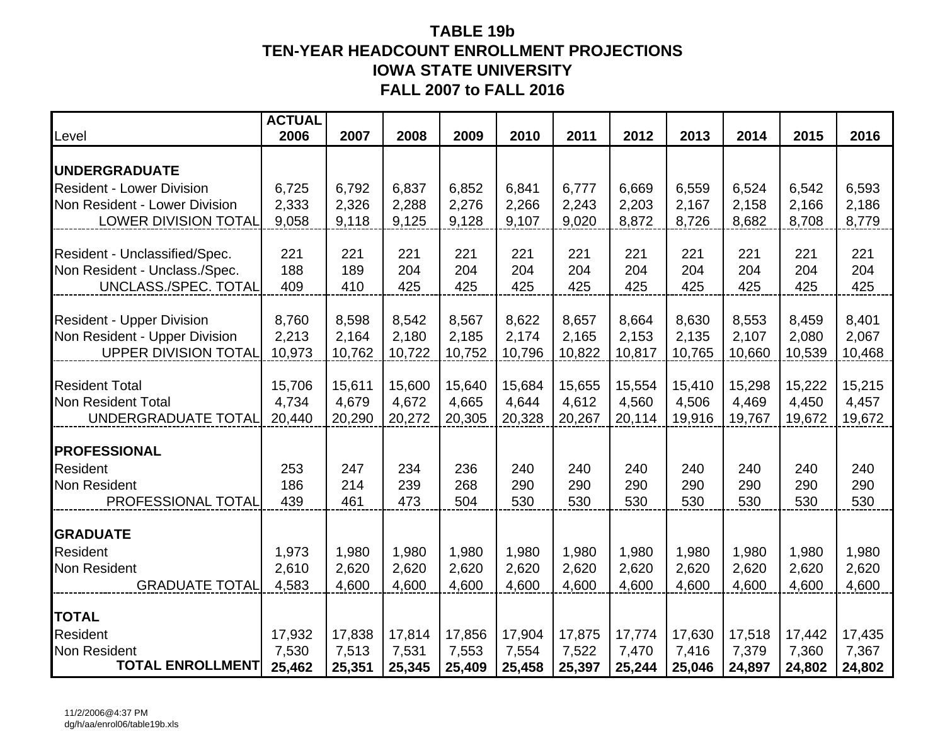## **TABLE 19b TEN-YEAR HEADCOUNT ENROLLMENT PROJECTIONS IOWA STATE UNIVERSITY FALL 2007 to FALL 2016**

| Level                            | <b>ACTUAL</b><br>2006 | 2007   | 2008   | 2009   | 2010   | 2011   | 2012   | 2013   | 2014   | 2015   | 2016   |
|----------------------------------|-----------------------|--------|--------|--------|--------|--------|--------|--------|--------|--------|--------|
| <b>UNDERGRADUATE</b>             |                       |        |        |        |        |        |        |        |        |        |        |
| <b>Resident - Lower Division</b> | 6,725                 | 6,792  | 6,837  | 6,852  | 6,841  | 6,777  | 6,669  | 6,559  | 6,524  | 6,542  | 6,593  |
| Non Resident - Lower Division    | 2,333                 | 2,326  | 2,288  | 2,276  | 2,266  | 2,243  | 2,203  | 2,167  | 2,158  | 2,166  | 2,186  |
| <b>LOWER DIVISION TOTAL</b>      | 9,058                 | 9,118  | 9,125  | 9,128  | 9,107  | 9,020  | 8,872  | 8,726  | 8,682  | 8,708  | 8,779  |
| Resident - Unclassified/Spec.    | 221                   | 221    | 221    | 221    | 221    | 221    | 221    | 221    | 221    | 221    | 221    |
| Non Resident - Unclass./Spec.    | 188                   | 189    | 204    | 204    | 204    | 204    | 204    | 204    | 204    | 204    | 204    |
| UNCLASS./SPEC. TOTAL             | 409                   | 410    | 425    | 425    | 425    | 425    | 425    | 425    | 425    | 425    | 425    |
|                                  |                       |        |        |        |        |        |        |        |        |        |        |
| <b>Resident - Upper Division</b> | 8,760                 | 8,598  | 8,542  | 8,567  | 8,622  | 8,657  | 8,664  | 8,630  | 8,553  | 8,459  | 8,401  |
| Non Resident - Upper Division    | 2,213                 | 2,164  | 2,180  | 2,185  | 2,174  | 2,165  | 2,153  | 2,135  | 2,107  | 2,080  | 2,067  |
| <b>UPPER DIVISION TOTAL</b>      | 10,973                | 10,762 | 10,722 | 10,752 | 10,796 | 10,822 | 10,817 | 10,765 | 10,660 | 10,539 | 10,468 |
| <b>Resident Total</b>            | 15,706                | 15,611 | 15,600 | 15,640 | 15,684 | 15,655 | 15,554 | 15,410 | 15,298 | 15,222 | 15,215 |
| <b>Non Resident Total</b>        | 4,734                 | 4,679  | 4,672  | 4,665  | 4,644  | 4,612  | 4,560  | 4,506  | 4,469  | 4,450  | 4,457  |
| UNDERGRADUATE TOTAL              | 20,440                | 20,290 | 20,272 | 20,305 | 20,328 | 20,267 | 20,114 | 19,916 | 19,767 | 19,672 | 19,672 |
| <b>PROFESSIONAL</b>              |                       |        |        |        |        |        |        |        |        |        |        |
| <b>Resident</b>                  | 253                   | 247    | 234    | 236    | 240    | 240    | 240    | 240    | 240    | 240    | 240    |
| Non Resident                     | 186                   | 214    | 239    | 268    | 290    | 290    | 290    | 290    | 290    | 290    | 290    |
| PROFESSIONAL TOTAL               | 439                   | 461    | 473    | 504    | 530    | 530    | 530    | 530    | 530    | 530    | 530    |
| <b>GRADUATE</b>                  |                       |        |        |        |        |        |        |        |        |        |        |
| <b>Resident</b>                  | 1,973                 | 1,980  | 1,980  | 1,980  | 1,980  | 1,980  | 1,980  | 1,980  | 1,980  | 1,980  | 1,980  |
| Non Resident                     | 2,610                 | 2,620  | 2,620  | 2,620  | 2,620  | 2,620  | 2,620  | 2,620  | 2,620  | 2,620  | 2,620  |
| <b>GRADUATE TOTAL</b>            | 4,583                 | 4,600  | 4,600  | 4,600  | 4,600  | 4,600  | 4,600  | 4,600  | 4,600  | 4,600  | 4,600  |
| <b>TOTAL</b>                     |                       |        |        |        |        |        |        |        |        |        |        |
| Resident                         | 17,932                | 17,838 | 17,814 | 17,856 | 17,904 | 17,875 | 17,774 | 17,630 | 17,518 | 17,442 | 17,435 |
| <b>Non Resident</b>              | 7,530                 | 7,513  | 7,531  | 7,553  | 7,554  | 7,522  | 7,470  | 7,416  | 7,379  | 7,360  | 7,367  |
| <b>TOTAL ENROLLMENT</b>          | 25,462                | 25,351 | 25,345 | 25,409 | 25,458 | 25,397 | 25,244 | 25,046 | 24,897 | 24,802 | 24,802 |